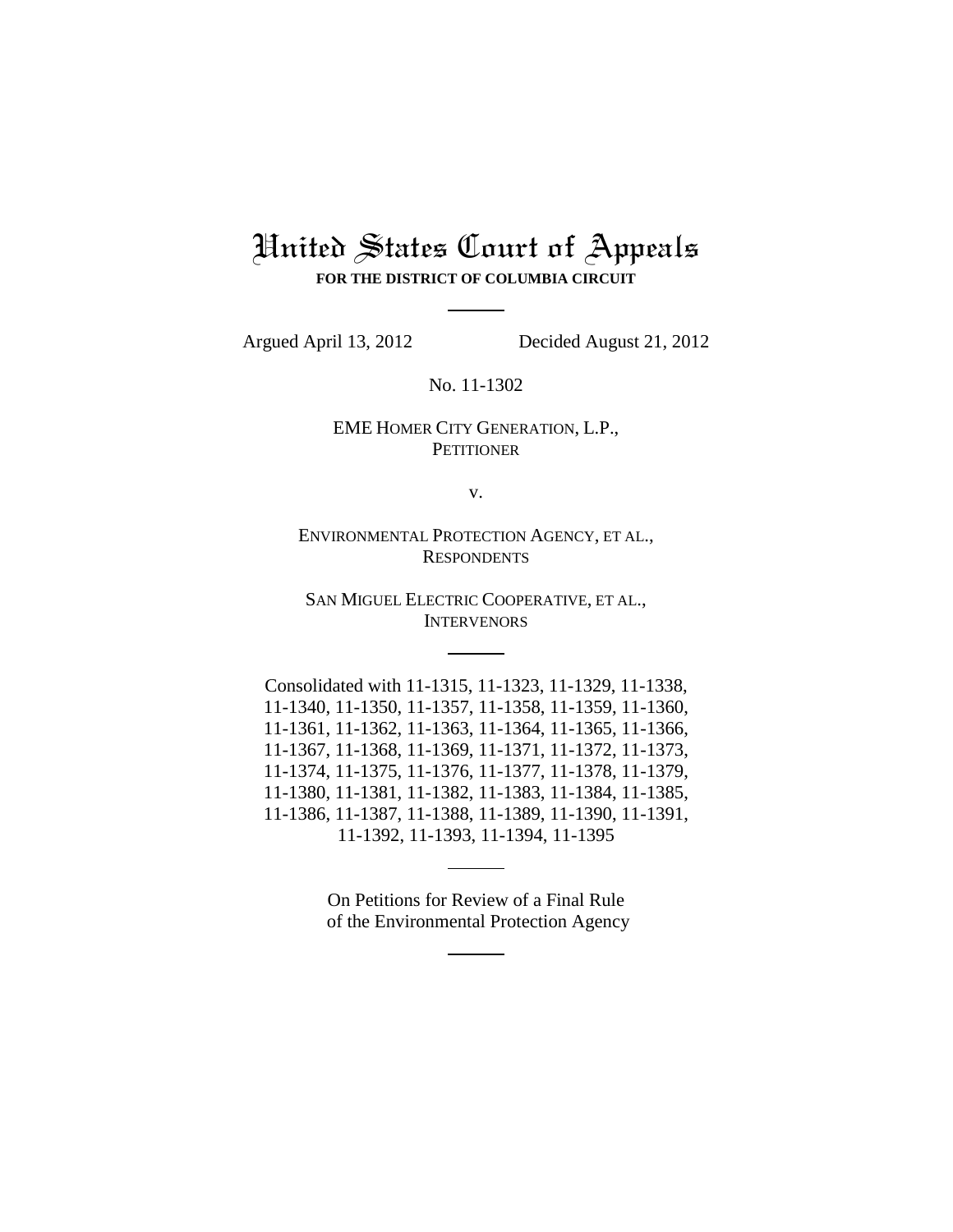# United States Court of Appeals **FOR THE DISTRICT OF COLUMBIA CIRCUIT**

Argued April 13, 2012 Decided August 21, 2012

No. 11-1302

## EME HOMER CITY GENERATION, L.P., **PETITIONER**

v.

ENVIRONMENTAL PROTECTION AGENCY, ET AL., **RESPONDENTS** 

SAN MIGUEL ELECTRIC COOPERATIVE, ET AL., **INTERVENORS** 

Consolidated with 11-1315, 11-1323, 11-1329, 11-1338, 11-1340, 11-1350, 11-1357, 11-1358, 11-1359, 11-1360, 11-1361, 11-1362, 11-1363, 11-1364, 11-1365, 11-1366, 11-1367, 11-1368, 11-1369, 11-1371, 11-1372, 11-1373, 11-1374, 11-1375, 11-1376, 11-1377, 11-1378, 11-1379, 11-1380, 11-1381, 11-1382, 11-1383, 11-1384, 11-1385, 11-1386, 11-1387, 11-1388, 11-1389, 11-1390, 11-1391, 11-1392, 11-1393, 11-1394, 11-1395

> On Petitions for Review of a Final Rule of the Environmental Protection Agency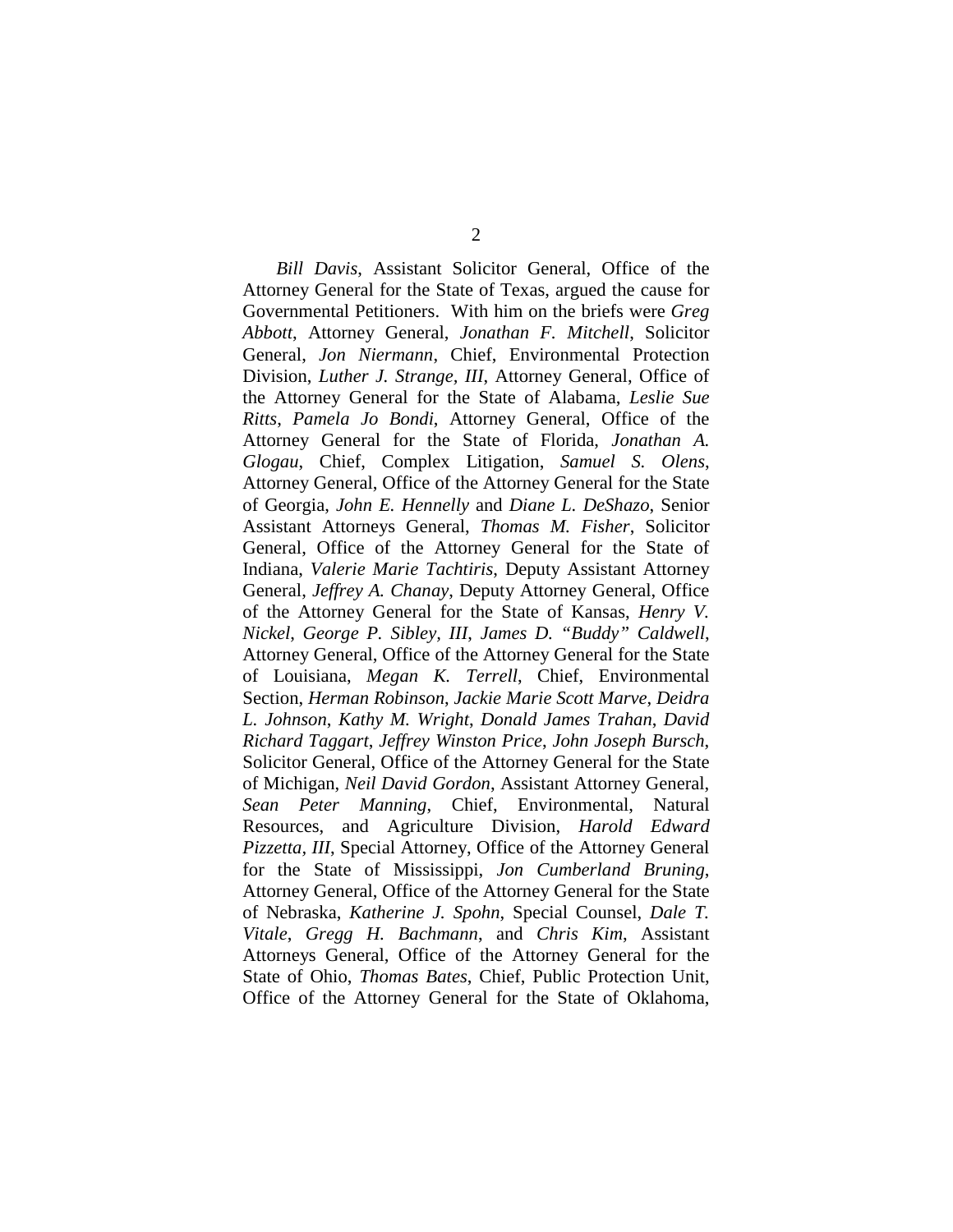*Bill Davis*, Assistant Solicitor General, Office of the Attorney General for the State of Texas, argued the cause for Governmental Petitioners. With him on the briefs were *Greg Abbott*, Attorney General, *Jonathan F. Mitchell*, Solicitor General, *Jon Niermann*, Chief, Environmental Protection Division, *Luther J. Strange, III*, Attorney General, Office of the Attorney General for the State of Alabama, *Leslie Sue Ritts*, *Pamela Jo Bondi*, Attorney General, Office of the Attorney General for the State of Florida, *Jonathan A. Glogau*, Chief, Complex Litigation, *Samuel S. Olens*, Attorney General, Office of the Attorney General for the State of Georgia, *John E. Hennelly* and *Diane L. DeShazo*, Senior Assistant Attorneys General, *Thomas M. Fisher*, Solicitor General, Office of the Attorney General for the State of Indiana, *Valerie Marie Tachtiris*, Deputy Assistant Attorney General, *Jeffrey A. Chanay*, Deputy Attorney General, Office of the Attorney General for the State of Kansas, *Henry V. Nickel*, *George P. Sibley, III*, *James D. "Buddy" Caldwell*, Attorney General, Office of the Attorney General for the State of Louisiana, *Megan K. Terrell*, Chief, Environmental Section, *Herman Robinson*, *Jackie Marie Scott Marve*, *Deidra L. Johnson*, *Kathy M. Wright*, *Donald James Trahan*, *David Richard Taggart*, *Jeffrey Winston Price*, *John Joseph Bursch*, Solicitor General, Office of the Attorney General for the State of Michigan, *Neil David Gordon*, Assistant Attorney General, *Sean Peter Manning*, Chief, Environmental, Natural Resources, and Agriculture Division, *Harold Edward Pizzetta, III*, Special Attorney, Office of the Attorney General for the State of Mississippi, *Jon Cumberland Bruning*, Attorney General, Office of the Attorney General for the State of Nebraska, *Katherine J. Spohn*, Special Counsel, *Dale T. Vitale*, *Gregg H. Bachmann*, and *Chris Kim*, Assistant Attorneys General, Office of the Attorney General for the State of Ohio, *Thomas Bates*, Chief, Public Protection Unit, Office of the Attorney General for the State of Oklahoma,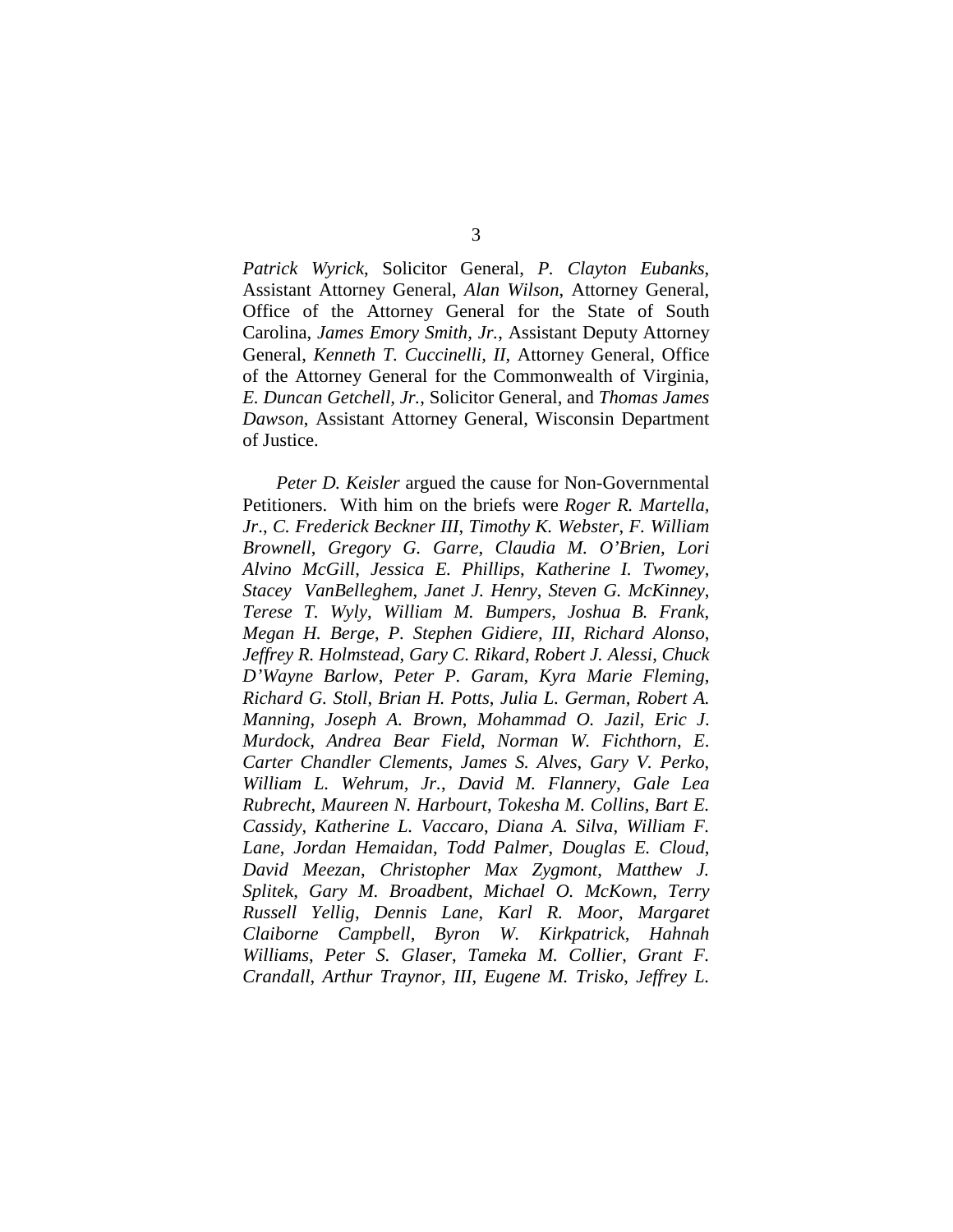*Patrick Wyrick*, Solicitor General, *P. Clayton Eubanks*, Assistant Attorney General, *Alan Wilson*, Attorney General, Office of the Attorney General for the State of South Carolina, *James Emory Smith, Jr.*, Assistant Deputy Attorney General, *Kenneth T. Cuccinelli, II*, Attorney General, Office of the Attorney General for the Commonwealth of Virginia, *E. Duncan Getchell, Jr.*, Solicitor General, and *Thomas James Dawson*, Assistant Attorney General, Wisconsin Department of Justice.

*Peter D. Keisler* argued the cause for Non-Governmental Petitioners. With him on the briefs were *Roger R. Martella, Jr*., *C. Frederick Beckner III*, *Timothy K. Webster*, *F. William Brownell*, *Gregory G. Garre*, *Claudia M. O'Brien*, *Lori Alvino McGill*, *Jessica E. Phillips*, *Katherine I. Twomey*, *Stacey VanBelleghem*, *Janet J. Henry*, *Steven G. McKinney*, *Terese T. Wyly*, *William M. Bumpers*, *Joshua B. Frank*, *Megan H. Berge*, *P. Stephen Gidiere, III*, *Richard Alonso*, *Jeffrey R. Holmstead*, *Gary C. Rikard*, *Robert J. Alessi*, *Chuck D'Wayne Barlow*, *Peter P. Garam*, *Kyra Marie Fleming*, *Richard G. Stoll*, *Brian H. Potts*, *Julia L. German*, *Robert A. Manning*, *Joseph A. Brown*, *Mohammad O. Jazil*, *Eric J*. *Murdock*, *Andrea Bear Field*, *Norman W. Fichthorn*, *E*. *Carter Chandler Clements*, *James S. Alves*, *Gary V. Perko*, *William L. Wehrum, Jr.*, *David M. Flannery*, *Gale Lea Rubrecht*, *Maureen N. Harbourt*, *Tokesha M. Collins*, *Bart E. Cassidy*, *Katherine L. Vaccaro*, *Diana A. Silva*, *William F. Lane*, *Jordan Hemaidan*, *Todd Palmer*, *Douglas E. Cloud*, *David Meezan*, *Christopher Max Zygmont*, *Matthew J. Splitek*, *Gary M. Broadbent*, *Michael O. McKown*, *Terry Russell Yellig*, *Dennis Lane*, *Karl R. Moor*, *Margaret Claiborne Campbell*, *Byron W. Kirkpatrick*, *Hahnah Williams*, *Peter S. Glaser*, *Tameka M. Collier*, *Grant F. Crandall*, *Arthur Traynor, III*, *Eugene M. Trisko*, *Jeffrey L.*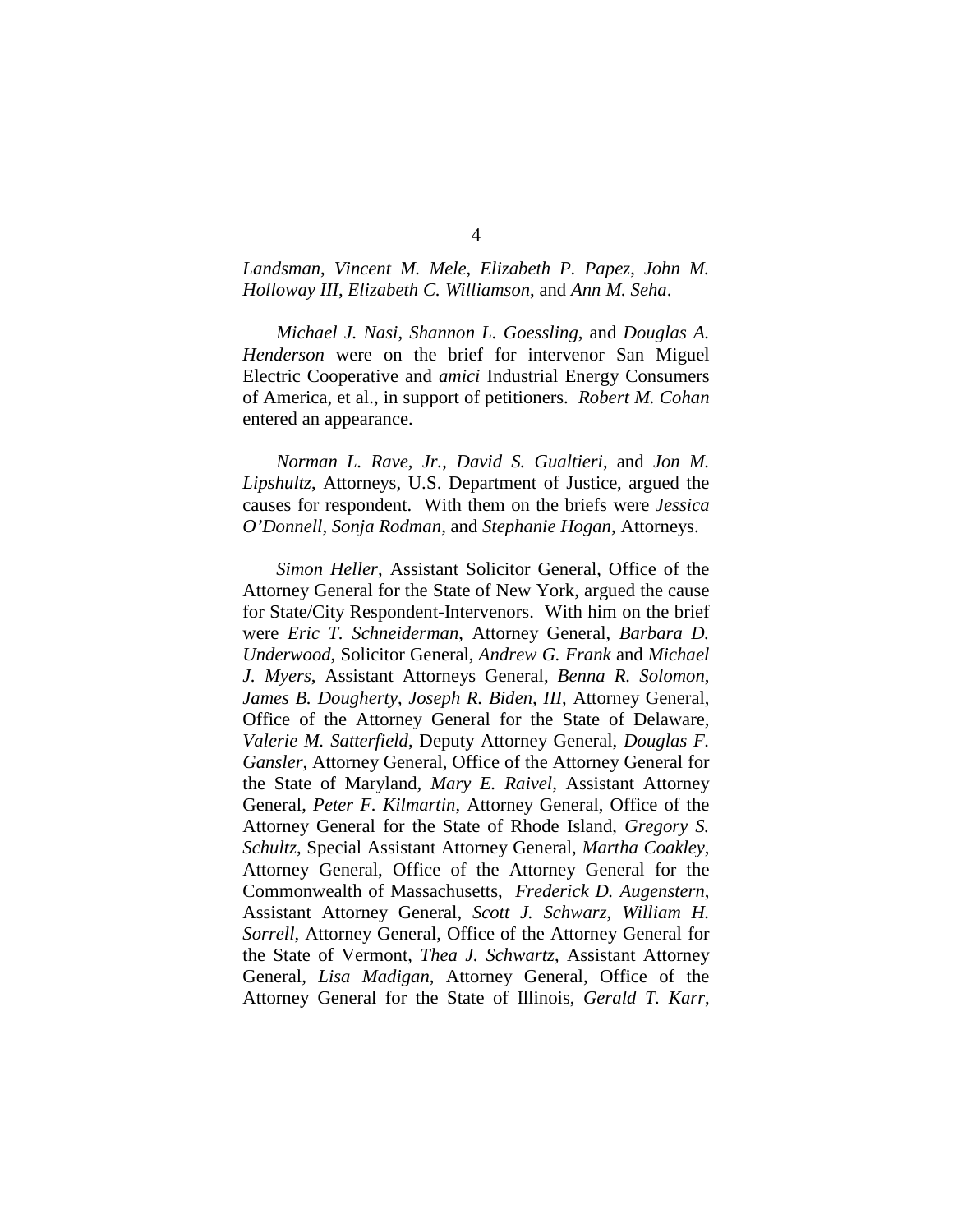## *Landsman*, *Vincent M. Mele*, *Elizabeth P. Papez*, *John M. Holloway III*, *Elizabeth C. Williamson*, and *Ann M. Seha*.

*Michael J. Nasi*, *Shannon L. Goessling*, and *Douglas A. Henderson* were on the brief for intervenor San Miguel Electric Cooperative and *amici* Industrial Energy Consumers of America, et al., in support of petitioners. *Robert M. Cohan* entered an appearance.

*Norman L. Rave, Jr.*, *David S. Gualtieri*, and *Jon M. Lipshultz*, Attorneys, U.S. Department of Justice, argued the causes for respondent. With them on the briefs were *Jessica O'Donnell*, *Sonja Rodman*, and *Stephanie Hogan*, Attorneys.

*Simon Heller*, Assistant Solicitor General, Office of the Attorney General for the State of New York, argued the cause for State/City Respondent-Intervenors. With him on the brief were *Eric T. Schneiderman*, Attorney General, *Barbara D. Underwood*, Solicitor General, *Andrew G. Frank* and *Michael J. Myers*, Assistant Attorneys General, *Benna R. Solomon*, *James B. Dougherty*, *Joseph R. Biden, III*, Attorney General, Office of the Attorney General for the State of Delaware, *Valerie M. Satterfield*, Deputy Attorney General, *Douglas F. Gansler*, Attorney General, Office of the Attorney General for the State of Maryland, *Mary E. Raivel*, Assistant Attorney General, *Peter F. Kilmartin*, Attorney General, Office of the Attorney General for the State of Rhode Island, *Gregory S. Schultz*, Special Assistant Attorney General, *Martha Coakley*, Attorney General, Office of the Attorney General for the Commonwealth of Massachusetts, *Frederick D. Augenstern*, Assistant Attorney General, *Scott J. Schwarz*, *William H. Sorrell*, Attorney General, Office of the Attorney General for the State of Vermont, *Thea J. Schwartz*, Assistant Attorney General, *Lisa Madigan*, Attorney General, Office of the Attorney General for the State of Illinois, *Gerald T. Karr*,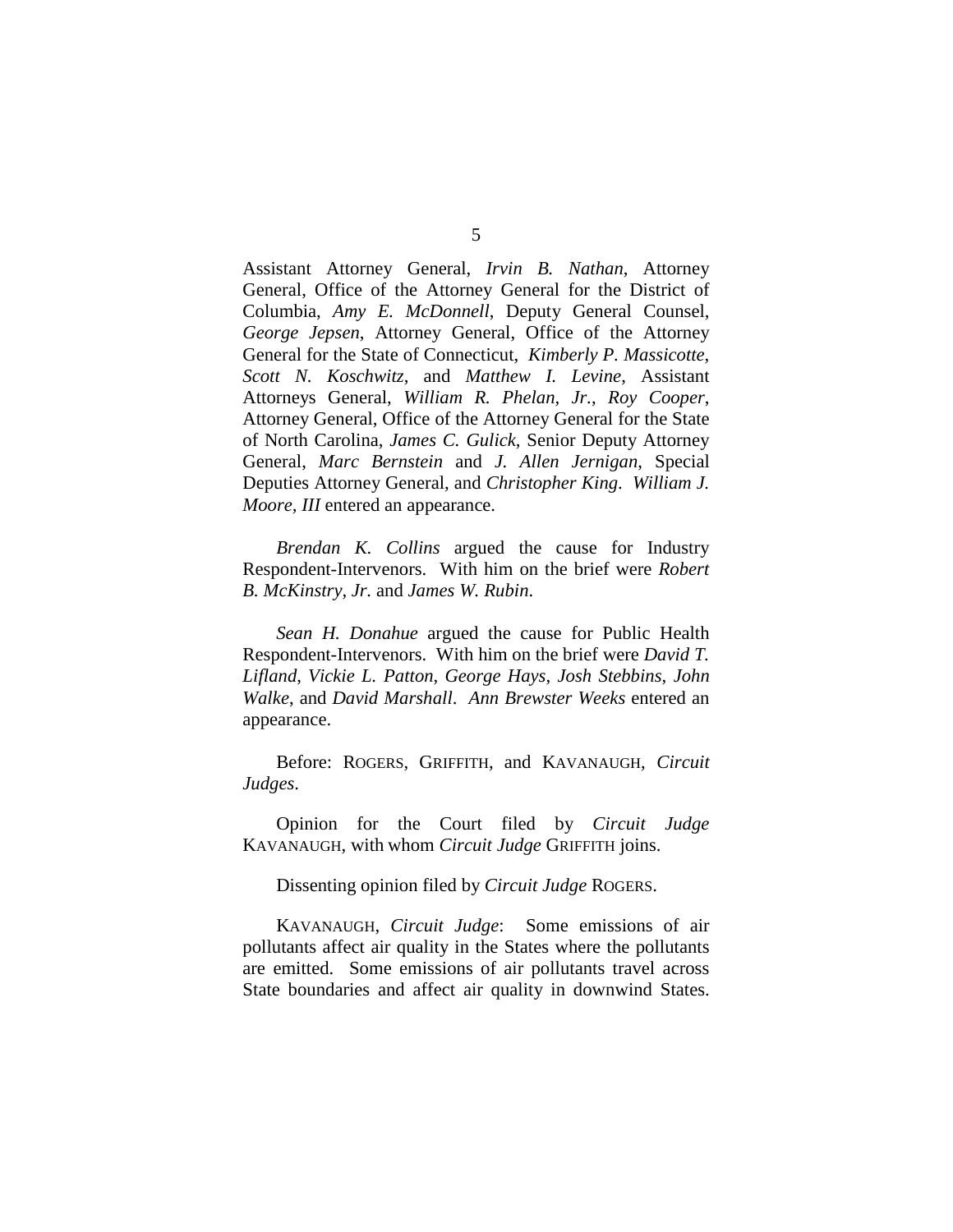Assistant Attorney General, *Irvin B. Nathan*, Attorney General, Office of the Attorney General for the District of Columbia, *Amy E. McDonnell*, Deputy General Counsel, *George Jepsen*, Attorney General, Office of the Attorney General for the State of Connecticut, *Kimberly P. Massicotte*, *Scott N. Koschwitz*, and *Matthew I. Levine*, Assistant Attorneys General, *William R. Phelan, Jr.*, *Roy Cooper*, Attorney General, Office of the Attorney General for the State of North Carolina, *James C. Gulick*, Senior Deputy Attorney General, *Marc Bernstein* and *J. Allen Jernigan*, Special Deputies Attorney General, and *Christopher King*. *William J. Moore, III* entered an appearance.

*Brendan K. Collins* argued the cause for Industry Respondent-Intervenors. With him on the brief were *Robert B. McKinstry, Jr.* and *James W. Rubin*.

*Sean H. Donahue* argued the cause for Public Health Respondent-Intervenors. With him on the brief were *David T. Lifland*, *Vickie L. Patton*, *George Hays*, *Josh Stebbins*, *John Walke*, and *David Marshall*. *Ann Brewster Weeks* entered an appearance.

Before: ROGERS, GRIFFITH, and KAVANAUGH, *Circuit Judges*.

Opinion for the Court filed by *Circuit Judge* KAVANAUGH, with whom *Circuit Judge* GRIFFITH joins.

Dissenting opinion filed by *Circuit Judge* ROGERS.

KAVANAUGH, *Circuit Judge*: Some emissions of air pollutants affect air quality in the States where the pollutants are emitted. Some emissions of air pollutants travel across State boundaries and affect air quality in downwind States.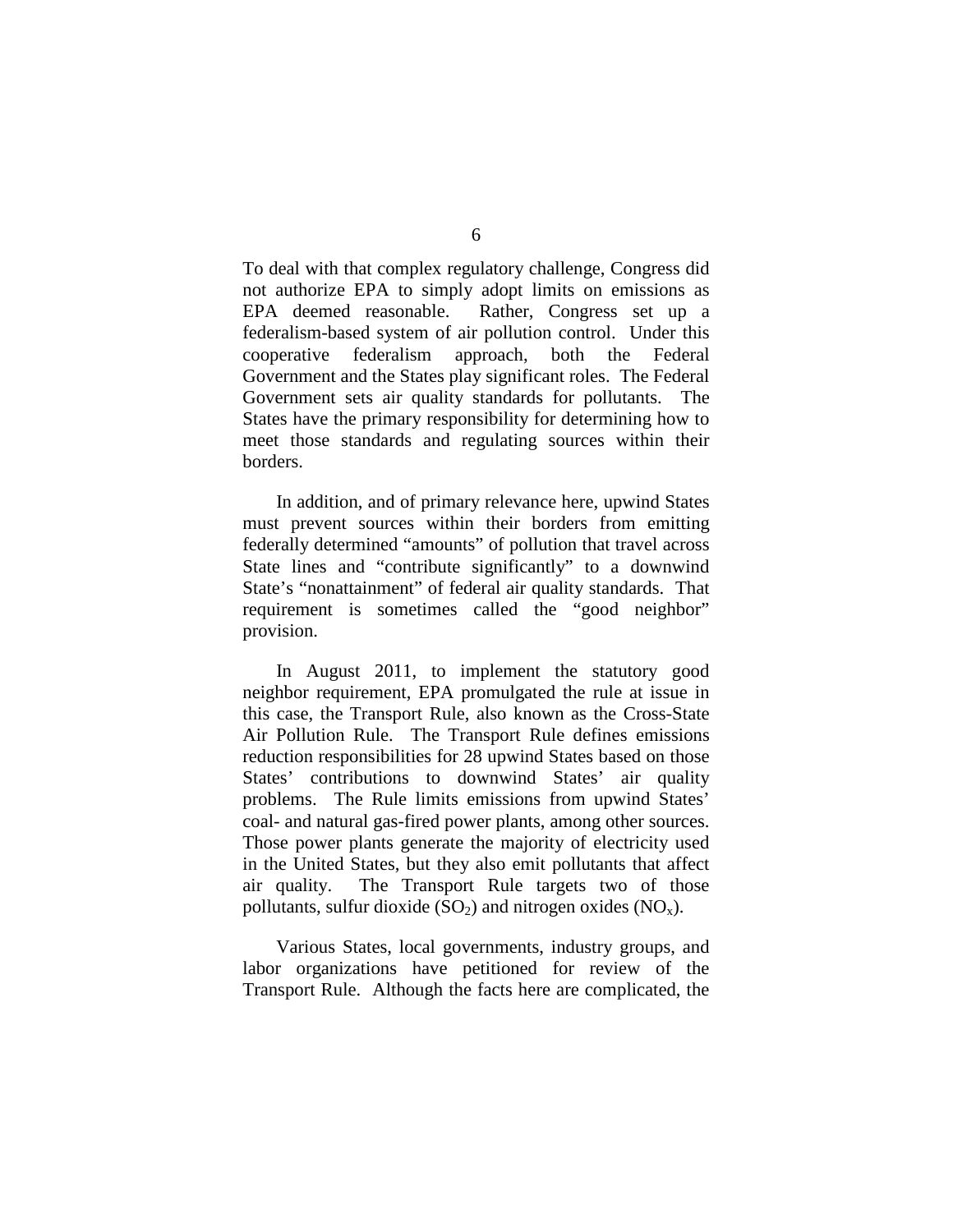To deal with that complex regulatory challenge, Congress did not authorize EPA to simply adopt limits on emissions as EPA deemed reasonable. Rather, Congress set up a federalism-based system of air pollution control. Under this cooperative federalism approach, both the Federal Government and the States play significant roles. The Federal Government sets air quality standards for pollutants. The States have the primary responsibility for determining how to meet those standards and regulating sources within their borders.

In addition, and of primary relevance here, upwind States must prevent sources within their borders from emitting federally determined "amounts" of pollution that travel across State lines and "contribute significantly" to a downwind State's "nonattainment" of federal air quality standards. That requirement is sometimes called the "good neighbor" provision.

In August 2011, to implement the statutory good neighbor requirement, EPA promulgated the rule at issue in this case, the Transport Rule, also known as the Cross-State Air Pollution Rule. The Transport Rule defines emissions reduction responsibilities for 28 upwind States based on those States' contributions to downwind States' air quality problems. The Rule limits emissions from upwind States' coal- and natural gas-fired power plants, among other sources. Those power plants generate the majority of electricity used in the United States, but they also emit pollutants that affect air quality. The Transport Rule targets two of those pollutants, sulfur dioxide  $(SO_2)$  and nitrogen oxides  $(NO_x)$ .

Various States, local governments, industry groups, and labor organizations have petitioned for review of the Transport Rule. Although the facts here are complicated, the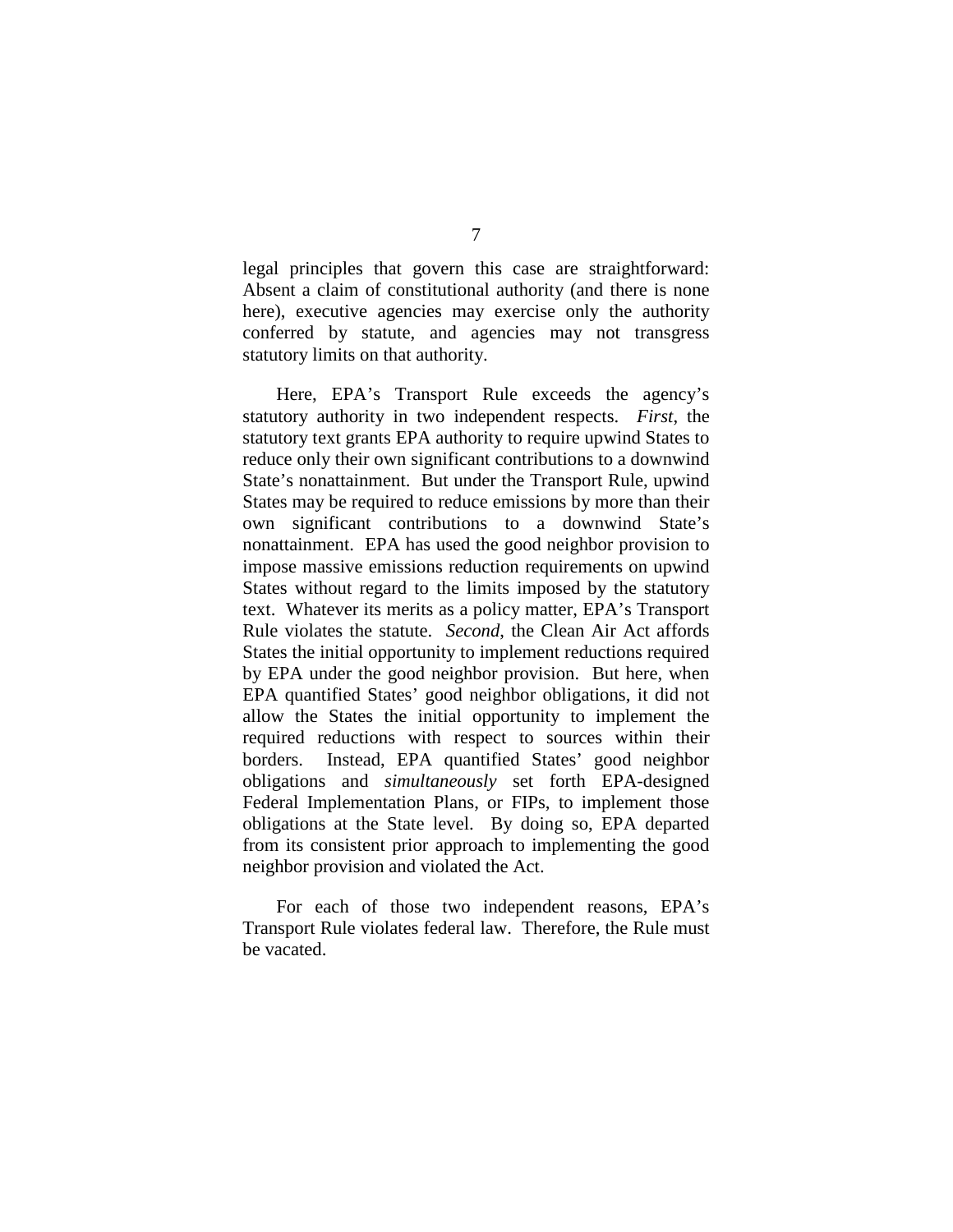legal principles that govern this case are straightforward: Absent a claim of constitutional authority (and there is none here), executive agencies may exercise only the authority conferred by statute, and agencies may not transgress statutory limits on that authority.

Here, EPA's Transport Rule exceeds the agency's statutory authority in two independent respects. *First*, the statutory text grants EPA authority to require upwind States to reduce only their own significant contributions to a downwind State's nonattainment. But under the Transport Rule, upwind States may be required to reduce emissions by more than their own significant contributions to a downwind State's nonattainment. EPA has used the good neighbor provision to impose massive emissions reduction requirements on upwind States without regard to the limits imposed by the statutory text. Whatever its merits as a policy matter, EPA's Transport Rule violates the statute. *Second*, the Clean Air Act affords States the initial opportunity to implement reductions required by EPA under the good neighbor provision. But here, when EPA quantified States' good neighbor obligations, it did not allow the States the initial opportunity to implement the required reductions with respect to sources within their borders. Instead, EPA quantified States' good neighbor obligations and *simultaneously* set forth EPA-designed Federal Implementation Plans, or FIPs, to implement those obligations at the State level. By doing so, EPA departed from its consistent prior approach to implementing the good neighbor provision and violated the Act.

For each of those two independent reasons, EPA's Transport Rule violates federal law. Therefore, the Rule must be vacated.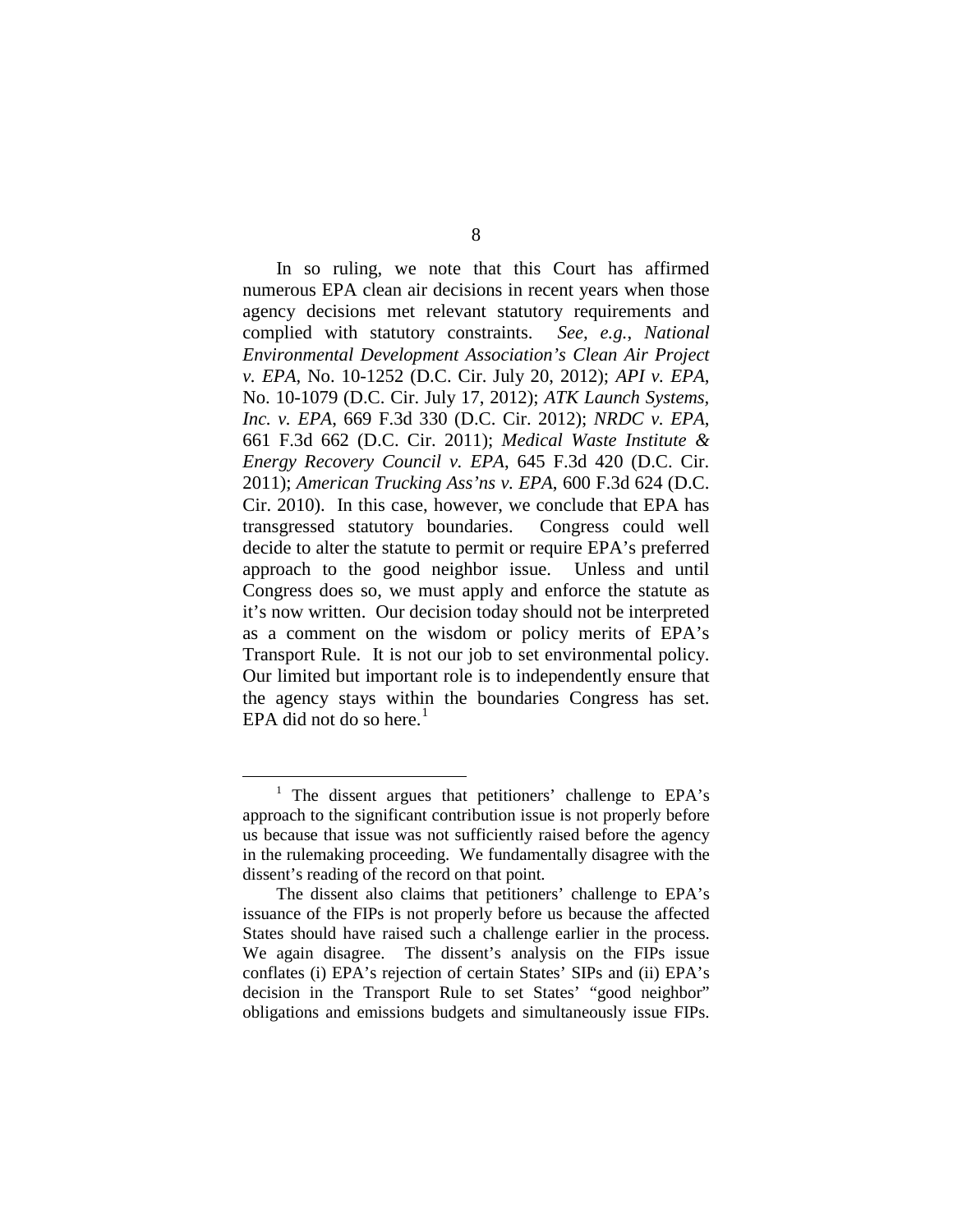In so ruling, we note that this Court has affirmed numerous EPA clean air decisions in recent years when those agency decisions met relevant statutory requirements and complied with statutory constraints. *See, e.g.*, *National Environmental Development Association's Clean Air Project v. EPA*, No. 10-1252 (D.C. Cir. July 20, 2012); *API v. EPA*, No. 10-1079 (D.C. Cir. July 17, 2012); *ATK Launch Systems, Inc. v. EPA*, 669 F.3d 330 (D.C. Cir. 2012); *NRDC v. EPA*, 661 F.3d 662 (D.C. Cir. 2011); *Medical Waste Institute & Energy Recovery Council v. EPA*, 645 F.3d 420 (D.C. Cir. 2011); *American Trucking Ass'ns v. EPA*, 600 F.3d 624 (D.C. Cir. 2010). In this case, however, we conclude that EPA has transgressed statutory boundaries. Congress could well decide to alter the statute to permit or require EPA's preferred approach to the good neighbor issue. Unless and until Congress does so, we must apply and enforce the statute as it's now written. Our decision today should not be interpreted as a comment on the wisdom or policy merits of EPA's Transport Rule. It is not our job to set environmental policy. Our limited but important role is to independently ensure that the agency stays within the boundaries Congress has set. EPA did not do so here.<sup>[1](#page-7-0)</sup>

<span id="page-7-0"></span><sup>&</sup>lt;sup>1</sup> The dissent argues that petitioners' challenge to EPA's approach to the significant contribution issue is not properly before us because that issue was not sufficiently raised before the agency in the rulemaking proceeding. We fundamentally disagree with the dissent's reading of the record on that point.

The dissent also claims that petitioners' challenge to EPA's issuance of the FIPs is not properly before us because the affected States should have raised such a challenge earlier in the process. We again disagree. The dissent's analysis on the FIPs issue conflates (i) EPA's rejection of certain States' SIPs and (ii) EPA's decision in the Transport Rule to set States' "good neighbor" obligations and emissions budgets and simultaneously issue FIPs.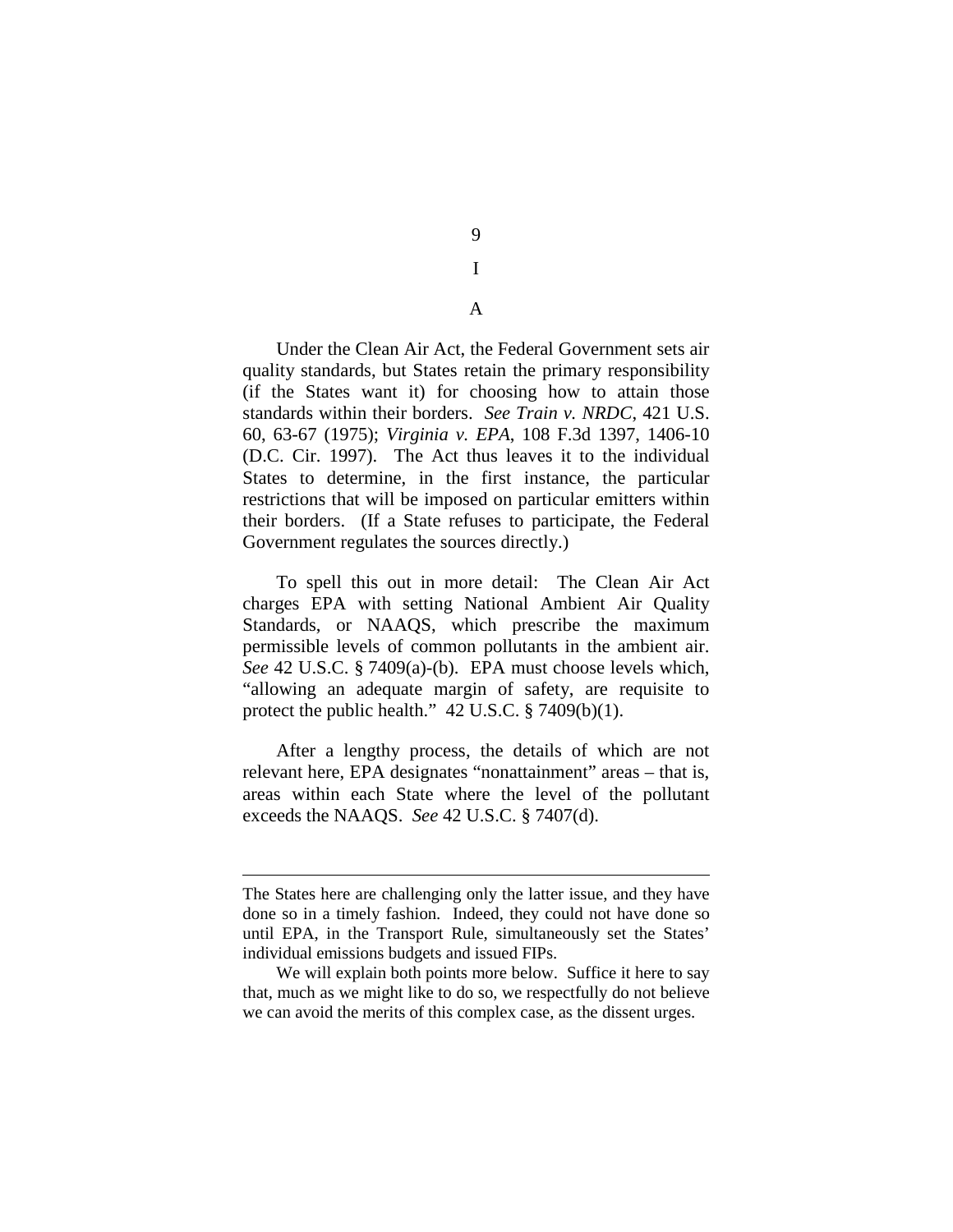9 I

A

Under the Clean Air Act, the Federal Government sets air quality standards, but States retain the primary responsibility (if the States want it) for choosing how to attain those standards within their borders. *See Train v. NRDC*, 421 U.S. 60, 63-67 (1975); *Virginia v. EPA*, 108 F.3d 1397, 1406-10 (D.C. Cir. 1997). The Act thus leaves it to the individual States to determine, in the first instance, the particular restrictions that will be imposed on particular emitters within their borders. (If a State refuses to participate, the Federal Government regulates the sources directly.)

To spell this out in more detail: The Clean Air Act charges EPA with setting National Ambient Air Quality Standards, or NAAQS, which prescribe the maximum permissible levels of common pollutants in the ambient air. *See* 42 U.S.C. § 7409(a)-(b). EPA must choose levels which, "allowing an adequate margin of safety, are requisite to protect the public health."  $42 \text{ U.S.C. }$  \$7409(b)(1).

After a lengthy process, the details of which are not relevant here, EPA designates "nonattainment" areas – that is, areas within each State where the level of the pollutant exceeds the NAAQS. *See* 42 U.S.C. § 7407(d).

The States here are challenging only the latter issue, and they have done so in a timely fashion. Indeed, they could not have done so until EPA, in the Transport Rule, simultaneously set the States' individual emissions budgets and issued FIPs.

We will explain both points more below. Suffice it here to say that, much as we might like to do so, we respectfully do not believe we can avoid the merits of this complex case, as the dissent urges.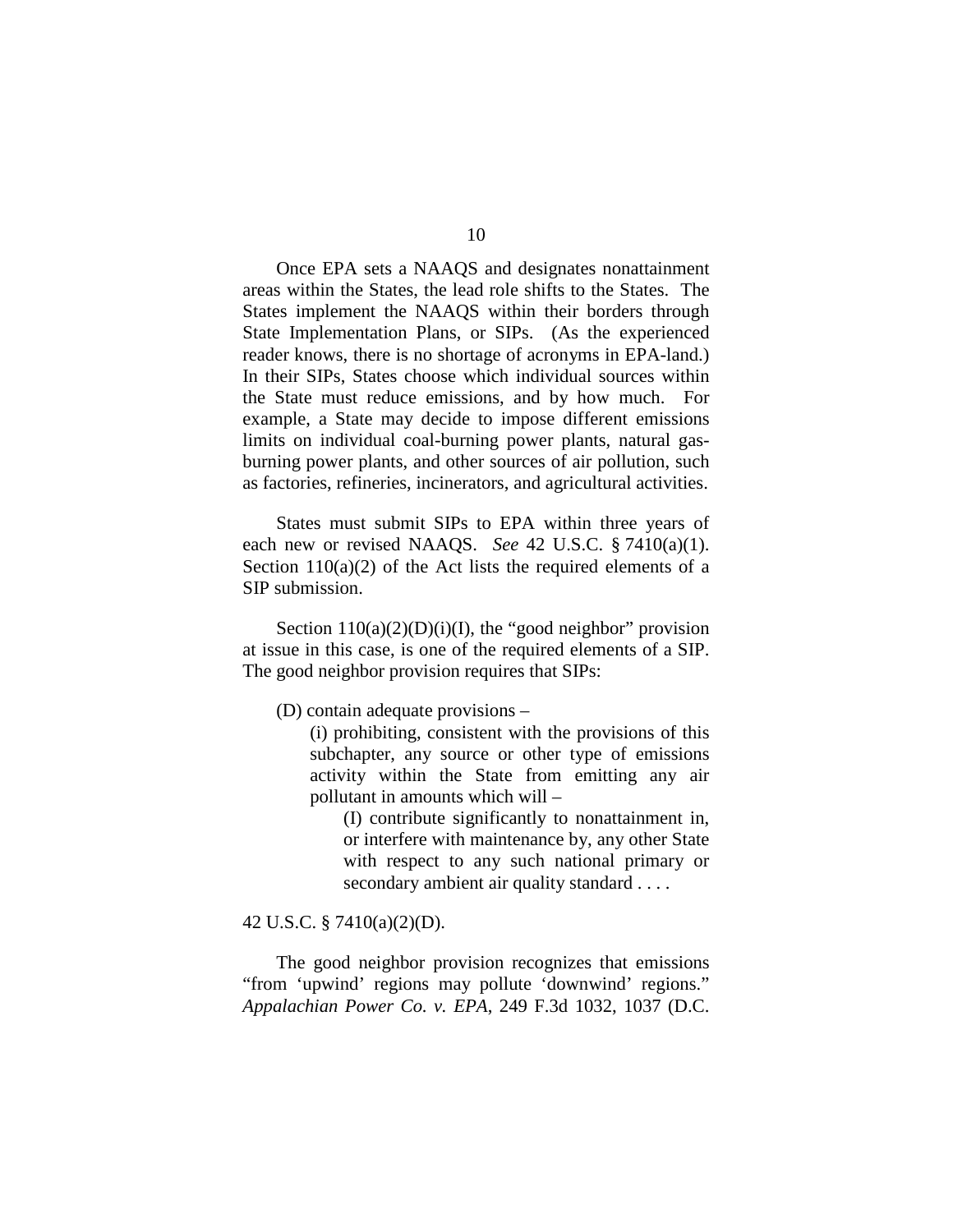Once EPA sets a NAAQS and designates nonattainment areas within the States, the lead role shifts to the States. The States implement the NAAQS within their borders through State Implementation Plans, or SIPs. (As the experienced reader knows, there is no shortage of acronyms in EPA-land.) In their SIPs, States choose which individual sources within the State must reduce emissions, and by how much. For example, a State may decide to impose different emissions limits on individual coal-burning power plants, natural gasburning power plants, and other sources of air pollution, such as factories, refineries, incinerators, and agricultural activities.

States must submit SIPs to EPA within three years of each new or revised NAAQS. *See* 42 U.S.C. § 7410(a)(1). Section  $110(a)(2)$  of the Act lists the required elements of a SIP submission.

Section  $110(a)(2)(D)(i)(I)$ , the "good neighbor" provision at issue in this case, is one of the required elements of a SIP. The good neighbor provision requires that SIPs:

(D) contain adequate provisions –

(i) prohibiting, consistent with the provisions of this subchapter, any source or other type of emissions activity within the State from emitting any air pollutant in amounts which will –

(I) contribute significantly to nonattainment in, or interfere with maintenance by, any other State with respect to any such national primary or secondary ambient air quality standard . . . .

## 42 U.S.C. § 7410(a)(2)(D).

The good neighbor provision recognizes that emissions "from 'upwind' regions may pollute 'downwind' regions." *Appalachian Power Co. v. EPA*, 249 F.3d 1032, 1037 (D.C.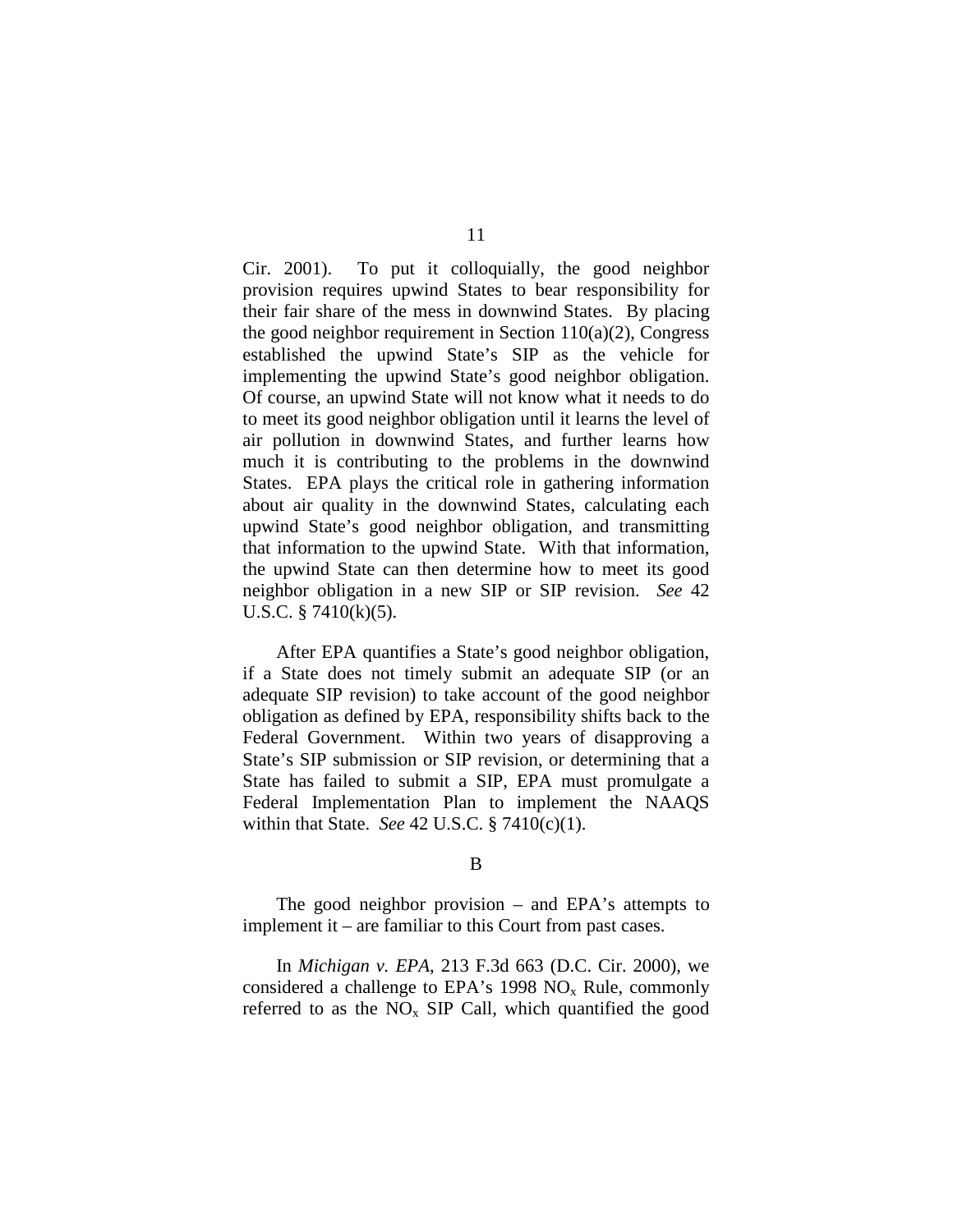Cir. 2001). To put it colloquially, the good neighbor provision requires upwind States to bear responsibility for their fair share of the mess in downwind States. By placing the good neighbor requirement in Section  $110(a)(2)$ , Congress established the upwind State's SIP as the vehicle for implementing the upwind State's good neighbor obligation. Of course, an upwind State will not know what it needs to do to meet its good neighbor obligation until it learns the level of air pollution in downwind States, and further learns how much it is contributing to the problems in the downwind States. EPA plays the critical role in gathering information about air quality in the downwind States, calculating each upwind State's good neighbor obligation, and transmitting that information to the upwind State. With that information, the upwind State can then determine how to meet its good neighbor obligation in a new SIP or SIP revision. *See* 42 U.S.C. § 7410(k)(5).

After EPA quantifies a State's good neighbor obligation, if a State does not timely submit an adequate SIP (or an adequate SIP revision) to take account of the good neighbor obligation as defined by EPA, responsibility shifts back to the Federal Government. Within two years of disapproving a State's SIP submission or SIP revision, or determining that a State has failed to submit a SIP, EPA must promulgate a Federal Implementation Plan to implement the NAAQS within that State. *See* 42 U.S.C. § 7410(c)(1).

#### B

The good neighbor provision – and EPA's attempts to implement it – are familiar to this Court from past cases.

In *Michigan v. EPA*, 213 F.3d 663 (D.C. Cir. 2000), we considered a challenge to EPA's 1998  $NO<sub>x</sub>$  Rule, commonly referred to as the  $NO<sub>x</sub>$  SIP Call, which quantified the good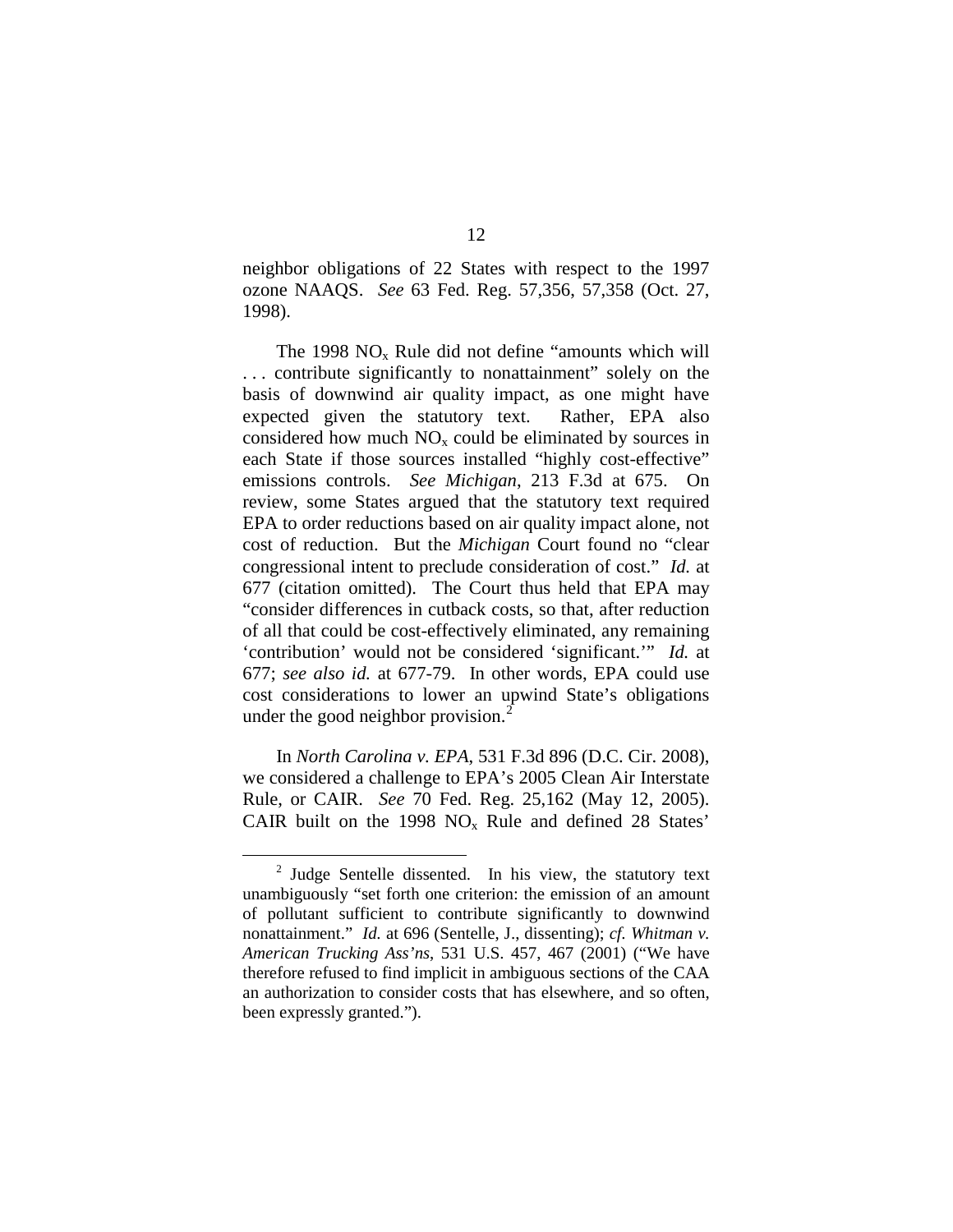neighbor obligations of 22 States with respect to the 1997 ozone NAAQS. *See* 63 Fed. Reg. 57,356, 57,358 (Oct. 27, 1998).

The 1998  $NO<sub>x</sub>$  Rule did not define "amounts which will . . . contribute significantly to nonattainment" solely on the basis of downwind air quality impact, as one might have expected given the statutory text. Rather, EPA also considered how much  $NO<sub>x</sub>$  could be eliminated by sources in each State if those sources installed "highly cost-effective" emissions controls. *See Michigan*, 213 F.3d at 675. On review, some States argued that the statutory text required EPA to order reductions based on air quality impact alone, not cost of reduction. But the *Michigan* Court found no "clear congressional intent to preclude consideration of cost." *Id.* at 677 (citation omitted). The Court thus held that EPA may "consider differences in cutback costs, so that, after reduction of all that could be cost-effectively eliminated, any remaining 'contribution' would not be considered 'significant.'" *Id.* at 677; *see also id.* at 677-79. In other words, EPA could use cost considerations to lower an upwind State's obligations under the good neighbor provision.<sup>[2](#page-11-0)</sup>

In *North Carolina v. EPA*, 531 F.3d 896 (D.C. Cir. 2008), we considered a challenge to EPA's 2005 Clean Air Interstate Rule, or CAIR. *See* 70 Fed. Reg. 25,162 (May 12, 2005). CAIR built on the 1998  $NO<sub>x</sub>$  Rule and defined 28 States'

<span id="page-11-0"></span> $2$  Judge Sentelle dissented. In his view, the statutory text unambiguously "set forth one criterion: the emission of an amount of pollutant sufficient to contribute significantly to downwind nonattainment." *Id.* at 696 (Sentelle, J., dissenting); *cf. Whitman v. American Trucking Ass'ns*, 531 U.S. 457, 467 (2001) ("We have therefore refused to find implicit in ambiguous sections of the CAA an authorization to consider costs that has elsewhere, and so often, been expressly granted.").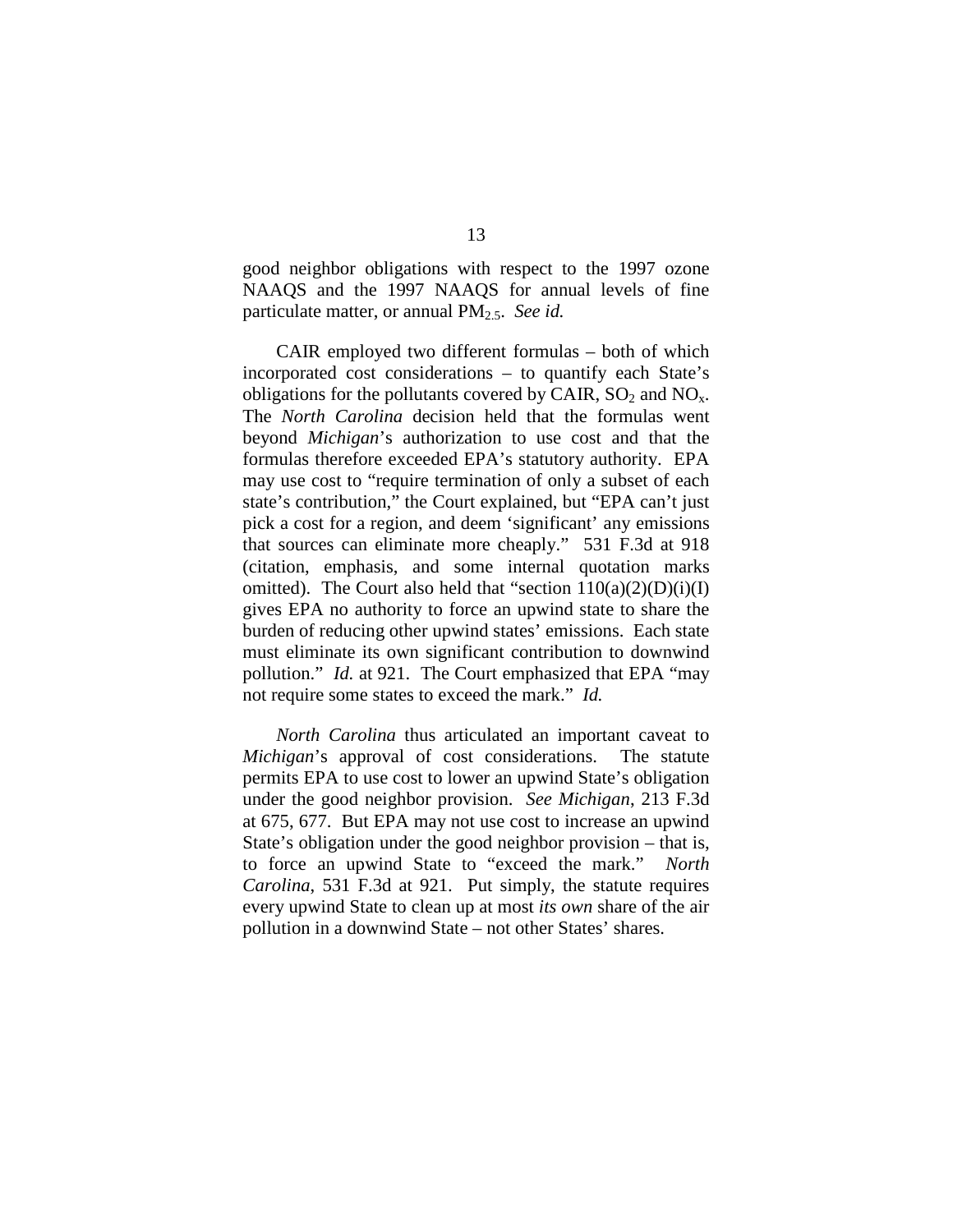good neighbor obligations with respect to the 1997 ozone NAAQS and the 1997 NAAQS for annual levels of fine particulate matter, or annual PM<sub>2.5</sub>. *See id.* 

CAIR employed two different formulas – both of which incorporated cost considerations – to quantify each State's obligations for the pollutants covered by CAIR,  $SO_2$  and  $NO_x$ . The *North Carolina* decision held that the formulas went beyond *Michigan*'s authorization to use cost and that the formulas therefore exceeded EPA's statutory authority. EPA may use cost to "require termination of only a subset of each state's contribution," the Court explained, but "EPA can't just pick a cost for a region, and deem 'significant' any emissions that sources can eliminate more cheaply." 531 F.3d at 918 (citation, emphasis, and some internal quotation marks omitted). The Court also held that "section  $110(a)(2)(D)(i)(I)$ gives EPA no authority to force an upwind state to share the burden of reducing other upwind states' emissions. Each state must eliminate its own significant contribution to downwind pollution." *Id.* at 921. The Court emphasized that EPA "may not require some states to exceed the mark." *Id.*

*North Carolina* thus articulated an important caveat to *Michigan*'s approval of cost considerations. The statute permits EPA to use cost to lower an upwind State's obligation under the good neighbor provision. *See Michigan*, 213 F.3d at 675, 677. But EPA may not use cost to increase an upwind State's obligation under the good neighbor provision – that is, to force an upwind State to "exceed the mark." *North Carolina*, 531 F.3d at 921. Put simply, the statute requires every upwind State to clean up at most *its own* share of the air pollution in a downwind State – not other States' shares.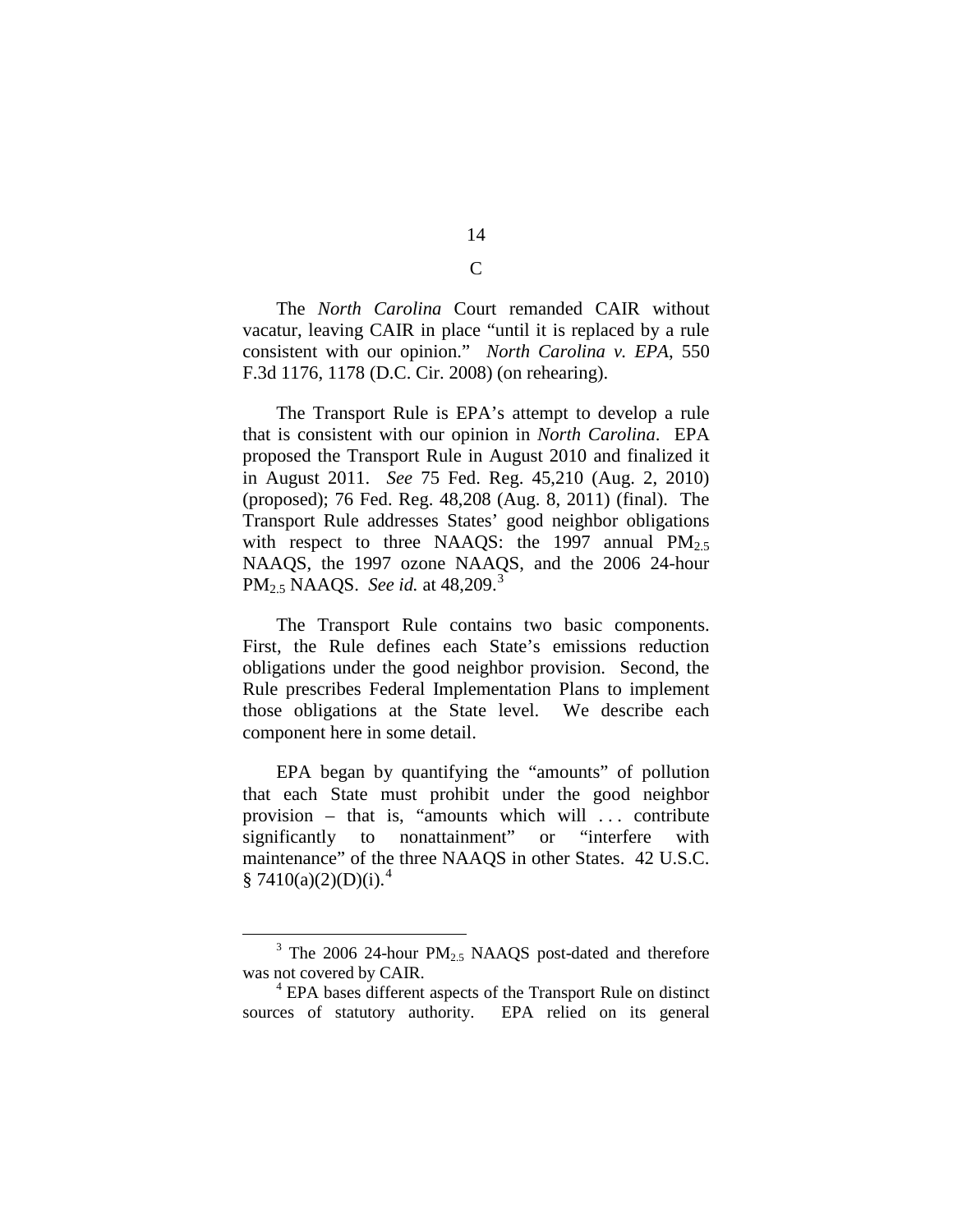The *North Carolina* Court remanded CAIR without vacatur, leaving CAIR in place "until it is replaced by a rule consistent with our opinion." *North Carolina v. EPA*, 550 F.3d 1176, 1178 (D.C. Cir. 2008) (on rehearing).

The Transport Rule is EPA's attempt to develop a rule that is consistent with our opinion in *North Carolina*. EPA proposed the Transport Rule in August 2010 and finalized it in August 2011. *See* 75 Fed. Reg. 45,210 (Aug. 2, 2010) (proposed); 76 Fed. Reg. 48,208 (Aug. 8, 2011) (final). The Transport Rule addresses States' good neighbor obligations with respect to three NAAQS: the 1997 annual  $PM_{2.5}$ NAAQS, the 1997 ozone NAAQS, and the 2006 24-hour PM2.5 NAAQS. *See id.* at 48,209.[3](#page-13-0)

The Transport Rule contains two basic components. First, the Rule defines each State's emissions reduction obligations under the good neighbor provision. Second, the Rule prescribes Federal Implementation Plans to implement those obligations at the State level. We describe each component here in some detail.

EPA began by quantifying the "amounts" of pollution that each State must prohibit under the good neighbor provision – that is, "amounts which will . . . contribute significantly to nonattainment" or "interfere with maintenance" of the three NAAQS in other States. 42 U.S.C.  $$7410(a)(2)(D)(i).<sup>4</sup>$  $$7410(a)(2)(D)(i).<sup>4</sup>$  $$7410(a)(2)(D)(i).<sup>4</sup>$ 

## 14  $\mathcal{C}$

<span id="page-13-0"></span> $3$  The 2006 24-hour PM<sub>2.5</sub> NAAQS post-dated and therefore was not covered by CAIR.

<span id="page-13-1"></span><sup>4</sup> EPA bases different aspects of the Transport Rule on distinct sources of statutory authority. EPA relied on its general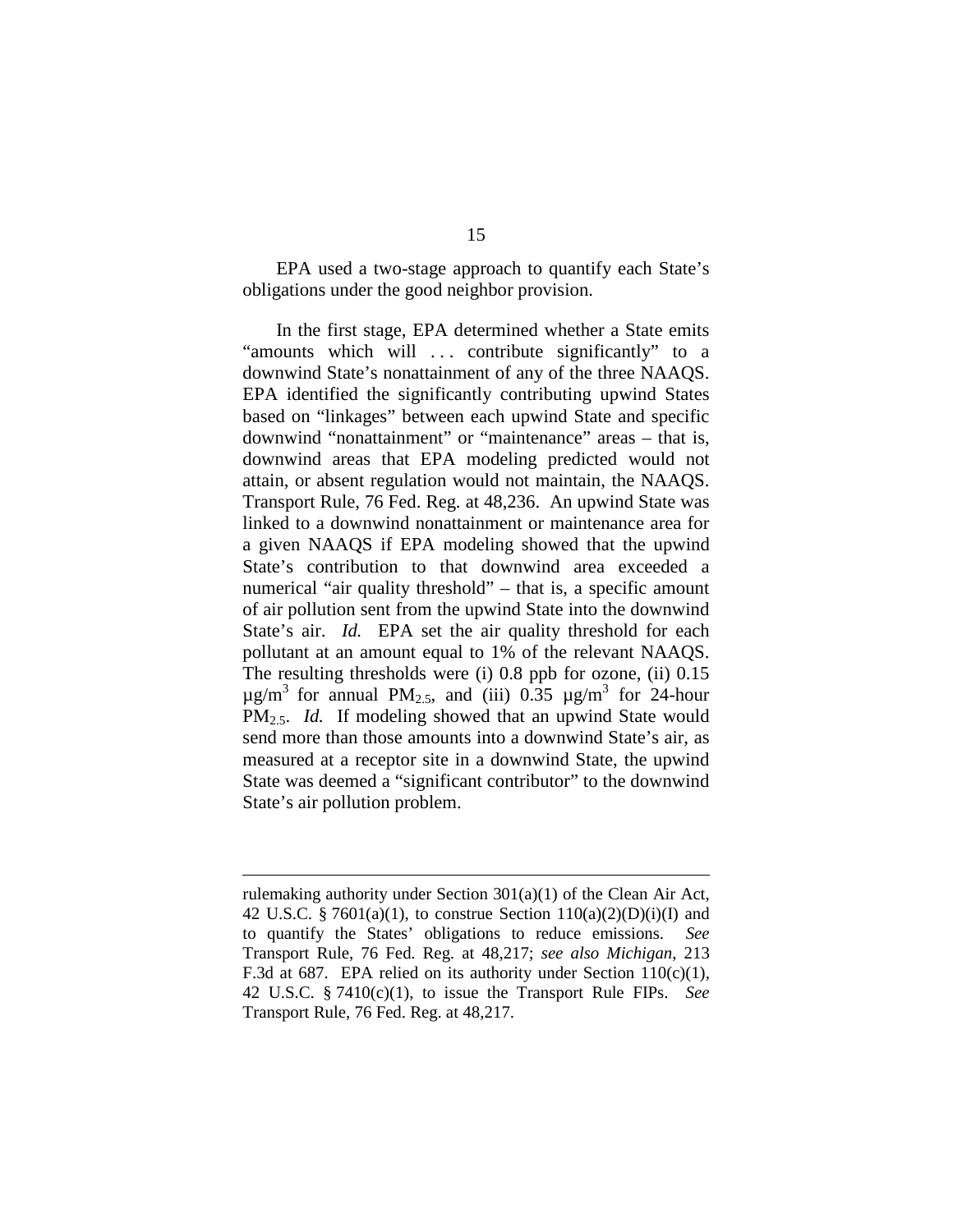EPA used a two-stage approach to quantify each State's obligations under the good neighbor provision.

In the first stage, EPA determined whether a State emits "amounts which will ... contribute significantly" to a downwind State's nonattainment of any of the three NAAQS. EPA identified the significantly contributing upwind States based on "linkages" between each upwind State and specific downwind "nonattainment" or "maintenance" areas – that is, downwind areas that EPA modeling predicted would not attain, or absent regulation would not maintain, the NAAQS. Transport Rule, 76 Fed. Reg. at 48,236. An upwind State was linked to a downwind nonattainment or maintenance area for a given NAAQS if EPA modeling showed that the upwind State's contribution to that downwind area exceeded a numerical "air quality threshold" – that is, a specific amount of air pollution sent from the upwind State into the downwind State's air. *Id.* EPA set the air quality threshold for each pollutant at an amount equal to 1% of the relevant NAAQS. The resulting thresholds were (i) 0.8 ppb for ozone, (ii) 0.15  $\mu$ g/m<sup>3</sup> for annual PM<sub>2.5</sub>, and (iii) 0.35  $\mu$ g/m<sup>3</sup> for 24-hour PM<sub>2.5</sub>. *Id.* If modeling showed that an upwind State would send more than those amounts into a downwind State's air, as measured at a receptor site in a downwind State, the upwind State was deemed a "significant contributor" to the downwind State's air pollution problem.

rulemaking authority under Section 301(a)(1) of the Clean Air Act, 42 U.S.C. § 7601(a)(1), to construe Section  $110(a)(2)(D)(i)(I)$  and to quantify the States' obligations to reduce emissions. *See*  Transport Rule, 76 Fed. Reg. at 48,217; *see also Michigan*, 213 F.3d at 687. EPA relied on its authority under Section 110(c)(1), 42 U.S.C. § 7410(c)(1), to issue the Transport Rule FIPs. *See*  Transport Rule, 76 Fed. Reg. at 48,217.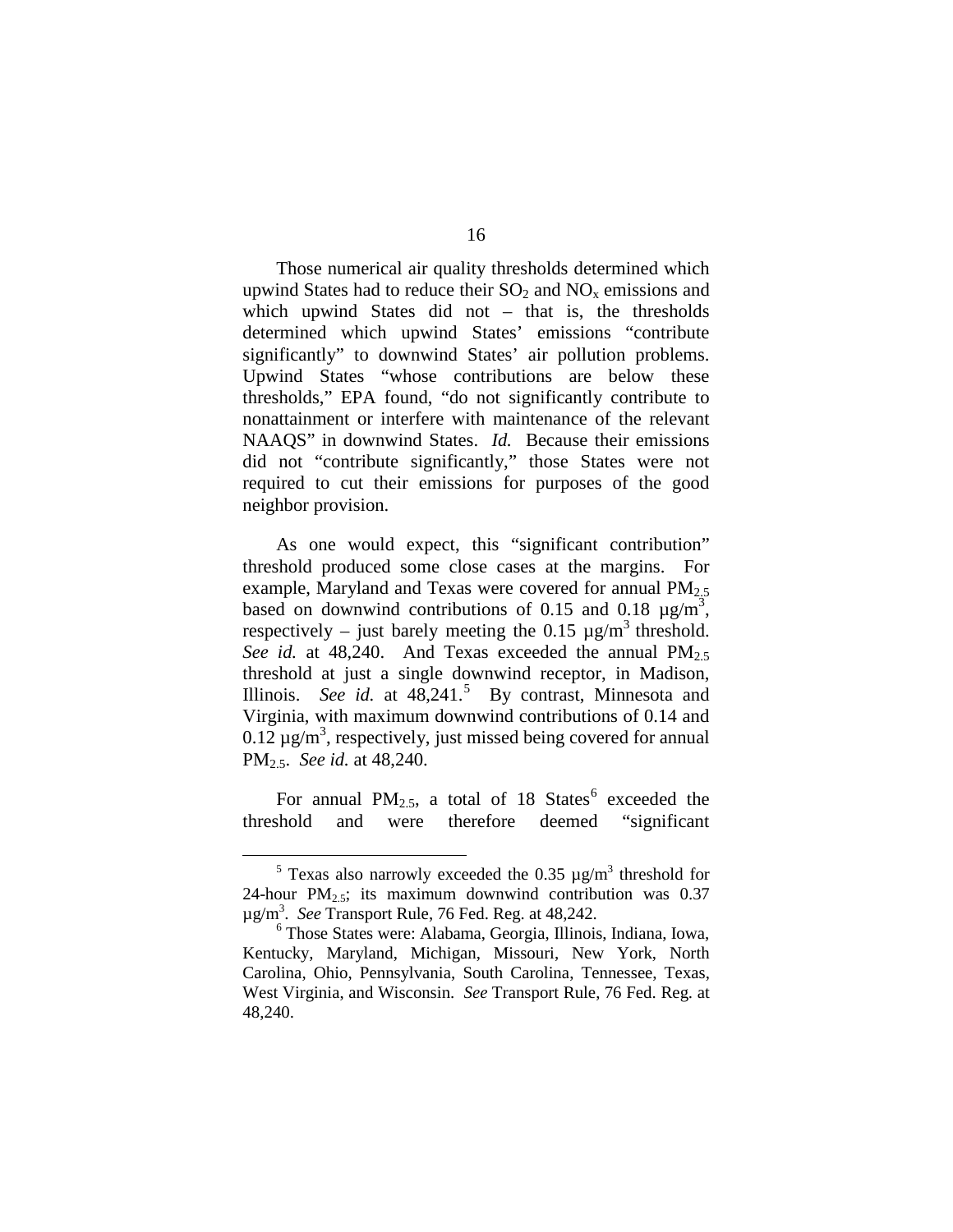Those numerical air quality thresholds determined which upwind States had to reduce their  $SO_2$  and  $NO<sub>x</sub>$  emissions and which upwind States did not – that is, the thresholds determined which upwind States' emissions "contribute significantly" to downwind States' air pollution problems. Upwind States "whose contributions are below these thresholds," EPA found, "do not significantly contribute to nonattainment or interfere with maintenance of the relevant NAAQS" in downwind States. *Id.* Because their emissions did not "contribute significantly," those States were not required to cut their emissions for purposes of the good neighbor provision.

As one would expect, this "significant contribution" threshold produced some close cases at the margins. For example, Maryland and Texas were covered for annual  $PM_{2.5}$ based on downwind contributions of 0.15 and 0.18  $\mu$ g/m<sup>3</sup>, respectively – just barely meeting the 0.15  $\mu$ g/m<sup>3</sup> threshold. *See id.* at 48,240. And Texas exceeded the annual PM<sub>2.5</sub> threshold at just a single downwind receptor, in Madison, Illinois. See id. at 48,241.<sup>[5](#page-15-0)</sup> By contrast, Minnesota and Virginia, with maximum downwind contributions of 0.14 and  $0.12 \,\mu$ g/m<sup>3</sup>, respectively, just missed being covered for annual PM2.5. *See id.* at 48,240.

For annual  $PM_{2.5}$ , a total of 18 States<sup>[6](#page-15-1)</sup> exceeded the threshold and were therefore deemed "significant

<span id="page-15-0"></span> $5$  Texas also narrowly exceeded the 0.35  $\mu$ g/m<sup>3</sup> threshold for 24-hour PM<sub>2.5</sub>; its maximum downwind contribution was 0.37 µg/m3 . *See* Transport Rule, 76 Fed. Reg. at 48,242.

<span id="page-15-1"></span><sup>6</sup> Those States were: Alabama, Georgia, Illinois, Indiana, Iowa, Kentucky, Maryland, Michigan, Missouri, New York, North Carolina, Ohio, Pennsylvania, South Carolina, Tennessee, Texas, West Virginia, and Wisconsin. *See* Transport Rule, 76 Fed. Reg. at 48,240.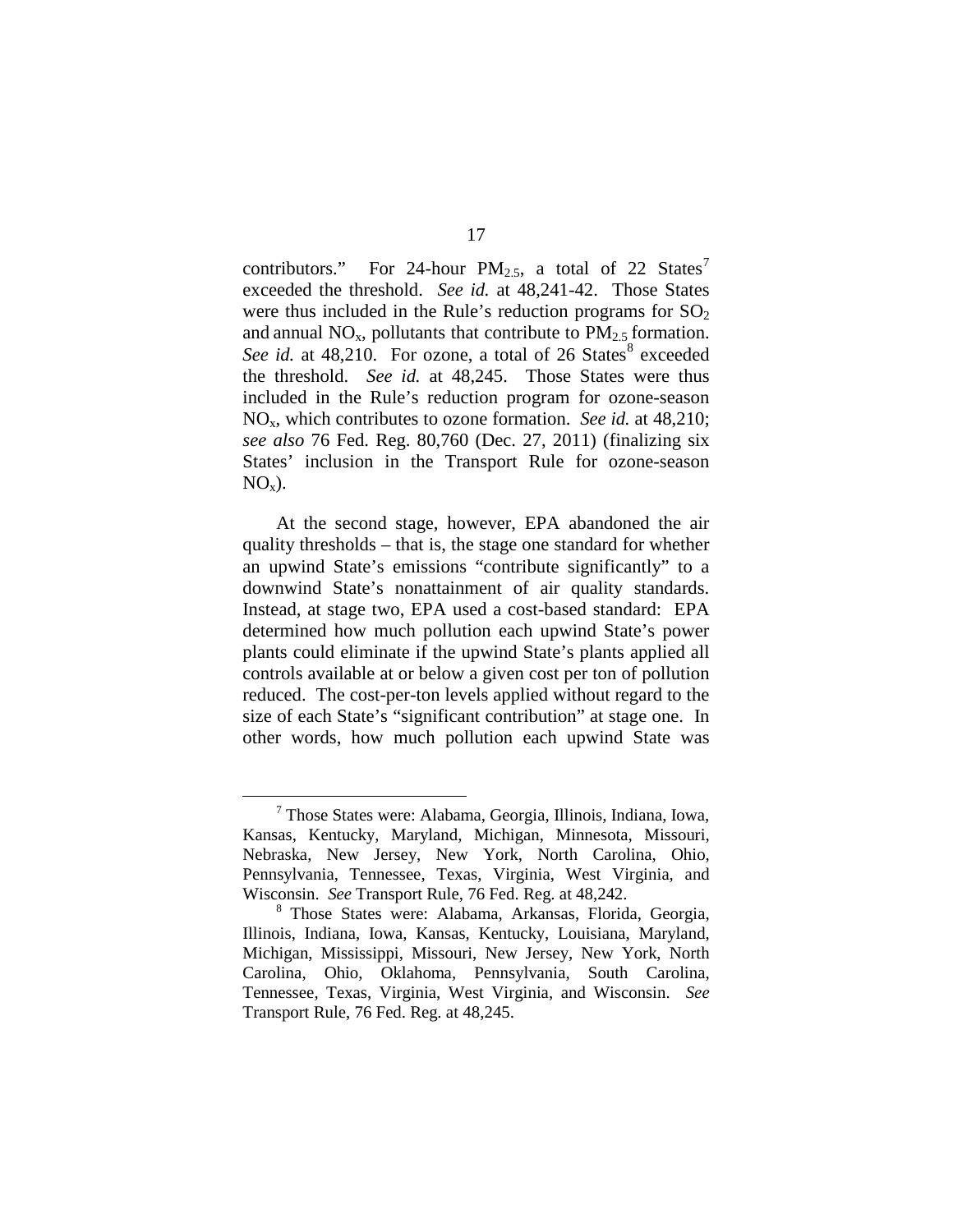contributors." For 24-hour PM<sub>2.5</sub>, a total of 22 States<sup>[7](#page-16-0)</sup> exceeded the threshold. *See id.* at 48,241-42. Those States were thus included in the Rule's reduction programs for  $SO_2$ and annual  $NO<sub>x</sub>$ , pollutants that contribute to  $PM<sub>2.5</sub>$  formation. *See id.* at 4[8](#page-16-1),210. For ozone, a total of 26 States<sup>8</sup> exceeded the threshold. *See id.* at 48,245. Those States were thus included in the Rule's reduction program for ozone-season NOx, which contributes to ozone formation. *See id.* at 48,210; *see also* 76 Fed. Reg. 80,760 (Dec. 27, 2011) (finalizing six States' inclusion in the Transport Rule for ozone-season  $NO<sub>x</sub>$ ).

At the second stage, however, EPA abandoned the air quality thresholds – that is, the stage one standard for whether an upwind State's emissions "contribute significantly" to a downwind State's nonattainment of air quality standards. Instead, at stage two, EPA used a cost-based standard: EPA determined how much pollution each upwind State's power plants could eliminate if the upwind State's plants applied all controls available at or below a given cost per ton of pollution reduced. The cost-per-ton levels applied without regard to the size of each State's "significant contribution" at stage one. In other words, how much pollution each upwind State was

<span id="page-16-0"></span> <sup>7</sup> Those States were: Alabama, Georgia, Illinois, Indiana, Iowa, Kansas, Kentucky, Maryland, Michigan, Minnesota, Missouri, Nebraska, New Jersey, New York, North Carolina, Ohio, Pennsylvania, Tennessee, Texas, Virginia, West Virginia, and Wisconsin. *See* Transport Rule, 76 Fed. Reg. at 48,242.

<span id="page-16-1"></span><sup>8</sup> Those States were: Alabama, Arkansas, Florida, Georgia, Illinois, Indiana, Iowa, Kansas, Kentucky, Louisiana, Maryland, Michigan, Mississippi, Missouri, New Jersey, New York, North Carolina, Ohio, Oklahoma, Pennsylvania, South Carolina, Tennessee, Texas, Virginia, West Virginia, and Wisconsin. *See* Transport Rule, 76 Fed. Reg. at 48,245.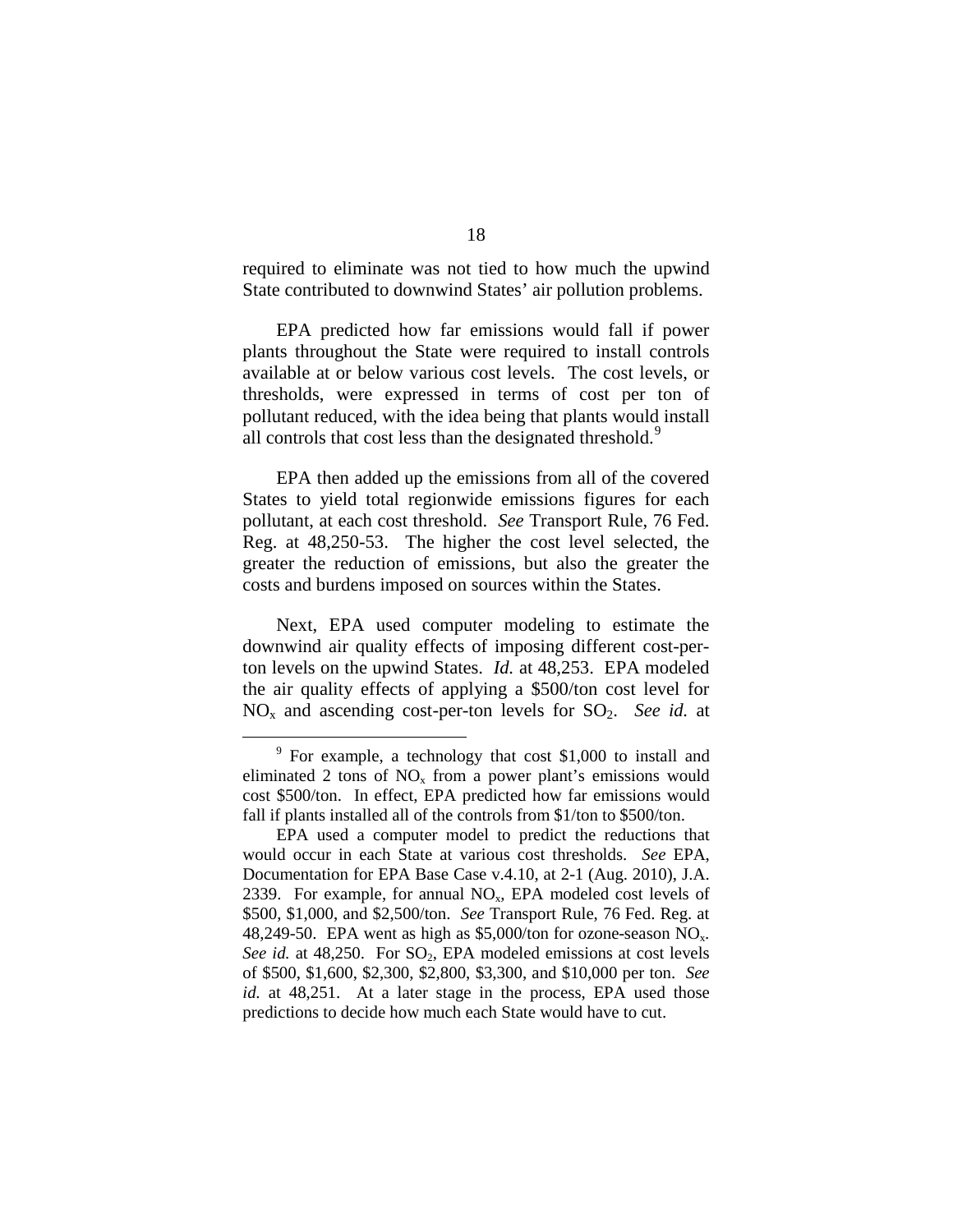required to eliminate was not tied to how much the upwind State contributed to downwind States' air pollution problems.

EPA predicted how far emissions would fall if power plants throughout the State were required to install controls available at or below various cost levels. The cost levels, or thresholds, were expressed in terms of cost per ton of pollutant reduced, with the idea being that plants would install all controls that cost less than the designated threshold.<sup>[9](#page-17-0)</sup>

EPA then added up the emissions from all of the covered States to yield total regionwide emissions figures for each pollutant, at each cost threshold. *See* Transport Rule, 76 Fed. Reg. at 48,250-53. The higher the cost level selected, the greater the reduction of emissions, but also the greater the costs and burdens imposed on sources within the States.

Next, EPA used computer modeling to estimate the downwind air quality effects of imposing different cost-perton levels on the upwind States. *Id.* at 48,253. EPA modeled the air quality effects of applying a \$500/ton cost level for NOx and ascending cost-per-ton levels for SO2. *See id.* at

<span id="page-17-0"></span> <sup>9</sup> For example, a technology that cost \$1,000 to install and eliminated 2 tons of  $NO<sub>x</sub>$  from a power plant's emissions would cost \$500/ton. In effect, EPA predicted how far emissions would fall if plants installed all of the controls from \$1/ton to \$500/ton.

EPA used a computer model to predict the reductions that would occur in each State at various cost thresholds. *See* EPA, Documentation for EPA Base Case v.4.10, at 2-1 (Aug. 2010), J.A. 2339. For example, for annual  $NO<sub>x</sub>$ , EPA modeled cost levels of \$500, \$1,000, and \$2,500/ton. *See* Transport Rule, 76 Fed. Reg. at 48,249-50. EPA went as high as  $$5,000$ /ton for ozone-season NO<sub>x</sub>. *See id.* at 48,250. For SO<sub>2</sub>, EPA modeled emissions at cost levels of \$500, \$1,600, \$2,300, \$2,800, \$3,300, and \$10,000 per ton. *See id.* at 48,251. At a later stage in the process, EPA used those predictions to decide how much each State would have to cut.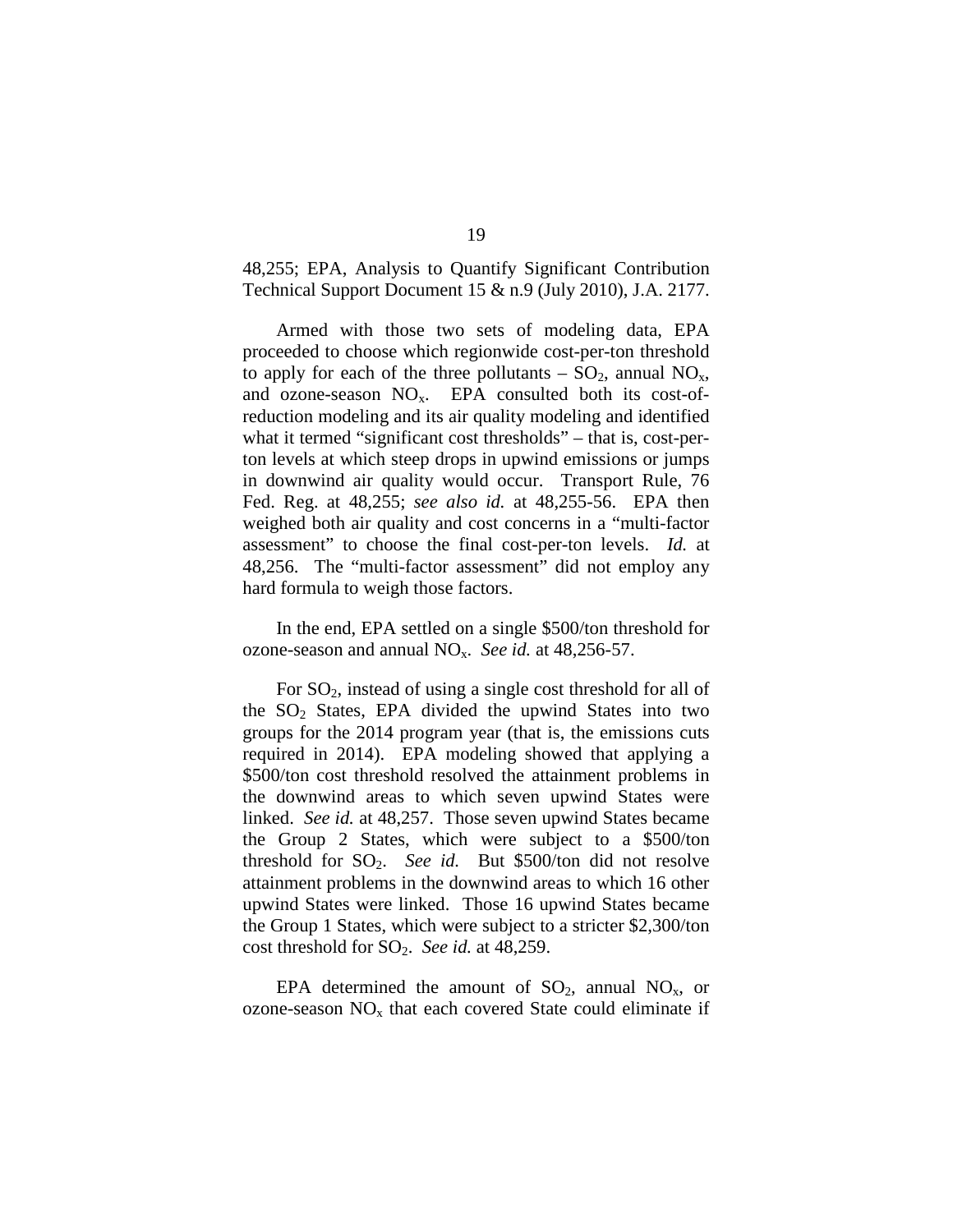48,255; EPA, Analysis to Quantify Significant Contribution Technical Support Document 15 & n.9 (July 2010), J.A. 2177.

Armed with those two sets of modeling data, EPA proceeded to choose which regionwide cost-per-ton threshold to apply for each of the three pollutants –  $SO_2$ , annual  $NO_x$ , and ozone-season  $NO<sub>x</sub>$ . EPA consulted both its cost-ofreduction modeling and its air quality modeling and identified what it termed "significant cost thresholds" – that is, cost-perton levels at which steep drops in upwind emissions or jumps in downwind air quality would occur. Transport Rule, 76 Fed. Reg. at 48,255; *see also id.* at 48,255-56. EPA then weighed both air quality and cost concerns in a "multi-factor assessment" to choose the final cost-per-ton levels. *Id.* at 48,256. The "multi-factor assessment" did not employ any hard formula to weigh those factors.

In the end, EPA settled on a single \$500/ton threshold for ozone-season and annual NOx. *See id.* at 48,256-57.

For  $SO_2$ , instead of using a single cost threshold for all of the  $SO<sub>2</sub>$  States, EPA divided the upwind States into two groups for the 2014 program year (that is, the emissions cuts required in 2014). EPA modeling showed that applying a \$500/ton cost threshold resolved the attainment problems in the downwind areas to which seven upwind States were linked. *See id.* at 48,257. Those seven upwind States became the Group 2 States, which were subject to a \$500/ton threshold for SO2. *See id.* But \$500/ton did not resolve attainment problems in the downwind areas to which 16 other upwind States were linked. Those 16 upwind States became the Group 1 States, which were subject to a stricter \$2,300/ton cost threshold for SO2. *See id.* at 48,259.

EPA determined the amount of  $SO_2$ , annual  $NO_x$ , or ozone-season  $NO<sub>x</sub>$  that each covered State could eliminate if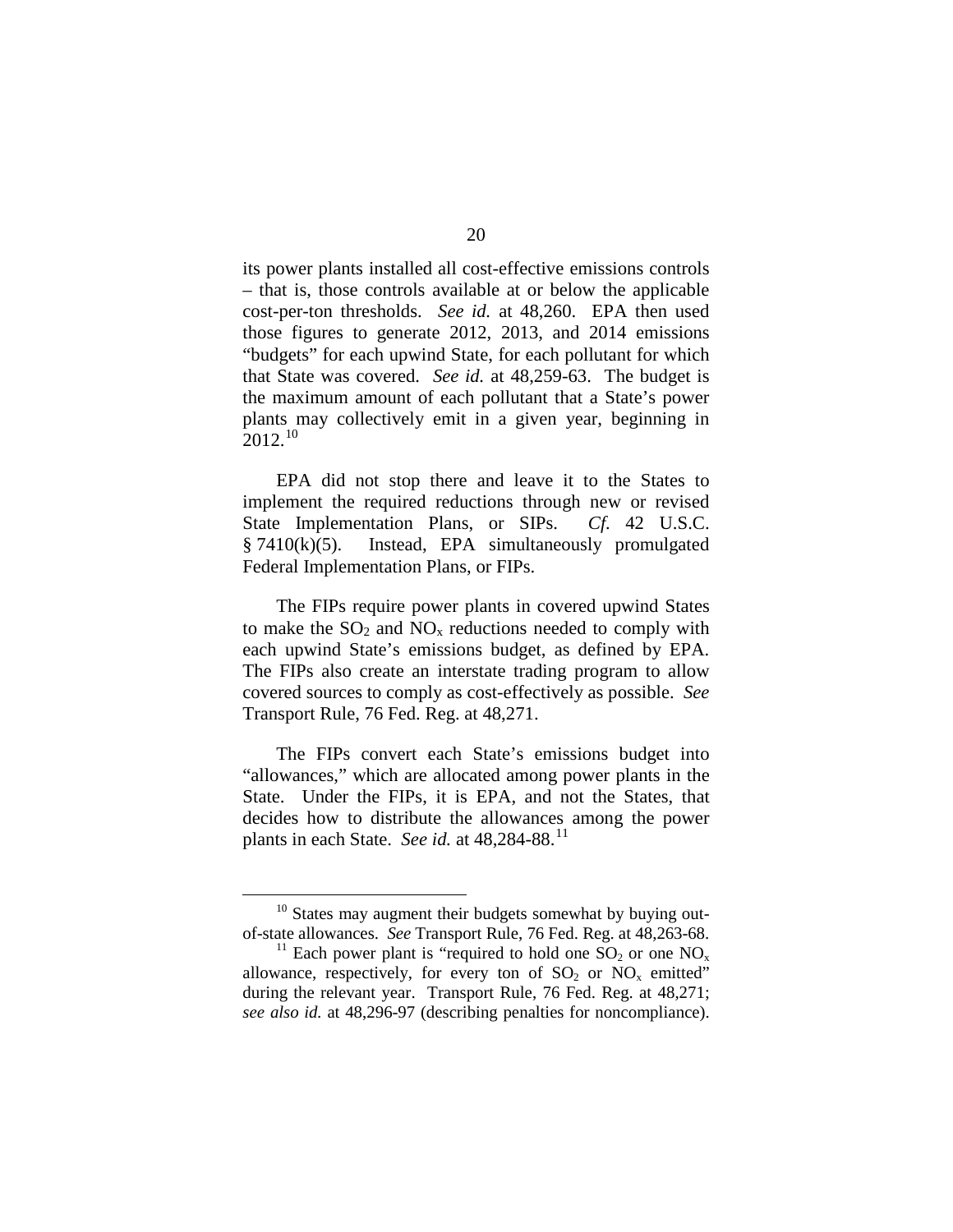its power plants installed all cost-effective emissions controls – that is, those controls available at or below the applicable cost-per-ton thresholds. *See id.* at 48,260. EPA then used those figures to generate 2012, 2013, and 2014 emissions "budgets" for each upwind State, for each pollutant for which that State was covered. *See id.* at 48,259-63. The budget is the maximum amount of each pollutant that a State's power plants may collectively emit in a given year, beginning in  $2012.^{10}$  $2012.^{10}$  $2012.^{10}$ 

EPA did not stop there and leave it to the States to implement the required reductions through new or revised State Implementation Plans, or SIPs. *Cf.* 42 U.S.C.  $§ 7410(k)(5)$ . Instead, EPA simultaneously promulgated Federal Implementation Plans, or FIPs.

The FIPs require power plants in covered upwind States to make the  $SO_2$  and  $NO_x$  reductions needed to comply with each upwind State's emissions budget, as defined by EPA. The FIPs also create an interstate trading program to allow covered sources to comply as cost-effectively as possible. *See*  Transport Rule, 76 Fed. Reg. at 48,271.

The FIPs convert each State's emissions budget into "allowances," which are allocated among power plants in the State. Under the FIPs, it is EPA, and not the States, that decides how to distribute the allowances among the power plants in each State. *See id.* at 48,284-88. [11](#page-19-1)

<span id="page-19-0"></span> $10$  States may augment their budgets somewhat by buying outof-state allowances. *See* Transport Rule, 76 Fed. Reg. at 48,263-68.

<span id="page-19-1"></span><sup>&</sup>lt;sup>11</sup> Each power plant is "required to hold one  $SO_2$  or one  $NO_x$ allowance, respectively, for every ton of  $SO_2$  or  $NO_x$  emitted" during the relevant year. Transport Rule, 76 Fed. Reg. at 48,271; *see also id.* at 48,296-97 (describing penalties for noncompliance).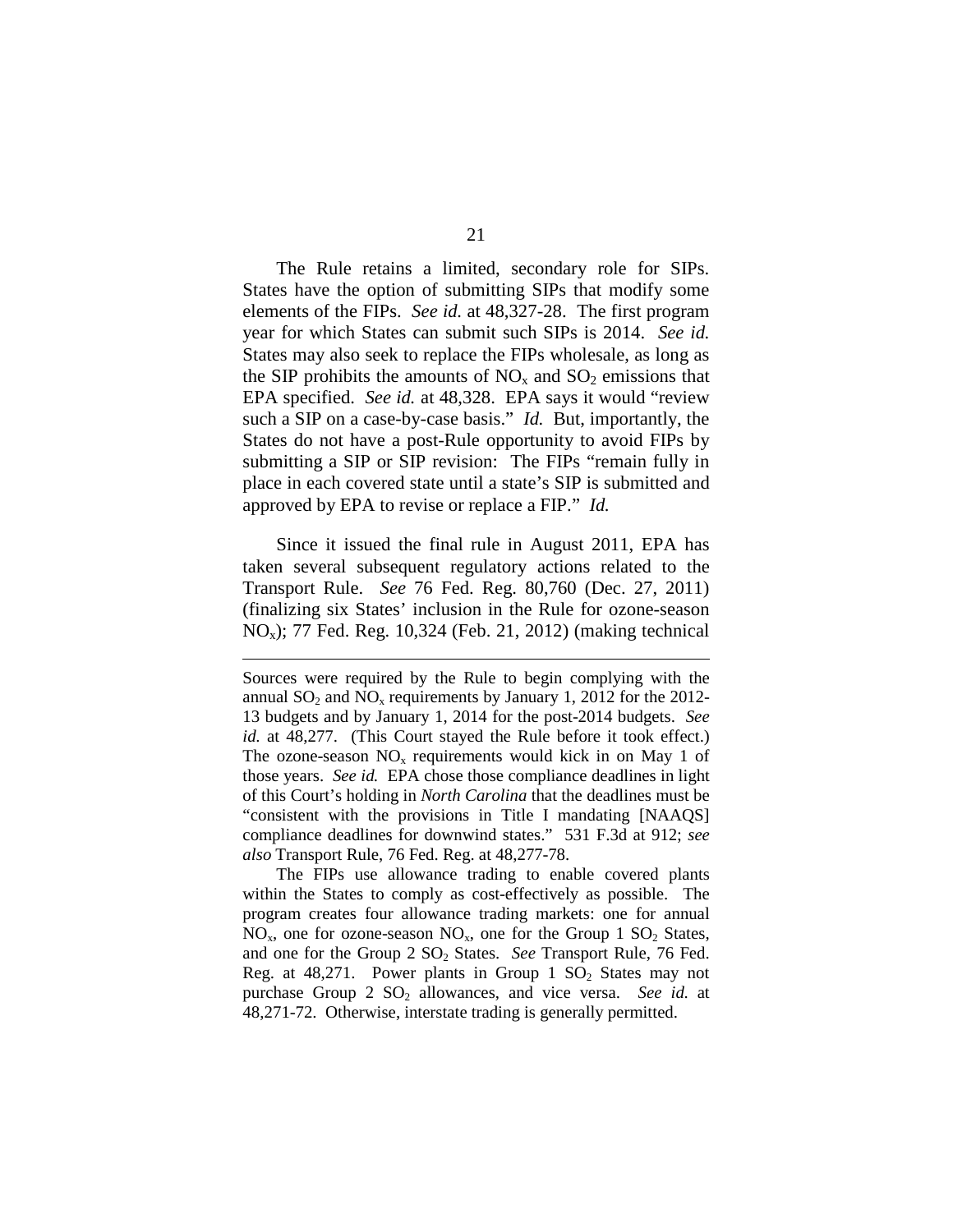The Rule retains a limited, secondary role for SIPs. States have the option of submitting SIPs that modify some elements of the FIPs. *See id.* at 48,327-28. The first program year for which States can submit such SIPs is 2014. *See id.* States may also seek to replace the FIPs wholesale, as long as the SIP prohibits the amounts of  $NO<sub>x</sub>$  and  $SO<sub>2</sub>$  emissions that EPA specified. *See id.* at 48,328. EPA says it would "review such a SIP on a case-by-case basis." *Id.* But, importantly, the States do not have a post-Rule opportunity to avoid FIPs by submitting a SIP or SIP revision: The FIPs "remain fully in place in each covered state until a state's SIP is submitted and approved by EPA to revise or replace a FIP." *Id.*

Since it issued the final rule in August 2011, EPA has taken several subsequent regulatory actions related to the Transport Rule. *See* 76 Fed. Reg. 80,760 (Dec. 27, 2011) (finalizing six States' inclusion in the Rule for ozone-season NOx); 77 Fed. Reg. 10,324 (Feb. 21, 2012) (making technical

 $\overline{a}$ 

The FIPs use allowance trading to enable covered plants within the States to comply as cost-effectively as possible. The program creates four allowance trading markets: one for annual  $NO<sub>x</sub>$ , one for ozone-season  $NO<sub>x</sub>$ , one for the Group 1  $SO<sub>2</sub>$  States, and one for the Group 2 SO<sub>2</sub> States. *See* Transport Rule, 76 Fed. Reg. at  $48,271$ . Power plants in Group 1  $SO<sub>2</sub>$  States may not purchase Group 2 SO<sub>2</sub> allowances, and vice versa. *See id.* at 48,271-72. Otherwise, interstate trading is generally permitted.

Sources were required by the Rule to begin complying with the annual  $SO_2$  and  $NO_x$  requirements by January 1, 2012 for the 2012-13 budgets and by January 1, 2014 for the post-2014 budgets. *See id.* at 48,277. (This Court stayed the Rule before it took effect.) The ozone-season  $NO<sub>x</sub>$  requirements would kick in on May 1 of those years. *See id.* EPA chose those compliance deadlines in light of this Court's holding in *North Carolina* that the deadlines must be "consistent with the provisions in Title I mandating [NAAQS] compliance deadlines for downwind states." 531 F.3d at 912; *see also* Transport Rule, 76 Fed. Reg. at 48,277-78.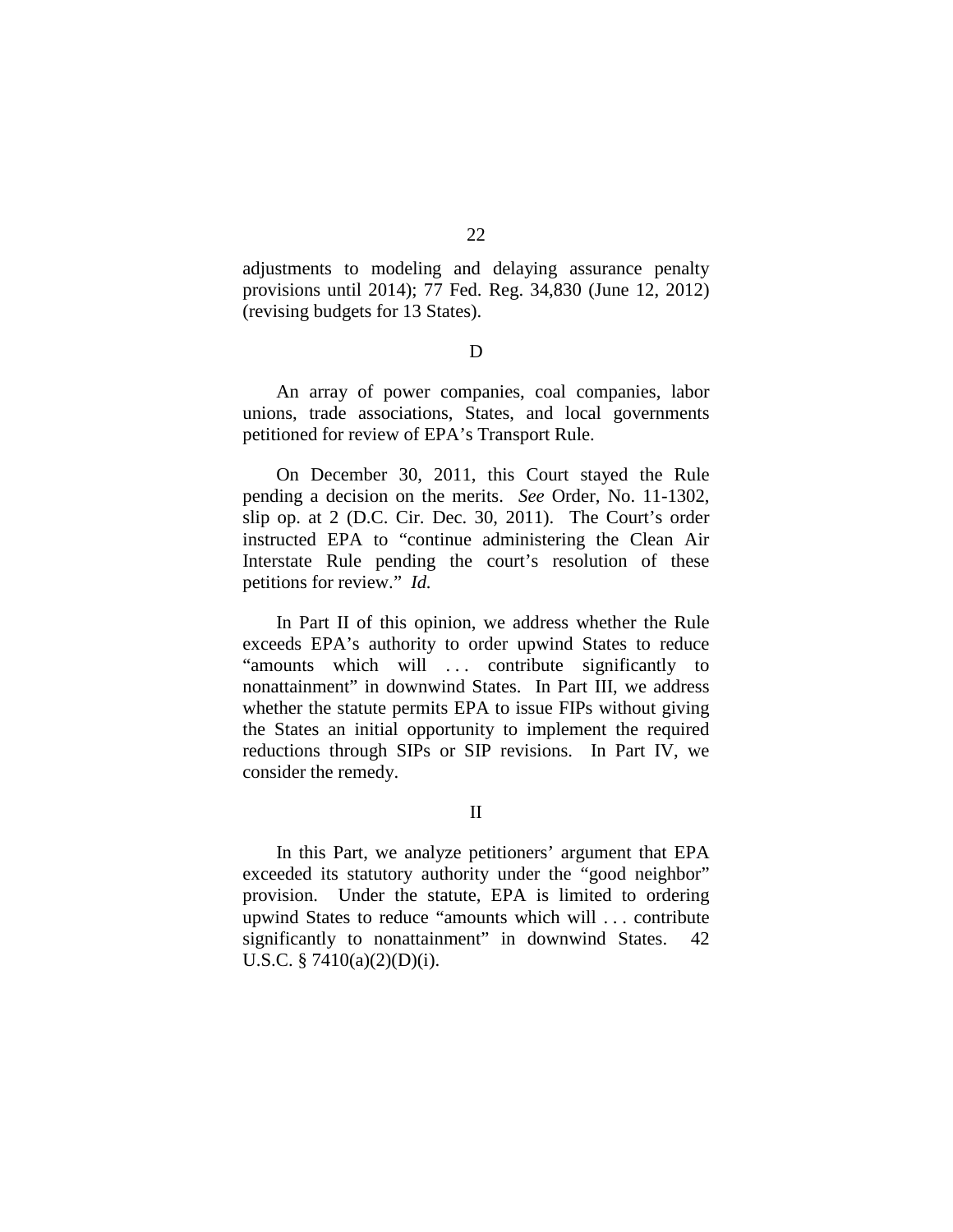adjustments to modeling and delaying assurance penalty provisions until 2014); 77 Fed. Reg. 34,830 (June 12, 2012) (revising budgets for 13 States).

#### D

An array of power companies, coal companies, labor unions, trade associations, States, and local governments petitioned for review of EPA's Transport Rule.

On December 30, 2011, this Court stayed the Rule pending a decision on the merits. *See* Order, No. 11-1302, slip op. at 2 (D.C. Cir. Dec. 30, 2011). The Court's order instructed EPA to "continue administering the Clean Air Interstate Rule pending the court's resolution of these petitions for review." *Id.*

In Part II of this opinion, we address whether the Rule exceeds EPA's authority to order upwind States to reduce "amounts which will . . . contribute significantly to nonattainment" in downwind States. In Part III, we address whether the statute permits EPA to issue FIPs without giving the States an initial opportunity to implement the required reductions through SIPs or SIP revisions. In Part IV, we consider the remedy.

## II

In this Part, we analyze petitioners' argument that EPA exceeded its statutory authority under the "good neighbor" provision. Under the statute, EPA is limited to ordering upwind States to reduce "amounts which will . . . contribute significantly to nonattainment" in downwind States. 42 U.S.C. § 7410(a)(2)(D)(i).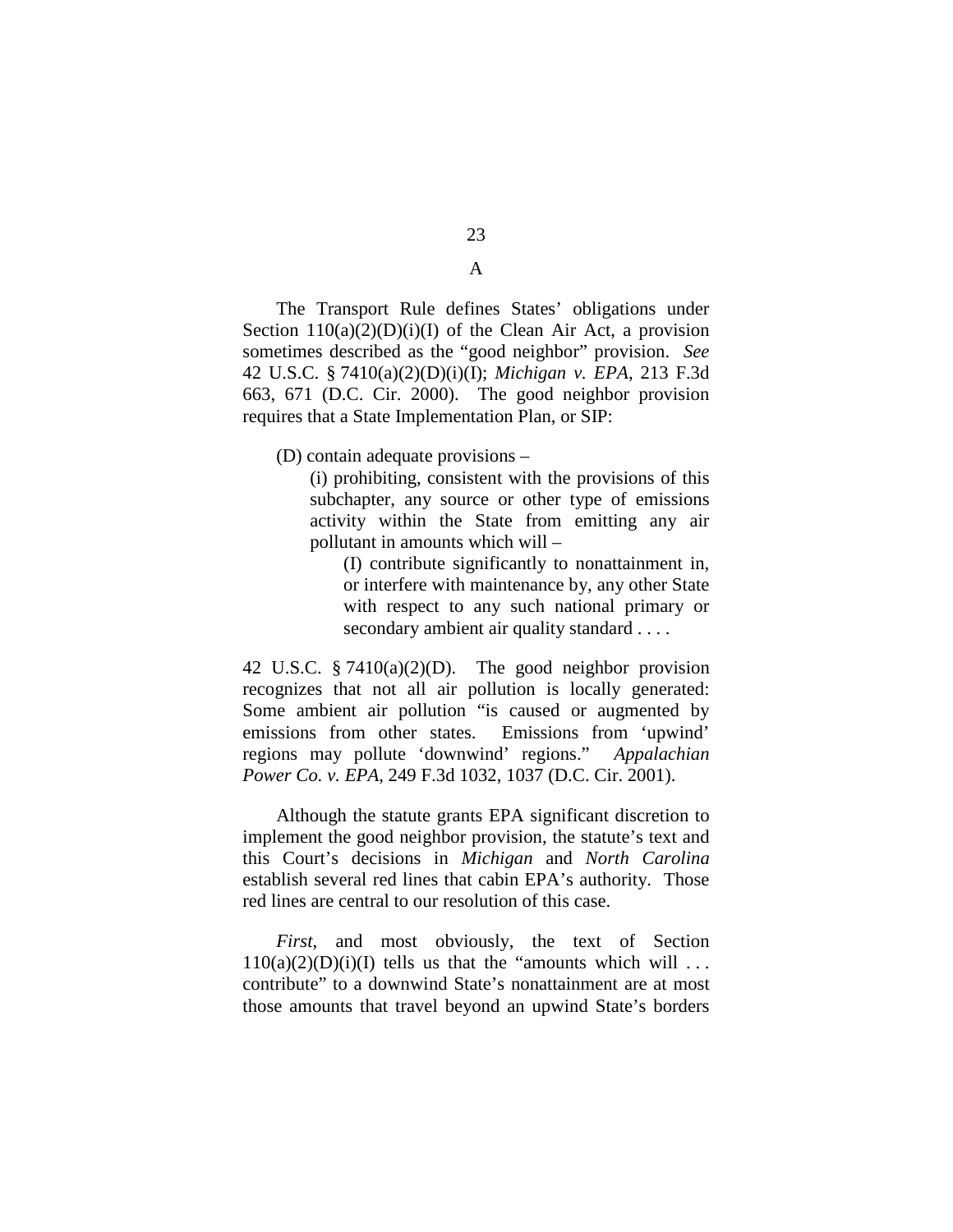The Transport Rule defines States' obligations under Section  $110(a)(2)(D)(i)(I)$  of the Clean Air Act, a provision sometimes described as the "good neighbor" provision. *See*  42 U.S.C. § 7410(a)(2)(D)(i)(I); *Michigan v. EPA*, 213 F.3d 663, 671 (D.C. Cir. 2000). The good neighbor provision requires that a State Implementation Plan, or SIP:

(D) contain adequate provisions –

(i) prohibiting, consistent with the provisions of this subchapter, any source or other type of emissions activity within the State from emitting any air pollutant in amounts which will –

(I) contribute significantly to nonattainment in, or interfere with maintenance by, any other State with respect to any such national primary or secondary ambient air quality standard . . . .

42 U.S.C. § 7410(a)(2)(D). The good neighbor provision recognizes that not all air pollution is locally generated: Some ambient air pollution "is caused or augmented by emissions from other states. Emissions from 'upwind' regions may pollute 'downwind' regions." *Appalachian Power Co. v. EPA*, 249 F.3d 1032, 1037 (D.C. Cir. 2001).

Although the statute grants EPA significant discretion to implement the good neighbor provision, the statute's text and this Court's decisions in *Michigan* and *North Carolina* establish several red lines that cabin EPA's authority. Those red lines are central to our resolution of this case.

*First*, and most obviously, the text of Section  $110(a)(2)(D)(i)(I)$  tells us that the "amounts which will ... contribute" to a downwind State's nonattainment are at most those amounts that travel beyond an upwind State's borders

23 A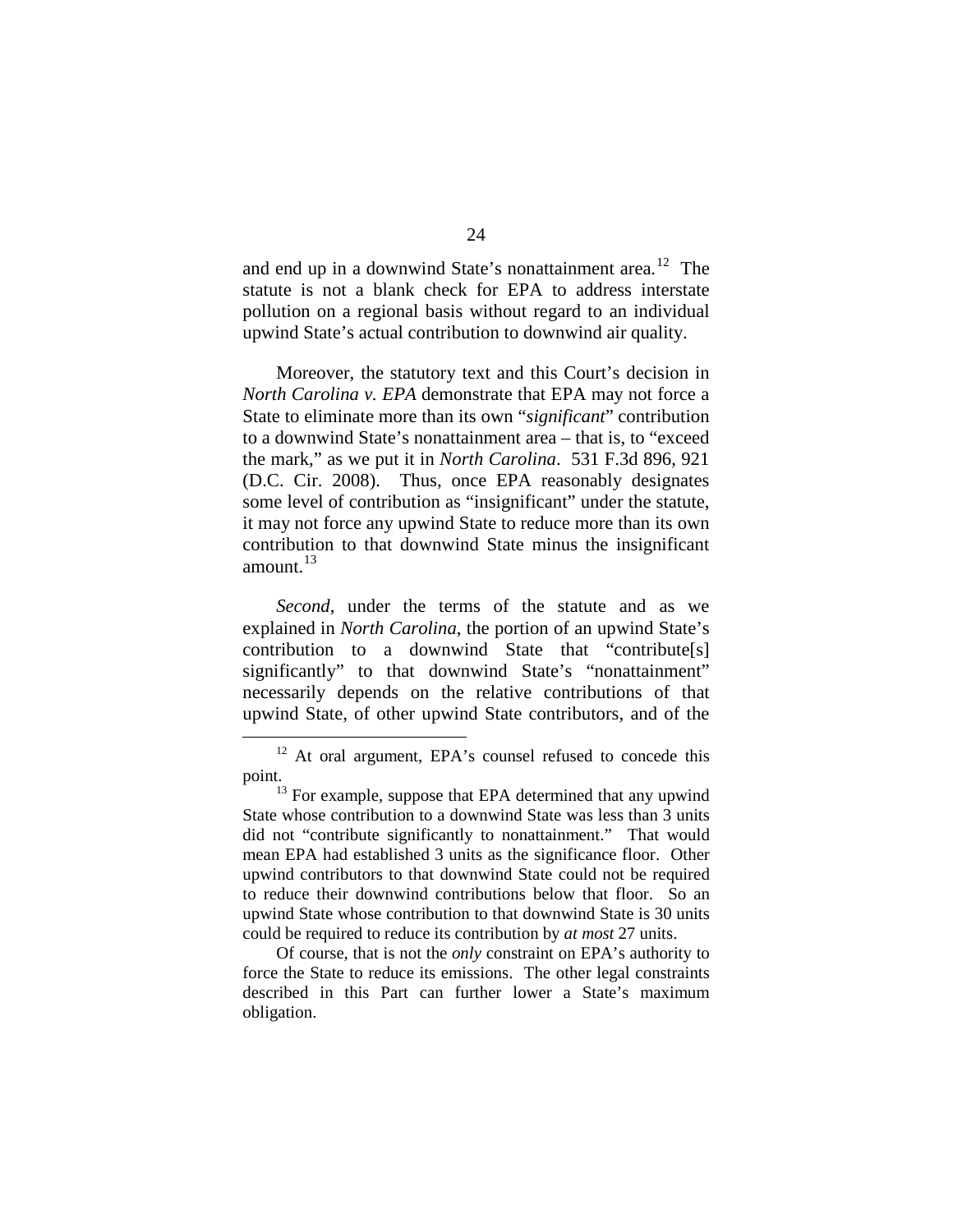and end up in a downwind State's nonattainment area.<sup>[12](#page-23-0)</sup> The statute is not a blank check for EPA to address interstate pollution on a regional basis without regard to an individual upwind State's actual contribution to downwind air quality.

Moreover, the statutory text and this Court's decision in *North Carolina v. EPA* demonstrate that EPA may not force a State to eliminate more than its own "*significant*" contribution to a downwind State's nonattainment area – that is, to "exceed the mark," as we put it in *North Carolina*. 531 F.3d 896, 921 (D.C. Cir. 2008). Thus, once EPA reasonably designates some level of contribution as "insignificant" under the statute, it may not force any upwind State to reduce more than its own contribution to that downwind State minus the insignificant amount. $13$ 

*Second*, under the terms of the statute and as we explained in *North Carolina*, the portion of an upwind State's contribution to a downwind State that "contribute[s] significantly" to that downwind State's "nonattainment" necessarily depends on the relative contributions of that upwind State, of other upwind State contributors, and of the

<span id="page-23-0"></span><sup>&</sup>lt;sup>12</sup> At oral argument, EPA's counsel refused to concede this point.

<span id="page-23-1"></span> $13$  For example, suppose that EPA determined that any upwind State whose contribution to a downwind State was less than 3 units did not "contribute significantly to nonattainment." That would mean EPA had established 3 units as the significance floor. Other upwind contributors to that downwind State could not be required to reduce their downwind contributions below that floor. So an upwind State whose contribution to that downwind State is 30 units could be required to reduce its contribution by *at most* 27 units.

Of course, that is not the *only* constraint on EPA's authority to force the State to reduce its emissions. The other legal constraints described in this Part can further lower a State's maximum obligation.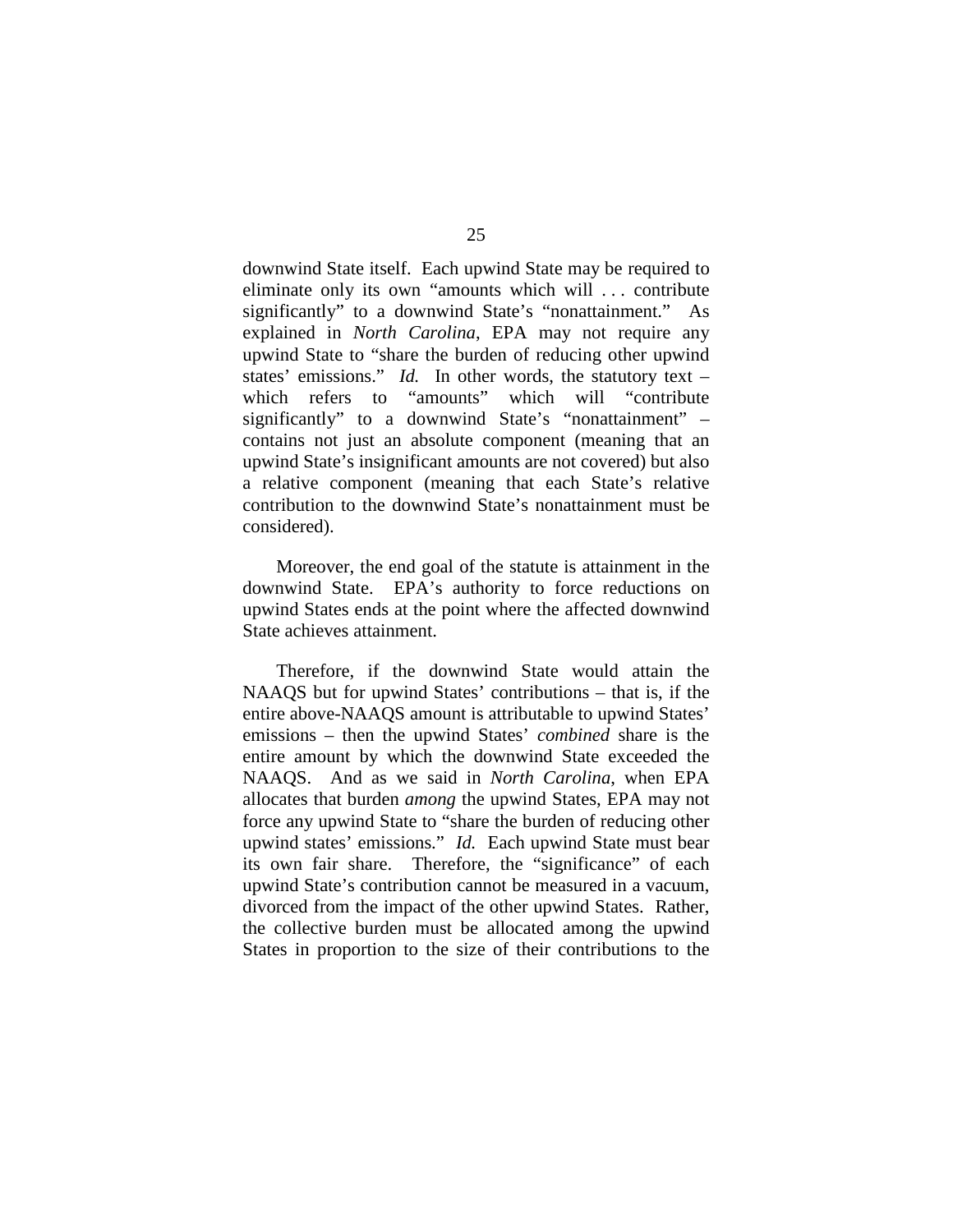downwind State itself. Each upwind State may be required to eliminate only its own "amounts which will . . . contribute significantly" to a downwind State's "nonattainment." As explained in *North Carolina*, EPA may not require any upwind State to "share the burden of reducing other upwind states' emissions." *Id.* In other words, the statutory text – which refers to "amounts" which will "contribute significantly" to a downwind State's "nonattainment" – contains not just an absolute component (meaning that an upwind State's insignificant amounts are not covered) but also a relative component (meaning that each State's relative contribution to the downwind State's nonattainment must be considered).

Moreover, the end goal of the statute is attainment in the downwind State. EPA's authority to force reductions on upwind States ends at the point where the affected downwind State achieves attainment.

Therefore, if the downwind State would attain the NAAQS but for upwind States' contributions – that is, if the entire above-NAAQS amount is attributable to upwind States' emissions – then the upwind States' *combined* share is the entire amount by which the downwind State exceeded the NAAQS. And as we said in *North Carolina*, when EPA allocates that burden *among* the upwind States, EPA may not force any upwind State to "share the burden of reducing other upwind states' emissions." *Id.* Each upwind State must bear its own fair share. Therefore, the "significance" of each upwind State's contribution cannot be measured in a vacuum, divorced from the impact of the other upwind States. Rather, the collective burden must be allocated among the upwind States in proportion to the size of their contributions to the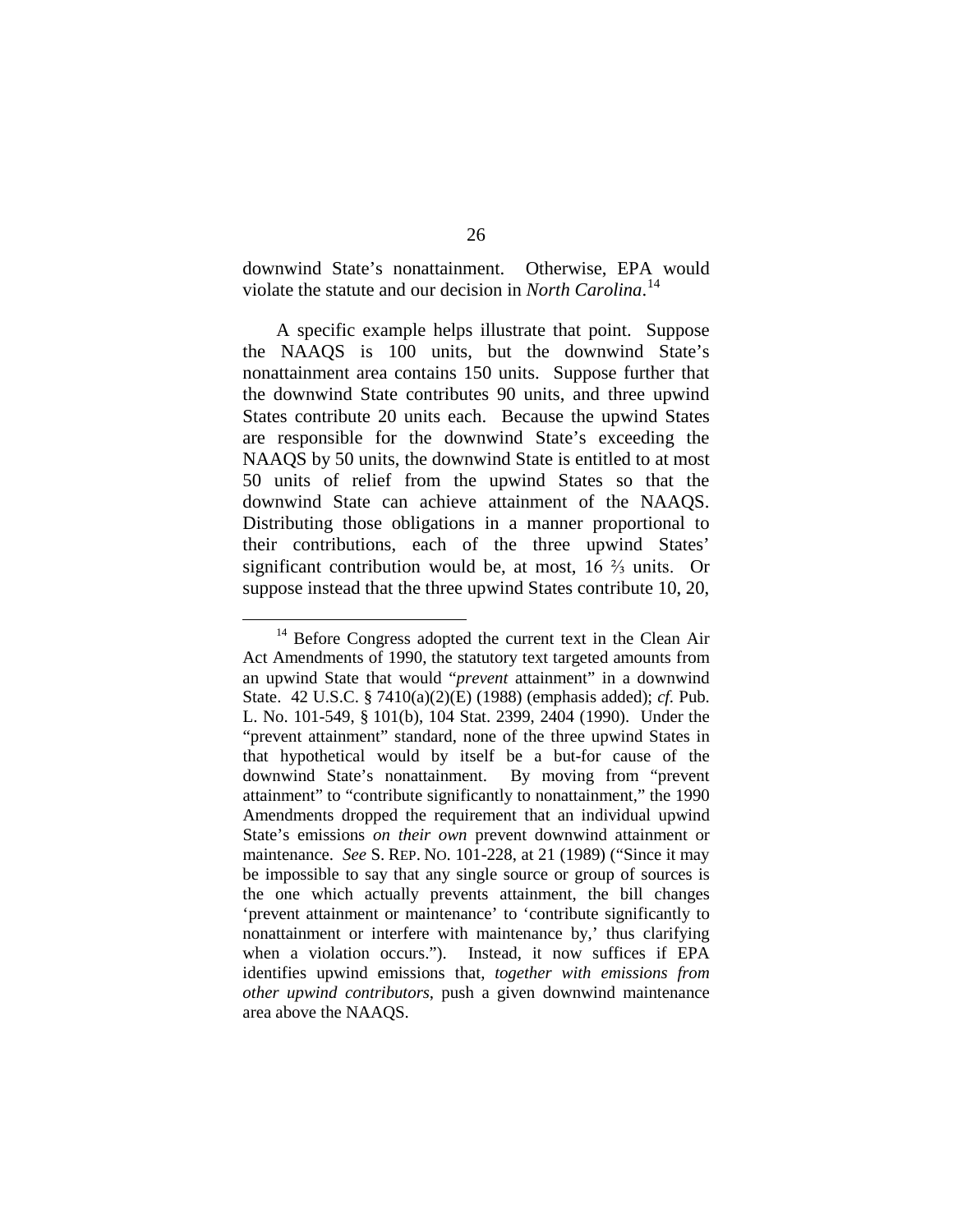downwind State's nonattainment. Otherwise, EPA would violate the statute and our decision in *North Carolina*. [14](#page-25-0)

A specific example helps illustrate that point. Suppose the NAAQS is 100 units, but the downwind State's nonattainment area contains 150 units. Suppose further that the downwind State contributes 90 units, and three upwind States contribute 20 units each. Because the upwind States are responsible for the downwind State's exceeding the NAAQS by 50 units, the downwind State is entitled to at most 50 units of relief from the upwind States so that the downwind State can achieve attainment of the NAAQS. Distributing those obligations in a manner proportional to their contributions, each of the three upwind States' significant contribution would be, at most, 16 ⅔ units. Or suppose instead that the three upwind States contribute 10, 20,

<span id="page-25-0"></span><sup>&</sup>lt;sup>14</sup> Before Congress adopted the current text in the Clean Air Act Amendments of 1990, the statutory text targeted amounts from an upwind State that would "*prevent* attainment" in a downwind State. 42 U.S.C. § 7410(a)(2)(E) (1988) (emphasis added); *cf.* Pub. L. No. 101-549, § 101(b), 104 Stat. 2399, 2404 (1990). Under the "prevent attainment" standard, none of the three upwind States in that hypothetical would by itself be a but-for cause of the downwind State's nonattainment. By moving from "prevent attainment" to "contribute significantly to nonattainment," the 1990 Amendments dropped the requirement that an individual upwind State's emissions *on their own* prevent downwind attainment or maintenance. *See* S. REP. NO. 101-228, at 21 (1989) ("Since it may be impossible to say that any single source or group of sources is the one which actually prevents attainment, the bill changes 'prevent attainment or maintenance' to 'contribute significantly to nonattainment or interfere with maintenance by,' thus clarifying when a violation occurs."). Instead, it now suffices if EPA identifies upwind emissions that, *together with emissions from other upwind contributors*, push a given downwind maintenance area above the NAAQS.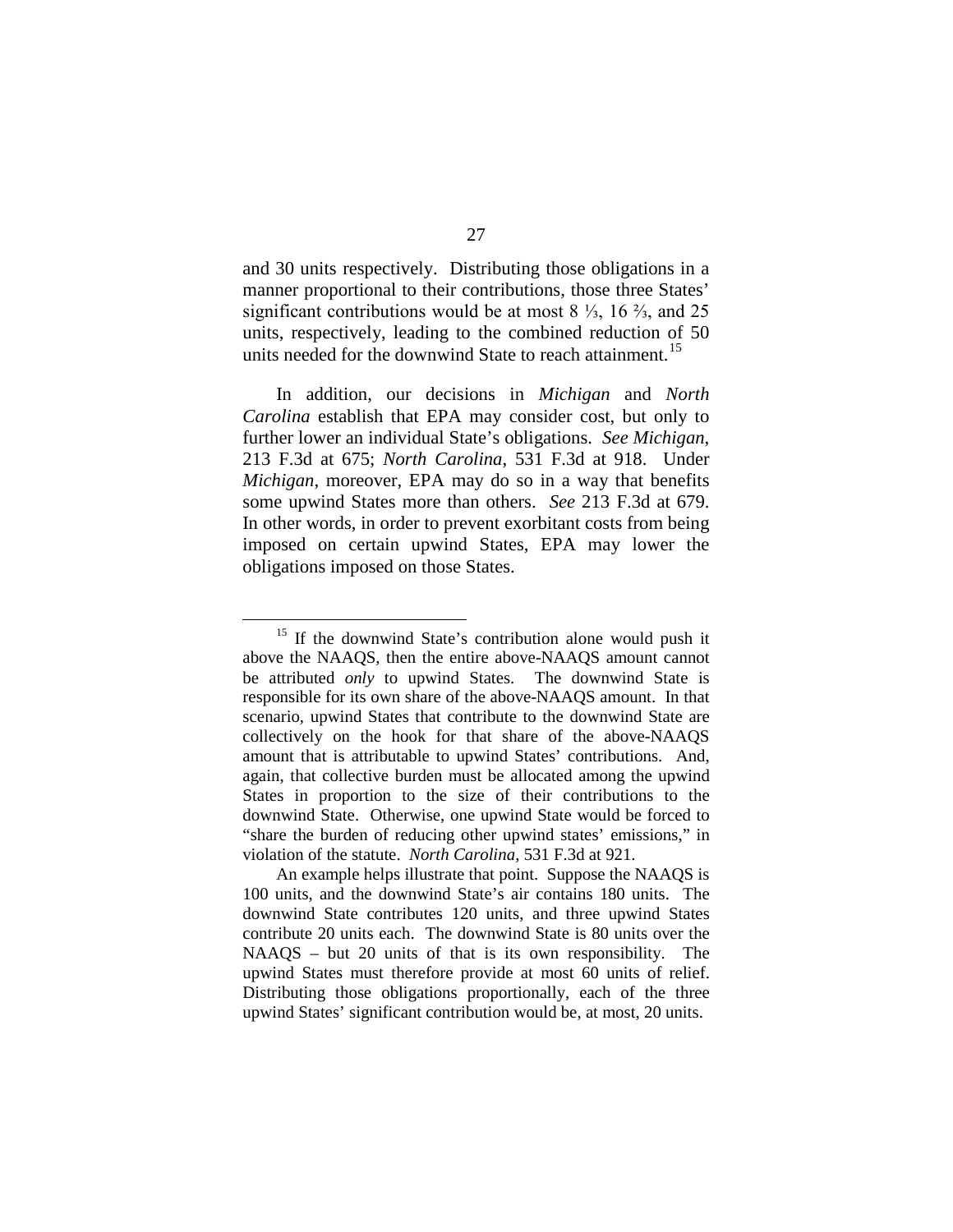and 30 units respectively. Distributing those obligations in a manner proportional to their contributions, those three States' significant contributions would be at most  $8\frac{1}{3}$ ,  $16\frac{2}{3}$ , and 25 units, respectively, leading to the combined reduction of 50 units needed for the downwind State to reach attainment.<sup>[15](#page-26-0)</sup>

In addition, our decisions in *Michigan* and *North Carolina* establish that EPA may consider cost, but only to further lower an individual State's obligations. *See Michigan*, 213 F.3d at 675; *North Carolina*, 531 F.3d at 918. Under *Michigan*, moreover, EPA may do so in a way that benefits some upwind States more than others. *See* 213 F.3d at 679. In other words, in order to prevent exorbitant costs from being imposed on certain upwind States, EPA may lower the obligations imposed on those States.

<span id="page-26-0"></span> <sup>15</sup> If the downwind State's contribution alone would push it above the NAAQS, then the entire above-NAAQS amount cannot be attributed *only* to upwind States. The downwind State is responsible for its own share of the above-NAAQS amount. In that scenario, upwind States that contribute to the downwind State are collectively on the hook for that share of the above-NAAQS amount that is attributable to upwind States' contributions. And, again, that collective burden must be allocated among the upwind States in proportion to the size of their contributions to the downwind State. Otherwise, one upwind State would be forced to "share the burden of reducing other upwind states' emissions," in violation of the statute. *North Carolina*, 531 F.3d at 921.

An example helps illustrate that point. Suppose the NAAQS is 100 units, and the downwind State's air contains 180 units. The downwind State contributes 120 units, and three upwind States contribute 20 units each. The downwind State is 80 units over the NAAQS – but 20 units of that is its own responsibility. The upwind States must therefore provide at most 60 units of relief. Distributing those obligations proportionally, each of the three upwind States' significant contribution would be, at most, 20 units.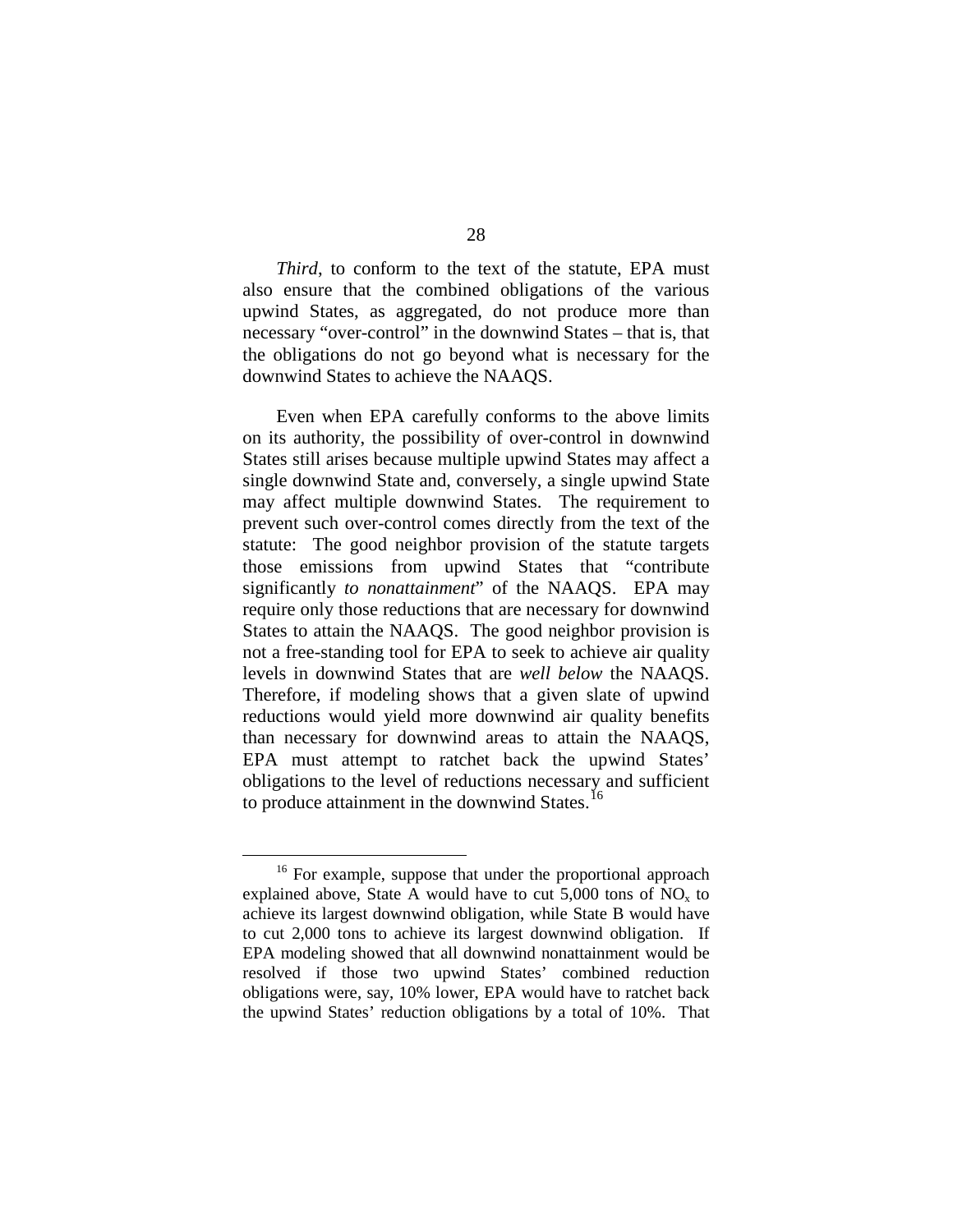*Third*, to conform to the text of the statute, EPA must also ensure that the combined obligations of the various upwind States, as aggregated, do not produce more than necessary "over-control" in the downwind States – that is, that the obligations do not go beyond what is necessary for the downwind States to achieve the NAAQS.

Even when EPA carefully conforms to the above limits on its authority, the possibility of over-control in downwind States still arises because multiple upwind States may affect a single downwind State and, conversely, a single upwind State may affect multiple downwind States. The requirement to prevent such over-control comes directly from the text of the statute: The good neighbor provision of the statute targets those emissions from upwind States that "contribute significantly *to nonattainment*" of the NAAQS. EPA may require only those reductions that are necessary for downwind States to attain the NAAQS. The good neighbor provision is not a free-standing tool for EPA to seek to achieve air quality levels in downwind States that are *well below* the NAAQS. Therefore, if modeling shows that a given slate of upwind reductions would yield more downwind air quality benefits than necessary for downwind areas to attain the NAAQS, EPA must attempt to ratchet back the upwind States' obligations to the level of reductions necessary and sufficient to produce attainment in the downwind States.<sup>[16](#page-27-0)</sup>

<span id="page-27-0"></span><sup>&</sup>lt;sup>16</sup> For example, suppose that under the proportional approach explained above, State A would have to cut  $5,000$  tons of  $NO<sub>x</sub>$  to achieve its largest downwind obligation, while State B would have to cut 2,000 tons to achieve its largest downwind obligation. If EPA modeling showed that all downwind nonattainment would be resolved if those two upwind States' combined reduction obligations were, say, 10% lower, EPA would have to ratchet back the upwind States' reduction obligations by a total of 10%. That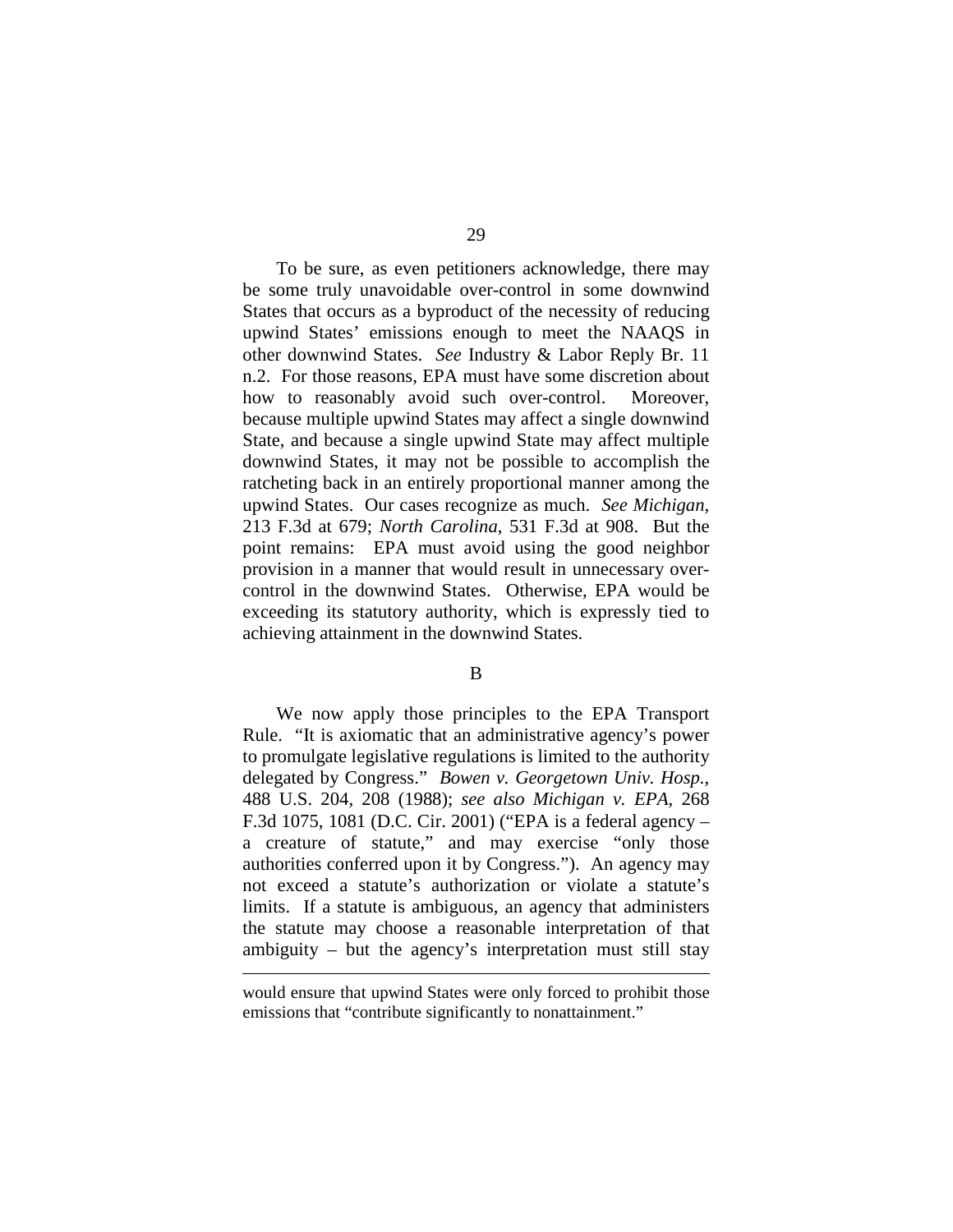To be sure, as even petitioners acknowledge, there may be some truly unavoidable over-control in some downwind States that occurs as a byproduct of the necessity of reducing upwind States' emissions enough to meet the NAAQS in other downwind States. *See* Industry & Labor Reply Br. 11 n.2. For those reasons, EPA must have some discretion about how to reasonably avoid such over-control. Moreover, because multiple upwind States may affect a single downwind State, and because a single upwind State may affect multiple downwind States, it may not be possible to accomplish the ratcheting back in an entirely proportional manner among the upwind States. Our cases recognize as much. *See Michigan*, 213 F.3d at 679; *North Carolina*, 531 F.3d at 908. But the point remains: EPA must avoid using the good neighbor provision in a manner that would result in unnecessary overcontrol in the downwind States. Otherwise, EPA would be exceeding its statutory authority, which is expressly tied to achieving attainment in the downwind States.

B

We now apply those principles to the EPA Transport Rule. "It is axiomatic that an administrative agency's power to promulgate legislative regulations is limited to the authority delegated by Congress." *Bowen v. Georgetown Univ. Hosp.*, 488 U.S. 204, 208 (1988); *see also Michigan v. EPA*, 268 F.3d 1075, 1081 (D.C. Cir. 2001) ("EPA is a federal agency – a creature of statute," and may exercise "only those authorities conferred upon it by Congress."). An agency may not exceed a statute's authorization or violate a statute's limits. If a statute is ambiguous, an agency that administers the statute may choose a reasonable interpretation of that ambiguity – but the agency's interpretation must still stay

would ensure that upwind States were only forced to prohibit those emissions that "contribute significantly to nonattainment."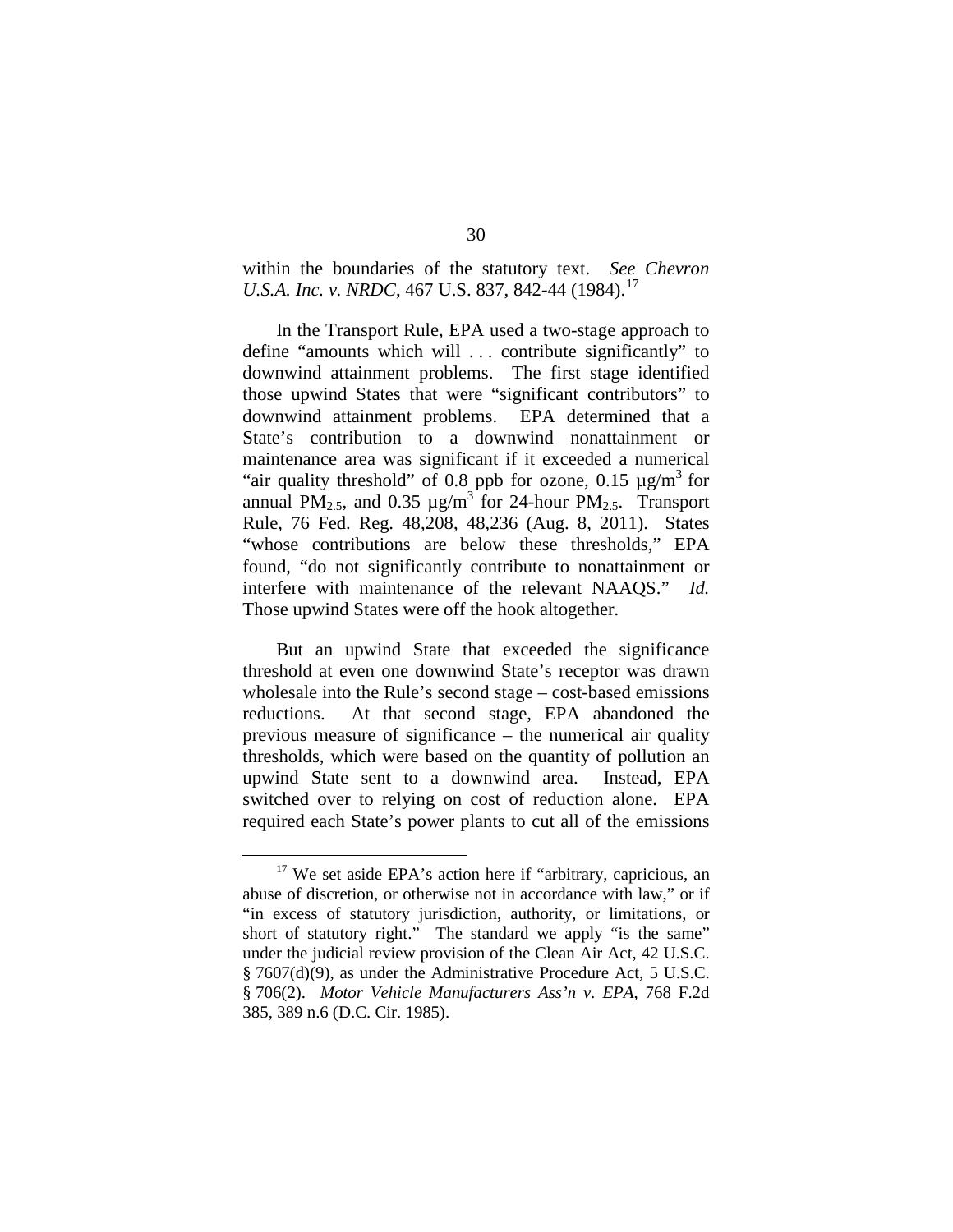within the boundaries of the statutory text. *See Chevron U.S.A. Inc. v. NRDC*, 467 U.S. 837, 842-44 (1984).<sup>[17](#page-29-0)</sup>

In the Transport Rule, EPA used a two-stage approach to define "amounts which will . . . contribute significantly" to downwind attainment problems. The first stage identified those upwind States that were "significant contributors" to downwind attainment problems. EPA determined that a State's contribution to a downwind nonattainment or maintenance area was significant if it exceeded a numerical "air quality threshold" of 0.8 ppb for ozone, 0.15  $\mu$ g/m<sup>3</sup> for annual PM<sub>2.5</sub>, and 0.35  $\mu$ g/m<sup>3</sup> for 24-hour PM<sub>2.5</sub>. Transport Rule, 76 Fed. Reg. 48,208, 48,236 (Aug. 8, 2011). States "whose contributions are below these thresholds," EPA found, "do not significantly contribute to nonattainment or interfere with maintenance of the relevant NAAQS." *Id.* Those upwind States were off the hook altogether.

But an upwind State that exceeded the significance threshold at even one downwind State's receptor was drawn wholesale into the Rule's second stage – cost-based emissions reductions. At that second stage, EPA abandoned the previous measure of significance – the numerical air quality thresholds, which were based on the quantity of pollution an upwind State sent to a downwind area. Instead, EPA switched over to relying on cost of reduction alone. EPA required each State's power plants to cut all of the emissions

<span id="page-29-0"></span> $17$  We set aside EPA's action here if "arbitrary, capricious, an abuse of discretion, or otherwise not in accordance with law," or if "in excess of statutory jurisdiction, authority, or limitations, or short of statutory right." The standard we apply "is the same" under the judicial review provision of the Clean Air Act, 42 U.S.C. § 7607(d)(9), as under the Administrative Procedure Act, 5 U.S.C. § 706(2). *Motor Vehicle Manufacturers Ass'n v. EPA*, 768 F.2d 385, 389 n.6 (D.C. Cir. 1985).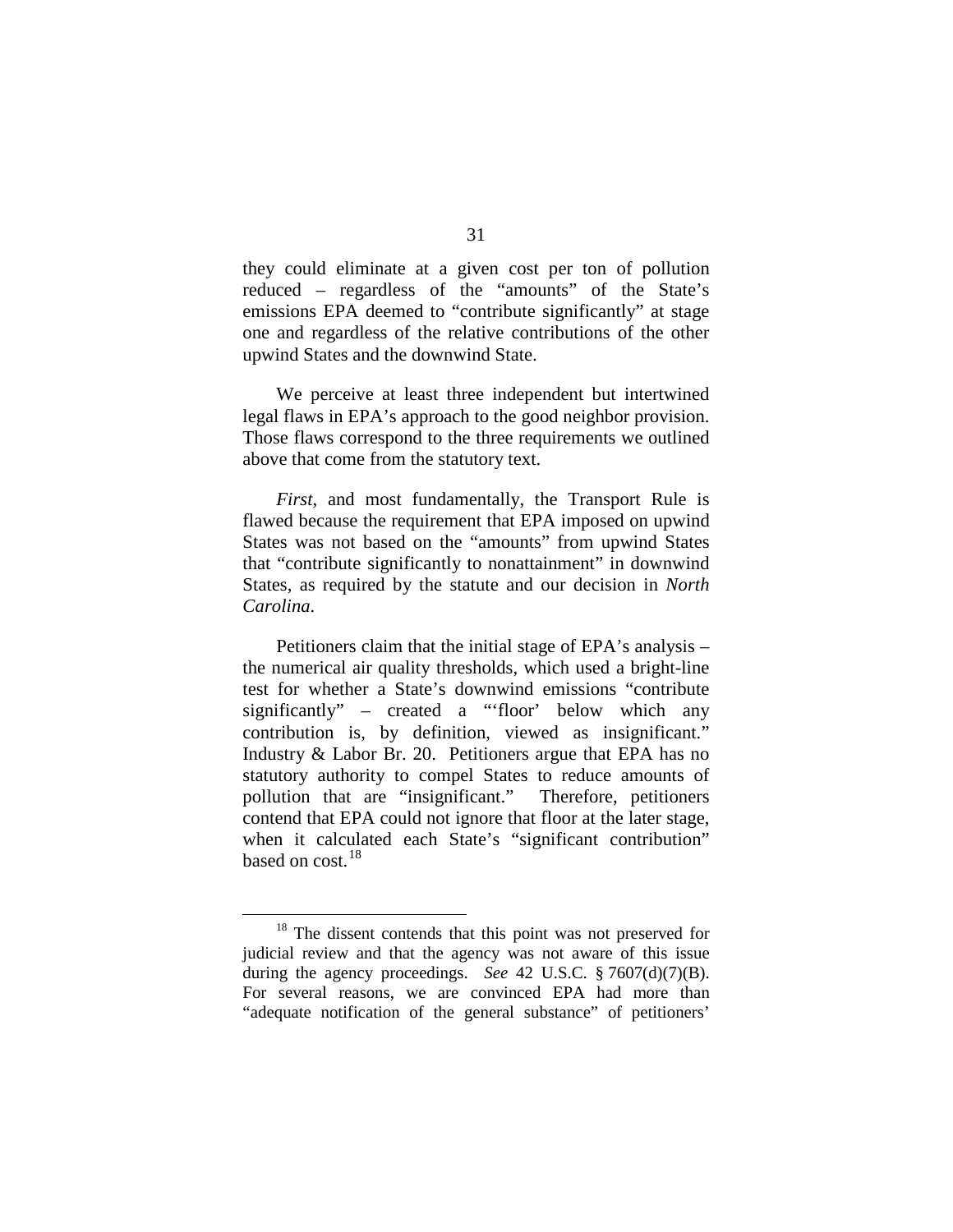they could eliminate at a given cost per ton of pollution reduced – regardless of the "amounts" of the State's emissions EPA deemed to "contribute significantly" at stage one and regardless of the relative contributions of the other upwind States and the downwind State.

We perceive at least three independent but intertwined legal flaws in EPA's approach to the good neighbor provision. Those flaws correspond to the three requirements we outlined above that come from the statutory text.

*First*, and most fundamentally, the Transport Rule is flawed because the requirement that EPA imposed on upwind States was not based on the "amounts" from upwind States that "contribute significantly to nonattainment" in downwind States, as required by the statute and our decision in *North Carolina*.

Petitioners claim that the initial stage of EPA's analysis – the numerical air quality thresholds, which used a bright-line test for whether a State's downwind emissions "contribute significantly" – created a "'floor' below which any contribution is, by definition, viewed as insignificant." Industry & Labor Br. 20. Petitioners argue that EPA has no statutory authority to compel States to reduce amounts of pollution that are "insignificant." Therefore, petitioners contend that EPA could not ignore that floor at the later stage, when it calculated each State's "significant contribution" based on cost. $18$ 

<span id="page-30-0"></span><sup>&</sup>lt;sup>18</sup> The dissent contends that this point was not preserved for judicial review and that the agency was not aware of this issue during the agency proceedings. *See* 42 U.S.C. § 7607(d)(7)(B). For several reasons, we are convinced EPA had more than "adequate notification of the general substance" of petitioners'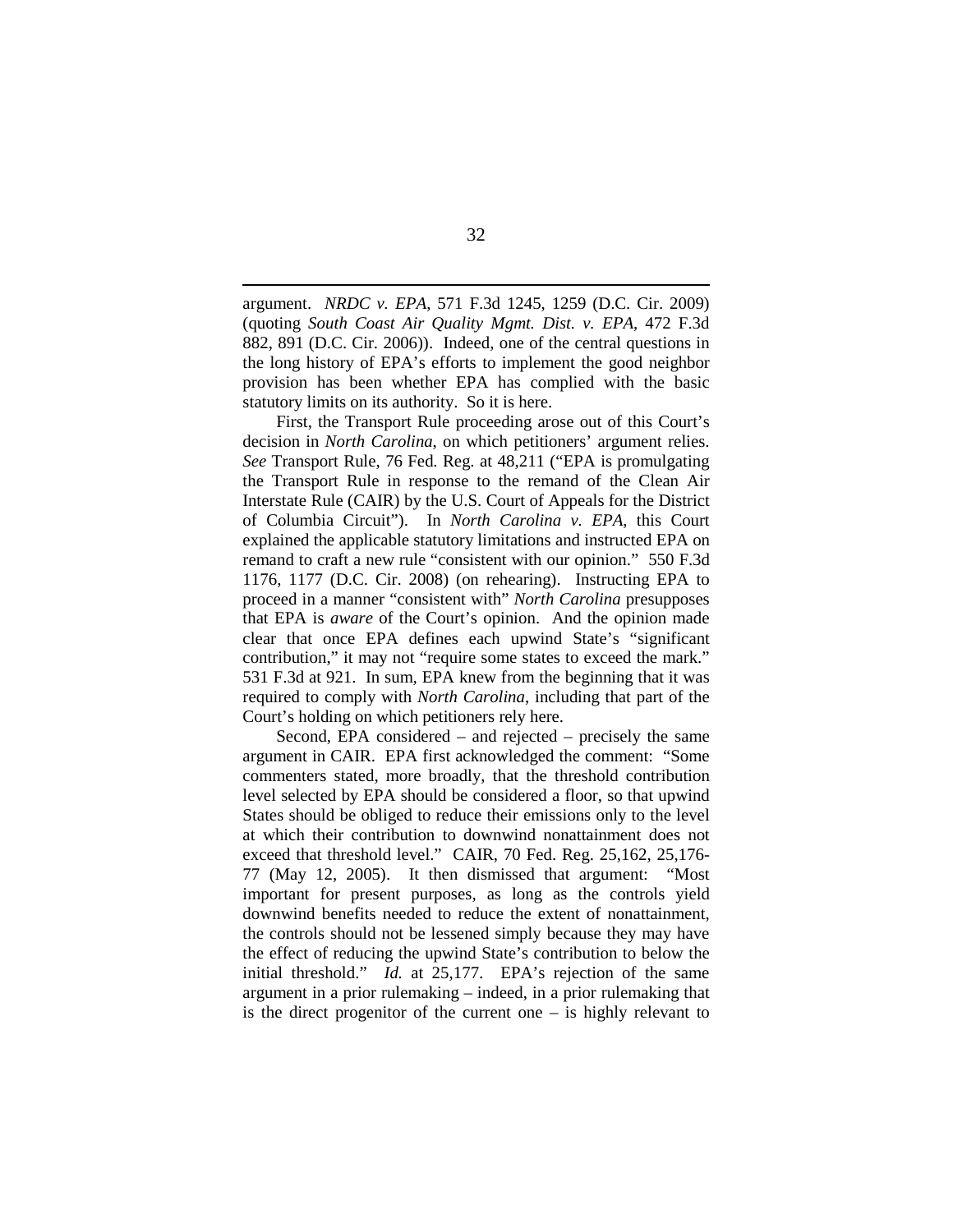argument. *NRDC v. EPA*, 571 F.3d 1245, 1259 (D.C. Cir. 2009) (quoting *South Coast Air Quality Mgmt. Dist. v. EPA*, 472 F.3d 882, 891 (D.C. Cir. 2006)). Indeed, one of the central questions in the long history of EPA's efforts to implement the good neighbor provision has been whether EPA has complied with the basic statutory limits on its authority. So it is here.

First, the Transport Rule proceeding arose out of this Court's decision in *North Carolina*, on which petitioners' argument relies. *See* Transport Rule, 76 Fed. Reg. at 48,211 ("EPA is promulgating the Transport Rule in response to the remand of the Clean Air Interstate Rule (CAIR) by the U.S. Court of Appeals for the District of Columbia Circuit"). In *North Carolina v. EPA*, this Court explained the applicable statutory limitations and instructed EPA on remand to craft a new rule "consistent with our opinion." 550 F.3d 1176, 1177 (D.C. Cir. 2008) (on rehearing). Instructing EPA to proceed in a manner "consistent with" *North Carolina* presupposes that EPA is *aware* of the Court's opinion. And the opinion made clear that once EPA defines each upwind State's "significant contribution," it may not "require some states to exceed the mark." 531 F.3d at 921. In sum, EPA knew from the beginning that it was required to comply with *North Carolina*, including that part of the Court's holding on which petitioners rely here.

Second, EPA considered – and rejected – precisely the same argument in CAIR. EPA first acknowledged the comment: "Some commenters stated, more broadly, that the threshold contribution level selected by EPA should be considered a floor, so that upwind States should be obliged to reduce their emissions only to the level at which their contribution to downwind nonattainment does not exceed that threshold level." CAIR, 70 Fed. Reg. 25,162, 25,176- 77 (May 12, 2005). It then dismissed that argument: "Most important for present purposes, as long as the controls yield downwind benefits needed to reduce the extent of nonattainment, the controls should not be lessened simply because they may have the effect of reducing the upwind State's contribution to below the initial threshold." *Id.* at 25,177. EPA's rejection of the same argument in a prior rulemaking – indeed, in a prior rulemaking that is the direct progenitor of the current one – is highly relevant to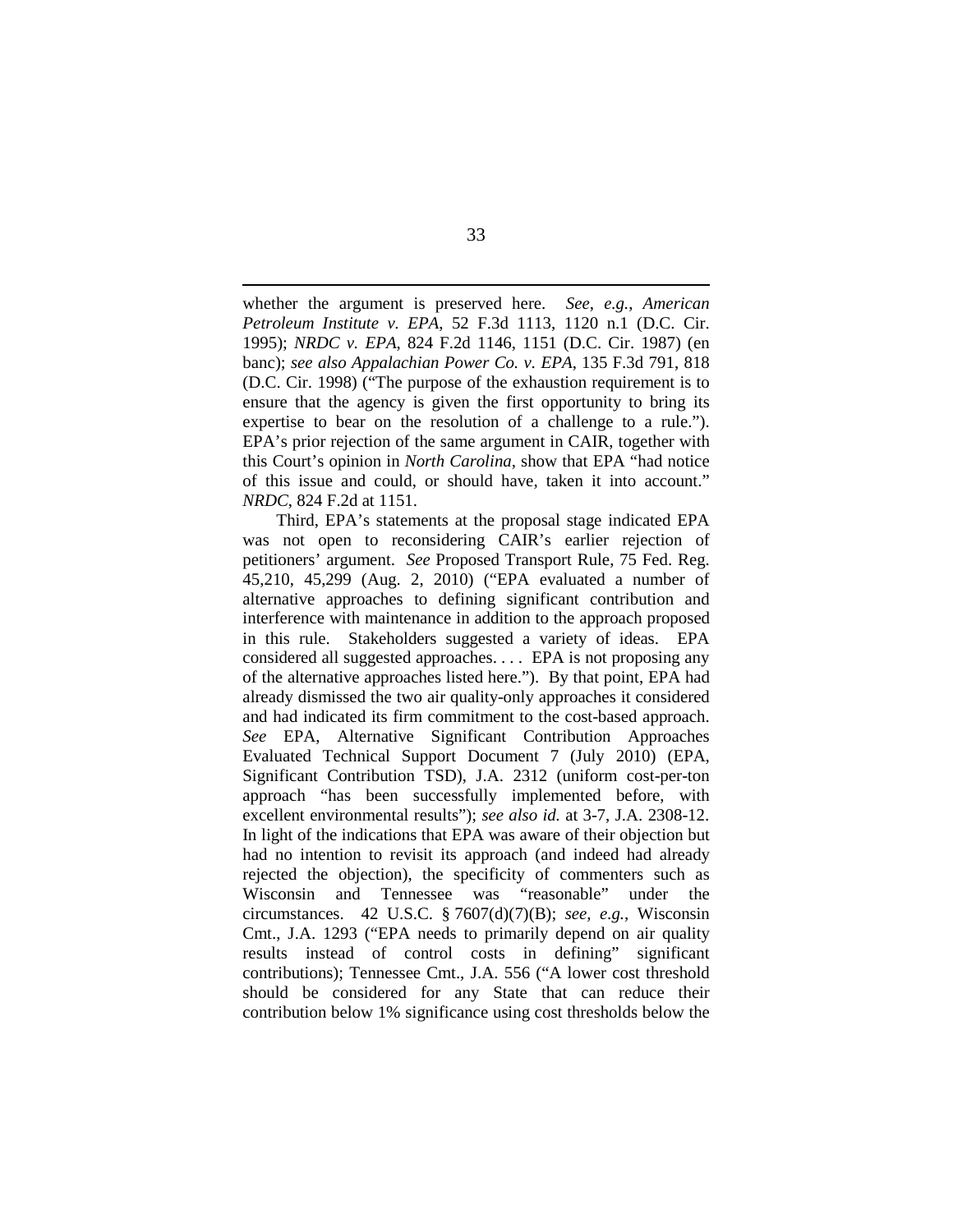whether the argument is preserved here. *See, e.g.*, *American Petroleum Institute v. EPA*, 52 F.3d 1113, 1120 n.1 (D.C. Cir. 1995); *NRDC v. EPA*, 824 F.2d 1146, 1151 (D.C. Cir. 1987) (en banc); *see also Appalachian Power Co. v. EPA*, 135 F.3d 791, 818 (D.C. Cir. 1998) ("The purpose of the exhaustion requirement is to ensure that the agency is given the first opportunity to bring its expertise to bear on the resolution of a challenge to a rule."). EPA's prior rejection of the same argument in CAIR, together with this Court's opinion in *North Carolina*, show that EPA "had notice of this issue and could, or should have, taken it into account." *NRDC*, 824 F.2d at 1151.

Third, EPA's statements at the proposal stage indicated EPA was not open to reconsidering CAIR's earlier rejection of petitioners' argument. *See* Proposed Transport Rule, 75 Fed. Reg. 45,210, 45,299 (Aug. 2, 2010) ("EPA evaluated a number of alternative approaches to defining significant contribution and interference with maintenance in addition to the approach proposed in this rule. Stakeholders suggested a variety of ideas. EPA considered all suggested approaches. . . . EPA is not proposing any of the alternative approaches listed here."). By that point, EPA had already dismissed the two air quality-only approaches it considered and had indicated its firm commitment to the cost-based approach. *See* EPA, Alternative Significant Contribution Approaches Evaluated Technical Support Document 7 (July 2010) (EPA, Significant Contribution TSD), J.A. 2312 (uniform cost-per-ton approach "has been successfully implemented before, with excellent environmental results"); *see also id.* at 3-7, J.A. 2308-12. In light of the indications that EPA was aware of their objection but had no intention to revisit its approach (and indeed had already rejected the objection), the specificity of commenters such as Wisconsin and Tennessee was "reasonable" under the circumstances. 42 U.S.C. § 7607(d)(7)(B); *see, e.g.*, Wisconsin Cmt., J.A. 1293 ("EPA needs to primarily depend on air quality results instead of control costs in defining" significant contributions); Tennessee Cmt., J.A. 556 ("A lower cost threshold should be considered for any State that can reduce their contribution below 1% significance using cost thresholds below the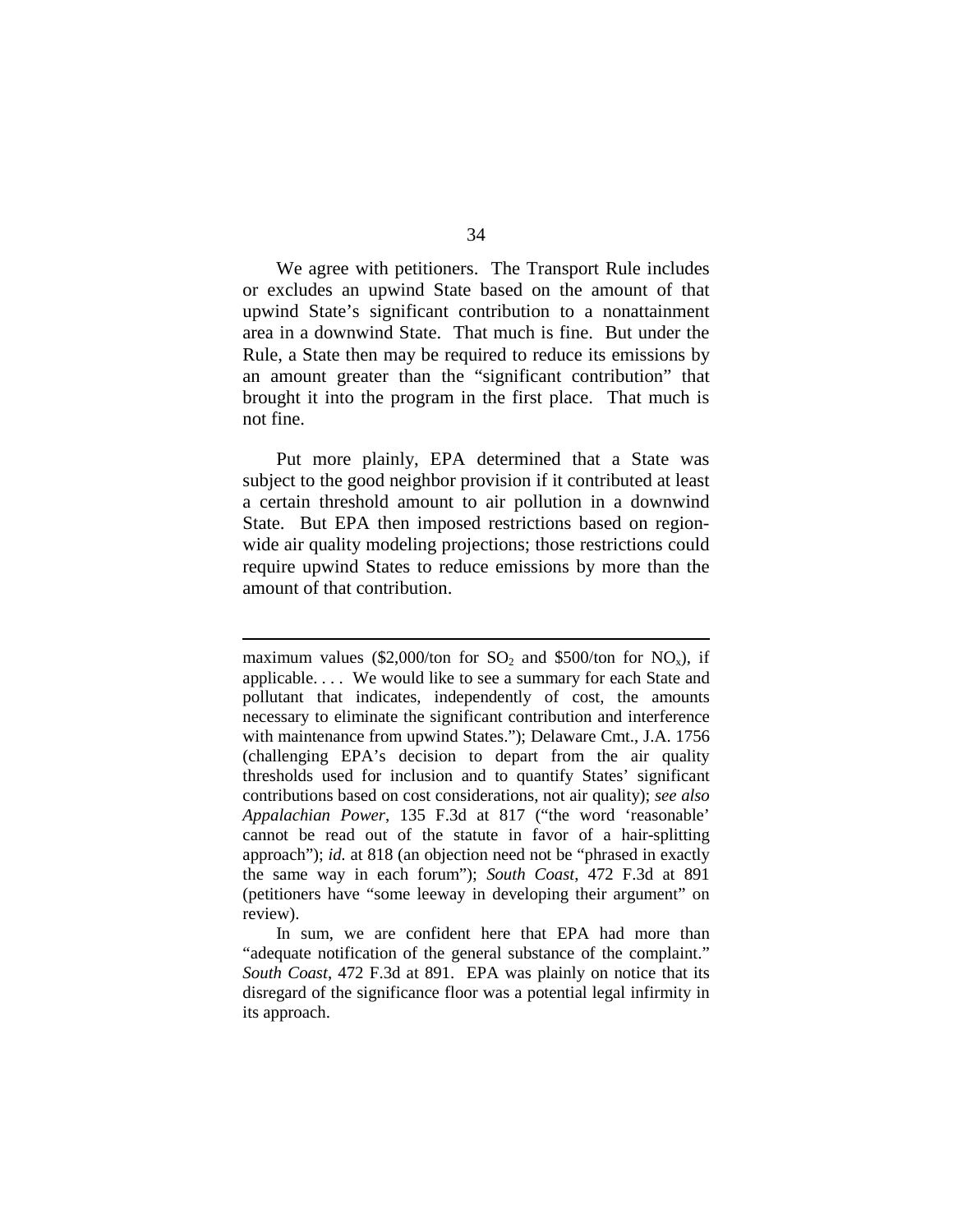We agree with petitioners. The Transport Rule includes or excludes an upwind State based on the amount of that upwind State's significant contribution to a nonattainment area in a downwind State. That much is fine. But under the Rule, a State then may be required to reduce its emissions by an amount greater than the "significant contribution" that brought it into the program in the first place. That much is not fine.

Put more plainly, EPA determined that a State was subject to the good neighbor provision if it contributed at least a certain threshold amount to air pollution in a downwind State. But EPA then imposed restrictions based on regionwide air quality modeling projections; those restrictions could require upwind States to reduce emissions by more than the amount of that contribution.

maximum values (\$2,000/ton for  $SO_2$  and \$500/ton for  $NO_x$ ), if applicable. . . . We would like to see a summary for each State and pollutant that indicates, independently of cost, the amounts necessary to eliminate the significant contribution and interference with maintenance from upwind States."); Delaware Cmt., J.A. 1756 (challenging EPA's decision to depart from the air quality thresholds used for inclusion and to quantify States' significant contributions based on cost considerations, not air quality); *see also Appalachian Power*, 135 F.3d at 817 ("the word 'reasonable' cannot be read out of the statute in favor of a hair-splitting approach"); *id.* at 818 (an objection need not be "phrased in exactly the same way in each forum"); *South Coast*, 472 F.3d at 891 (petitioners have "some leeway in developing their argument" on review).

In sum, we are confident here that EPA had more than "adequate notification of the general substance of the complaint." *South Coast*, 472 F.3d at 891. EPA was plainly on notice that its disregard of the significance floor was a potential legal infirmity in its approach.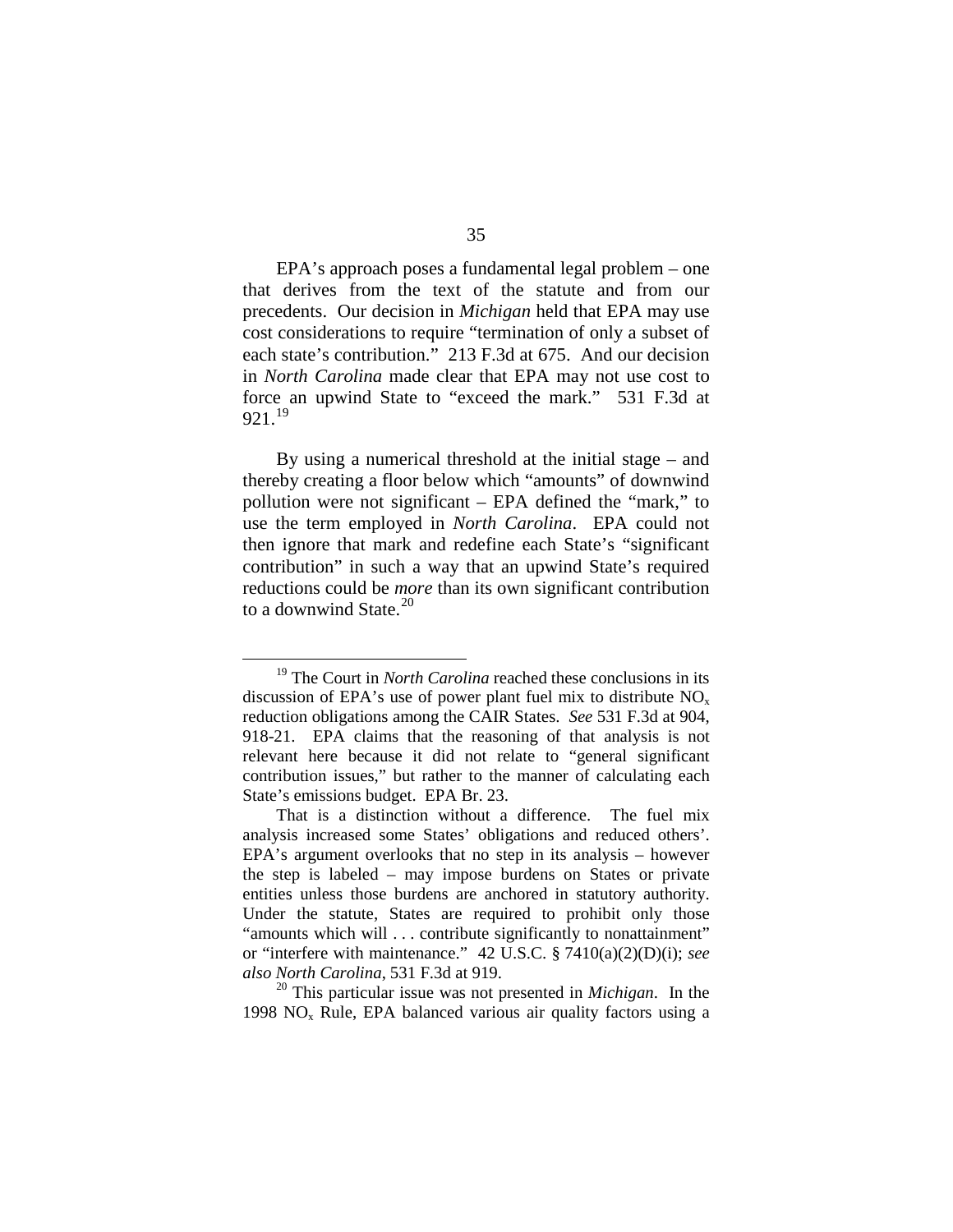EPA's approach poses a fundamental legal problem – one that derives from the text of the statute and from our precedents. Our decision in *Michigan* held that EPA may use cost considerations to require "termination of only a subset of each state's contribution." 213 F.3d at 675. And our decision in *North Carolina* made clear that EPA may not use cost to force an upwind State to "exceed the mark." 531 F.3d at  $921.<sup>19</sup>$  $921.<sup>19</sup>$  $921.<sup>19</sup>$ 

By using a numerical threshold at the initial stage – and thereby creating a floor below which "amounts" of downwind pollution were not significant – EPA defined the "mark," to use the term employed in *North Carolina*. EPA could not then ignore that mark and redefine each State's "significant contribution" in such a way that an upwind State's required reductions could be *more* than its own significant contribution to a downwind State.<sup>[20](#page-34-1)</sup>

<span id="page-34-1"></span><sup>20</sup> This particular issue was not presented in *Michigan*. In the 1998  $NO<sub>x</sub>$  Rule, EPA balanced various air quality factors using a

<span id="page-34-0"></span><sup>&</sup>lt;sup>19</sup> The Court in *North Carolina* reached these conclusions in its discussion of EPA's use of power plant fuel mix to distribute  $NO<sub>x</sub>$ reduction obligations among the CAIR States. *See* 531 F.3d at 904, 918-21. EPA claims that the reasoning of that analysis is not relevant here because it did not relate to "general significant contribution issues," but rather to the manner of calculating each State's emissions budget. EPA Br. 23.

That is a distinction without a difference. The fuel mix analysis increased some States' obligations and reduced others'. EPA's argument overlooks that no step in its analysis – however the step is labeled – may impose burdens on States or private entities unless those burdens are anchored in statutory authority. Under the statute, States are required to prohibit only those "amounts which will . . . contribute significantly to nonattainment" or "interfere with maintenance." 42 U.S.C. § 7410(a)(2)(D)(i); *see also North Carolina*, 531 F.3d at 919.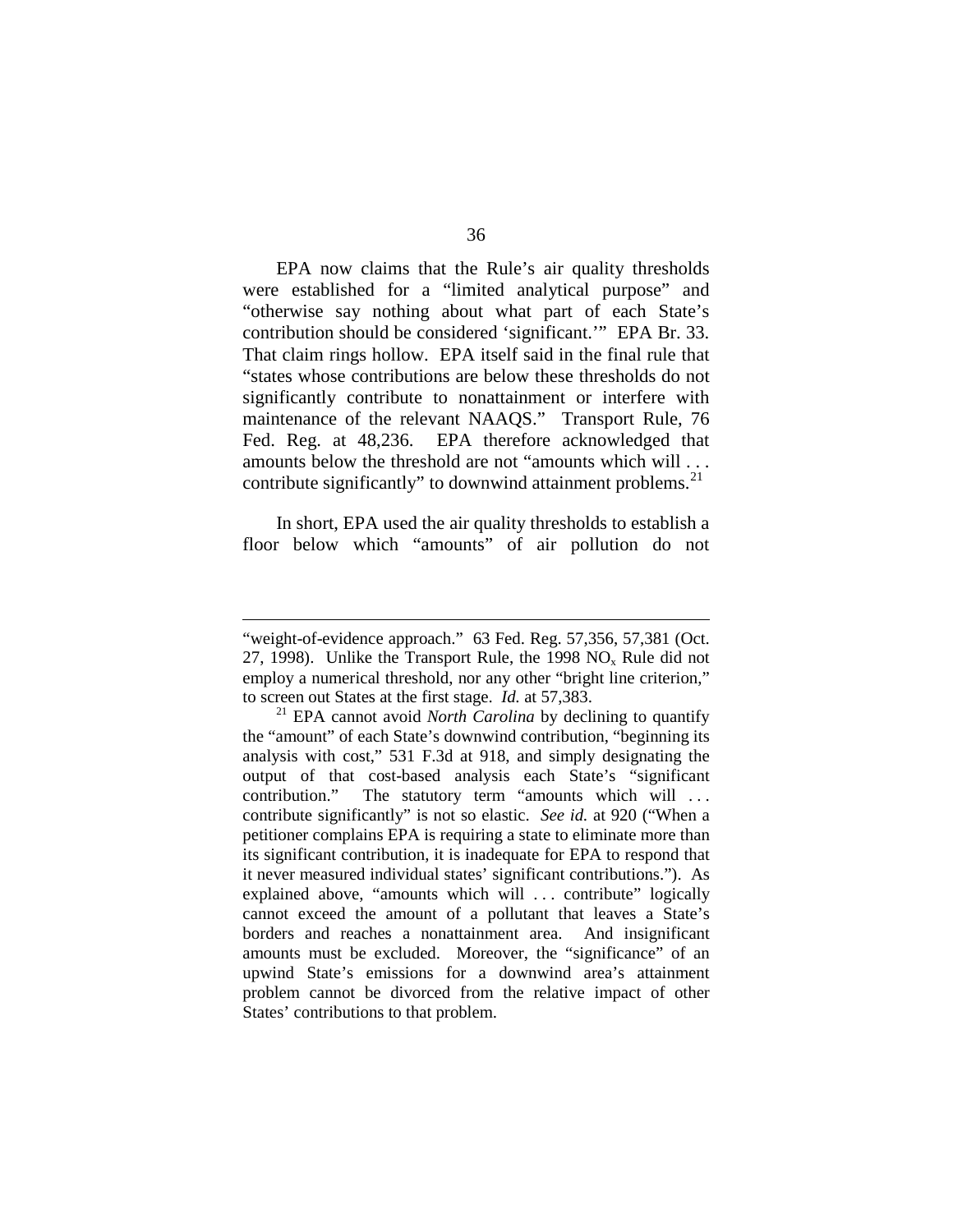EPA now claims that the Rule's air quality thresholds were established for a "limited analytical purpose" and "otherwise say nothing about what part of each State's contribution should be considered 'significant.'" EPA Br. 33. That claim rings hollow. EPA itself said in the final rule that "states whose contributions are below these thresholds do not significantly contribute to nonattainment or interfere with maintenance of the relevant NAAQS." Transport Rule, 76 Fed. Reg. at 48,236. EPA therefore acknowledged that amounts below the threshold are not "amounts which will . . . contribute significantly" to downwind attainment problems.<sup>[21](#page-35-0)</sup>

In short, EPA used the air quality thresholds to establish a floor below which "amounts" of air pollution do not

<sup>&</sup>quot;weight-of-evidence approach." 63 Fed. Reg. 57,356, 57,381 (Oct. 27, 1998). Unlike the Transport Rule, the 1998  $NO<sub>x</sub>$  Rule did not employ a numerical threshold, nor any other "bright line criterion," to screen out States at the first stage. *Id.* at 57,383.

<span id="page-35-0"></span><sup>&</sup>lt;sup>21</sup> EPA cannot avoid *North Carolina* by declining to quantify the "amount" of each State's downwind contribution, "beginning its analysis with cost," 531 F.3d at 918, and simply designating the output of that cost-based analysis each State's "significant contribution." The statutory term "amounts which will ... contribute significantly" is not so elastic. *See id.* at 920 ("When a petitioner complains EPA is requiring a state to eliminate more than its significant contribution, it is inadequate for EPA to respond that it never measured individual states' significant contributions."). As explained above, "amounts which will ... contribute" logically cannot exceed the amount of a pollutant that leaves a State's borders and reaches a nonattainment area. And insignificant amounts must be excluded. Moreover, the "significance" of an upwind State's emissions for a downwind area's attainment problem cannot be divorced from the relative impact of other States' contributions to that problem.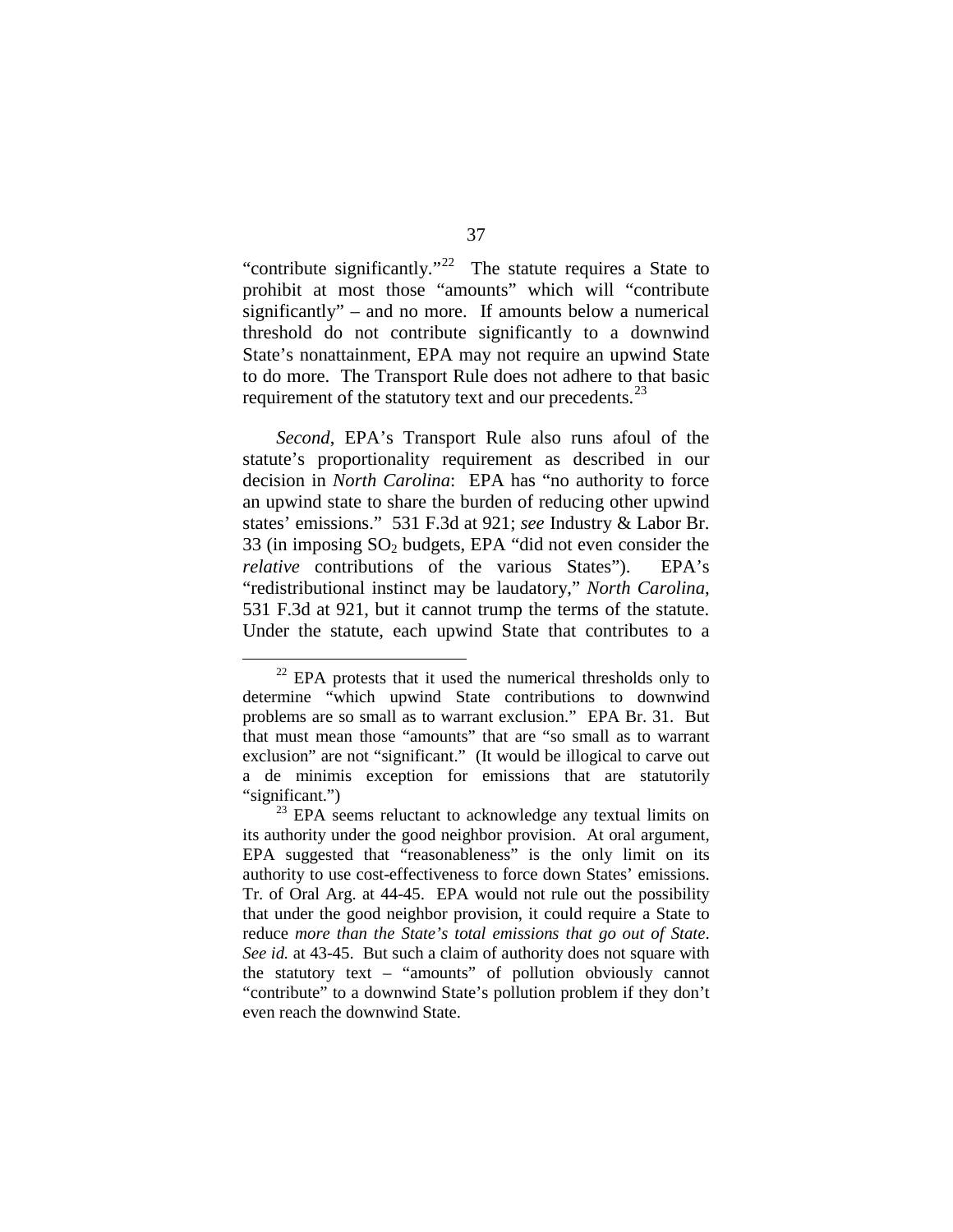"contribute significantly."<sup>[22](#page-36-0)</sup> The statute requires a State to prohibit at most those "amounts" which will "contribute significantly" – and no more. If amounts below a numerical threshold do not contribute significantly to a downwind State's nonattainment, EPA may not require an upwind State to do more. The Transport Rule does not adhere to that basic requirement of the statutory text and our precedents.<sup>[23](#page-36-1)</sup>

*Second*, EPA's Transport Rule also runs afoul of the statute's proportionality requirement as described in our decision in *North Carolina*: EPA has "no authority to force an upwind state to share the burden of reducing other upwind states' emissions." 531 F.3d at 921; *see* Industry & Labor Br. 33 (in imposing  $SO_2$  budgets, EPA "did not even consider the *relative* contributions of the various States"). EPA's "redistributional instinct may be laudatory," *North Carolina*, 531 F.3d at 921, but it cannot trump the terms of the statute. Under the statute, each upwind State that contributes to a

<span id="page-36-0"></span> $22$  EPA protests that it used the numerical thresholds only to determine "which upwind State contributions to downwind problems are so small as to warrant exclusion." EPA Br. 31. But that must mean those "amounts" that are "so small as to warrant exclusion" are not "significant." (It would be illogical to carve out a de minimis exception for emissions that are statutorily "significant.")

<span id="page-36-1"></span><sup>&</sup>lt;sup>23</sup> EPA seems reluctant to acknowledge any textual limits on its authority under the good neighbor provision. At oral argument, EPA suggested that "reasonableness" is the only limit on its authority to use cost-effectiveness to force down States' emissions. Tr. of Oral Arg. at 44-45. EPA would not rule out the possibility that under the good neighbor provision, it could require a State to reduce *more than the State's total emissions that go out of State*. *See id.* at 43-45.But such a claim of authority does not square with the statutory text – "amounts" of pollution obviously cannot "contribute" to a downwind State's pollution problem if they don't even reach the downwind State.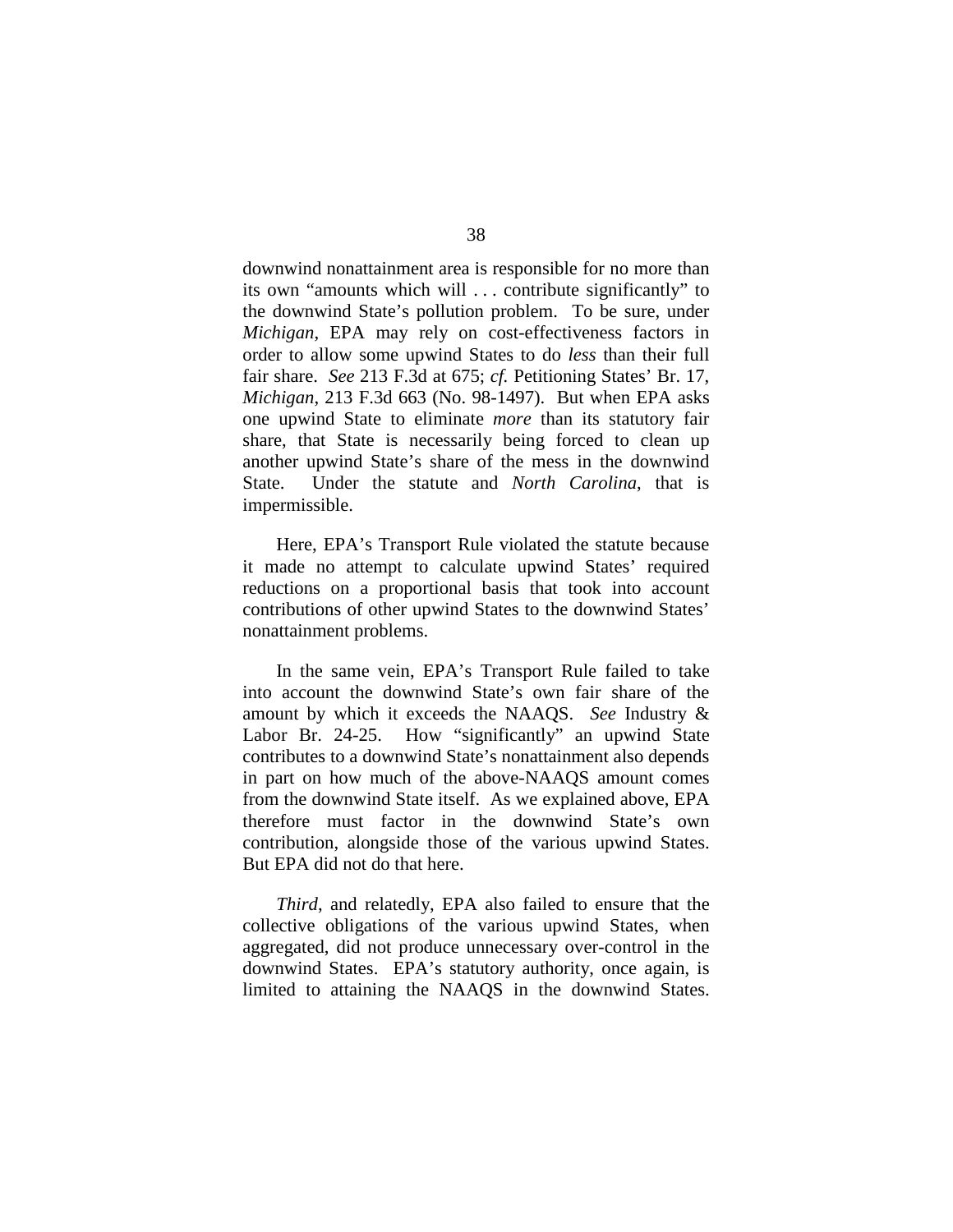downwind nonattainment area is responsible for no more than its own "amounts which will . . . contribute significantly" to the downwind State's pollution problem. To be sure, under *Michigan*, EPA may rely on cost-effectiveness factors in order to allow some upwind States to do *less* than their full fair share. *See* 213 F.3d at 675; *cf.* Petitioning States' Br. 17, *Michigan*, 213 F.3d 663 (No. 98-1497). But when EPA asks one upwind State to eliminate *more* than its statutory fair share, that State is necessarily being forced to clean up another upwind State's share of the mess in the downwind State. Under the statute and *North Carolina*, that is impermissible.

Here, EPA's Transport Rule violated the statute because it made no attempt to calculate upwind States' required reductions on a proportional basis that took into account contributions of other upwind States to the downwind States' nonattainment problems.

In the same vein, EPA's Transport Rule failed to take into account the downwind State's own fair share of the amount by which it exceeds the NAAQS. *See* Industry & Labor Br. 24-25. How "significantly" an upwind State contributes to a downwind State's nonattainment also depends in part on how much of the above-NAAQS amount comes from the downwind State itself. As we explained above, EPA therefore must factor in the downwind State's own contribution, alongside those of the various upwind States. But EPA did not do that here.

*Third*, and relatedly, EPA also failed to ensure that the collective obligations of the various upwind States, when aggregated, did not produce unnecessary over-control in the downwind States. EPA's statutory authority, once again, is limited to attaining the NAAQS in the downwind States.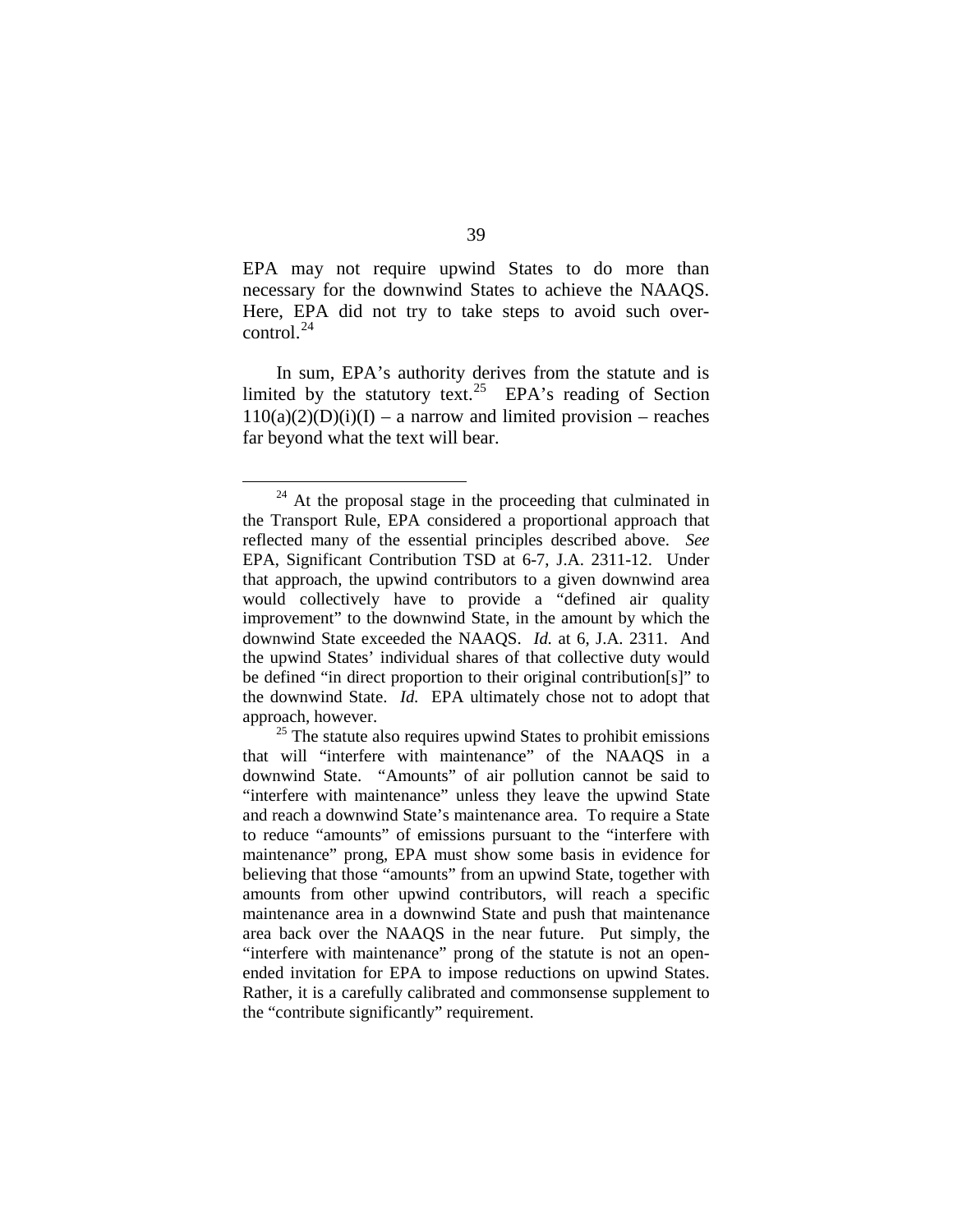EPA may not require upwind States to do more than necessary for the downwind States to achieve the NAAQS. Here, EPA did not try to take steps to avoid such over-control.<sup>[24](#page-38-0)</sup>

In sum, EPA's authority derives from the statute and is limited by the statutory text.<sup>25</sup> EPA's reading of Section  $110(a)(2)(D)(i)(I) - a$  narrow and limited provision – reaches far beyond what the text will bear.

<span id="page-38-0"></span> $24$  At the proposal stage in the proceeding that culminated in the Transport Rule, EPA considered a proportional approach that reflected many of the essential principles described above. *See*  EPA, Significant Contribution TSD at 6-7, J.A. 2311-12. Under that approach, the upwind contributors to a given downwind area would collectively have to provide a "defined air quality improvement" to the downwind State, in the amount by which the downwind State exceeded the NAAQS. *Id.* at 6, J.A. 2311. And the upwind States' individual shares of that collective duty would be defined "in direct proportion to their original contribution[s]" to the downwind State. *Id.* EPA ultimately chose not to adopt that approach, however.

<span id="page-38-1"></span> $25$  The statute also requires upwind States to prohibit emissions that will "interfere with maintenance" of the NAAQS in a downwind State. "Amounts" of air pollution cannot be said to "interfere with maintenance" unless they leave the upwind State and reach a downwind State's maintenance area. To require a State to reduce "amounts" of emissions pursuant to the "interfere with maintenance" prong, EPA must show some basis in evidence for believing that those "amounts" from an upwind State, together with amounts from other upwind contributors, will reach a specific maintenance area in a downwind State and push that maintenance area back over the NAAQS in the near future. Put simply, the "interfere with maintenance" prong of the statute is not an openended invitation for EPA to impose reductions on upwind States. Rather, it is a carefully calibrated and commonsense supplement to the "contribute significantly" requirement.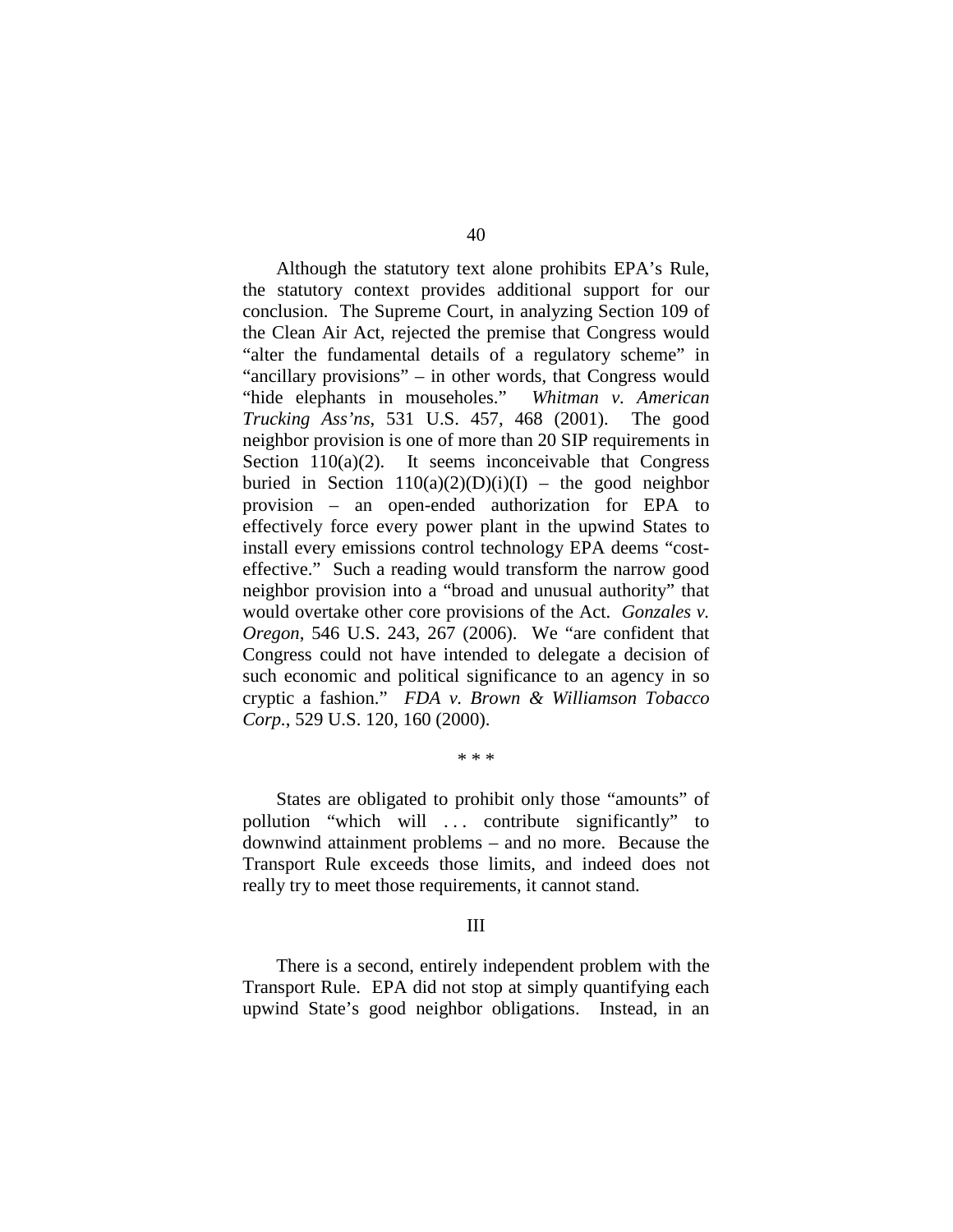Although the statutory text alone prohibits EPA's Rule, the statutory context provides additional support for our conclusion. The Supreme Court, in analyzing Section 109 of the Clean Air Act, rejected the premise that Congress would "alter the fundamental details of a regulatory scheme" in "ancillary provisions" – in other words, that Congress would "hide elephants in mouseholes." *Whitman v. American Trucking Ass'ns*, 531 U.S. 457, 468 (2001). The good neighbor provision is one of more than 20 SIP requirements in Section  $110(a)(2)$ . It seems inconceivable that Congress buried in Section  $110(a)(2)(D)(i)(I)$  – the good neighbor provision – an open-ended authorization for EPA to effectively force every power plant in the upwind States to install every emissions control technology EPA deems "costeffective." Such a reading would transform the narrow good neighbor provision into a "broad and unusual authority" that would overtake other core provisions of the Act. *Gonzales v. Oregon*, 546 U.S. 243, 267 (2006). We "are confident that Congress could not have intended to delegate a decision of such economic and political significance to an agency in so cryptic a fashion." *FDA v. Brown & Williamson Tobacco Corp.*, 529 U.S. 120, 160 (2000).

\* \* \*

States are obligated to prohibit only those "amounts" of pollution "which will ... contribute significantly" to downwind attainment problems – and no more. Because the Transport Rule exceeds those limits, and indeed does not really try to meet those requirements, it cannot stand.

## III

There is a second, entirely independent problem with the Transport Rule. EPA did not stop at simply quantifying each upwind State's good neighbor obligations. Instead, in an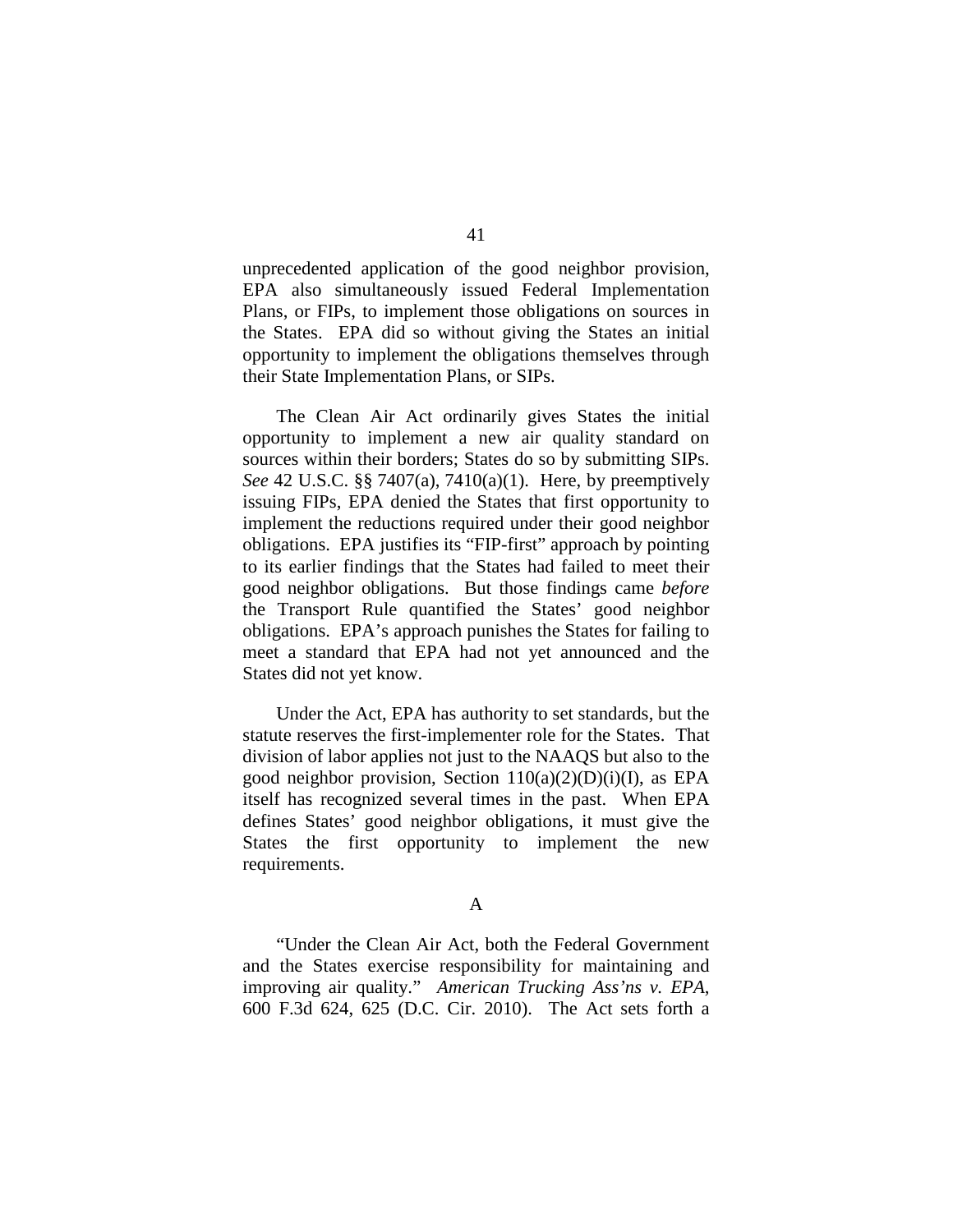unprecedented application of the good neighbor provision, EPA also simultaneously issued Federal Implementation Plans, or FIPs, to implement those obligations on sources in the States. EPA did so without giving the States an initial opportunity to implement the obligations themselves through their State Implementation Plans, or SIPs.

The Clean Air Act ordinarily gives States the initial opportunity to implement a new air quality standard on sources within their borders; States do so by submitting SIPs. *See* 42 U.S.C. §§ 7407(a), 7410(a)(1). Here, by preemptively issuing FIPs, EPA denied the States that first opportunity to implement the reductions required under their good neighbor obligations. EPA justifies its "FIP-first" approach by pointing to its earlier findings that the States had failed to meet their good neighbor obligations. But those findings came *before* the Transport Rule quantified the States' good neighbor obligations. EPA's approach punishes the States for failing to meet a standard that EPA had not yet announced and the States did not yet know.

Under the Act, EPA has authority to set standards, but the statute reserves the first-implementer role for the States. That division of labor applies not just to the NAAQS but also to the good neighbor provision, Section 110(a)(2)(D)(i)(I), as EPA itself has recognized several times in the past. When EPA defines States' good neighbor obligations, it must give the States the first opportunity to implement the new requirements.

# A

"Under the Clean Air Act, both the Federal Government and the States exercise responsibility for maintaining and improving air quality." *American Trucking Ass'ns v. EPA*, 600 F.3d 624, 625 (D.C. Cir. 2010). The Act sets forth a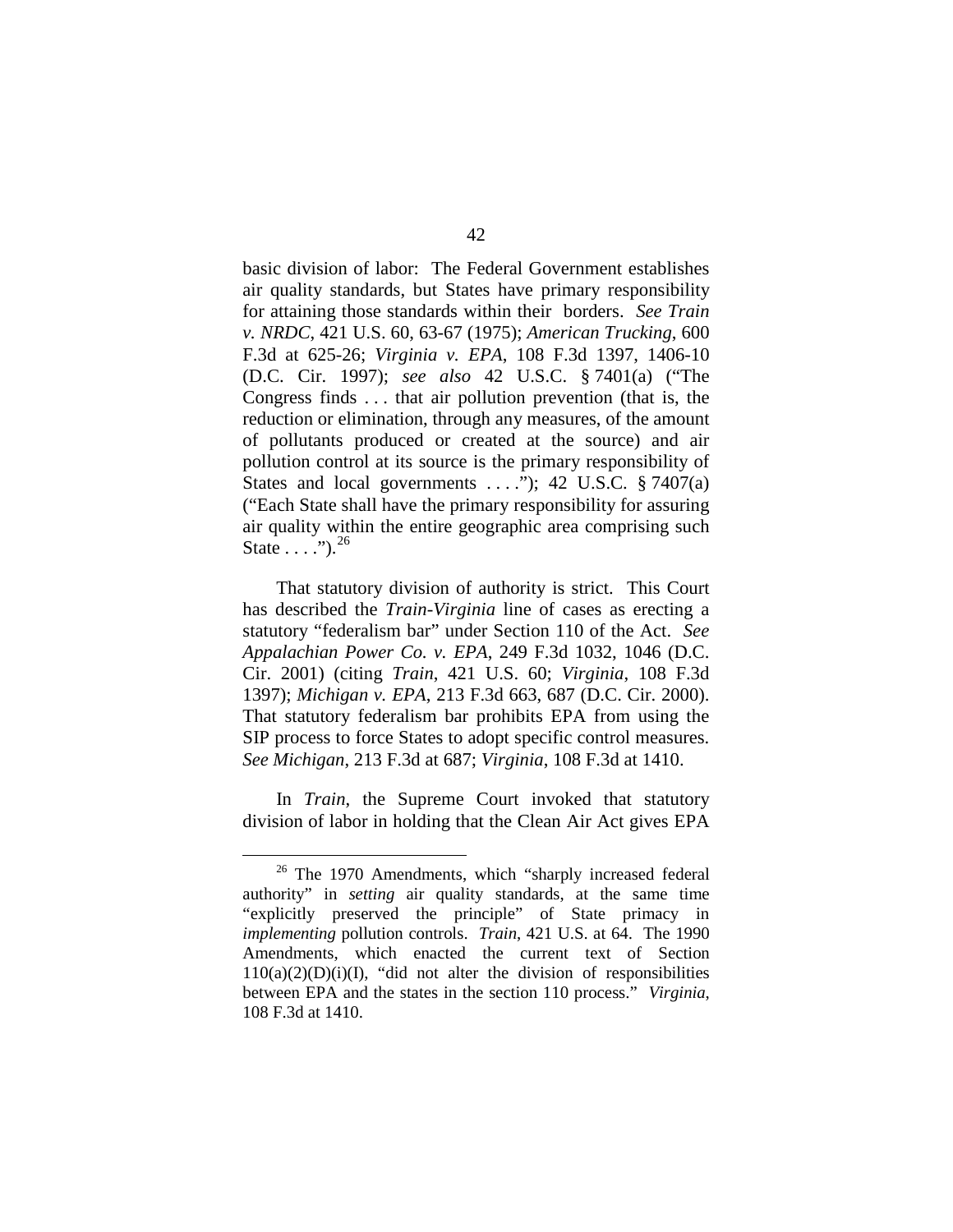basic division of labor: The Federal Government establishes air quality standards, but States have primary responsibility for attaining those standards within their borders. *See Train v. NRDC*, 421 U.S. 60, 63-67 (1975); *American Trucking*, 600 F.3d at 625-26; *Virginia v. EPA*, 108 F.3d 1397, 1406-10 (D.C. Cir. 1997); *see also* 42 U.S.C. § 7401(a) ("The Congress finds . . . that air pollution prevention (that is, the reduction or elimination, through any measures, of the amount of pollutants produced or created at the source) and air pollution control at its source is the primary responsibility of States and local governments  $\dots$ "); 42 U.S.C. § 7407(a) ("Each State shall have the primary responsibility for assuring air quality within the entire geographic area comprising such State  $\dots$ ").<sup>[26](#page-41-0)</sup>

That statutory division of authority is strict. This Court has described the *Train*-*Virginia* line of cases as erecting a statutory "federalism bar" under Section 110 of the Act. *See Appalachian Power Co. v. EPA*, 249 F.3d 1032, 1046 (D.C. Cir. 2001) (citing *Train*, 421 U.S. 60; *Virginia*, 108 F.3d 1397); *Michigan v. EPA*, 213 F.3d 663, 687 (D.C. Cir. 2000). That statutory federalism bar prohibits EPA from using the SIP process to force States to adopt specific control measures. *See Michigan*, 213 F.3d at 687; *Virginia*, 108 F.3d at 1410.

In *Train*, the Supreme Court invoked that statutory division of labor in holding that the Clean Air Act gives EPA

<span id="page-41-0"></span> $26$  The 1970 Amendments, which "sharply increased federal authority" in *setting* air quality standards, at the same time "explicitly preserved the principle" of State primacy in *implementing* pollution controls. *Train*, 421 U.S. at 64. The 1990 Amendments, which enacted the current text of Section  $110(a)(2)(D)(i)(I)$ , "did not alter the division of responsibilities between EPA and the states in the section 110 process." *Virginia*, 108 F.3d at 1410.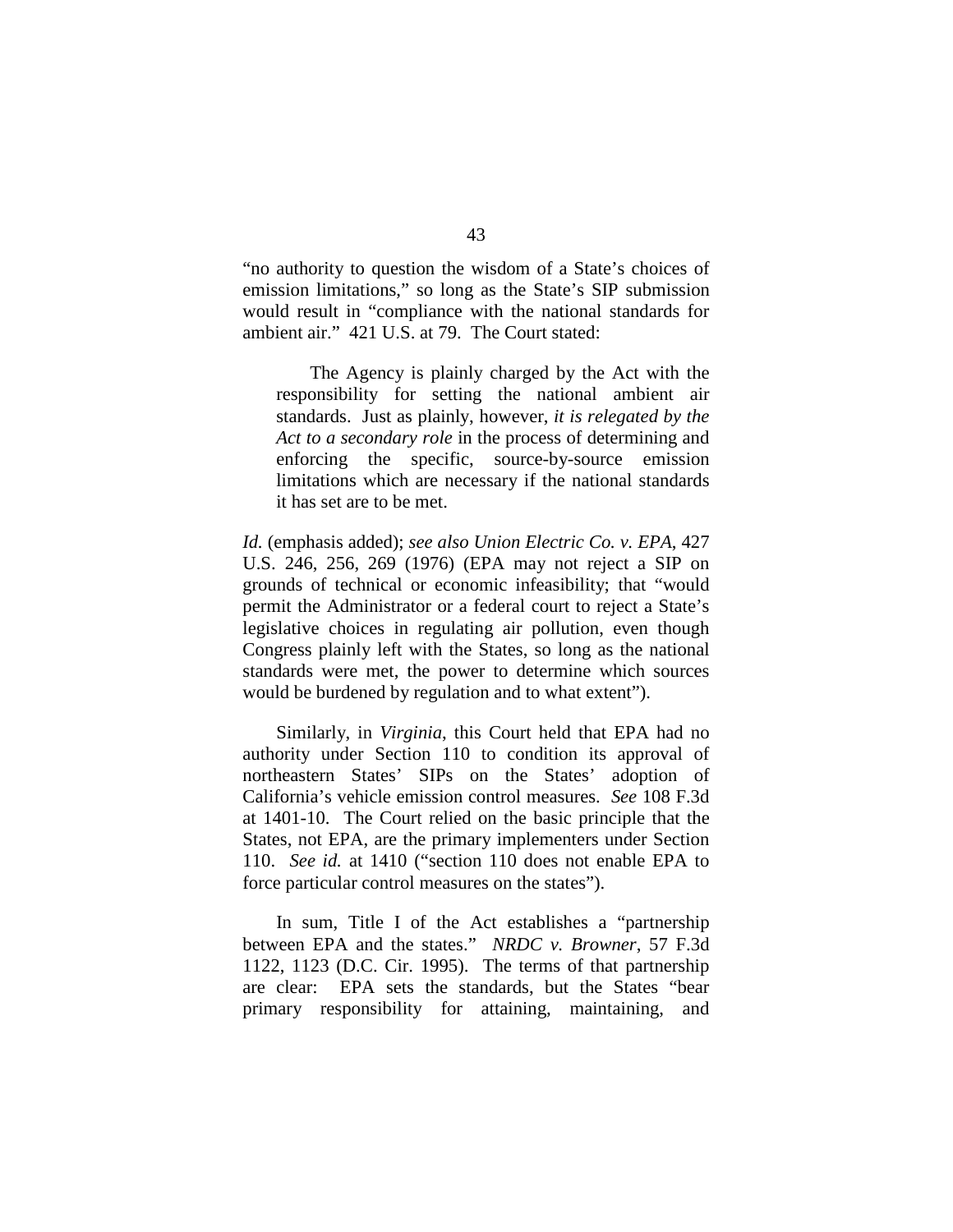"no authority to question the wisdom of a State's choices of emission limitations," so long as the State's SIP submission would result in "compliance with the national standards for ambient air." 421 U.S. at 79. The Court stated:

The Agency is plainly charged by the Act with the responsibility for setting the national ambient air standards. Just as plainly, however, *it is relegated by the Act to a secondary role* in the process of determining and enforcing the specific, source-by-source emission limitations which are necessary if the national standards it has set are to be met.

*Id.* (emphasis added); *see also Union Electric Co. v. EPA*, 427 U.S. 246, 256, 269 (1976) (EPA may not reject a SIP on grounds of technical or economic infeasibility; that "would permit the Administrator or a federal court to reject a State's legislative choices in regulating air pollution, even though Congress plainly left with the States, so long as the national standards were met, the power to determine which sources would be burdened by regulation and to what extent").

Similarly, in *Virginia*, this Court held that EPA had no authority under Section 110 to condition its approval of northeastern States' SIPs on the States' adoption of California's vehicle emission control measures. *See* 108 F.3d at 1401-10. The Court relied on the basic principle that the States, not EPA, are the primary implementers under Section 110. *See id.* at 1410 ("section 110 does not enable EPA to force particular control measures on the states").

In sum, Title I of the Act establishes a "partnership between EPA and the states." *NRDC v. Browner*, 57 F.3d 1122, 1123 (D.C. Cir. 1995). The terms of that partnership are clear: EPA sets the standards, but the States "bear primary responsibility for attaining, maintaining, and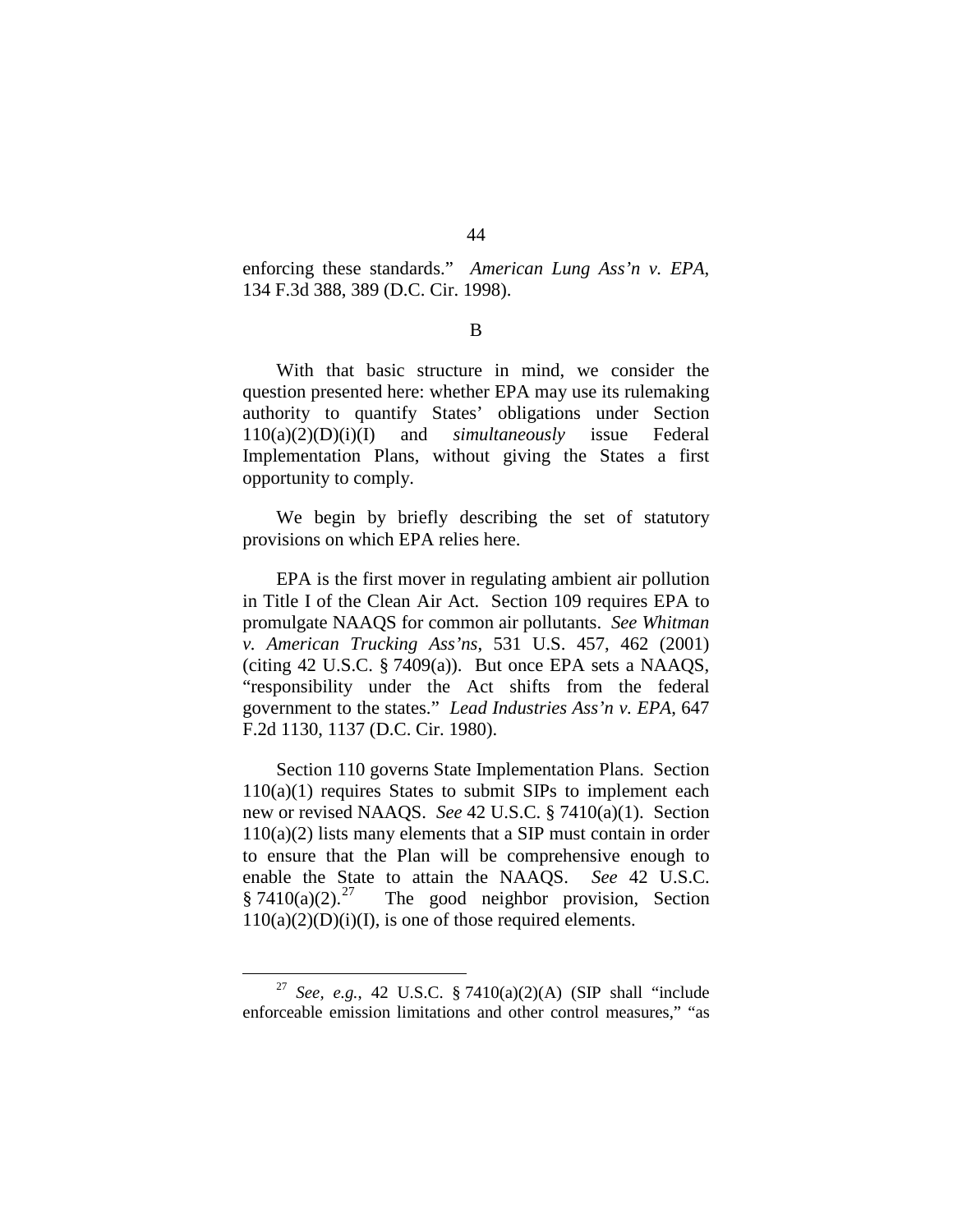enforcing these standards." *American Lung Ass'n v. EPA*, 134 F.3d 388, 389 (D.C. Cir. 1998).

B

With that basic structure in mind, we consider the question presented here: whether EPA may use its rulemaking authority to quantify States' obligations under Section 110(a)(2)(D)(i)(I) and *simultaneously* issue Federal Implementation Plans, without giving the States a first opportunity to comply.

We begin by briefly describing the set of statutory provisions on which EPA relies here.

EPA is the first mover in regulating ambient air pollution in Title I of the Clean Air Act. Section 109 requires EPA to promulgate NAAQS for common air pollutants. *See Whitman v. American Trucking Ass'ns*, 531 U.S. 457, 462 (2001) (citing 42 U.S.C. § 7409(a)). But once EPA sets a NAAQS, "responsibility under the Act shifts from the federal government to the states." *Lead Industries Ass'n v. EPA*, 647 F.2d 1130, 1137 (D.C. Cir. 1980).

Section 110 governs State Implementation Plans. Section 110(a)(1) requires States to submit SIPs to implement each new or revised NAAQS. *See* 42 U.S.C. § 7410(a)(1). Section 110(a)(2) lists many elements that a SIP must contain in order to ensure that the Plan will be comprehensive enough to enable the State to attain the NAAQS. *See* 42 U.S.C.  $§ 7410(a)(2).^{27}$  $§ 7410(a)(2).^{27}$  $§ 7410(a)(2).^{27}$  The good neighbor provision, Section  $110(a)(2)(D)(i)(I)$ , is one of those required elements.

<span id="page-43-0"></span><sup>&</sup>lt;sup>27</sup> *See, e.g.*, 42 U.S.C. § 7410(a)(2)(A) (SIP shall "include enforceable emission limitations and other control measures," "as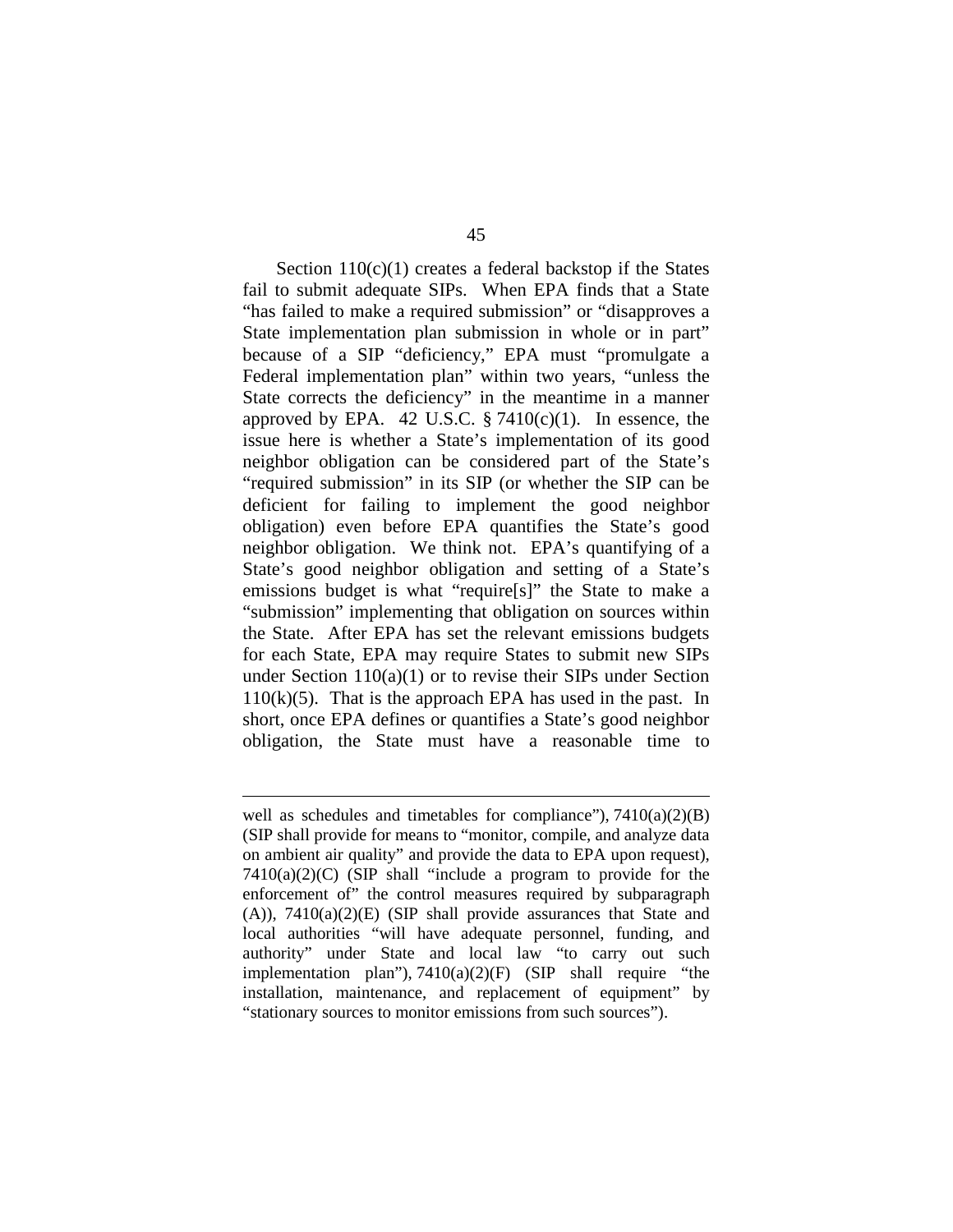Section  $110(c)(1)$  creates a federal backstop if the States fail to submit adequate SIPs. When EPA finds that a State "has failed to make a required submission" or "disapproves a State implementation plan submission in whole or in part" because of a SIP "deficiency," EPA must "promulgate a Federal implementation plan" within two years, "unless the State corrects the deficiency" in the meantime in a manner approved by EPA. 42 U.S.C.  $\S$  7410(c)(1). In essence, the issue here is whether a State's implementation of its good neighbor obligation can be considered part of the State's "required submission" in its SIP (or whether the SIP can be deficient for failing to implement the good neighbor obligation) even before EPA quantifies the State's good neighbor obligation. We think not. EPA's quantifying of a State's good neighbor obligation and setting of a State's emissions budget is what "require[s]" the State to make a "submission" implementing that obligation on sources within the State. After EPA has set the relevant emissions budgets for each State, EPA may require States to submit new SIPs under Section 110(a)(1) or to revise their SIPs under Section  $110(k)(5)$ . That is the approach EPA has used in the past. In short, once EPA defines or quantifies a State's good neighbor obligation, the State must have a reasonable time to

 $\overline{a}$ 

well as schedules and timetables for compliance"),  $7410(a)(2)(B)$ (SIP shall provide for means to "monitor, compile, and analyze data on ambient air quality" and provide the data to EPA upon request),  $7410(a)(2)(C)$  (SIP shall "include a program to provide for the enforcement of" the control measures required by subparagraph (A)), 7410(a)(2)(E) (SIP shall provide assurances that State and local authorities "will have adequate personnel, funding, and authority" under State and local law "to carry out such implementation plan"),  $7410(a)(2)(F)$  (SIP shall require "the installation, maintenance, and replacement of equipment" by "stationary sources to monitor emissions from such sources").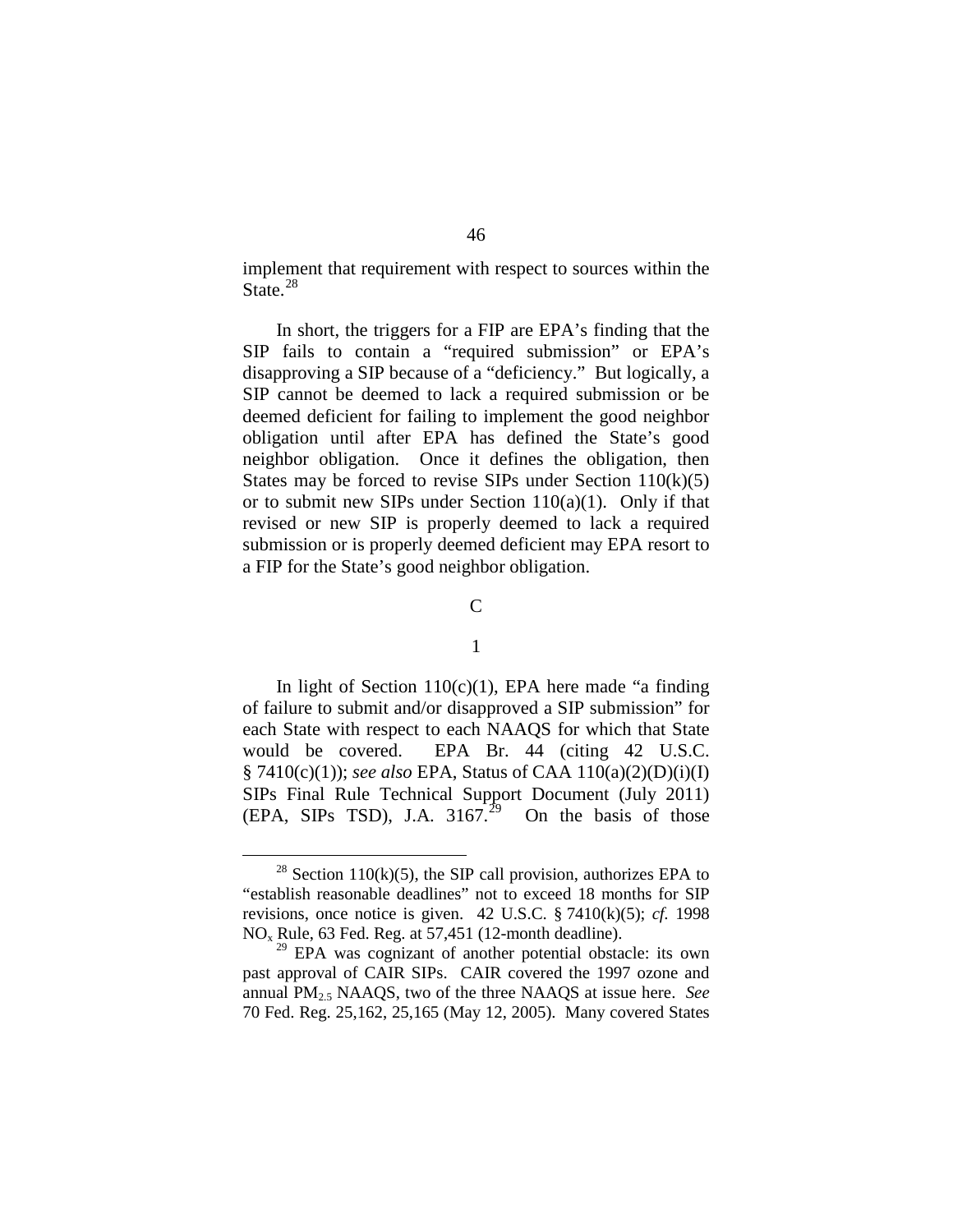implement that requirement with respect to sources within the State. $^{28}$  $^{28}$  $^{28}$ 

In short, the triggers for a FIP are EPA's finding that the SIP fails to contain a "required submission" or EPA's disapproving a SIP because of a "deficiency." But logically, a SIP cannot be deemed to lack a required submission or be deemed deficient for failing to implement the good neighbor obligation until after EPA has defined the State's good neighbor obligation. Once it defines the obligation, then States may be forced to revise SIPs under Section  $110(k)(5)$ or to submit new SIPs under Section  $110(a)(1)$ . Only if that revised or new SIP is properly deemed to lack a required submission or is properly deemed deficient may EPA resort to a FIP for the State's good neighbor obligation.

## $\mathcal{C}$

#### 1

In light of Section  $110(c)(1)$ , EPA here made "a finding of failure to submit and/or disapproved a SIP submission" for each State with respect to each NAAQS for which that State would be covered. EPA Br. 44 (citing 42 U.S.C. § 7410(c)(1)); *see also* EPA, Status of CAA 110(a)(2)(D)(i)(I) SIPs Final Rule Technical Support Document (July 2011) (EPA, SIPs TSD), J.A.  $3167.29$  $3167.29$  On the basis of those

<span id="page-45-0"></span><sup>&</sup>lt;sup>28</sup> Section 110(k)(5), the SIP call provision, authorizes EPA to "establish reasonable deadlines" not to exceed 18 months for SIP revisions, once notice is given. 42 U.S.C. § 7410(k)(5); *cf.* 1998 NO<sub>x</sub> Rule, 63 Fed. Reg. at 57,451 (12-month deadline).<br><sup>29</sup> EPA was cognizant of another potential obstacle: its own

<span id="page-45-1"></span>past approval of CAIR SIPs. CAIR covered the 1997 ozone and annual PM2.5 NAAQS, two of the three NAAQS at issue here. *See*  70 Fed. Reg. 25,162, 25,165 (May 12, 2005). Many covered States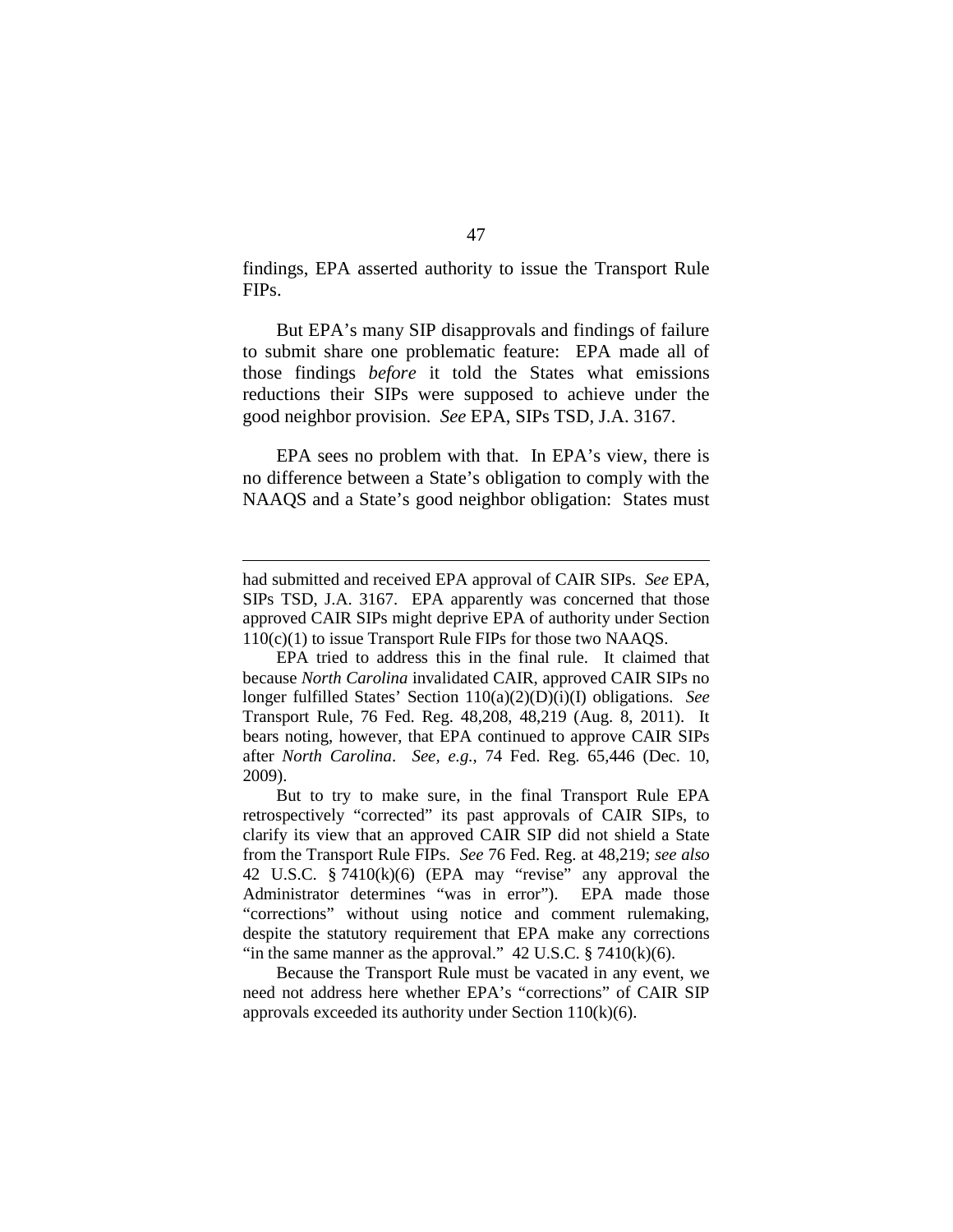findings, EPA asserted authority to issue the Transport Rule FIPs.

But EPA's many SIP disapprovals and findings of failure to submit share one problematic feature: EPA made all of those findings *before* it told the States what emissions reductions their SIPs were supposed to achieve under the good neighbor provision. *See* EPA, SIPs TSD, J.A. 3167.

EPA sees no problem with that. In EPA's view, there is no difference between a State's obligation to comply with the NAAQS and a State's good neighbor obligation: States must

 $\overline{a}$ 

had submitted and received EPA approval of CAIR SIPs. *See* EPA, SIPs TSD, J.A. 3167. EPA apparently was concerned that those approved CAIR SIPs might deprive EPA of authority under Section 110(c)(1) to issue Transport Rule FIPs for those two NAAQS.

EPA tried to address this in the final rule. It claimed that because *North Carolina* invalidated CAIR, approved CAIR SIPs no longer fulfilled States' Section 110(a)(2)(D)(i)(I) obligations. *See*  Transport Rule, 76 Fed. Reg. 48,208, 48,219 (Aug. 8, 2011). It bears noting, however, that EPA continued to approve CAIR SIPs after *North Carolina*. *See, e.g.*, 74 Fed. Reg. 65,446 (Dec. 10, 2009).

But to try to make sure, in the final Transport Rule EPA retrospectively "corrected" its past approvals of CAIR SIPs, to clarify its view that an approved CAIR SIP did not shield a State from the Transport Rule FIPs. *See* 76 Fed. Reg. at 48,219; *see also*  42 U.S.C. § 7410(k)(6) (EPA may "revise" any approval the Administrator determines "was in error"). EPA made those "corrections" without using notice and comment rulemaking, despite the statutory requirement that EPA make any corrections "in the same manner as the approval."  $42 \text{ U.S.C. }$  \$7410(k)(6).

Because the Transport Rule must be vacated in any event, we need not address here whether EPA's "corrections" of CAIR SIP approvals exceeded its authority under Section 110(k)(6).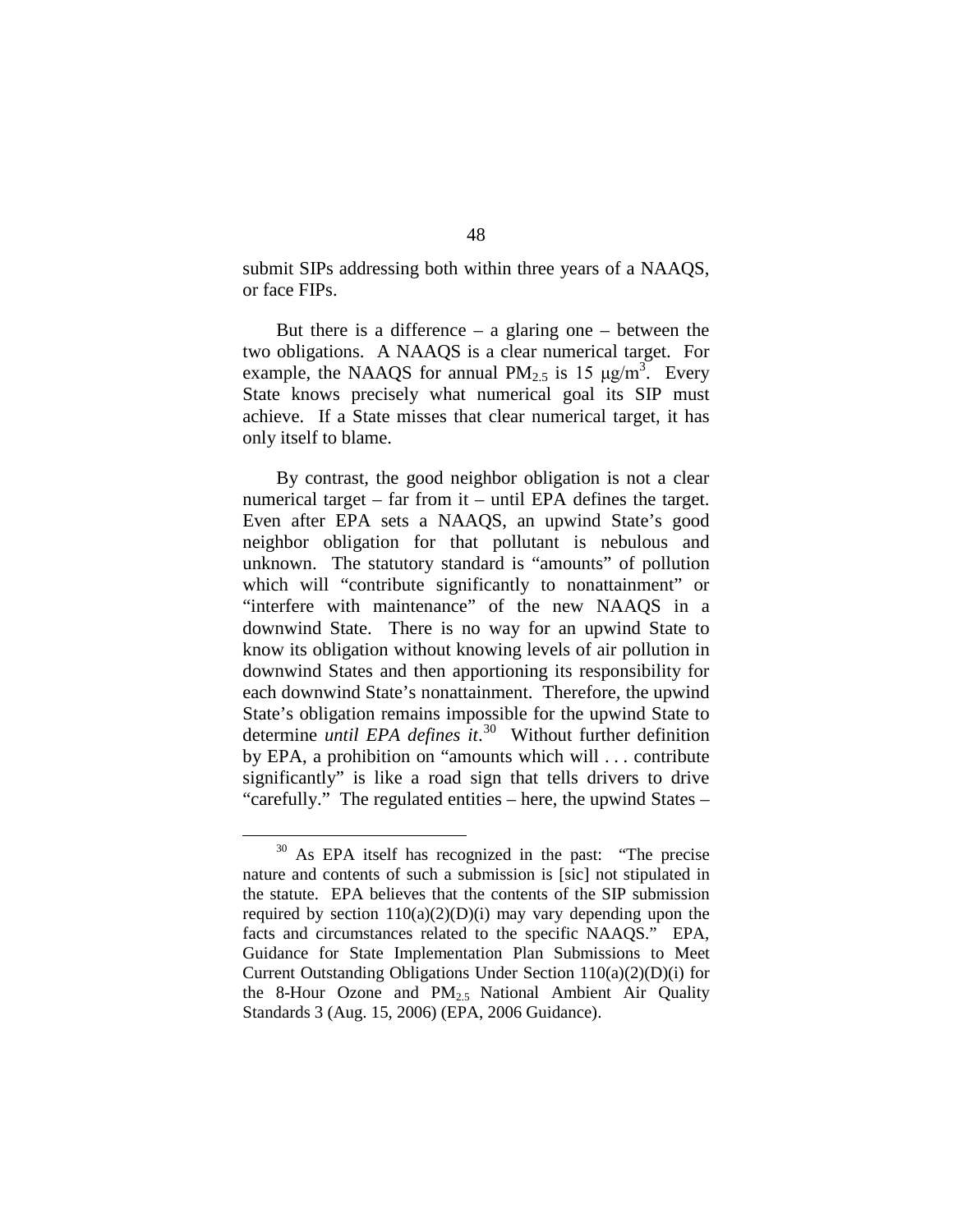submit SIPs addressing both within three years of a NAAQS, or face FIPs.

But there is a difference  $-$  a glaring one  $-$  between the two obligations. A NAAQS is a clear numerical target. For example, the NAAQS for annual  $PM_{2.5}$  is 15  $\mu$ g/m<sup>3</sup>. Every State knows precisely what numerical goal its SIP must achieve. If a State misses that clear numerical target, it has only itself to blame.

By contrast, the good neighbor obligation is not a clear numerical target – far from it – until EPA defines the target. Even after EPA sets a NAAQS, an upwind State's good neighbor obligation for that pollutant is nebulous and unknown. The statutory standard is "amounts" of pollution which will "contribute significantly to nonattainment" or "interfere with maintenance" of the new NAAQS in a downwind State. There is no way for an upwind State to know its obligation without knowing levels of air pollution in downwind States and then apportioning its responsibility for each downwind State's nonattainment. Therefore, the upwind State's obligation remains impossible for the upwind State to determine *until EPA defines it*. [30](#page-47-0) Without further definition by EPA, a prohibition on "amounts which will . . . contribute significantly" is like a road sign that tells drivers to drive "carefully." The regulated entities – here, the upwind States –

<span id="page-47-0"></span><sup>&</sup>lt;sup>30</sup> As EPA itself has recognized in the past: "The precise nature and contents of such a submission is [sic] not stipulated in the statute. EPA believes that the contents of the SIP submission required by section  $110(a)(2)(D)(i)$  may vary depending upon the facts and circumstances related to the specific NAAQS." EPA, Guidance for State Implementation Plan Submissions to Meet Current Outstanding Obligations Under Section 110(a)(2)(D)(i) for the 8-Hour Ozone and PM<sub>2.5</sub> National Ambient Air Quality Standards 3 (Aug. 15, 2006) (EPA, 2006 Guidance).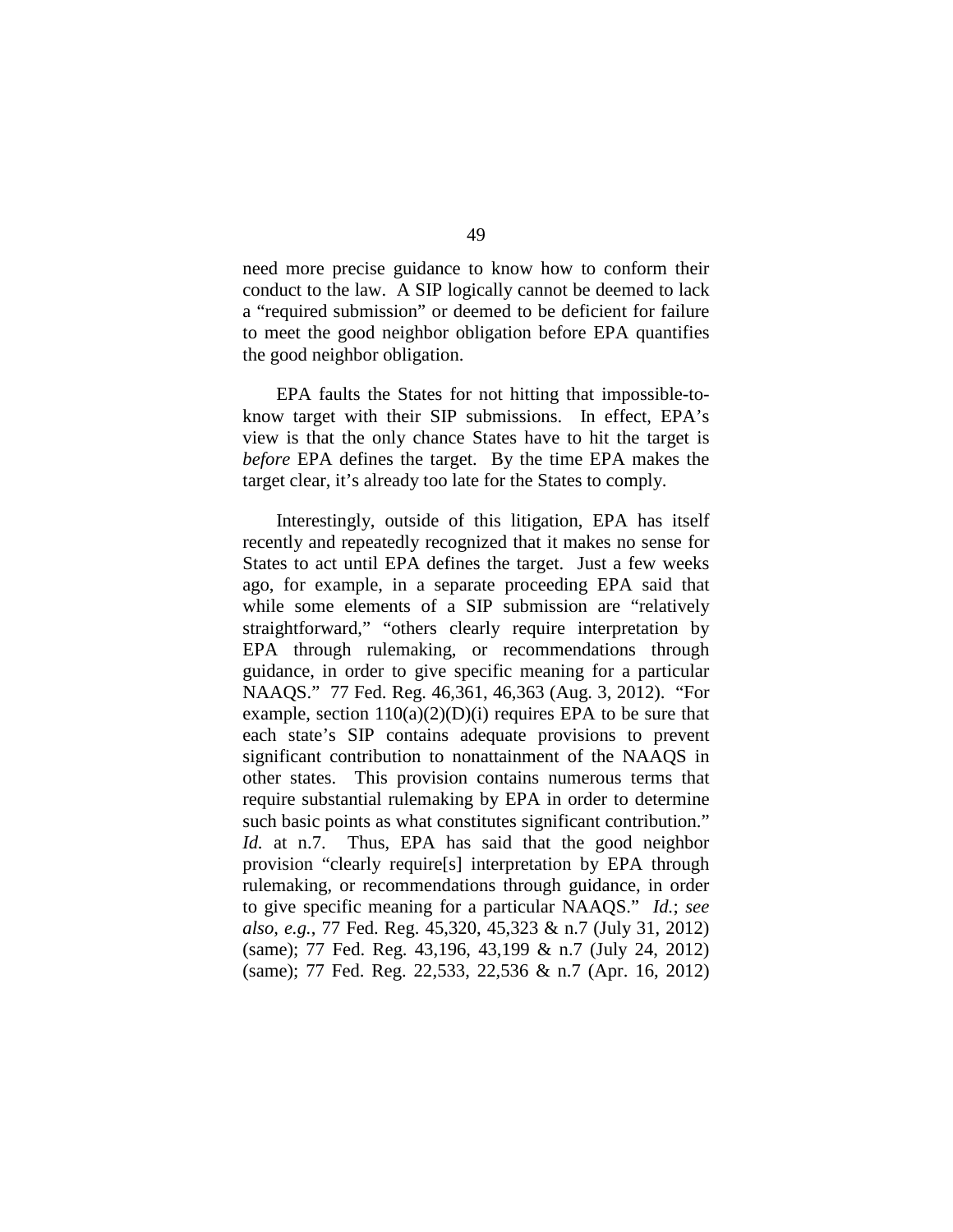need more precise guidance to know how to conform their conduct to the law. A SIP logically cannot be deemed to lack a "required submission" or deemed to be deficient for failure to meet the good neighbor obligation before EPA quantifies the good neighbor obligation.

EPA faults the States for not hitting that impossible-toknow target with their SIP submissions. In effect, EPA's view is that the only chance States have to hit the target is *before* EPA defines the target. By the time EPA makes the target clear, it's already too late for the States to comply.

Interestingly, outside of this litigation, EPA has itself recently and repeatedly recognized that it makes no sense for States to act until EPA defines the target. Just a few weeks ago, for example, in a separate proceeding EPA said that while some elements of a SIP submission are "relatively straightforward," "others clearly require interpretation by EPA through rulemaking, or recommendations through guidance, in order to give specific meaning for a particular NAAQS." 77 Fed. Reg. 46,361, 46,363 (Aug. 3, 2012). "For example, section  $110(a)(2)(D)(i)$  requires EPA to be sure that each state's SIP contains adequate provisions to prevent significant contribution to nonattainment of the NAAQS in other states. This provision contains numerous terms that require substantial rulemaking by EPA in order to determine such basic points as what constitutes significant contribution." *Id.* at n.7. Thus, EPA has said that the good neighbor provision "clearly require[s] interpretation by EPA through rulemaking, or recommendations through guidance, in order to give specific meaning for a particular NAAQS." *Id.*; *see also, e.g.*, 77 Fed. Reg. 45,320, 45,323 & n.7 (July 31, 2012) (same); 77 Fed. Reg. 43,196, 43,199 & n.7 (July 24, 2012) (same); 77 Fed. Reg. 22,533, 22,536 & n.7 (Apr. 16, 2012)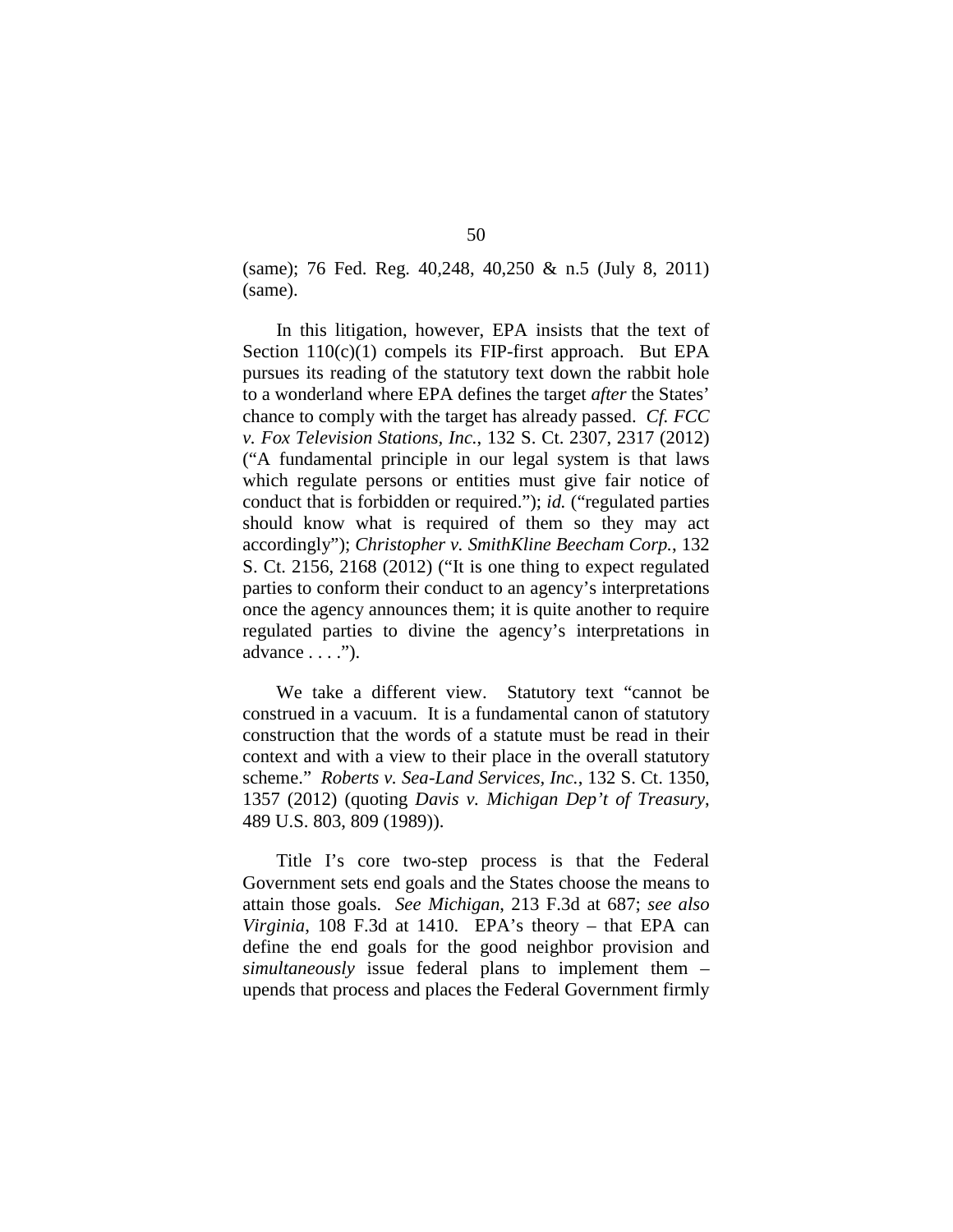(same); 76 Fed. Reg. 40,248, 40,250 & n.5 (July 8, 2011) (same).

In this litigation, however, EPA insists that the text of Section  $110(c)(1)$  compels its FIP-first approach. But EPA pursues its reading of the statutory text down the rabbit hole to a wonderland where EPA defines the target *after* the States' chance to comply with the target has already passed. *Cf. FCC v. Fox Television Stations, Inc.*, 132 S. Ct. 2307, 2317 (2012) ("A fundamental principle in our legal system is that laws which regulate persons or entities must give fair notice of conduct that is forbidden or required."); *id.* ("regulated parties should know what is required of them so they may act accordingly"); *Christopher v. SmithKline Beecham Corp.*, 132 S. Ct. 2156, 2168 (2012) ("It is one thing to expect regulated parties to conform their conduct to an agency's interpretations once the agency announces them; it is quite another to require regulated parties to divine the agency's interpretations in advance . . . .").

We take a different view. Statutory text "cannot be construed in a vacuum. It is a fundamental canon of statutory construction that the words of a statute must be read in their context and with a view to their place in the overall statutory scheme." *Roberts v. Sea-Land Services, Inc.*, 132 S. Ct. 1350, 1357 (2012) (quoting *Davis v. Michigan Dep't of Treasury*, 489 U.S. 803, 809 (1989)).

Title I's core two-step process is that the Federal Government sets end goals and the States choose the means to attain those goals. *See Michigan*, 213 F.3d at 687; *see also Virginia*, 108 F.3d at 1410. EPA's theory – that EPA can define the end goals for the good neighbor provision and *simultaneously* issue federal plans to implement them – upends that process and places the Federal Government firmly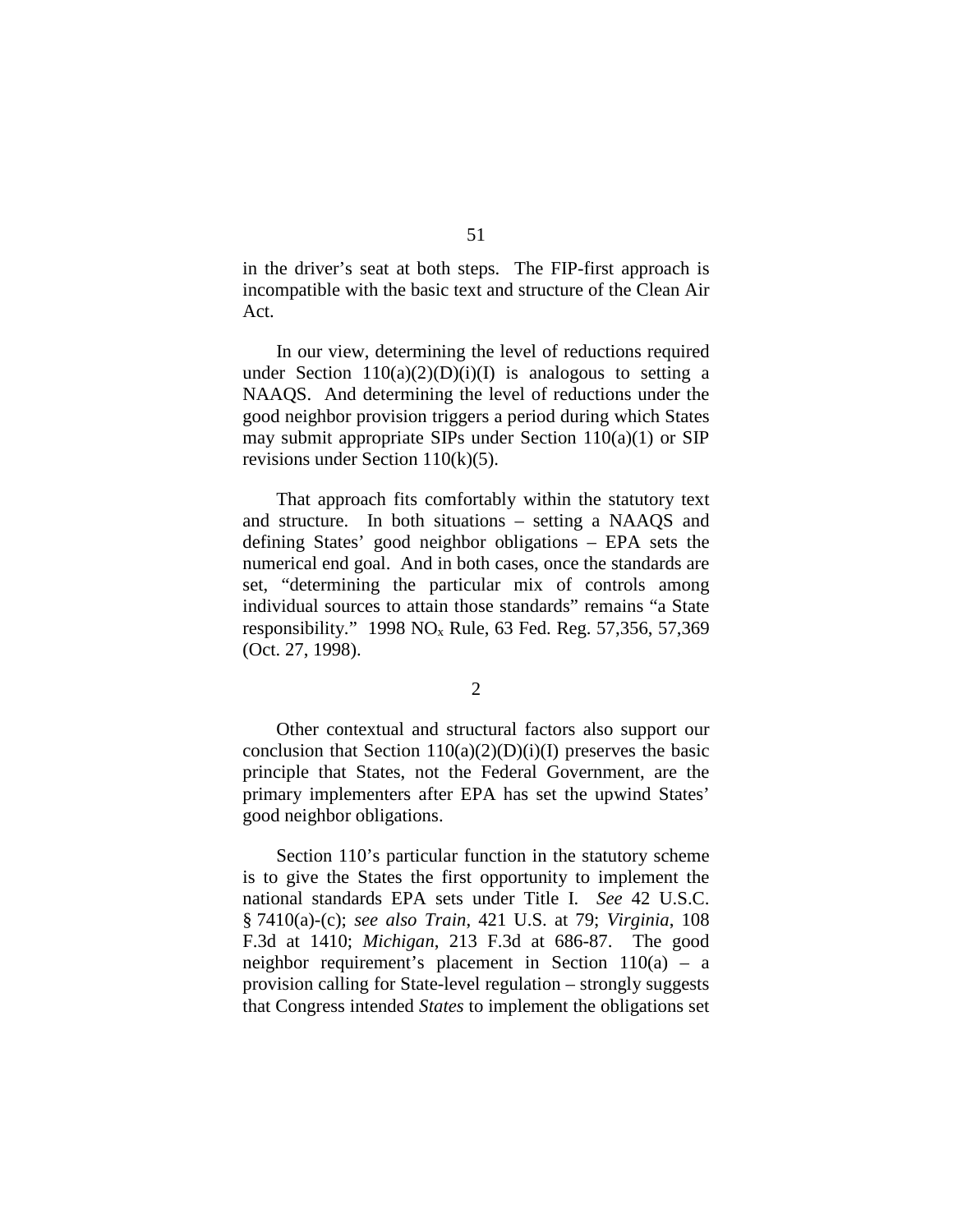in the driver's seat at both steps. The FIP-first approach is incompatible with the basic text and structure of the Clean Air Act.

In our view, determining the level of reductions required under Section  $110(a)(2)(D)(i)(I)$  is analogous to setting a NAAQS. And determining the level of reductions under the good neighbor provision triggers a period during which States may submit appropriate SIPs under Section 110(a)(1) or SIP revisions under Section 110(k)(5).

That approach fits comfortably within the statutory text and structure. In both situations – setting a NAAQS and defining States' good neighbor obligations – EPA sets the numerical end goal. And in both cases, once the standards are set, "determining the particular mix of controls among individual sources to attain those standards" remains "a State responsibility." 1998  $NO<sub>x</sub>$  Rule, 63 Fed. Reg. 57,356, 57,369 (Oct. 27, 1998).

2

Other contextual and structural factors also support our conclusion that Section  $110(a)(2)(D)(i)(I)$  preserves the basic principle that States, not the Federal Government, are the primary implementers after EPA has set the upwind States' good neighbor obligations.

Section 110's particular function in the statutory scheme is to give the States the first opportunity to implement the national standards EPA sets under Title I. *See* 42 U.S.C. § 7410(a)-(c); *see also Train*, 421 U.S. at 79; *Virginia*, 108 F.3d at 1410; *Michigan*, 213 F.3d at 686-87. The good neighbor requirement's placement in Section 110(a) – a provision calling for State-level regulation – strongly suggests that Congress intended *States* to implement the obligations set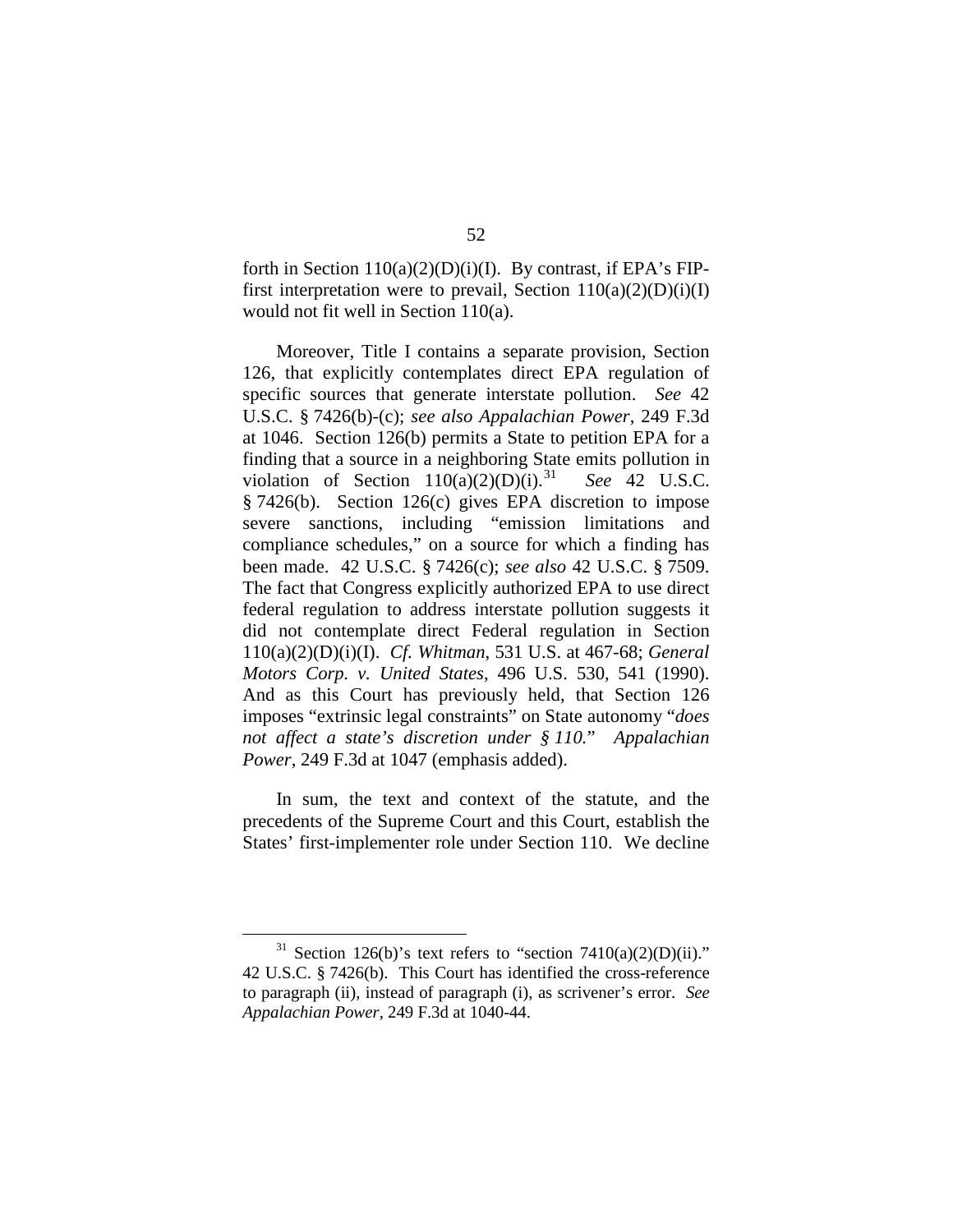forth in Section  $110(a)(2)(D)(i)(I)$ . By contrast, if EPA's FIPfirst interpretation were to prevail, Section  $110(a)(2)(D)(i)(I)$ would not fit well in Section 110(a).

Moreover, Title I contains a separate provision, Section 126, that explicitly contemplates direct EPA regulation of specific sources that generate interstate pollution. *See* 42 U.S.C. § 7426(b)-(c); *see also Appalachian Power*, 249 F.3d at 1046. Section 126(b) permits a State to petition EPA for a finding that a source in a neighboring State emits pollution in violation of Section  $110(a)(2)(D)(i).$ <sup>31</sup> *See* 42 U.S.C. § 7426(b). Section 126(c) gives EPA discretion to impose severe sanctions, including "emission limitations and compliance schedules," on a source for which a finding has been made. 42 U.S.C. § 7426(c); *see also* 42 U.S.C. § 7509. The fact that Congress explicitly authorized EPA to use direct federal regulation to address interstate pollution suggests it did not contemplate direct Federal regulation in Section 110(a)(2)(D)(i)(I). *Cf. Whitman*, 531 U.S. at 467-68; *General Motors Corp. v. United States*, 496 U.S. 530, 541 (1990). And as this Court has previously held, that Section 126 imposes "extrinsic legal constraints" on State autonomy "*does not affect a state's discretion under § 110.*" *Appalachian Power*, 249 F.3d at 1047 (emphasis added).

In sum, the text and context of the statute, and the precedents of the Supreme Court and this Court, establish the States' first-implementer role under Section 110. We decline

<span id="page-51-0"></span> $31$  Section 126(b)'s text refers to "section 7410(a)(2)(D)(ii)." 42 U.S.C. § 7426(b). This Court has identified the cross-reference to paragraph (ii), instead of paragraph (i), as scrivener's error. *See Appalachian Power*, 249 F.3d at 1040-44.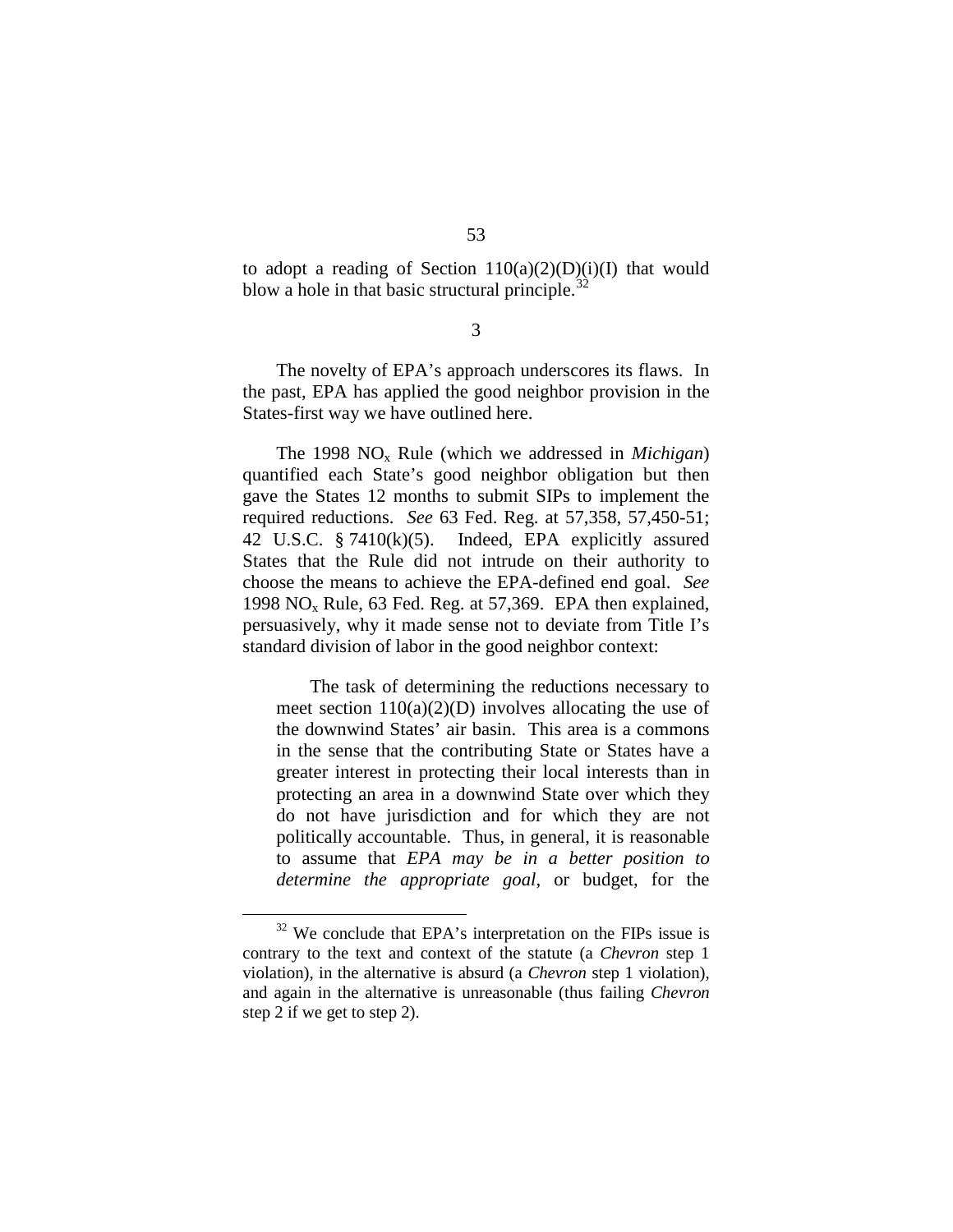to adopt a reading of Section  $110(a)(2)(D)(i)(I)$  that would blow a hole in that basic structural principle. $32$ 

3

The novelty of EPA's approach underscores its flaws. In the past, EPA has applied the good neighbor provision in the States-first way we have outlined here.

The 1998 NOx Rule (which we addressed in *Michigan*) quantified each State's good neighbor obligation but then gave the States 12 months to submit SIPs to implement the required reductions. *See* 63 Fed. Reg. at 57,358, 57,450-51; 42 U.S.C. § 7410(k)(5). Indeed, EPA explicitly assured States that the Rule did not intrude on their authority to choose the means to achieve the EPA-defined end goal. *See*  1998 NO<sub>x</sub> Rule, 63 Fed. Reg. at 57,369. EPA then explained, persuasively, why it made sense not to deviate from Title I's standard division of labor in the good neighbor context:

The task of determining the reductions necessary to meet section  $110(a)(2)(D)$  involves allocating the use of the downwind States' air basin. This area is a commons in the sense that the contributing State or States have a greater interest in protecting their local interests than in protecting an area in a downwind State over which they do not have jurisdiction and for which they are not politically accountable. Thus, in general, it is reasonable to assume that *EPA may be in a better position to determine the appropriate goal*, or budget, for the

<span id="page-52-0"></span><sup>&</sup>lt;sup>32</sup> We conclude that EPA's interpretation on the FIPs issue is contrary to the text and context of the statute (a *Chevron* step 1 violation), in the alternative is absurd (a *Chevron* step 1 violation), and again in the alternative is unreasonable (thus failing *Chevron* step 2 if we get to step 2).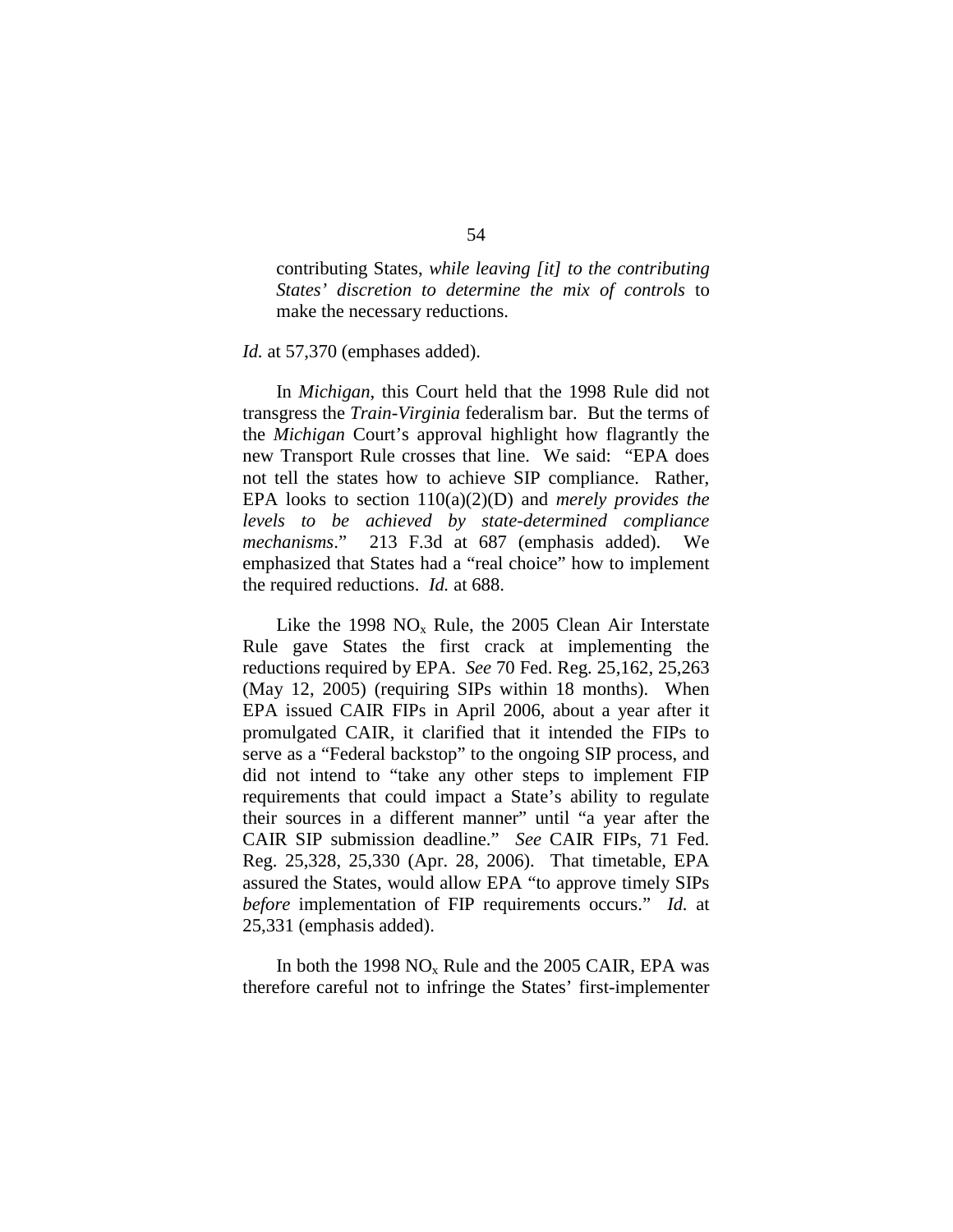contributing States, *while leaving [it] to the contributing States' discretion to determine the mix of controls* to make the necessary reductions.

*Id.* at 57,370 (emphases added).

In *Michigan*, this Court held that the 1998 Rule did not transgress the *Train-Virginia* federalism bar. But the terms of the *Michigan* Court's approval highlight how flagrantly the new Transport Rule crosses that line. We said: "EPA does not tell the states how to achieve SIP compliance. Rather, EPA looks to section 110(a)(2)(D) and *merely provides the levels to be achieved by state-determined compliance mechanisms*." 213 F.3d at 687 (emphasis added). We emphasized that States had a "real choice" how to implement the required reductions. *Id.* at 688.

Like the 1998  $NO_x$  Rule, the 2005 Clean Air Interstate Rule gave States the first crack at implementing the reductions required by EPA. *See* 70 Fed. Reg. 25,162, 25,263 (May 12, 2005) (requiring SIPs within 18 months). When EPA issued CAIR FIPs in April 2006, about a year after it promulgated CAIR, it clarified that it intended the FIPs to serve as a "Federal backstop" to the ongoing SIP process, and did not intend to "take any other steps to implement FIP requirements that could impact a State's ability to regulate their sources in a different manner" until "a year after the CAIR SIP submission deadline." *See* CAIR FIPs, 71 Fed. Reg. 25,328, 25,330 (Apr. 28, 2006). That timetable, EPA assured the States, would allow EPA "to approve timely SIPs *before* implementation of FIP requirements occurs." *Id.* at 25,331 (emphasis added).

In both the 1998  $NO<sub>x</sub>$  Rule and the 2005 CAIR, EPA was therefore careful not to infringe the States' first-implementer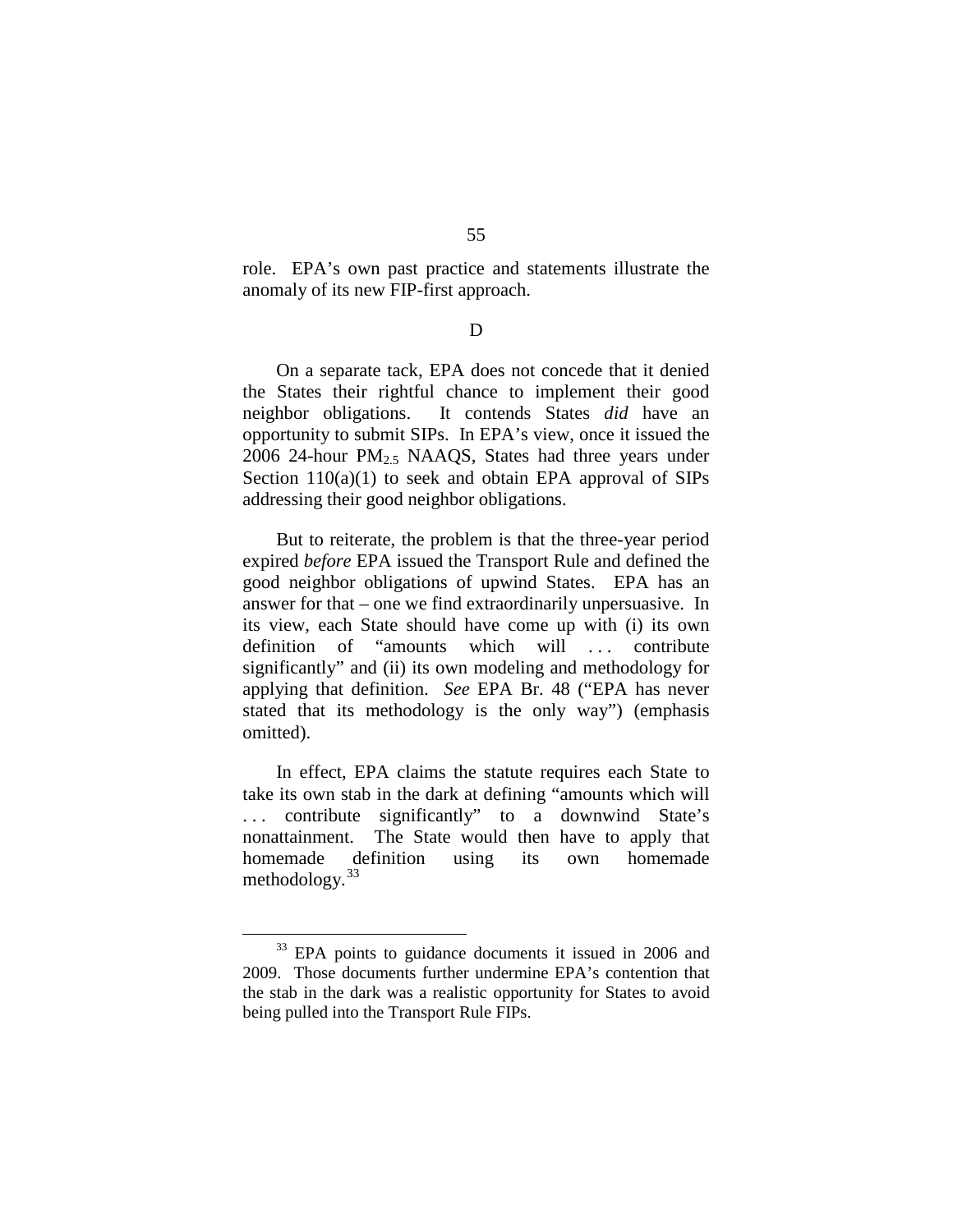role. EPA's own past practice and statements illustrate the anomaly of its new FIP-first approach.

D

On a separate tack, EPA does not concede that it denied the States their rightful chance to implement their good neighbor obligations. It contends States *did* have an opportunity to submit SIPs. In EPA's view, once it issued the 2006 24-hour  $PM<sub>2.5</sub> NAAQS$ , States had three years under Section  $110(a)(1)$  to seek and obtain EPA approval of SIPs addressing their good neighbor obligations.

But to reiterate, the problem is that the three-year period expired *before* EPA issued the Transport Rule and defined the good neighbor obligations of upwind States. EPA has an answer for that – one we find extraordinarily unpersuasive. In its view, each State should have come up with (i) its own definition of "amounts which will ... contribute significantly" and (ii) its own modeling and methodology for applying that definition. *See* EPA Br. 48 ("EPA has never stated that its methodology is the only way") (emphasis omitted).

In effect, EPA claims the statute requires each State to take its own stab in the dark at defining "amounts which will . . . contribute significantly" to a downwind State's nonattainment. The State would then have to apply that homemade definition using its own homemade methodology.[33](#page-54-0)

<span id="page-54-0"></span><sup>&</sup>lt;sup>33</sup> EPA points to guidance documents it issued in 2006 and 2009. Those documents further undermine EPA's contention that the stab in the dark was a realistic opportunity for States to avoid being pulled into the Transport Rule FIPs.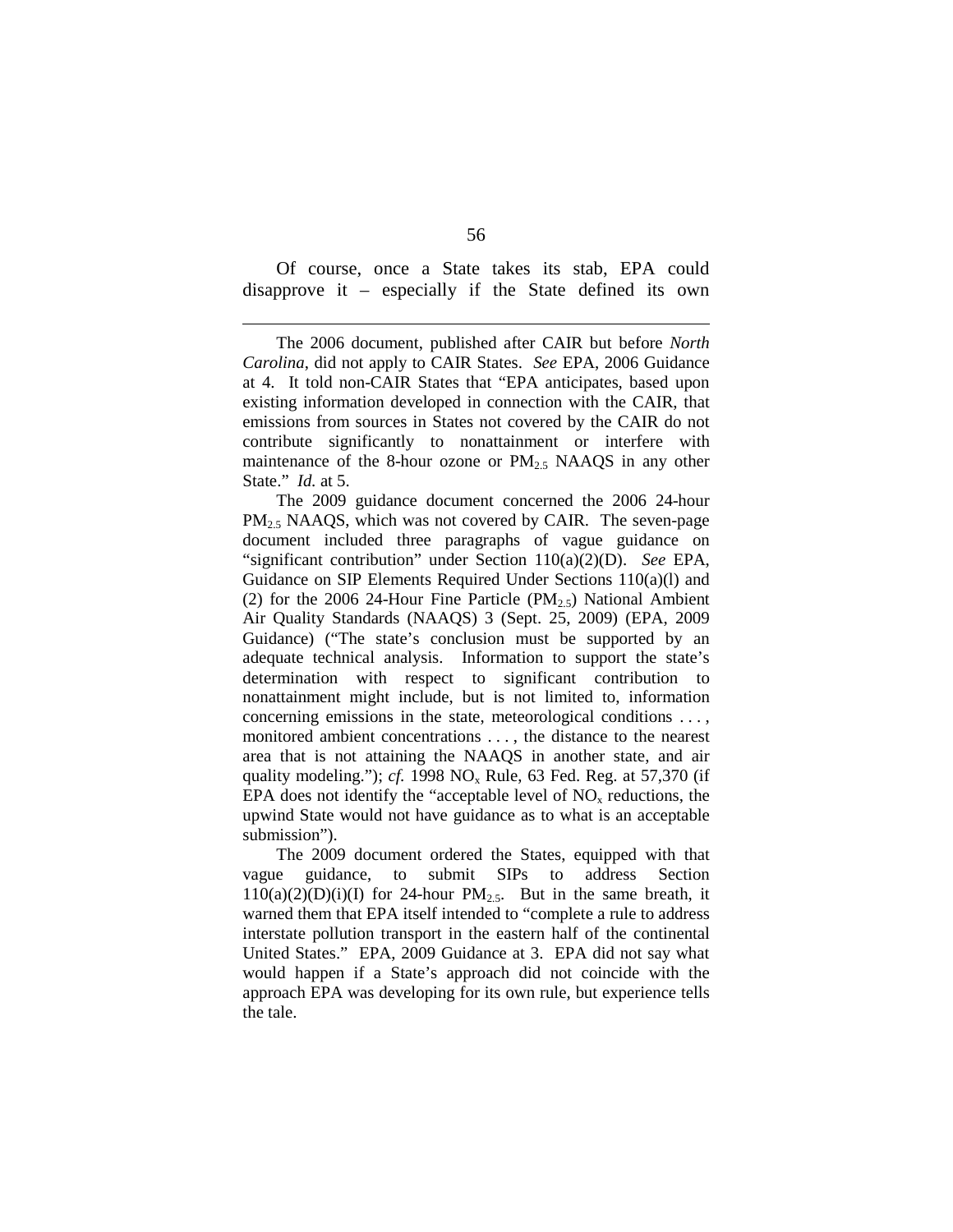Of course, once a State takes its stab, EPA could disapprove it – especially if the State defined its own

 $\overline{a}$ 

The 2009 guidance document concerned the 2006 24-hour  $PM<sub>2.5</sub> NAAQS$ , which was not covered by CAIR. The seven-page document included three paragraphs of vague guidance on "significant contribution" under Section 110(a)(2)(D). *See* EPA, Guidance on SIP Elements Required Under Sections 110(a)(l) and (2) for the 2006 24-Hour Fine Particle  $(PM_{2.5})$  National Ambient Air Quality Standards (NAAQS) 3 (Sept. 25, 2009) (EPA, 2009 Guidance) ("The state's conclusion must be supported by an adequate technical analysis. Information to support the state's determination with respect to significant contribution to nonattainment might include, but is not limited to, information concerning emissions in the state, meteorological conditions . . . , monitored ambient concentrations . . . , the distance to the nearest area that is not attaining the NAAQS in another state, and air quality modeling."); *cf.* 1998 NO<sub>x</sub> Rule, 63 Fed. Reg. at 57,370 (if EPA does not identify the "acceptable level of  $NO<sub>x</sub>$  reductions, the upwind State would not have guidance as to what is an acceptable submission").

The 2009 document ordered the States, equipped with that vague guidance, to submit SIPs to address Section  $110(a)(2)(D)(i)(I)$  for 24-hour PM<sub>2.5</sub>. But in the same breath, it warned them that EPA itself intended to "complete a rule to address interstate pollution transport in the eastern half of the continental United States." EPA, 2009 Guidance at 3. EPA did not say what would happen if a State's approach did not coincide with the approach EPA was developing for its own rule, but experience tells the tale.

The 2006 document, published after CAIR but before *North Carolina*, did not apply to CAIR States. *See* EPA, 2006 Guidance at 4. It told non-CAIR States that "EPA anticipates, based upon existing information developed in connection with the CAIR, that emissions from sources in States not covered by the CAIR do not contribute significantly to nonattainment or interfere with maintenance of the 8-hour ozone or PM<sub>2.5</sub> NAAQS in any other State." *Id.* at 5.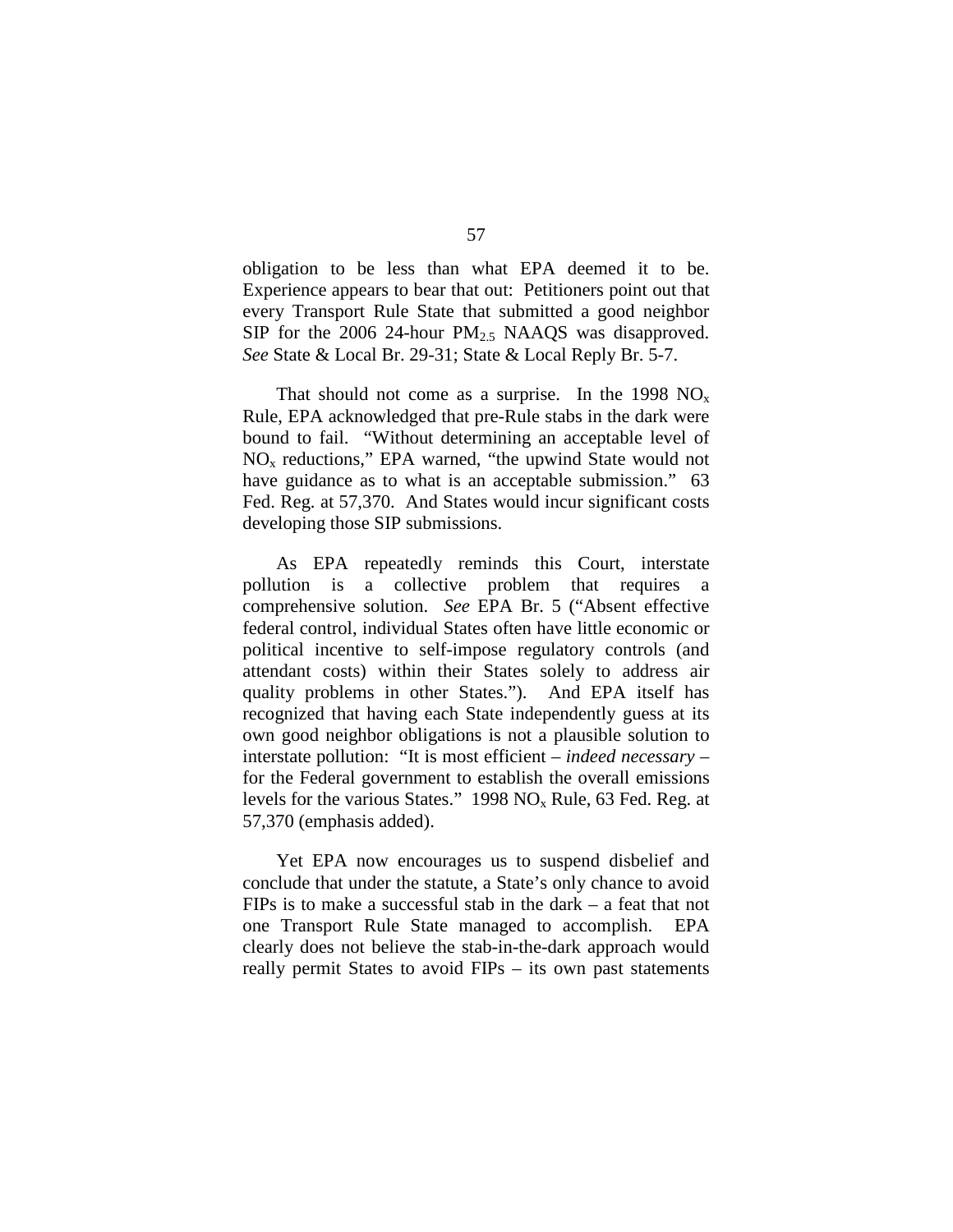obligation to be less than what EPA deemed it to be. Experience appears to bear that out: Petitioners point out that every Transport Rule State that submitted a good neighbor SIP for the 2006 24-hour  $PM_{2.5}$  NAAQS was disapproved. *See* State & Local Br. 29-31; State & Local Reply Br. 5-7.

That should not come as a surprise. In the 1998  $NO<sub>x</sub>$ Rule, EPA acknowledged that pre-Rule stabs in the dark were bound to fail. "Without determining an acceptable level of  $NO<sub>x</sub>$  reductions," EPA warned, "the upwind State would not have guidance as to what is an acceptable submission." 63 Fed. Reg. at 57,370. And States would incur significant costs developing those SIP submissions.

As EPA repeatedly reminds this Court, interstate pollution is a collective problem that requires a comprehensive solution. *See* EPA Br. 5 ("Absent effective federal control, individual States often have little economic or political incentive to self-impose regulatory controls (and attendant costs) within their States solely to address air quality problems in other States."). And EPA itself has recognized that having each State independently guess at its own good neighbor obligations is not a plausible solution to interstate pollution: "It is most efficient – *indeed necessary* – for the Federal government to establish the overall emissions levels for the various States." 1998  $NO<sub>x</sub>$  Rule, 63 Fed. Reg. at 57,370 (emphasis added).

Yet EPA now encourages us to suspend disbelief and conclude that under the statute, a State's only chance to avoid FIPs is to make a successful stab in the dark  $-$  a feat that not one Transport Rule State managed to accomplish. EPA clearly does not believe the stab-in-the-dark approach would really permit States to avoid FIPs – its own past statements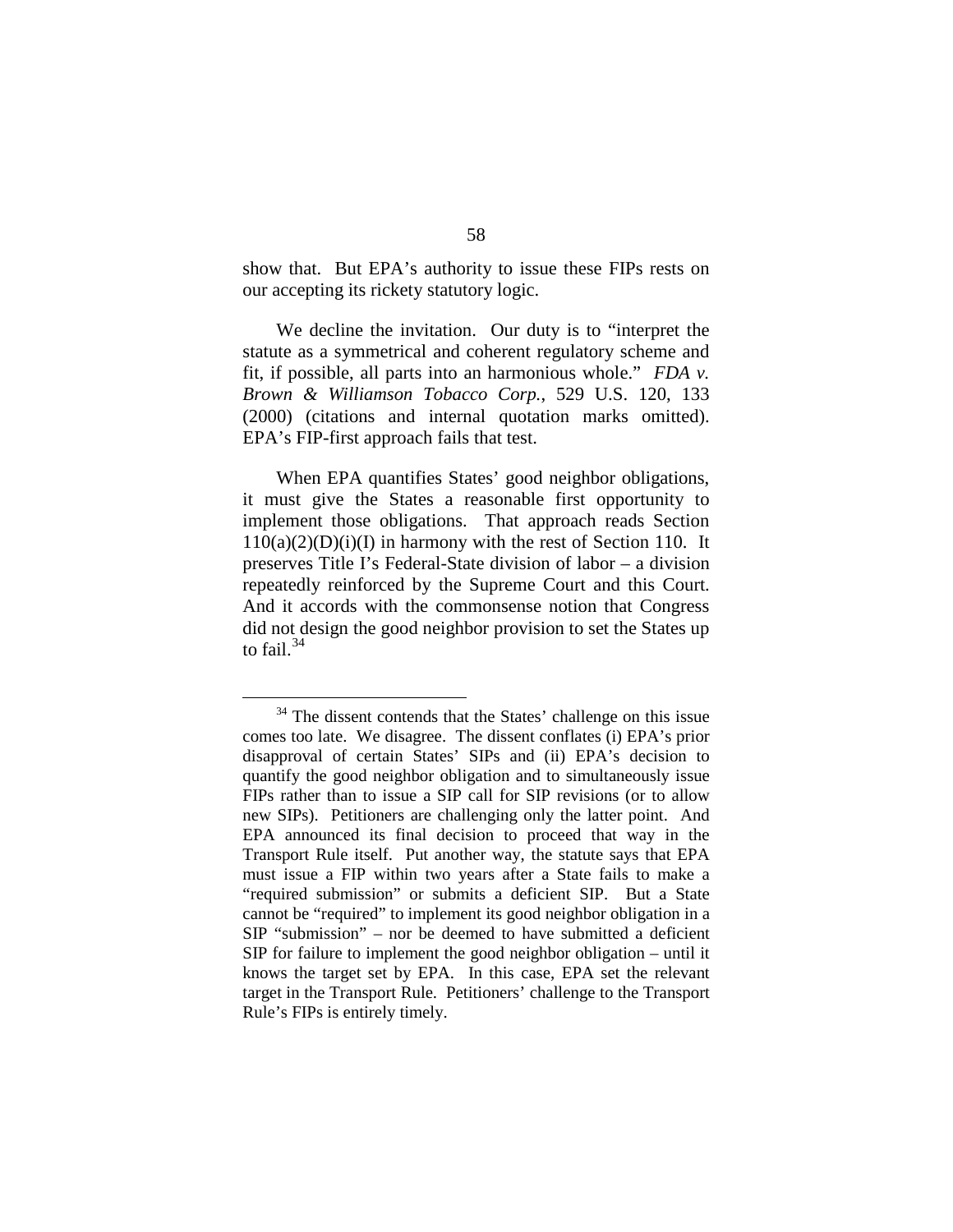show that. But EPA's authority to issue these FIPs rests on our accepting its rickety statutory logic.

We decline the invitation. Our duty is to "interpret the statute as a symmetrical and coherent regulatory scheme and fit, if possible, all parts into an harmonious whole." *FDA v. Brown & Williamson Tobacco Corp.*, 529 U.S. 120, 133 (2000) (citations and internal quotation marks omitted). EPA's FIP-first approach fails that test.

When EPA quantifies States' good neighbor obligations, it must give the States a reasonable first opportunity to implement those obligations. That approach reads Section  $110(a)(2)(D)(i)(I)$  in harmony with the rest of Section 110. It preserves Title I's Federal-State division of labor – a division repeatedly reinforced by the Supreme Court and this Court. And it accords with the commonsense notion that Congress did not design the good neighbor provision to set the States up to fail. $34$ 

<span id="page-57-0"></span> $34$  The dissent contends that the States' challenge on this issue comes too late. We disagree. The dissent conflates (i) EPA's prior disapproval of certain States' SIPs and (ii) EPA's decision to quantify the good neighbor obligation and to simultaneously issue FIPs rather than to issue a SIP call for SIP revisions (or to allow new SIPs). Petitioners are challenging only the latter point. And EPA announced its final decision to proceed that way in the Transport Rule itself. Put another way, the statute says that EPA must issue a FIP within two years after a State fails to make a "required submission" or submits a deficient SIP. But a State cannot be "required" to implement its good neighbor obligation in a SIP "submission" – nor be deemed to have submitted a deficient SIP for failure to implement the good neighbor obligation – until it knows the target set by EPA. In this case, EPA set the relevant target in the Transport Rule. Petitioners' challenge to the Transport Rule's FIPs is entirely timely.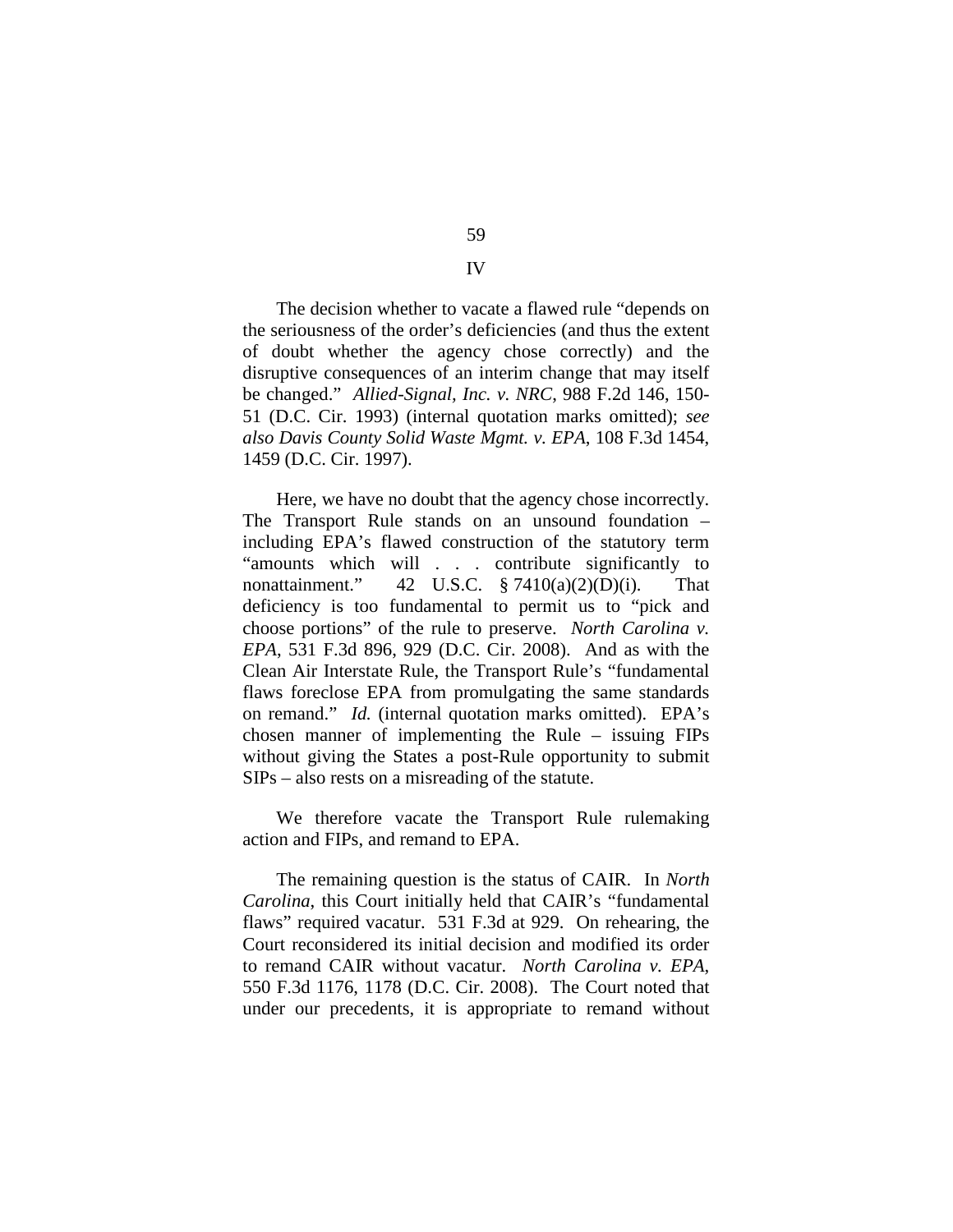The decision whether to vacate a flawed rule "depends on the seriousness of the order's deficiencies (and thus the extent of doubt whether the agency chose correctly) and the disruptive consequences of an interim change that may itself be changed." *Allied-Signal, Inc. v. NRC*, 988 F.2d 146, 150- 51 (D.C. Cir. 1993) (internal quotation marks omitted); *see also Davis County Solid Waste Mgmt. v. EPA*, 108 F.3d 1454, 1459 (D.C. Cir. 1997).

Here, we have no doubt that the agency chose incorrectly. The Transport Rule stands on an unsound foundation – including EPA's flawed construction of the statutory term "amounts which will . . . contribute significantly to nonattainment."  $42 \text{ U.S.C. } § 7410(a)(2)(D)(i).$  That deficiency is too fundamental to permit us to "pick and choose portions" of the rule to preserve. *North Carolina v. EPA*, 531 F.3d 896, 929 (D.C. Cir. 2008). And as with the Clean Air Interstate Rule, the Transport Rule's "fundamental flaws foreclose EPA from promulgating the same standards on remand." *Id.* (internal quotation marks omitted). EPA's chosen manner of implementing the Rule – issuing FIPs without giving the States a post-Rule opportunity to submit SIPs – also rests on a misreading of the statute.

We therefore vacate the Transport Rule rulemaking action and FIPs, and remand to EPA.

The remaining question is the status of CAIR. In *North Carolina*, this Court initially held that CAIR's "fundamental flaws" required vacatur.531 F.3d at 929. On rehearing, the Court reconsidered its initial decision and modified its order to remand CAIR without vacatur. *North Carolina v. EPA*, 550 F.3d 1176, 1178 (D.C. Cir. 2008). The Court noted that under our precedents, it is appropriate to remand without

# 59

IV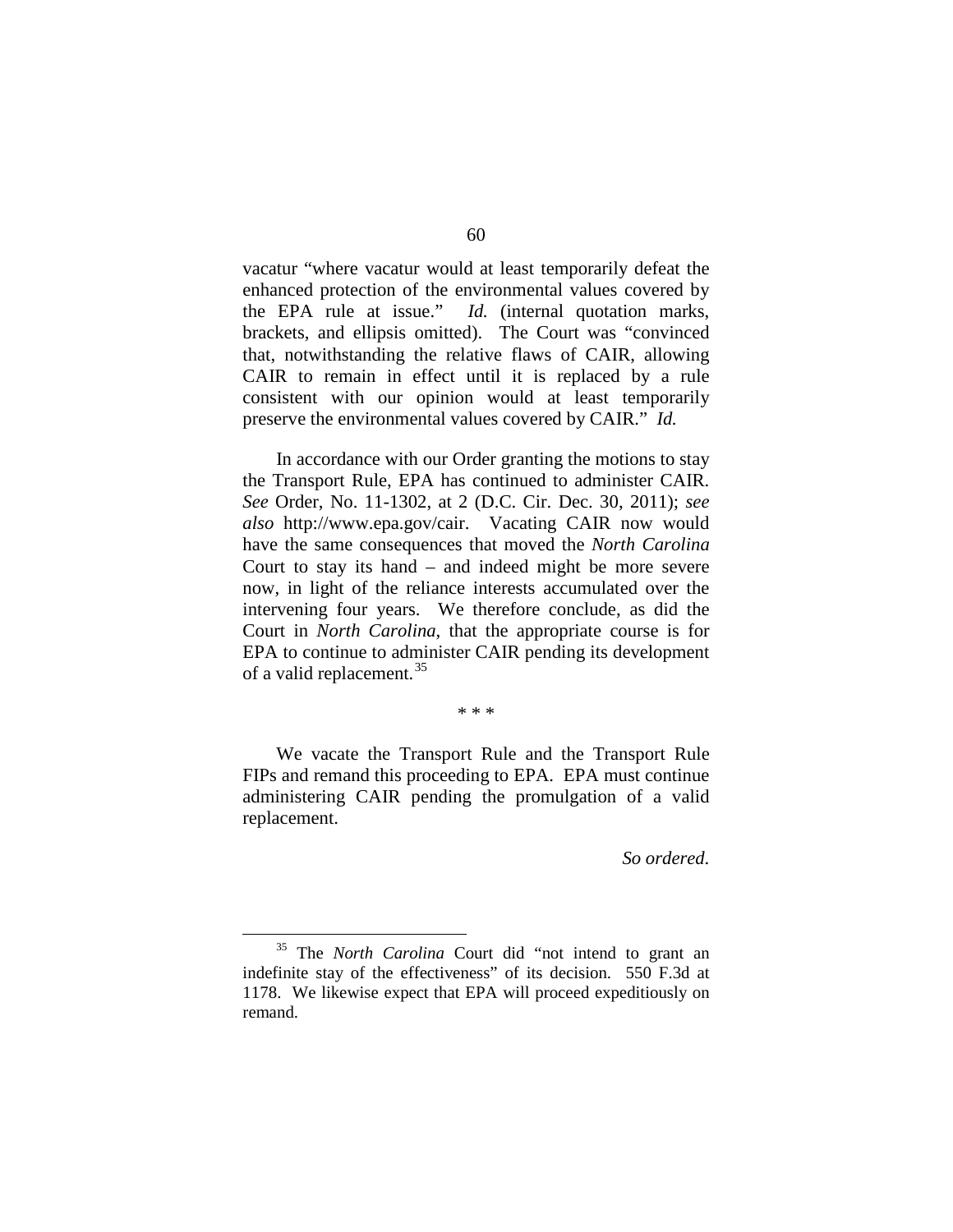vacatur "where vacatur would at least temporarily defeat the enhanced protection of the environmental values covered by the EPA rule at issue." *Id.* (internal quotation marks, brackets, and ellipsis omitted). The Court was "convinced that, notwithstanding the relative flaws of CAIR, allowing CAIR to remain in effect until it is replaced by a rule consistent with our opinion would at least temporarily preserve the environmental values covered by CAIR." *Id.*

In accordance with our Order granting the motions to stay the Transport Rule, EPA has continued to administer CAIR. *See* Order, No. 11-1302, at 2 (D.C. Cir. Dec. 30, 2011); *see also* http://www.epa.gov/cair. Vacating CAIR now would have the same consequences that moved the *North Carolina* Court to stay its hand – and indeed might be more severe now, in light of the reliance interests accumulated over the intervening four years. We therefore conclude, as did the Court in *North Carolina*, that the appropriate course is for EPA to continue to administer CAIR pending its development of a valid replacement.<sup>[35](#page-59-0)</sup>

\* \* \*

We vacate the Transport Rule and the Transport Rule FIPs and remand this proceeding to EPA. EPA must continue administering CAIR pending the promulgation of a valid replacement.

*So ordered*.

<span id="page-59-0"></span> <sup>35</sup> The *North Carolina* Court did "not intend to grant an indefinite stay of the effectiveness" of its decision. 550 F.3d at 1178. We likewise expect that EPA will proceed expeditiously on remand.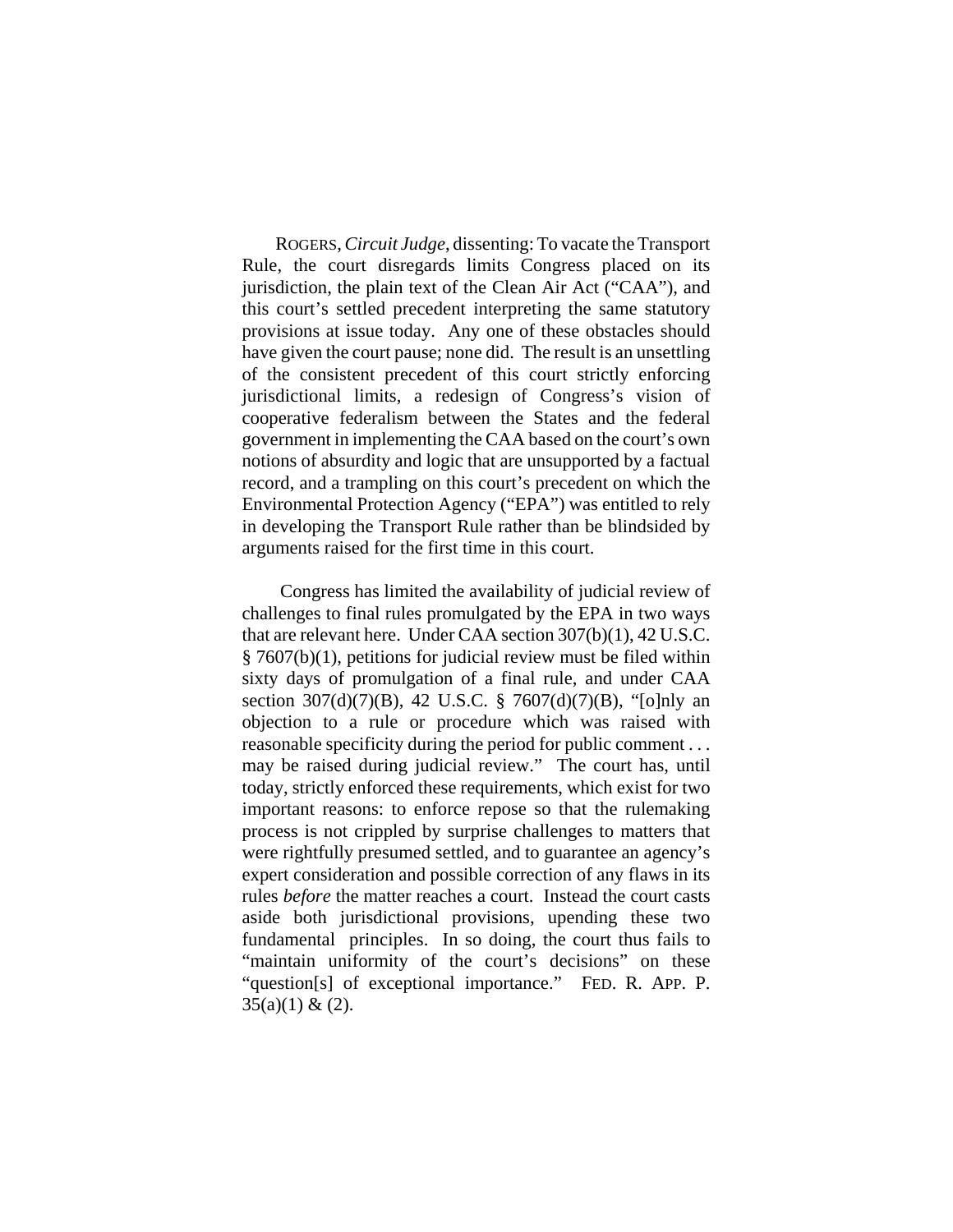ROGERS, *Circuit Judge*, dissenting: To vacate the Transport Rule, the court disregards limits Congress placed on its jurisdiction, the plain text of the Clean Air Act ("CAA"), and this court's settled precedent interpreting the same statutory provisions at issue today. Any one of these obstacles should have given the court pause; none did. The result is an unsettling of the consistent precedent of this court strictly enforcing jurisdictional limits, a redesign of Congress's vision of cooperative federalism between the States and the federal government in implementing the CAA based on the court's own notions of absurdity and logic that are unsupported by a factual record, and a trampling on this court's precedent on which the Environmental Protection Agency ("EPA") was entitled to rely in developing the Transport Rule rather than be blindsided by arguments raised for the first time in this court.

 Congress has limited the availability of judicial review of challenges to final rules promulgated by the EPA in two ways that are relevant here. Under CAA section 307(b)(1), 42 U.S.C. § 7607(b)(1), petitions for judicial review must be filed within sixty days of promulgation of a final rule, and under CAA section 307(d)(7)(B), 42 U.S.C. § 7607(d)(7)(B), "[o]nly an objection to a rule or procedure which was raised with reasonable specificity during the period for public comment . . . may be raised during judicial review." The court has, until today, strictly enforced these requirements, which exist for two important reasons: to enforce repose so that the rulemaking process is not crippled by surprise challenges to matters that were rightfully presumed settled, and to guarantee an agency's expert consideration and possible correction of any flaws in its rules *before* the matter reaches a court. Instead the court casts aside both jurisdictional provisions, upending these two fundamental principles. In so doing, the court thus fails to "maintain uniformity of the court's decisions" on these "question[s] of exceptional importance." FED. R. APP. P.  $35(a)(1) & (2)$ .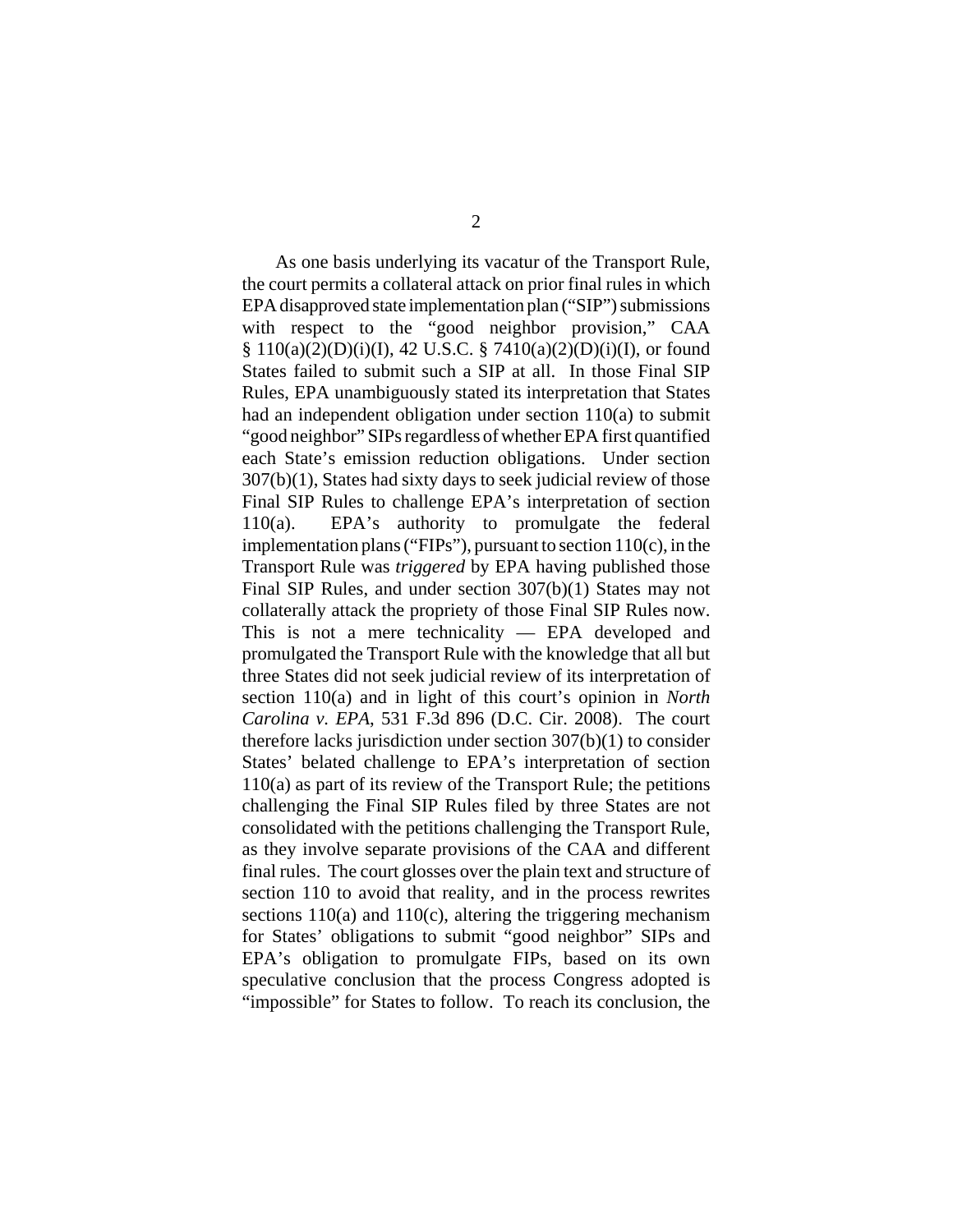As one basis underlying its vacatur of the Transport Rule, the court permits a collateral attack on prior final rules in which EPA disapproved state implementation plan ("SIP") submissions with respect to the "good neighbor provision," CAA § 110(a)(2)(D)(i)(I), 42 U.S.C. § 7410(a)(2)(D)(i)(I), or found States failed to submit such a SIP at all. In those Final SIP Rules, EPA unambiguously stated its interpretation that States had an independent obligation under section 110(a) to submit "good neighbor" SIPs regardless of whether EPA first quantified each State's emission reduction obligations. Under section 307(b)(1), States had sixty days to seek judicial review of those Final SIP Rules to challenge EPA's interpretation of section 110(a). EPA's authority to promulgate the federal implementation plans ("FIPs"), pursuant to section  $110(c)$ , in the Transport Rule was *triggered* by EPA having published those Final SIP Rules, and under section 307(b)(1) States may not collaterally attack the propriety of those Final SIP Rules now. This is not a mere technicality — EPA developed and promulgated the Transport Rule with the knowledge that all but three States did not seek judicial review of its interpretation of section 110(a) and in light of this court's opinion in *North Carolina v. EPA*, 531 F.3d 896 (D.C. Cir. 2008). The court therefore lacks jurisdiction under section 307(b)(1) to consider States' belated challenge to EPA's interpretation of section 110(a) as part of its review of the Transport Rule; the petitions challenging the Final SIP Rules filed by three States are not consolidated with the petitions challenging the Transport Rule, as they involve separate provisions of the CAA and different final rules. The court glosses over the plain text and structure of section 110 to avoid that reality, and in the process rewrites sections 110(a) and 110(c), altering the triggering mechanism for States' obligations to submit "good neighbor" SIPs and EPA's obligation to promulgate FIPs, based on its own speculative conclusion that the process Congress adopted is "impossible" for States to follow. To reach its conclusion, the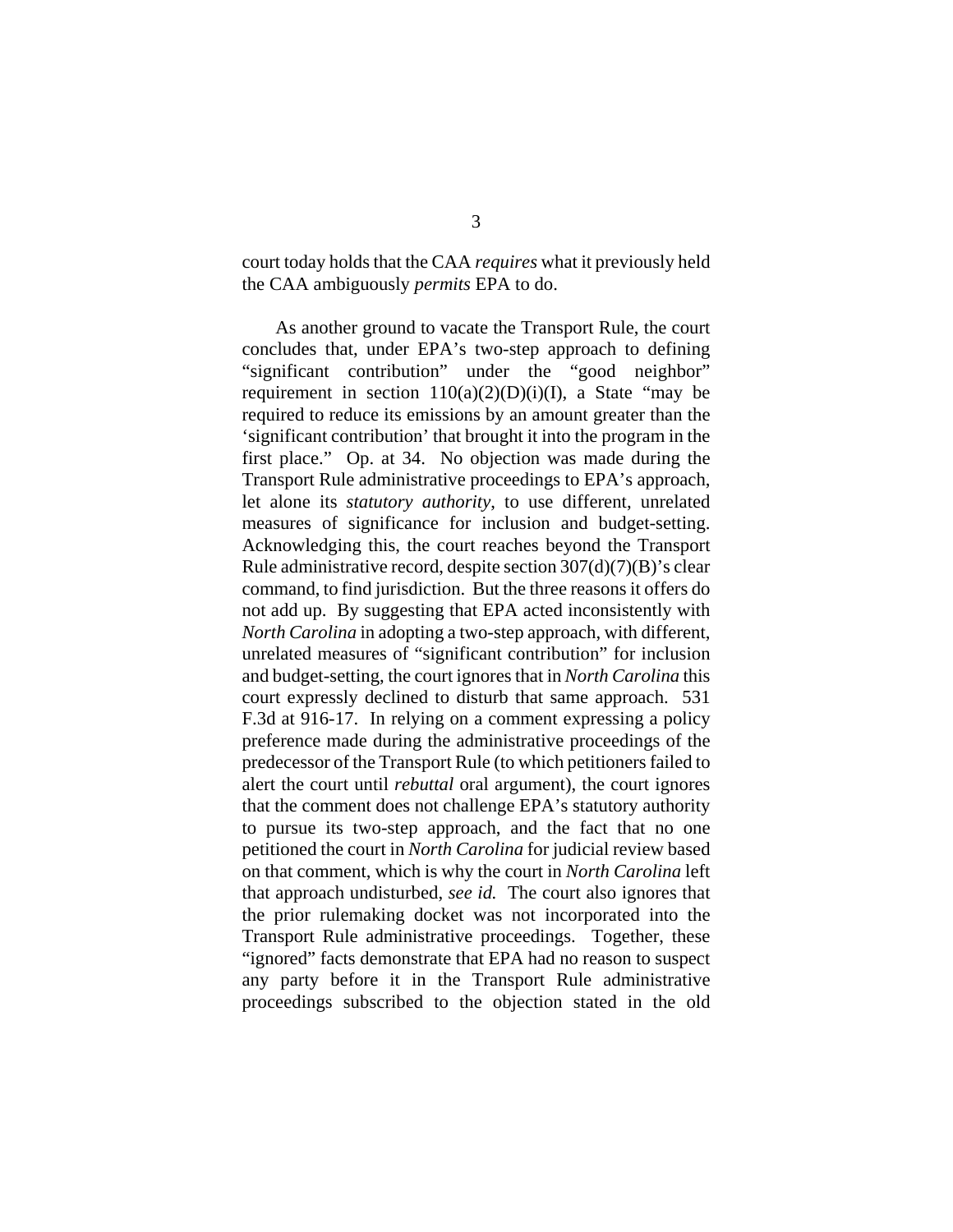court today holds that the CAA *requires* what it previously held the CAA ambiguously *permits* EPA to do.

As another ground to vacate the Transport Rule, the court concludes that, under EPA's two-step approach to defining "significant contribution" under the "good neighbor" requirement in section  $110(a)(2)(D)(i)(I)$ , a State "may be required to reduce its emissions by an amount greater than the 'significant contribution' that brought it into the program in the first place." Op. at 34. No objection was made during the Transport Rule administrative proceedings to EPA's approach, let alone its *statutory authority*, to use different, unrelated measures of significance for inclusion and budget-setting. Acknowledging this, the court reaches beyond the Transport Rule administrative record, despite section  $307(d)(7)(B)$ 's clear command, to find jurisdiction. But the three reasons it offers do not add up. By suggesting that EPA acted inconsistently with *North Carolina* in adopting a two-step approach, with different, unrelated measures of "significant contribution" for inclusion and budget-setting, the court ignores that in *North Carolina* this court expressly declined to disturb that same approach. 531 F.3d at 916-17. In relying on a comment expressing a policy preference made during the administrative proceedings of the predecessor of the Transport Rule (to which petitioners failed to alert the court until *rebuttal* oral argument), the court ignores that the comment does not challenge EPA's statutory authority to pursue its two-step approach, and the fact that no one petitioned the court in *North Carolina* for judicial review based on that comment, which is why the court in *North Carolina* left that approach undisturbed, *see id.* The court also ignores that the prior rulemaking docket was not incorporated into the Transport Rule administrative proceedings. Together, these "ignored" facts demonstrate that EPA had no reason to suspect any party before it in the Transport Rule administrative proceedings subscribed to the objection stated in the old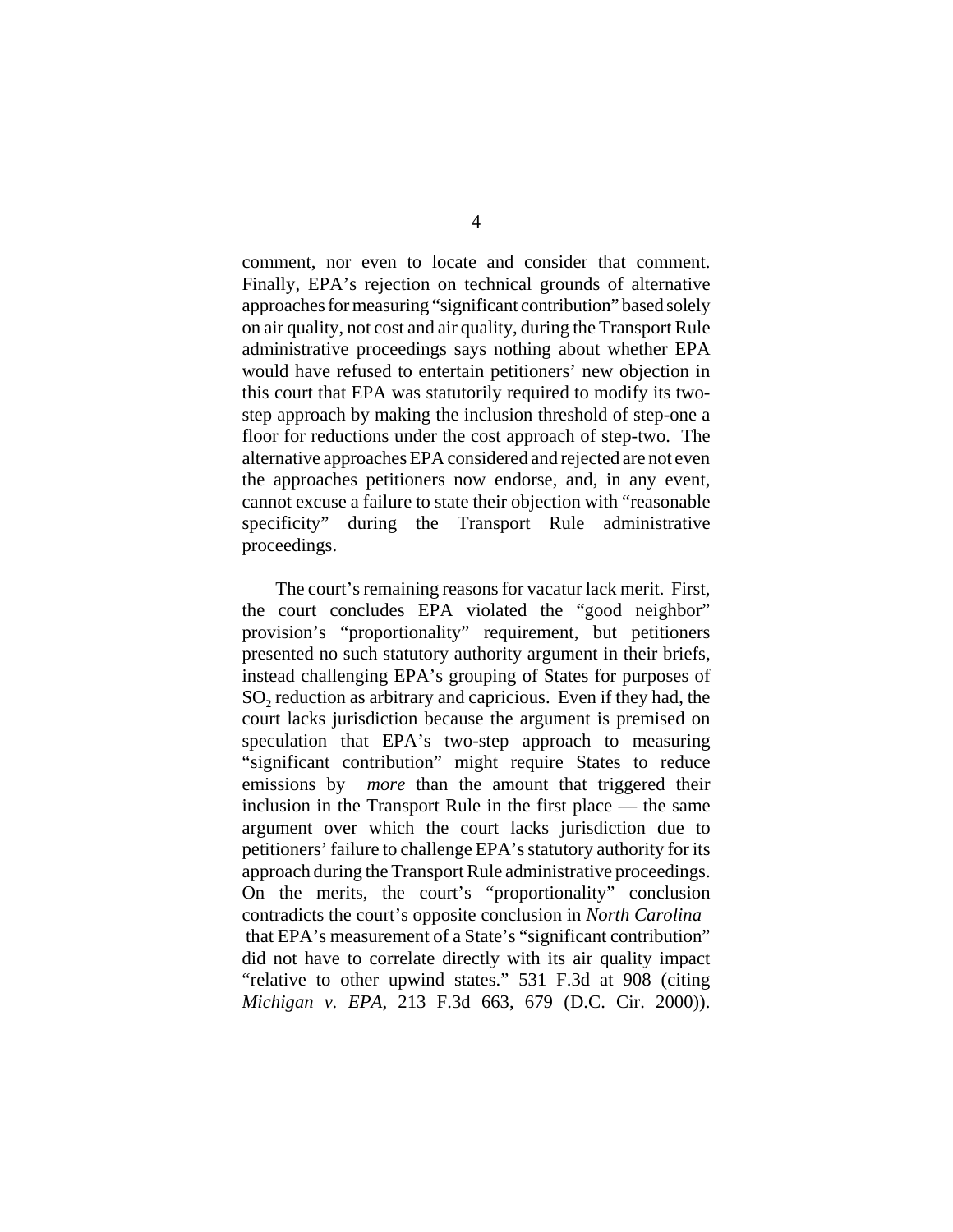comment, nor even to locate and consider that comment. Finally, EPA's rejection on technical grounds of alternative approaches for measuring "significant contribution" based solely on air quality, not cost and air quality, during the Transport Rule administrative proceedings says nothing about whether EPA would have refused to entertain petitioners' new objection in this court that EPA was statutorily required to modify its twostep approach by making the inclusion threshold of step-one a floor for reductions under the cost approach of step-two. The alternative approaches EPA considered and rejected are not even the approaches petitioners now endorse, and, in any event, cannot excuse a failure to state their objection with "reasonable specificity" during the Transport Rule administrative proceedings.

The court's remaining reasons for vacatur lack merit. First, the court concludes EPA violated the "good neighbor" provision's "proportionality" requirement, but petitioners presented no such statutory authority argument in their briefs, instead challenging EPA's grouping of States for purposes of  $SO<sub>2</sub>$  reduction as arbitrary and capricious. Even if they had, the court lacks jurisdiction because the argument is premised on speculation that EPA's two-step approach to measuring "significant contribution" might require States to reduce emissions by *more* than the amount that triggered their inclusion in the Transport Rule in the first place — the same argument over which the court lacks jurisdiction due to petitioners' failure to challenge EPA's statutory authority for its approach during the Transport Rule administrative proceedings. On the merits, the court's "proportionality" conclusion contradicts the court's opposite conclusion in *North Carolina* that EPA's measurement of a State's "significant contribution" did not have to correlate directly with its air quality impact "relative to other upwind states." 531 F.3d at 908 (citing *Michigan v. EPA*, 213 F.3d 663, 679 (D.C. Cir. 2000)).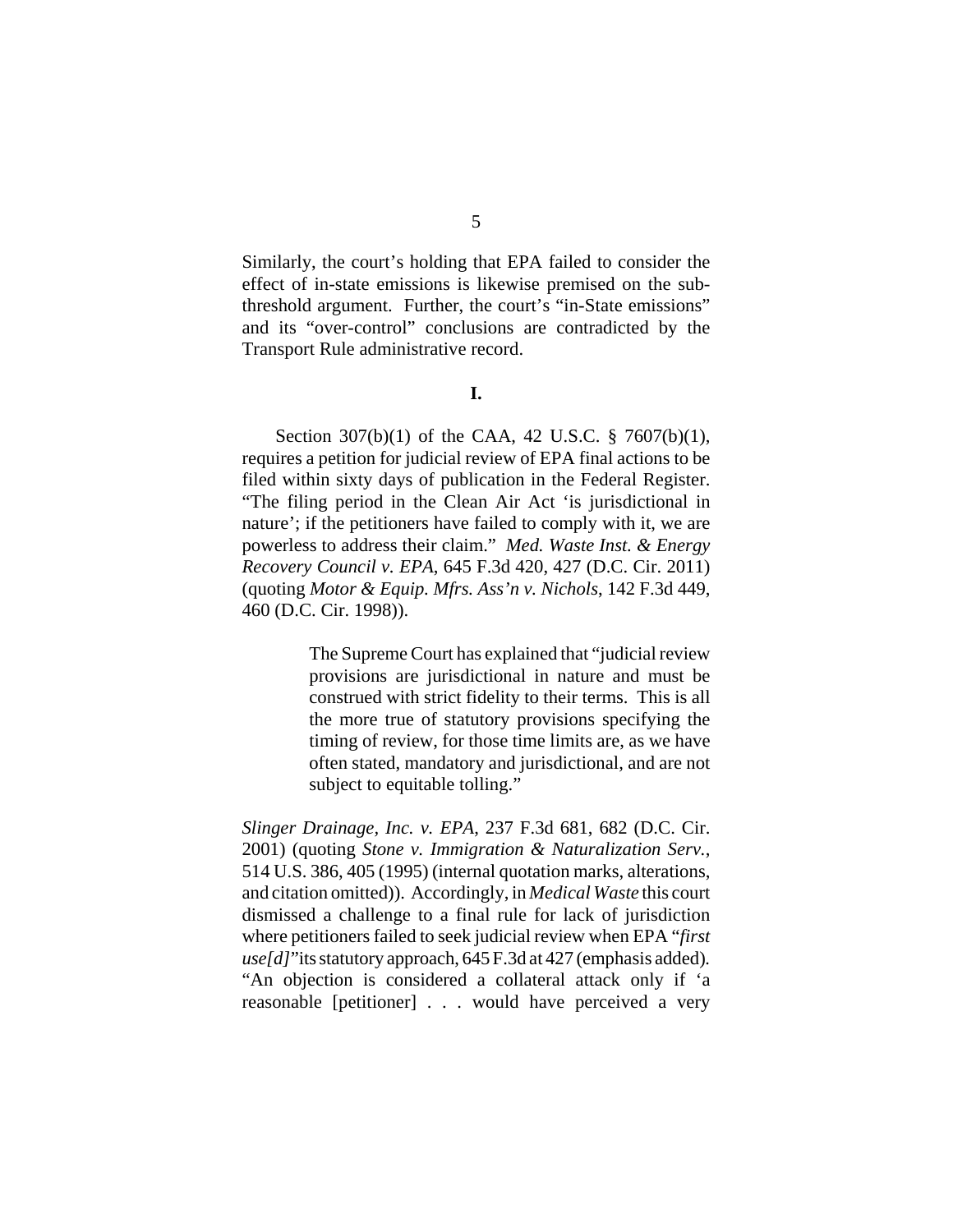Similarly, the court's holding that EPA failed to consider the effect of in-state emissions is likewise premised on the subthreshold argument. Further, the court's "in-State emissions" and its "over-control" conclusions are contradicted by the Transport Rule administrative record.

# **I.**

Section 307(b)(1) of the CAA, 42 U.S.C. § 7607(b)(1), requires a petition for judicial review of EPA final actions to be filed within sixty days of publication in the Federal Register. "The filing period in the Clean Air Act 'is jurisdictional in nature'; if the petitioners have failed to comply with it, we are powerless to address their claim." *Med. Waste Inst. & Energy Recovery Council v. EPA*, 645 F.3d 420, 427 (D.C. Cir. 2011) (quoting *Motor & Equip. Mfrs. Ass'n v. Nichols*, 142 F.3d 449, 460 (D.C. Cir. 1998)).

> The Supreme Court has explained that "judicial review provisions are jurisdictional in nature and must be construed with strict fidelity to their terms. This is all the more true of statutory provisions specifying the timing of review, for those time limits are, as we have often stated, mandatory and jurisdictional, and are not subject to equitable tolling."

*Slinger Drainage, Inc. v. EPA*, 237 F.3d 681, 682 (D.C. Cir. 2001) (quoting *Stone v. Immigration & Naturalization Serv.*, 514 U.S. 386, 405 (1995) (internal quotation marks, alterations, and citation omitted)). Accordingly, in *Medical Waste* this court dismissed a challenge to a final rule for lack of jurisdiction where petitioners failed to seek judicial review when EPA "*first use[d]*"its statutory approach, 645 F.3d at 427 (emphasis added)*.* "An objection is considered a collateral attack only if 'a reasonable [petitioner] . . . would have perceived a very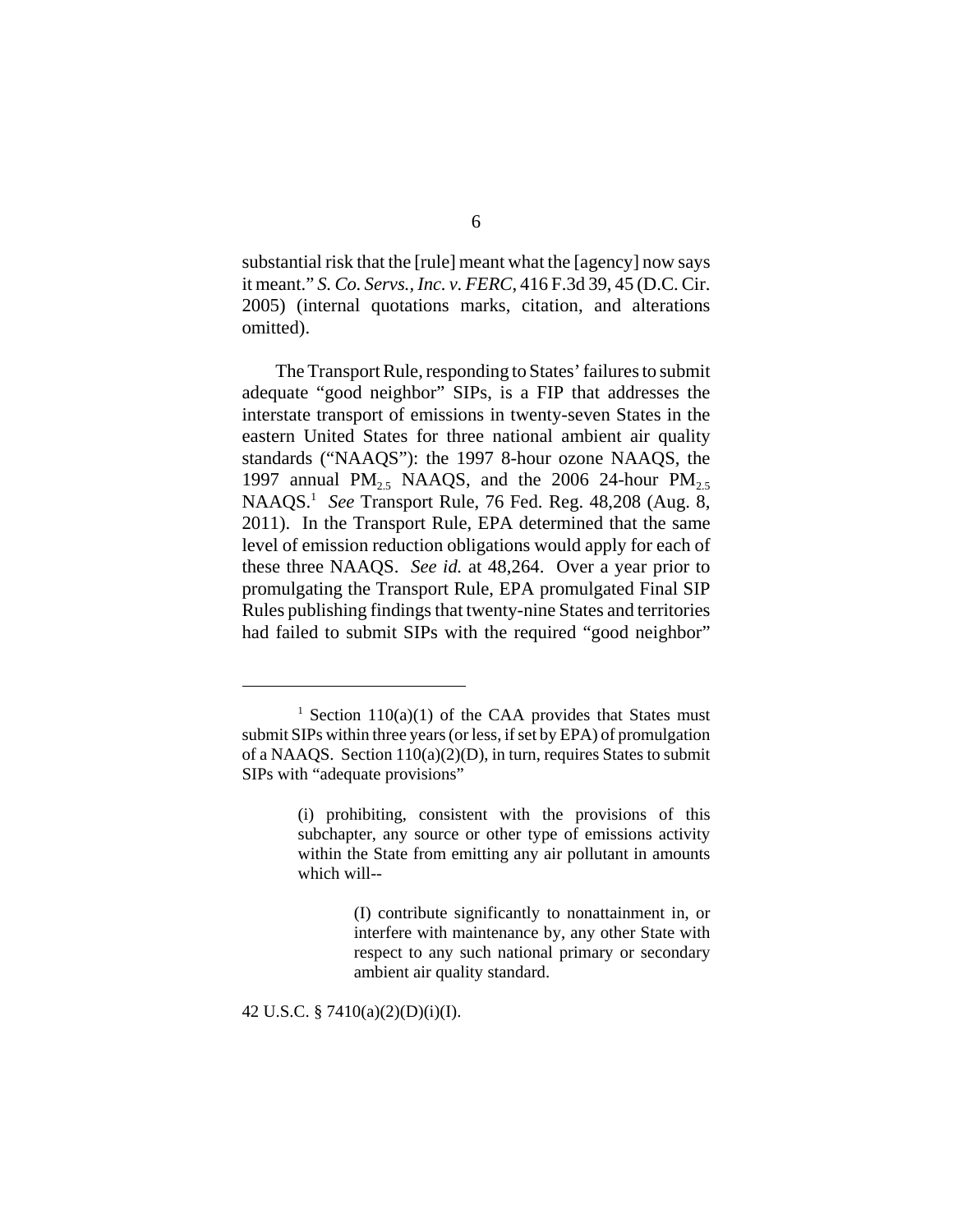substantial risk that the [rule] meant what the [agency] now says it meant." *S. Co. Servs., Inc. v. FERC*, 416 F.3d 39, 45 (D.C. Cir. 2005) (internal quotations marks, citation, and alterations omitted).

The Transport Rule, responding to States' failures to submit adequate "good neighbor" SIPs, is a FIP that addresses the interstate transport of emissions in twenty-seven States in the eastern United States for three national ambient air quality standards ("NAAQS"): the 1997 8-hour ozone NAAQS, the 1997 annual PM<sub>2.5</sub> NAAQS, and the 2006 24-hour PM<sub>2.5</sub> NAAQS.<sup>1</sup> See Transport Rule, 76 Fed. Reg. 48,208 (Aug. 8, 2011). In the Transport Rule, EPA determined that the same level of emission reduction obligations would apply for each of these three NAAQS. *See id.* at 48,264. Over a year prior to promulgating the Transport Rule, EPA promulgated Final SIP Rules publishing findings that twenty-nine States and territories had failed to submit SIPs with the required "good neighbor"

42 U.S.C. § 7410(a)(2)(D)(i)(I).

<sup>&</sup>lt;sup>1</sup> Section 110(a)(1) of the CAA provides that States must submit SIPs within three years (or less, if set by EPA) of promulgation of a NAAQS. Section 110(a)(2)(D), in turn, requires States to submit SIPs with "adequate provisions"

<sup>(</sup>i) prohibiting, consistent with the provisions of this subchapter, any source or other type of emissions activity within the State from emitting any air pollutant in amounts which will--

<sup>(</sup>I) contribute significantly to nonattainment in, or interfere with maintenance by, any other State with respect to any such national primary or secondary ambient air quality standard.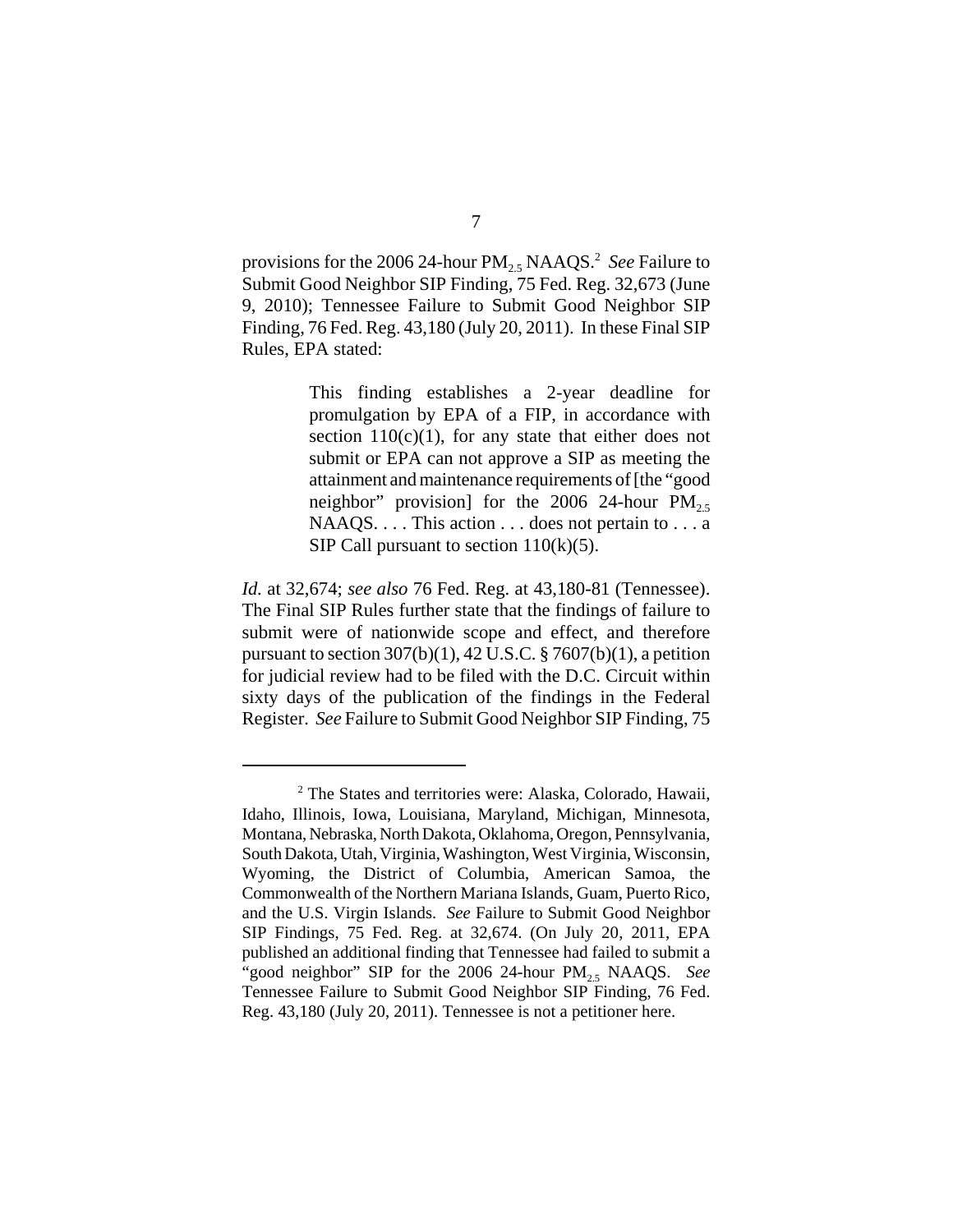provisions for the 2006 24-hour PM<sub>2.5</sub> NAAQS.<sup>2</sup> See Failure to Submit Good Neighbor SIP Finding, 75 Fed. Reg. 32,673 (June 9, 2010); Tennessee Failure to Submit Good Neighbor SIP Finding, 76 Fed. Reg. 43,180 (July 20, 2011). In these Final SIP Rules, EPA stated:

> This finding establishes a 2-year deadline for promulgation by EPA of a FIP, in accordance with section  $110(c)(1)$ , for any state that either does not submit or EPA can not approve a SIP as meeting the attainment and maintenance requirements of [the "good neighbor" provision] for the 2006 24-hour  $PM_{2.5}$ NAAQS. . . . This action . . . does not pertain to . . . a SIP Call pursuant to section  $110(k)(5)$ .

*Id.* at 32,674; *see also* 76 Fed. Reg. at 43,180-81 (Tennessee). The Final SIP Rules further state that the findings of failure to submit were of nationwide scope and effect, and therefore pursuant to section  $307(b)(1)$ ,  $42 U.S.C.$  §  $7607(b)(1)$ , a petition for judicial review had to be filed with the D.C. Circuit within sixty days of the publication of the findings in the Federal Register. *See* Failure to Submit Good Neighbor SIP Finding, 75

<sup>2</sup> The States and territories were: Alaska, Colorado, Hawaii, Idaho, Illinois, Iowa, Louisiana, Maryland, Michigan, Minnesota, Montana, Nebraska, North Dakota, Oklahoma, Oregon, Pennsylvania, South Dakota, Utah, Virginia, Washington, West Virginia, Wisconsin, Wyoming, the District of Columbia, American Samoa, the Commonwealth of the Northern Mariana Islands, Guam, Puerto Rico, and the U.S. Virgin Islands. *See* Failure to Submit Good Neighbor SIP Findings, 75 Fed. Reg. at 32,674. (On July 20, 2011, EPA published an additional finding that Tennessee had failed to submit a "good neighbor" SIP for the 2006 24-hour PM<sub>2.5</sub> NAAOS. See Tennessee Failure to Submit Good Neighbor SIP Finding, 76 Fed. Reg. 43,180 (July 20, 2011). Tennessee is not a petitioner here.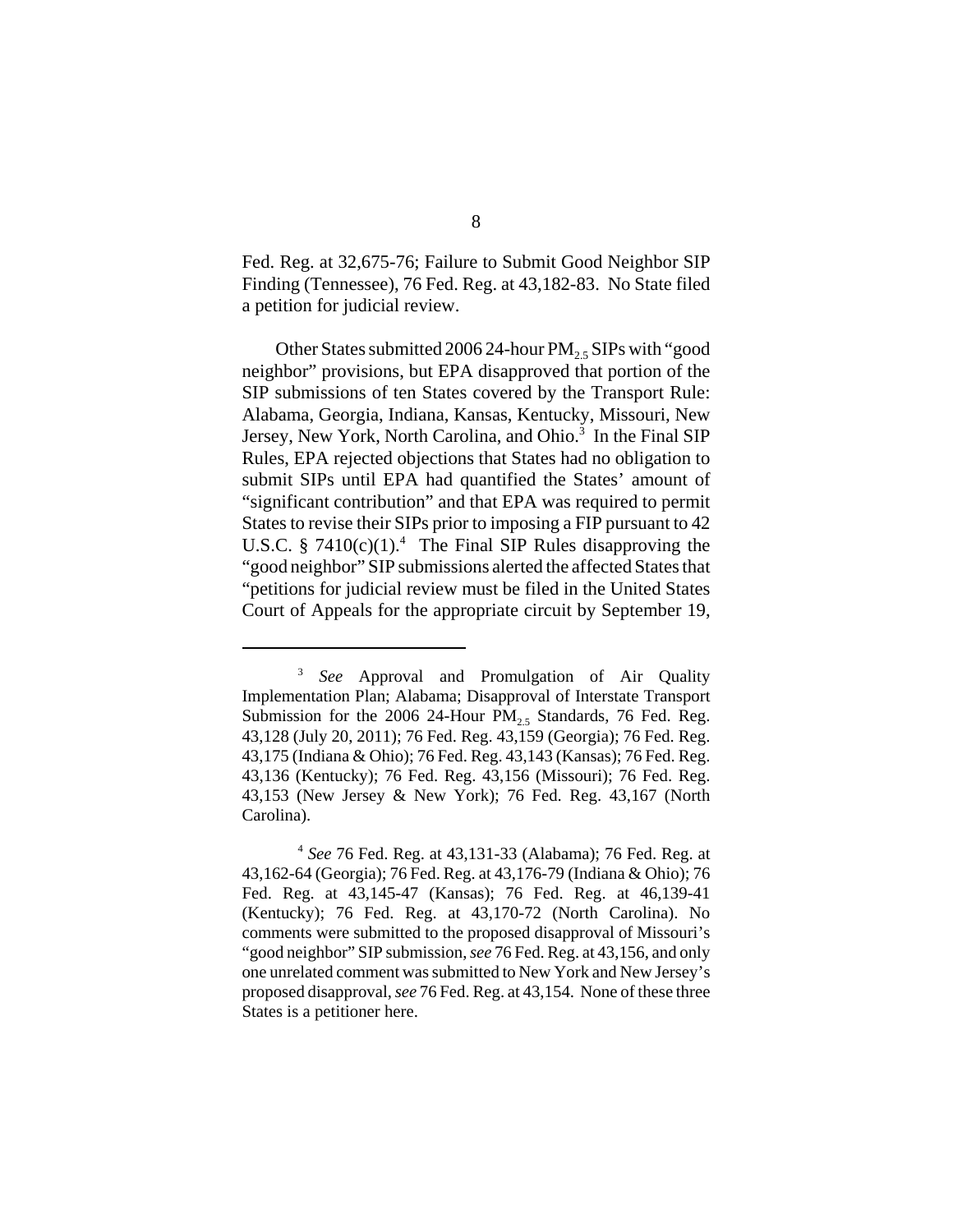Fed. Reg. at 32,675-76; Failure to Submit Good Neighbor SIP Finding (Tennessee), 76 Fed. Reg. at 43,182-83. No State filed a petition for judicial review.

Other States submitted 2006 24-hour  $PM_{2.5}$  SIPs with "good neighbor" provisions, but EPA disapproved that portion of the SIP submissions of ten States covered by the Transport Rule: Alabama, Georgia, Indiana, Kansas, Kentucky, Missouri, New Jersey, New York, North Carolina, and Ohio.<sup>3</sup> In the Final SIP Rules, EPA rejected objections that States had no obligation to submit SIPs until EPA had quantified the States' amount of "significant contribution" and that EPA was required to permit States to revise their SIPs prior to imposing a FIP pursuant to 42 U.S.C. § 7410 $(c)(1)$ .<sup>4</sup> The Final SIP Rules disapproving the "good neighbor" SIP submissions alerted the affected States that "petitions for judicial review must be filed in the United States Court of Appeals for the appropriate circuit by September 19,

<sup>3</sup> *See* Approval and Promulgation of Air Quality Implementation Plan; Alabama; Disapproval of Interstate Transport Submission for the 2006 24-Hour  $PM_{2.5}$  Standards, 76 Fed. Reg. 43,128 (July 20, 2011); 76 Fed. Reg. 43,159 (Georgia); 76 Fed. Reg. 43,175 (Indiana & Ohio); 76 Fed. Reg. 43,143 (Kansas); 76 Fed. Reg. 43,136 (Kentucky); 76 Fed. Reg. 43,156 (Missouri); 76 Fed. Reg. 43,153 (New Jersey & New York); 76 Fed. Reg. 43,167 (North Carolina).

<sup>4</sup> *See* 76 Fed. Reg. at 43,131-33 (Alabama); 76 Fed. Reg. at 43,162-64 (Georgia); 76 Fed. Reg. at 43,176-79 (Indiana & Ohio); 76 Fed. Reg. at 43,145-47 (Kansas); 76 Fed. Reg. at 46,139-41 (Kentucky); 76 Fed. Reg. at 43,170-72 (North Carolina). No comments were submitted to the proposed disapproval of Missouri's "good neighbor" SIP submission, *see* 76 Fed. Reg. at 43,156, and only one unrelated comment was submitted to New York and New Jersey's proposed disapproval, *see* 76 Fed. Reg. at 43,154. None of these three States is a petitioner here.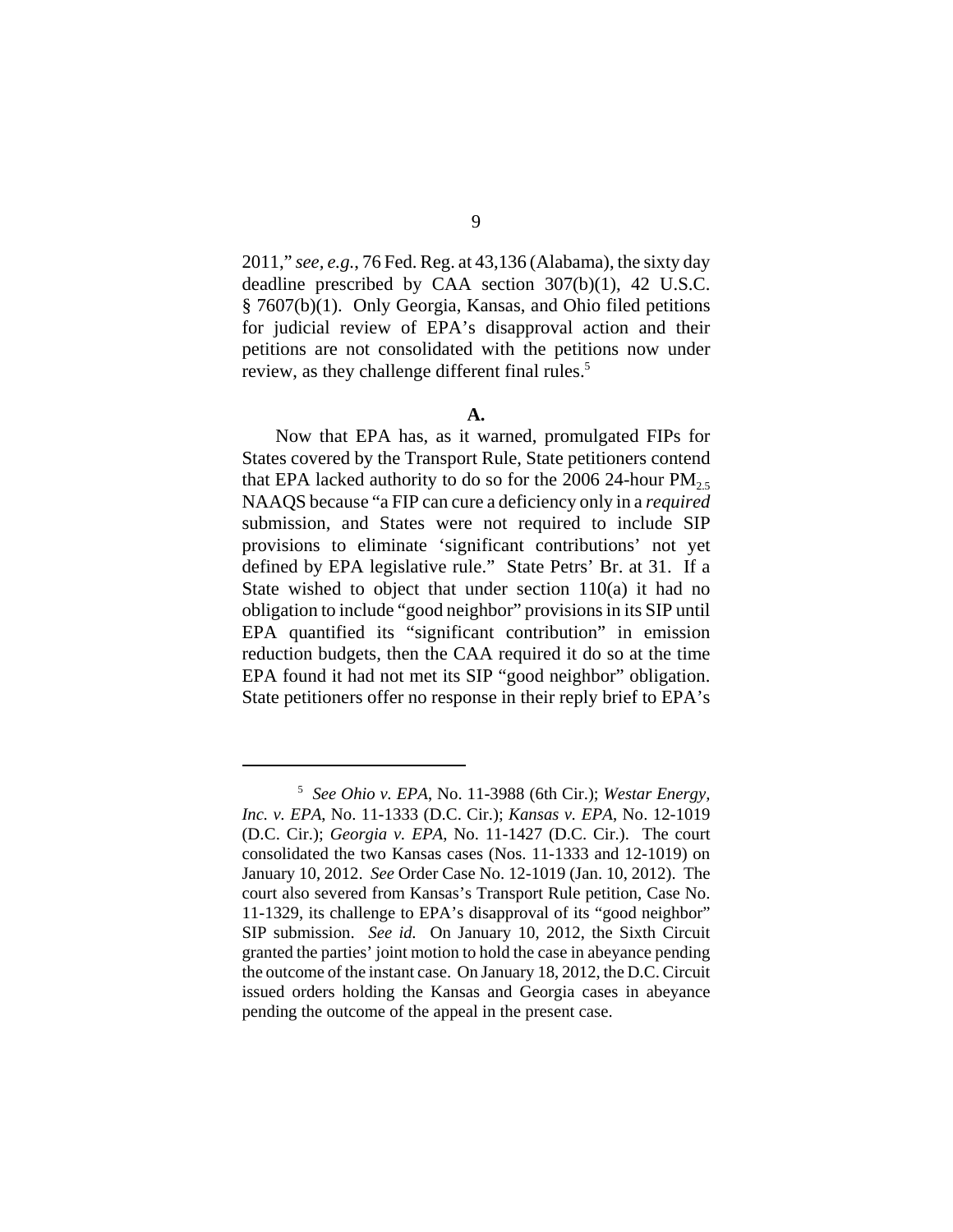2011," *see, e.g.*, 76 Fed. Reg. at 43,136 (Alabama), the sixty day deadline prescribed by CAA section 307(b)(1), 42 U.S.C. § 7607(b)(1). Only Georgia, Kansas, and Ohio filed petitions for judicial review of EPA's disapproval action and their petitions are not consolidated with the petitions now under review, as they challenge different final rules.<sup>5</sup>

## **A.**

Now that EPA has, as it warned, promulgated FIPs for States covered by the Transport Rule, State petitioners contend that EPA lacked authority to do so for the 2006 24-hour  $PM_{2.5}$ NAAQS because "a FIP can cure a deficiency only in a *required* submission, and States were not required to include SIP provisions to eliminate 'significant contributions' not yet defined by EPA legislative rule." State Petrs' Br. at 31. If a State wished to object that under section 110(a) it had no obligation to include "good neighbor" provisions in its SIP until EPA quantified its "significant contribution" in emission reduction budgets, then the CAA required it do so at the time EPA found it had not met its SIP "good neighbor" obligation. State petitioners offer no response in their reply brief to EPA's

<sup>5</sup> *See Ohio v. EPA*, No. 11-3988 (6th Cir.); *Westar Energy, Inc. v. EPA*, No. 11-1333 (D.C. Cir.); *Kansas v. EPA*, No. 12-1019 (D.C. Cir.); *Georgia v. EPA*, No. 11-1427 (D.C. Cir.). The court consolidated the two Kansas cases (Nos. 11-1333 and 12-1019) on January 10, 2012. *See* Order Case No. 12-1019 (Jan. 10, 2012). The court also severed from Kansas's Transport Rule petition, Case No. 11-1329, its challenge to EPA's disapproval of its "good neighbor" SIP submission. *See id.* On January 10, 2012, the Sixth Circuit granted the parties' joint motion to hold the case in abeyance pending the outcome of the instant case. On January 18, 2012, the D.C. Circuit issued orders holding the Kansas and Georgia cases in abeyance pending the outcome of the appeal in the present case.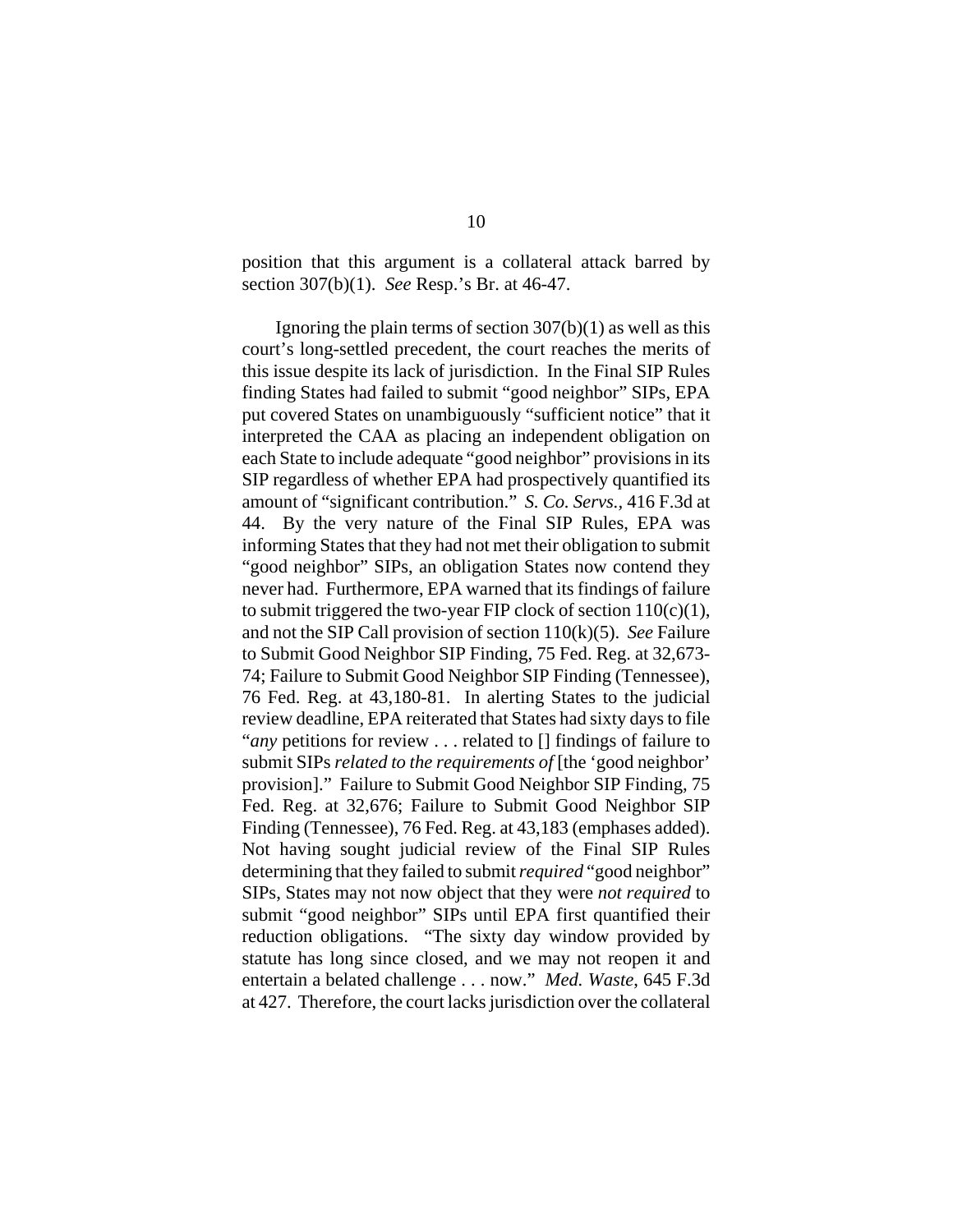position that this argument is a collateral attack barred by section 307(b)(1). *See* Resp.'s Br. at 46-47.

Ignoring the plain terms of section 307(b)(1) as well as this court's long-settled precedent, the court reaches the merits of this issue despite its lack of jurisdiction. In the Final SIP Rules finding States had failed to submit "good neighbor" SIPs, EPA put covered States on unambiguously "sufficient notice" that it interpreted the CAA as placing an independent obligation on each State to include adequate "good neighbor" provisions in its SIP regardless of whether EPA had prospectively quantified its amount of "significant contribution." *S. Co. Servs.,* 416 F.3d at 44. By the very nature of the Final SIP Rules, EPA was informing States that they had not met their obligation to submit "good neighbor" SIPs, an obligation States now contend they never had. Furthermore, EPA warned that its findings of failure to submit triggered the two-year FIP clock of section  $110(c)(1)$ , and not the SIP Call provision of section 110(k)(5). *See* Failure to Submit Good Neighbor SIP Finding, 75 Fed. Reg. at 32,673- 74; Failure to Submit Good Neighbor SIP Finding (Tennessee), 76 Fed. Reg. at 43,180-81. In alerting States to the judicial review deadline, EPA reiterated that States had sixty days to file "*any* petitions for review . . . related to [] findings of failure to submit SIPs *related to the requirements of* [the 'good neighbor' provision]." Failure to Submit Good Neighbor SIP Finding, 75 Fed. Reg. at 32,676; Failure to Submit Good Neighbor SIP Finding (Tennessee), 76 Fed. Reg. at 43,183 (emphases added). Not having sought judicial review of the Final SIP Rules determining that they failed to submit *required* "good neighbor" SIPs, States may not now object that they were *not required* to submit "good neighbor" SIPs until EPA first quantified their reduction obligations. "The sixty day window provided by statute has long since closed, and we may not reopen it and entertain a belated challenge . . . now." *Med. Waste*, 645 F.3d at 427. Therefore, the court lacks jurisdiction over the collateral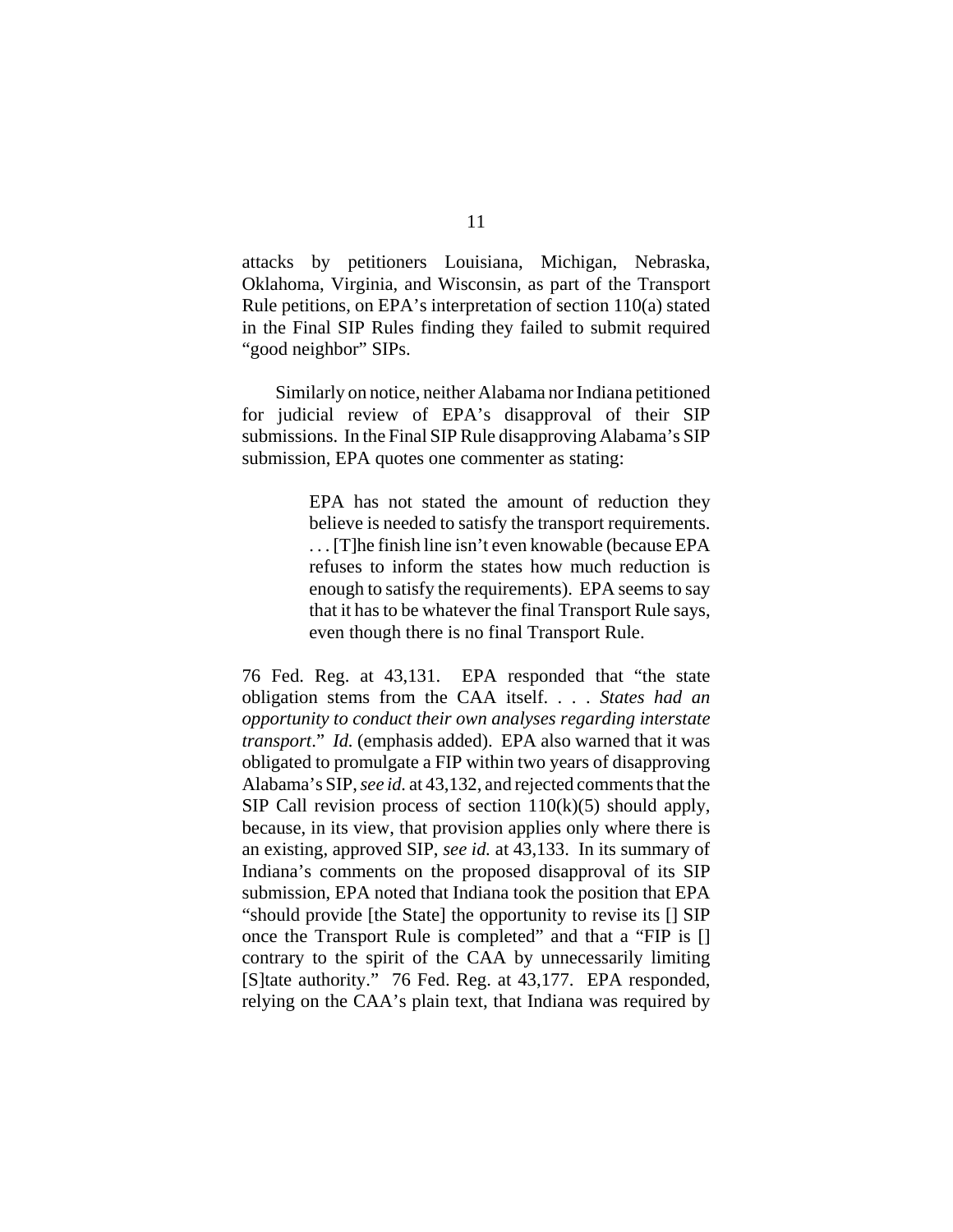attacks by petitioners Louisiana, Michigan, Nebraska, Oklahoma, Virginia, and Wisconsin, as part of the Transport Rule petitions, on EPA's interpretation of section 110(a) stated in the Final SIP Rules finding they failed to submit required "good neighbor" SIPs.

Similarly on notice, neither Alabama nor Indiana petitioned for judicial review of EPA's disapproval of their SIP submissions. In the Final SIP Rule disapproving Alabama's SIP submission, EPA quotes one commenter as stating:

> EPA has not stated the amount of reduction they believe is needed to satisfy the transport requirements. . . . [T]he finish line isn't even knowable (because EPA refuses to inform the states how much reduction is enough to satisfy the requirements). EPA seems to say that it has to be whatever the final Transport Rule says, even though there is no final Transport Rule.

76 Fed. Reg. at 43,131. EPA responded that "the state obligation stems from the CAA itself. . . . *States had an opportunity to conduct their own analyses regarding interstate transport*." *Id.* (emphasis added). EPA also warned that it was obligated to promulgate a FIP within two years of disapproving Alabama's SIP, *see id.* at 43,132, and rejected comments that the SIP Call revision process of section  $110(k)(5)$  should apply, because, in its view, that provision applies only where there is an existing, approved SIP, *see id.* at 43,133. In its summary of Indiana's comments on the proposed disapproval of its SIP submission, EPA noted that Indiana took the position that EPA "should provide [the State] the opportunity to revise its [] SIP once the Transport Rule is completed" and that a "FIP is [] contrary to the spirit of the CAA by unnecessarily limiting [S]tate authority." 76 Fed. Reg. at 43,177. EPA responded, relying on the CAA's plain text, that Indiana was required by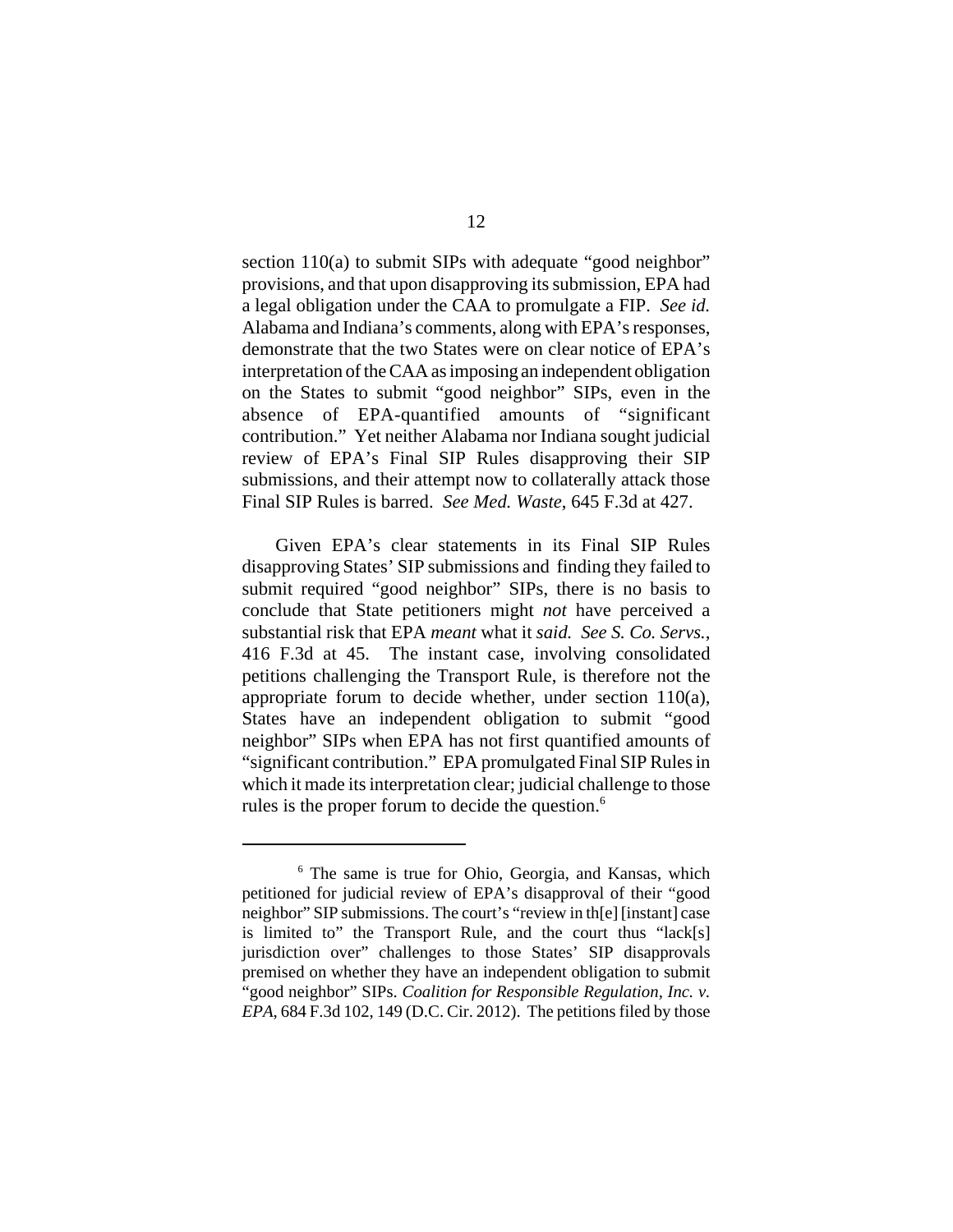section 110(a) to submit SIPs with adequate "good neighbor" provisions, and that upon disapproving its submission, EPA had a legal obligation under the CAA to promulgate a FIP. *See id.* Alabama and Indiana's comments, along with EPA's responses, demonstrate that the two States were on clear notice of EPA's interpretation of the CAA as imposing an independent obligation on the States to submit "good neighbor" SIPs, even in the absence of EPA-quantified amounts of "significant contribution." Yet neither Alabama nor Indiana sought judicial review of EPA's Final SIP Rules disapproving their SIP submissions, and their attempt now to collaterally attack those Final SIP Rules is barred. *See Med. Waste*, 645 F.3d at 427.

Given EPA's clear statements in its Final SIP Rules disapproving States' SIP submissions and finding they failed to submit required "good neighbor" SIPs, there is no basis to conclude that State petitioners might *not* have perceived a substantial risk that EPA *meant* what it *said. See S. Co. Servs.*, 416 F.3d at 45. The instant case, involving consolidated petitions challenging the Transport Rule, is therefore not the appropriate forum to decide whether, under section 110(a), States have an independent obligation to submit "good neighbor" SIPs when EPA has not first quantified amounts of "significant contribution." EPA promulgated Final SIP Rules in which it made its interpretation clear; judicial challenge to those rules is the proper forum to decide the question.<sup>6</sup>

<sup>&</sup>lt;sup>6</sup> The same is true for Ohio, Georgia, and Kansas, which petitioned for judicial review of EPA's disapproval of their "good neighbor" SIP submissions. The court's "review in th[e] [instant] case is limited to" the Transport Rule, and the court thus "lack[s] jurisdiction over" challenges to those States' SIP disapprovals premised on whether they have an independent obligation to submit "good neighbor" SIPs. *Coalition for Responsible Regulation, Inc. v. EPA*, 684 F.3d 102, 149 (D.C. Cir. 2012). The petitions filed by those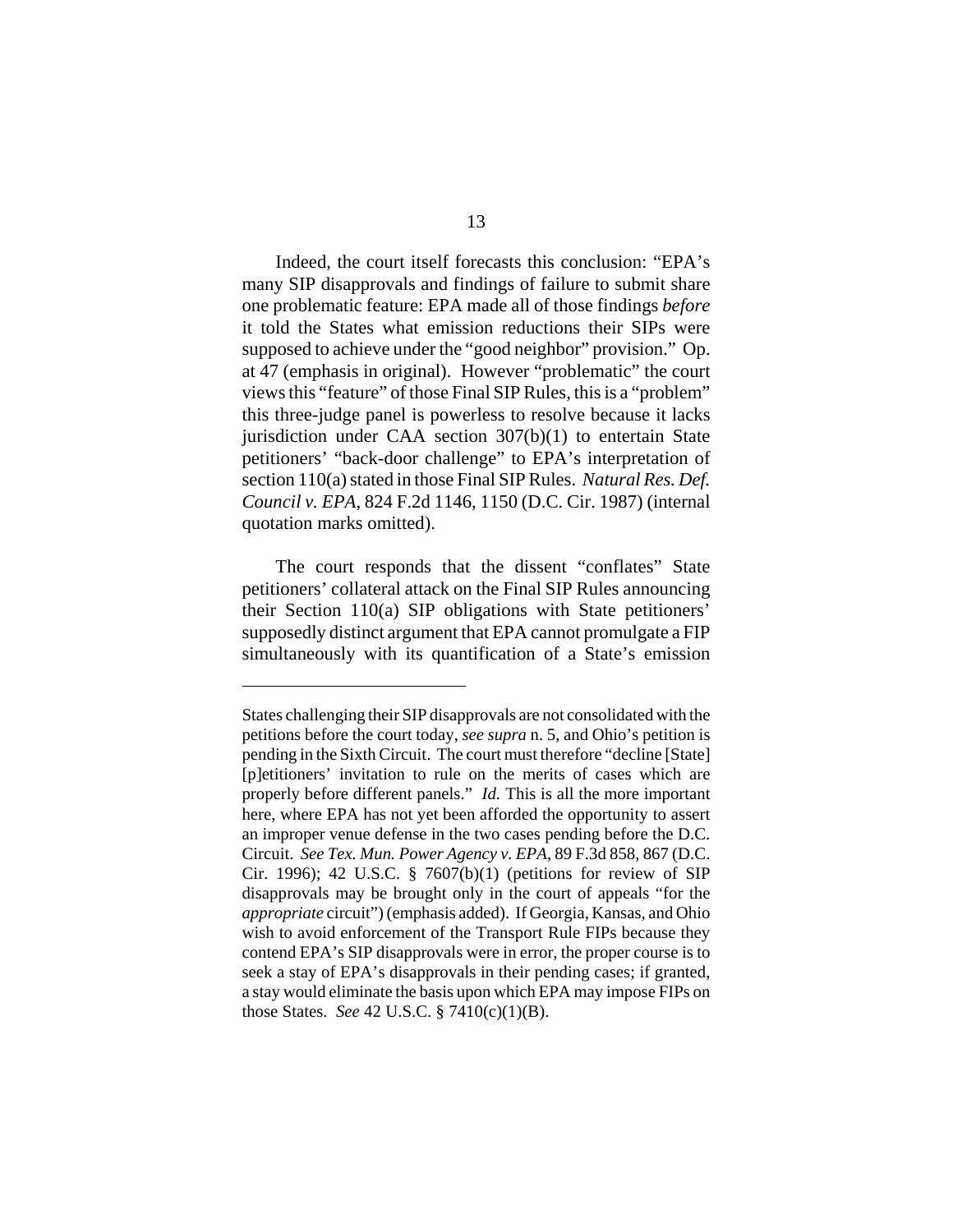Indeed, the court itself forecasts this conclusion: "EPA's many SIP disapprovals and findings of failure to submit share one problematic feature: EPA made all of those findings *before* it told the States what emission reductions their SIPs were supposed to achieve under the "good neighbor" provision." Op. at 47 (emphasis in original). However "problematic" the court views this "feature" of those Final SIP Rules, this is a "problem" this three-judge panel is powerless to resolve because it lacks jurisdiction under CAA section 307(b)(1) to entertain State petitioners' "back-door challenge" to EPA's interpretation of section 110(a) stated in those Final SIP Rules. *Natural Res. Def. Council v. EPA*, 824 F.2d 1146, 1150 (D.C. Cir. 1987) (internal quotation marks omitted).

The court responds that the dissent "conflates" State petitioners' collateral attack on the Final SIP Rules announcing their Section 110(a) SIP obligations with State petitioners' supposedly distinct argument that EPA cannot promulgate a FIP simultaneously with its quantification of a State's emission

States challenging their SIP disapprovals are not consolidated with the petitions before the court today, *see supra* n. 5, and Ohio's petition is pending in the Sixth Circuit. The court must therefore "decline [State] [p]etitioners' invitation to rule on the merits of cases which are properly before different panels." *Id.* This is all the more important here, where EPA has not yet been afforded the opportunity to assert an improper venue defense in the two cases pending before the D.C. Circuit. *See Tex. Mun. Power Agency v. EPA*, 89 F.3d 858, 867 (D.C. Cir. 1996); 42 U.S.C. § 7607(b)(1) (petitions for review of SIP disapprovals may be brought only in the court of appeals "for the *appropriate* circuit") (emphasis added). If Georgia, Kansas, and Ohio wish to avoid enforcement of the Transport Rule FIPs because they contend EPA's SIP disapprovals were in error, the proper course is to seek a stay of EPA's disapprovals in their pending cases; if granted, a stay would eliminate the basis upon which EPA may impose FIPs on those States. *See* 42 U.S.C. § 7410(c)(1)(B).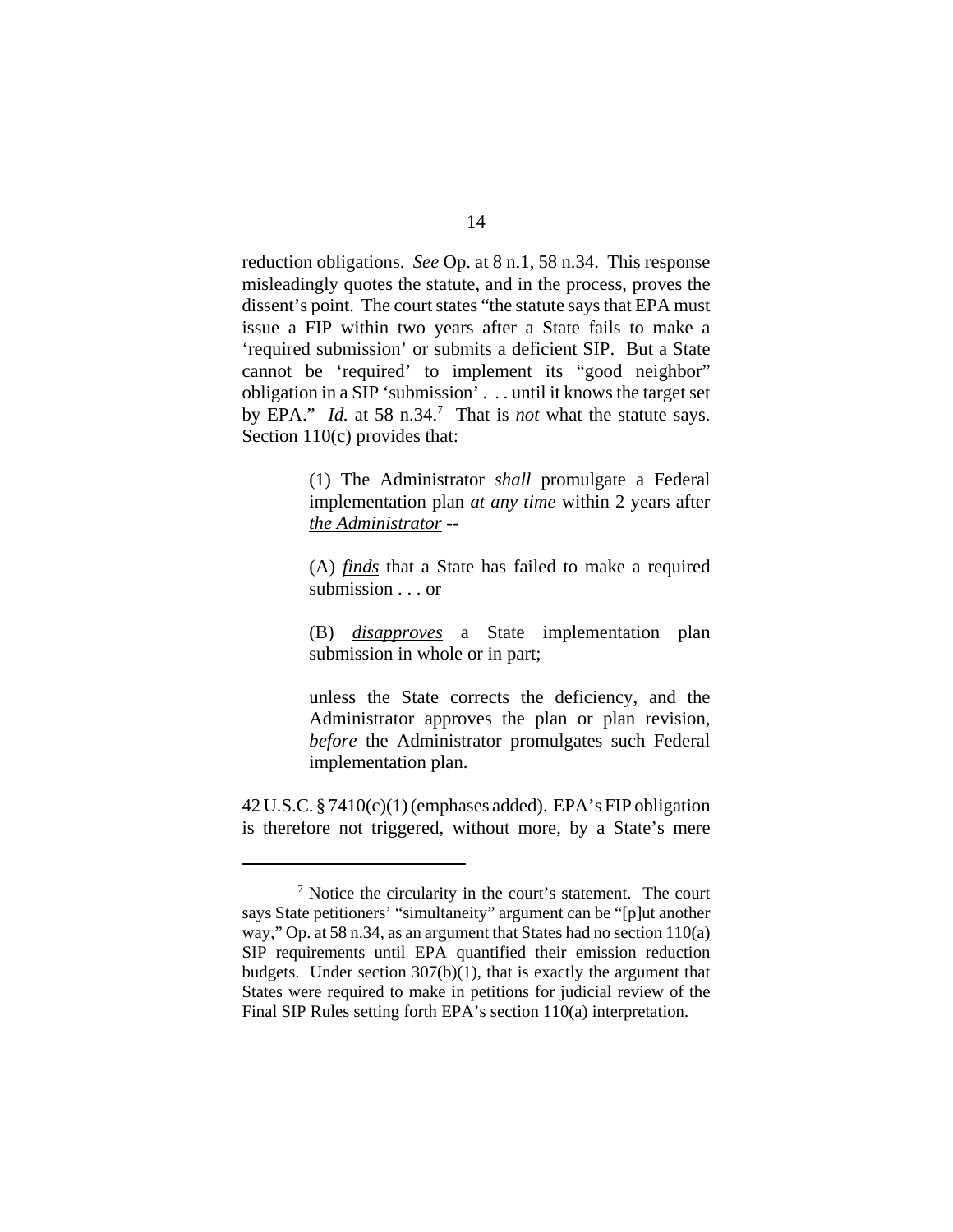reduction obligations. *See* Op. at 8 n.1, 58 n.34. This response misleadingly quotes the statute, and in the process, proves the dissent's point. The court states "the statute says that EPA must issue a FIP within two years after a State fails to make a 'required submission' or submits a deficient SIP. But a State cannot be 'required' to implement its "good neighbor" obligation in a SIP 'submission' . . . until it knows the target set by EPA." *Id.* at 58 n.34.<sup>7</sup> That is *not* what the statute says. Section 110(c) provides that:

> (1) The Administrator *shall* promulgate a Federal implementation plan *at any time* within 2 years after *the Administrator* --

> (A) *finds* that a State has failed to make a required submission . . . or

> (B) *disapproves* a State implementation plan submission in whole or in part;

> unless the State corrects the deficiency, and the Administrator approves the plan or plan revision, *before* the Administrator promulgates such Federal implementation plan.

42 U.S.C. § 7410(c)(1) (emphases added). EPA's FIP obligation is therefore not triggered, without more, by a State's mere

 $7$  Notice the circularity in the court's statement. The court says State petitioners' "simultaneity" argument can be "[p]ut another way," Op. at 58 n.34, as an argument that States had no section 110(a) SIP requirements until EPA quantified their emission reduction budgets. Under section 307(b)(1), that is exactly the argument that States were required to make in petitions for judicial review of the Final SIP Rules setting forth EPA's section 110(a) interpretation.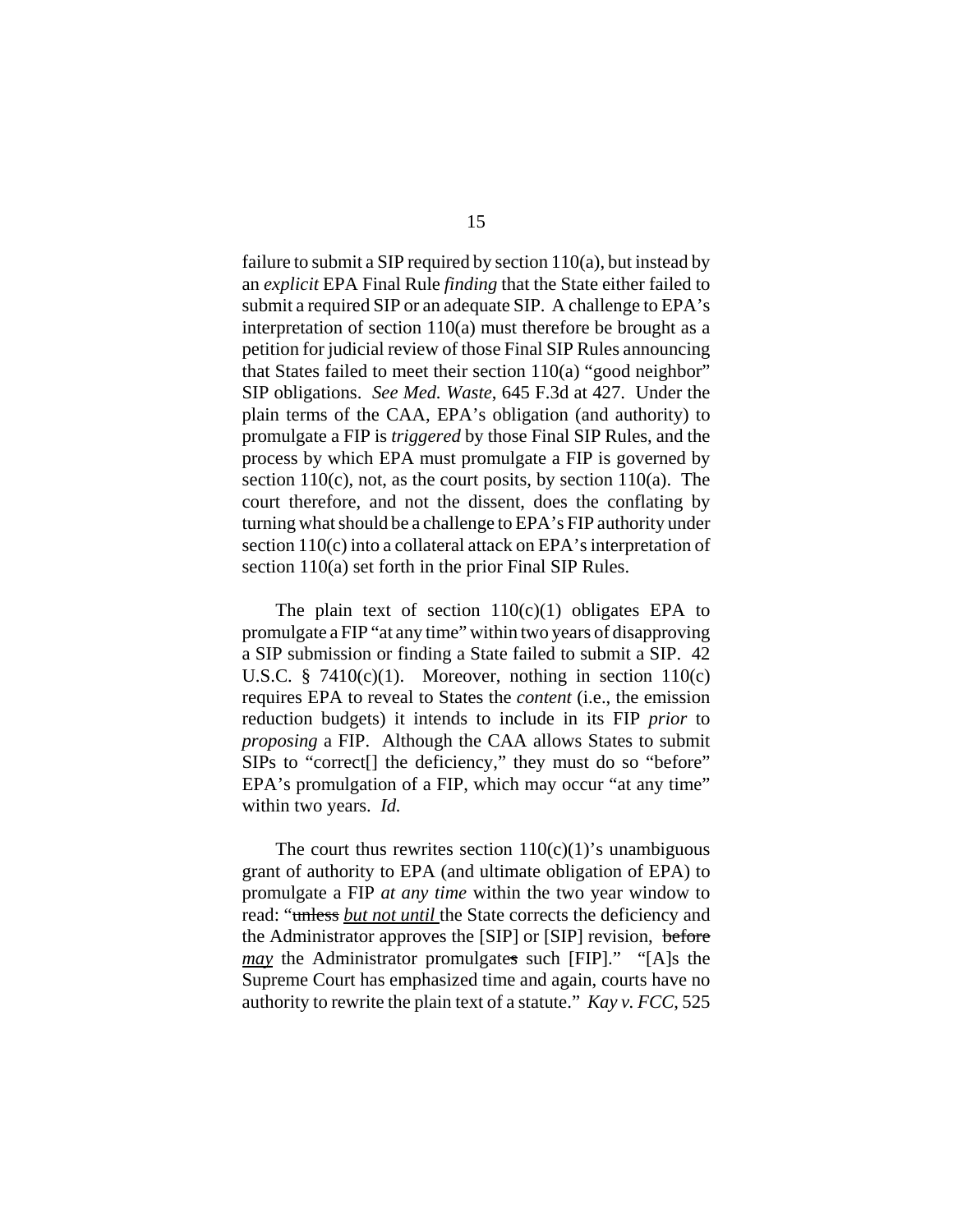failure to submit a SIP required by section  $110(a)$ , but instead by an *explicit* EPA Final Rule *finding* that the State either failed to submit a required SIP or an adequate SIP. A challenge to EPA's interpretation of section 110(a) must therefore be brought as a petition for judicial review of those Final SIP Rules announcing that States failed to meet their section 110(a) "good neighbor" SIP obligations. *See Med. Waste*, 645 F.3d at 427. Under the plain terms of the CAA, EPA's obligation (and authority) to promulgate a FIP is *triggered* by those Final SIP Rules, and the process by which EPA must promulgate a FIP is governed by section  $110(c)$ , not, as the court posits, by section  $110(a)$ . The court therefore, and not the dissent, does the conflating by turning what should be a challenge to EPA's FIP authority under section 110(c) into a collateral attack on EPA's interpretation of section  $110(a)$  set forth in the prior Final SIP Rules.

The plain text of section  $110(c)(1)$  obligates EPA to promulgate a FIP "at any time" within two years of disapproving a SIP submission or finding a State failed to submit a SIP. 42 U.S.C. § 7410 $(c)(1)$ . Moreover, nothing in section 110 $(c)$ requires EPA to reveal to States the *content* (i.e., the emission reduction budgets) it intends to include in its FIP *prior* to *proposing* a FIP. Although the CAA allows States to submit SIPs to "correct<sup>[]</sup> the deficiency," they must do so "before" EPA's promulgation of a FIP, which may occur "at any time" within two years. *Id.*

The court thus rewrites section  $110(c)(1)$ 's unambiguous grant of authority to EPA (and ultimate obligation of EPA) to promulgate a FIP *at any time* within the two year window to read: "unless *but not until* the State corrects the deficiency and the Administrator approves the [SIP] or [SIP] revision, before *may* the Administrator promulgates such [FIP]." "[A]s the Supreme Court has emphasized time and again, courts have no authority to rewrite the plain text of a statute." *Kay v. FCC*, 525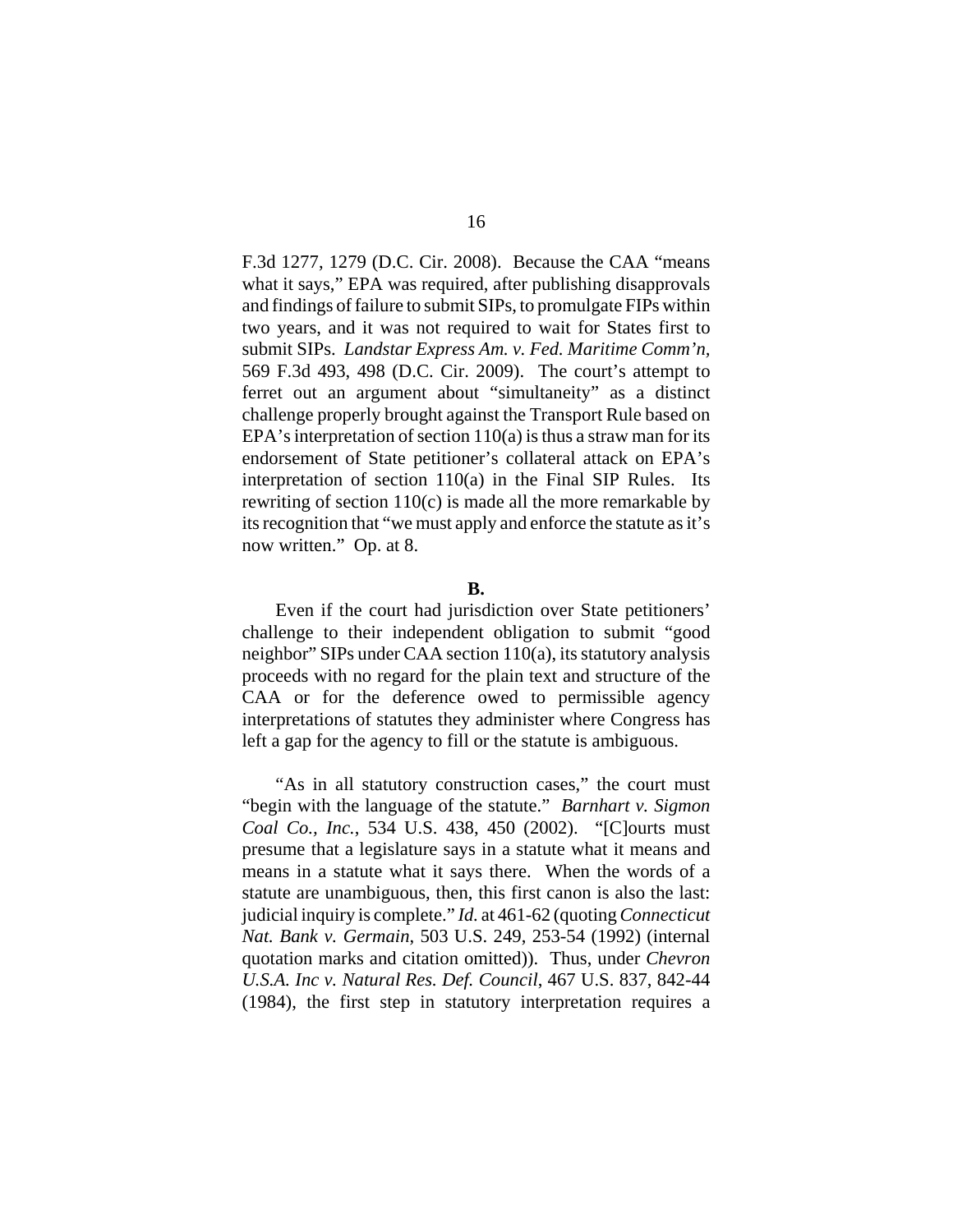F.3d 1277, 1279 (D.C. Cir. 2008). Because the CAA "means what it says," EPA was required, after publishing disapprovals and findings of failure to submit SIPs, to promulgate FIPs within two years, and it was not required to wait for States first to submit SIPs. *Landstar Express Am. v. Fed. Maritime Comm'n,* 569 F.3d 493, 498 (D.C. Cir. 2009). The court's attempt to ferret out an argument about "simultaneity" as a distinct challenge properly brought against the Transport Rule based on EPA's interpretation of section  $110(a)$  is thus a straw man for its endorsement of State petitioner's collateral attack on EPA's interpretation of section 110(a) in the Final SIP Rules. Its rewriting of section 110(c) is made all the more remarkable by its recognition that "we must apply and enforce the statute as it's now written." Op. at 8.

### **B.**

Even if the court had jurisdiction over State petitioners' challenge to their independent obligation to submit "good neighbor" SIPs under CAA section 110(a), its statutory analysis proceeds with no regard for the plain text and structure of the CAA or for the deference owed to permissible agency interpretations of statutes they administer where Congress has left a gap for the agency to fill or the statute is ambiguous.

"As in all statutory construction cases," the court must "begin with the language of the statute." *Barnhart v. Sigmon Coal Co., Inc.*, 534 U.S. 438, 450 (2002). "[C]ourts must presume that a legislature says in a statute what it means and means in a statute what it says there. When the words of a statute are unambiguous, then, this first canon is also the last: judicial inquiry is complete." *Id.* at 461-62 (quoting *Connecticut Nat. Bank v. Germain*, 503 U.S. 249, 253-54 (1992) (internal quotation marks and citation omitted)). Thus, under *Chevron U.S.A. Inc v. Natural Res. Def. Council*, 467 U.S. 837, 842-44 (1984), the first step in statutory interpretation requires a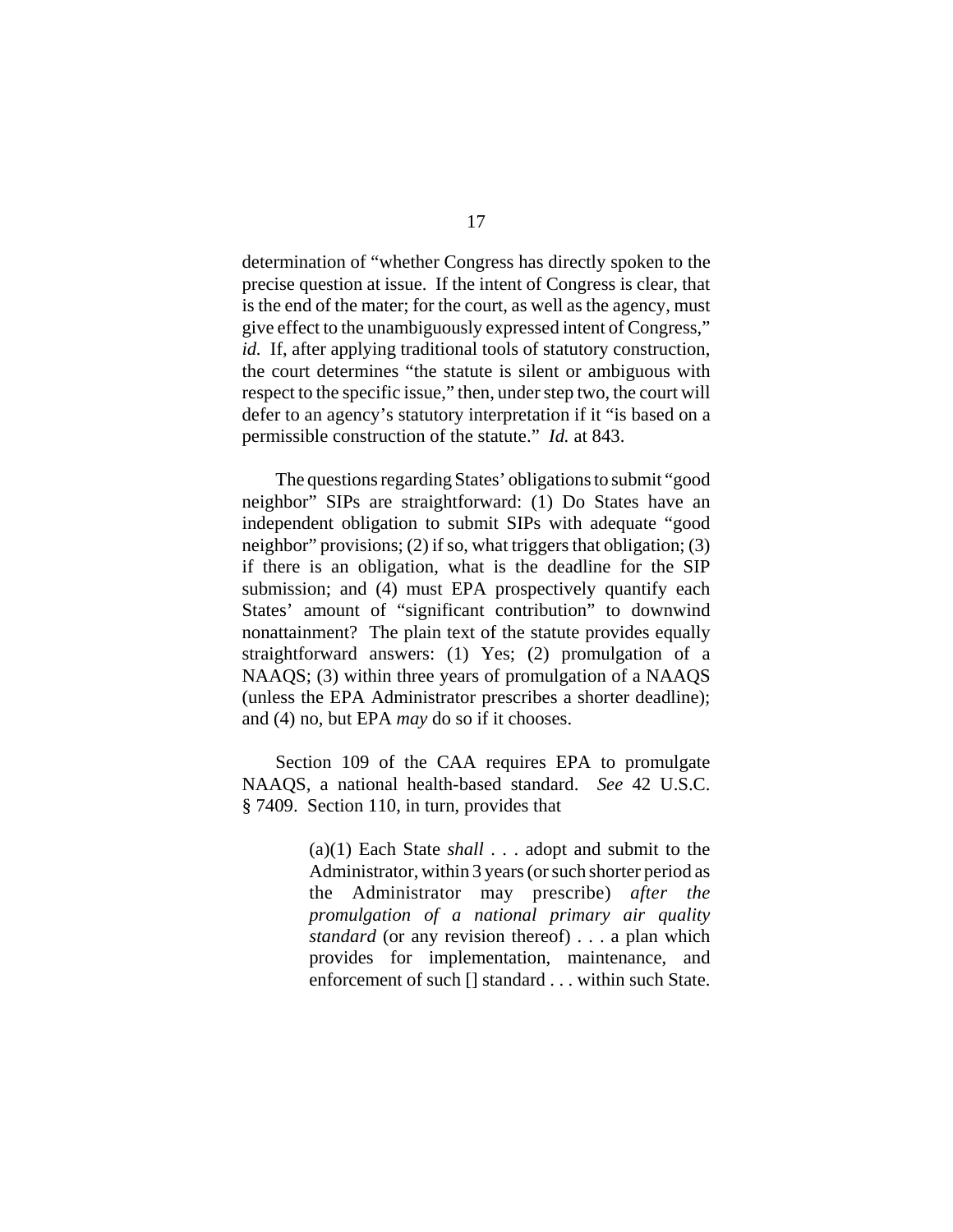determination of "whether Congress has directly spoken to the precise question at issue. If the intent of Congress is clear, that is the end of the mater; for the court, as well as the agency, must give effect to the unambiguously expressed intent of Congress," *id.* If, after applying traditional tools of statutory construction, the court determines "the statute is silent or ambiguous with respect to the specific issue," then, under step two, the court will defer to an agency's statutory interpretation if it "is based on a permissible construction of the statute." *Id.* at 843.

The questions regarding States' obligations to submit "good neighbor" SIPs are straightforward: (1) Do States have an independent obligation to submit SIPs with adequate "good neighbor" provisions; (2) if so, what triggers that obligation; (3) if there is an obligation, what is the deadline for the SIP submission; and (4) must EPA prospectively quantify each States' amount of "significant contribution" to downwind nonattainment? The plain text of the statute provides equally straightforward answers: (1) Yes; (2) promulgation of a NAAQS; (3) within three years of promulgation of a NAAQS (unless the EPA Administrator prescribes a shorter deadline); and (4) no, but EPA *may* do so if it chooses.

Section 109 of the CAA requires EPA to promulgate NAAQS, a national health-based standard. *See* 42 U.S.C. § 7409. Section 110, in turn, provides that

> (a)(1) Each State *shall* . . . adopt and submit to the Administrator, within 3 years (or such shorter period as the Administrator may prescribe) *after the promulgation of a national primary air quality standard* (or any revision thereof) . . . a plan which provides for implementation, maintenance, and enforcement of such [] standard . . . within such State.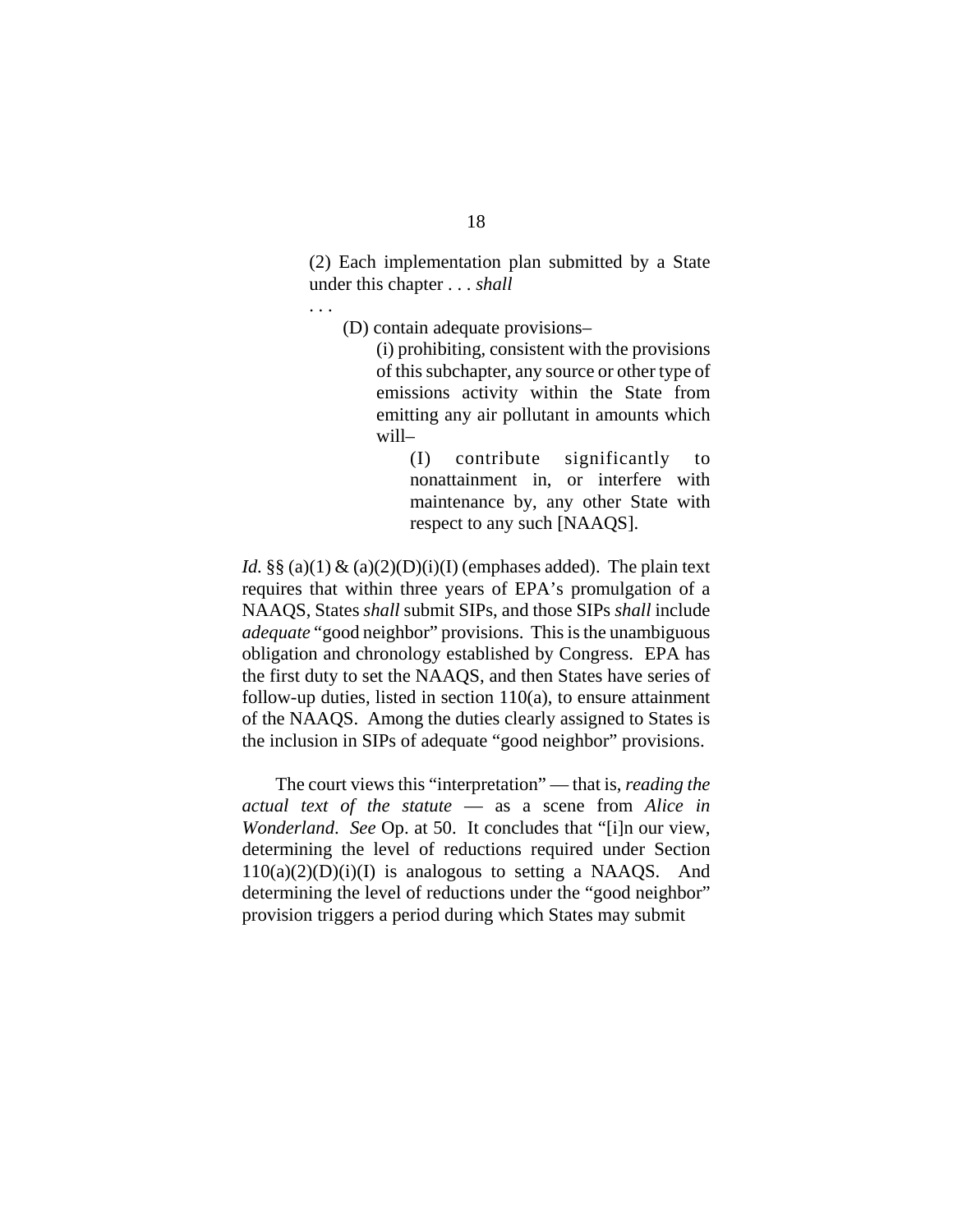(2) Each implementation plan submitted by a State under this chapter . . . *shall*

(D) contain adequate provisions–

(i) prohibiting, consistent with the provisions of this subchapter, any source or other type of emissions activity within the State from emitting any air pollutant in amounts which will–

(I) contribute significantly to nonattainment in, or interfere with maintenance by, any other State with respect to any such [NAAQS].

*Id.* §§ (a)(1)  $\&$  (a)(2)(D)(i)(I) (emphases added). The plain text requires that within three years of EPA's promulgation of a NAAQS, States *shall* submit SIPs, and those SIPs *shall* include *adequate* "good neighbor" provisions. This is the unambiguous obligation and chronology established by Congress. EPA has the first duty to set the NAAQS, and then States have series of follow-up duties, listed in section 110(a), to ensure attainment of the NAAQS. Among the duties clearly assigned to States is the inclusion in SIPs of adequate "good neighbor" provisions.

The court views this "interpretation" — that is, *reading the actual text of the statute* — as a scene from *Alice in Wonderland*. *See* Op. at 50. It concludes that "[i]n our view, determining the level of reductions required under Section  $110(a)(2)(D)(i)(I)$  is analogous to setting a NAAQS. And determining the level of reductions under the "good neighbor" provision triggers a period during which States may submit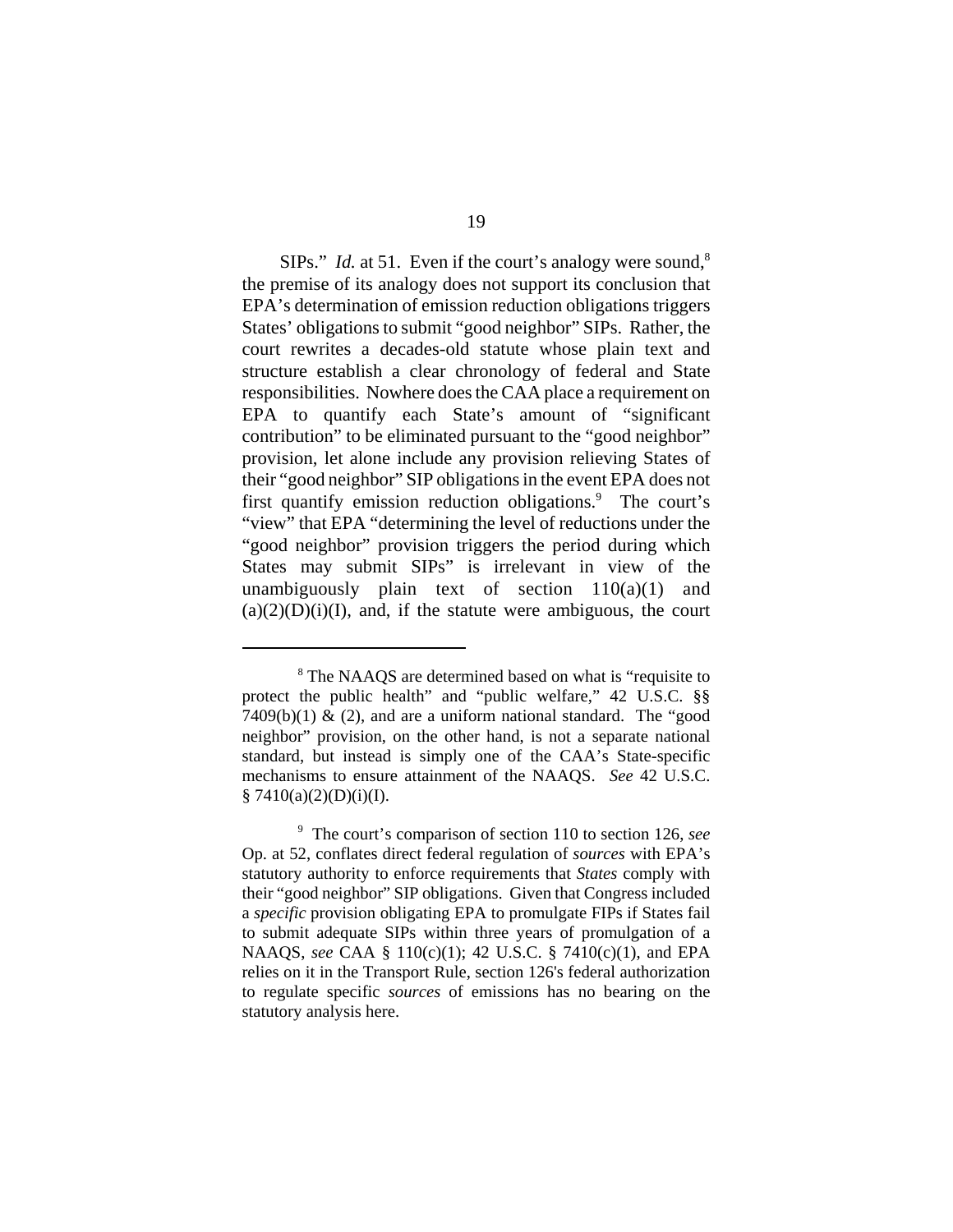SIPs." *Id.* at 51. Even if the court's analogy were sound,<sup>8</sup> the premise of its analogy does not support its conclusion that EPA's determination of emission reduction obligations triggers States' obligations to submit "good neighbor" SIPs. Rather, the court rewrites a decades-old statute whose plain text and structure establish a clear chronology of federal and State responsibilities. Nowhere does the CAA place a requirement on EPA to quantify each State's amount of "significant contribution" to be eliminated pursuant to the "good neighbor" provision, let alone include any provision relieving States of their "good neighbor" SIP obligations in the event EPA does not first quantify emission reduction obligations.<sup>9</sup> The court's "view" that EPA "determining the level of reductions under the "good neighbor" provision triggers the period during which States may submit SIPs" is irrelevant in view of the unambiguously plain text of section  $110(a)(1)$  and  $(a)(2)(D)(i)(I)$ , and, if the statute were ambiguous, the court

<sup>&</sup>lt;sup>8</sup> The NAAQS are determined based on what is "requisite to protect the public health" and "public welfare," 42 U.S.C. §§ 7409(b)(1) & (2), and are a uniform national standard. The "good neighbor" provision, on the other hand, is not a separate national standard, but instead is simply one of the CAA's State-specific mechanisms to ensure attainment of the NAAQS. *See* 42 U.S.C.  $§ 7410(a)(2)(D)(i)(I).$ 

<sup>9</sup> The court's comparison of section 110 to section 126, *see* Op. at 52, conflates direct federal regulation of *sources* with EPA's statutory authority to enforce requirements that *States* comply with their "good neighbor" SIP obligations. Given that Congress included a *specific* provision obligating EPA to promulgate FIPs if States fail to submit adequate SIPs within three years of promulgation of a NAAQS, *see* CAA § 110(c)(1); 42 U.S.C. § 7410(c)(1), and EPA relies on it in the Transport Rule, section 126's federal authorization to regulate specific *sources* of emissions has no bearing on the statutory analysis here.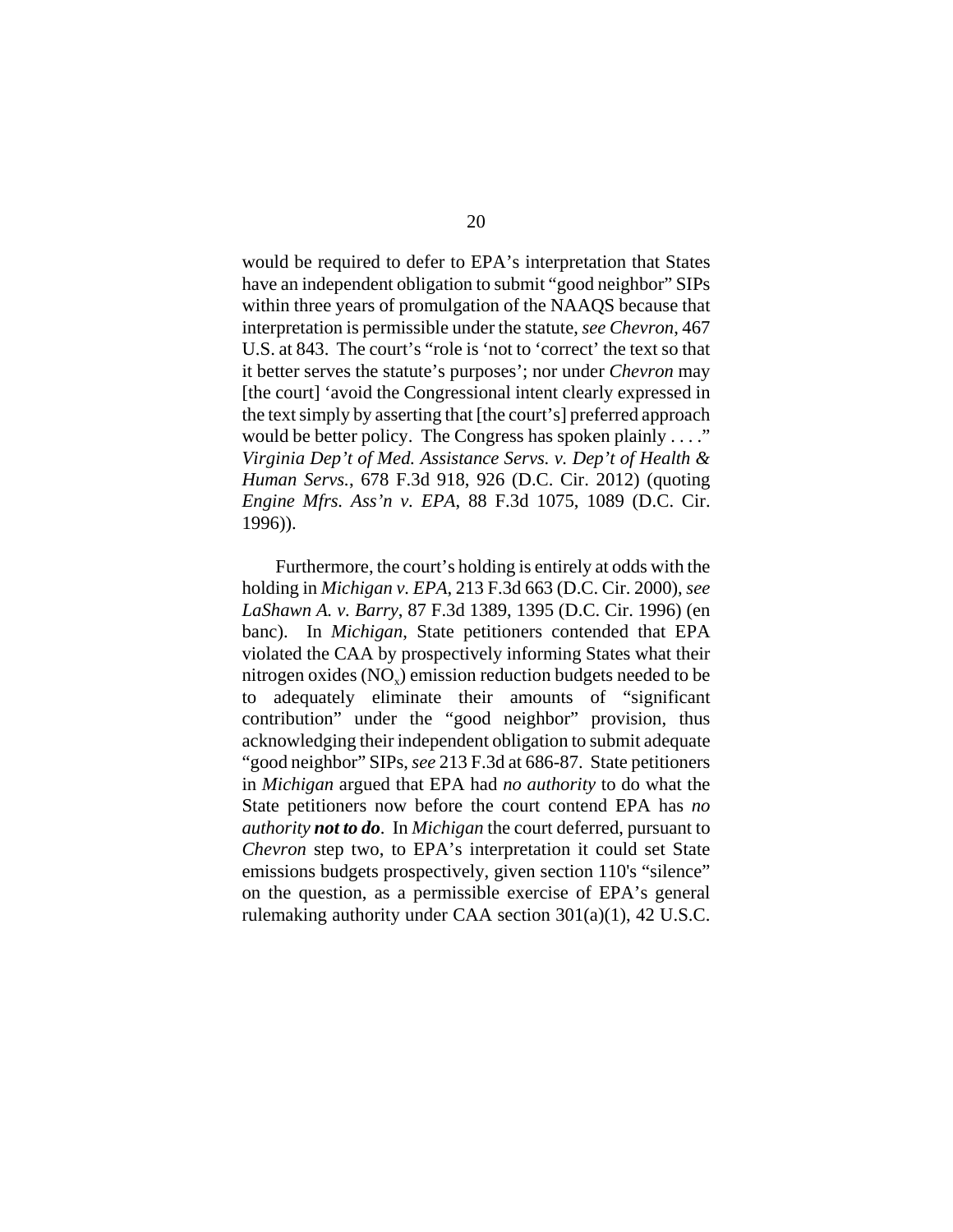would be required to defer to EPA's interpretation that States have an independent obligation to submit "good neighbor" SIPs within three years of promulgation of the NAAQS because that interpretation is permissible under the statute, *see Chevron*, 467 U.S. at 843. The court's "role is 'not to 'correct' the text so that it better serves the statute's purposes'; nor under *Chevron* may [the court] 'avoid the Congressional intent clearly expressed in the text simply by asserting that [the court's] preferred approach would be better policy. The Congress has spoken plainly . . . ." *Virginia Dep't of Med. Assistance Servs. v. Dep't of Health & Human Servs.*, 678 F.3d 918, 926 (D.C. Cir. 2012) (quoting *Engine Mfrs. Ass'n v. EPA*, 88 F.3d 1075, 1089 (D.C. Cir. 1996)).

Furthermore, the court's holding is entirely at odds with the holding in *Michigan v. EPA*, 213 F.3d 663 (D.C. Cir. 2000), *see LaShawn A. v. Barry*, 87 F.3d 1389, 1395 (D.C. Cir. 1996) (en banc). In *Michigan*, State petitioners contended that EPA violated the CAA by prospectively informing States what their nitrogen oxides  $(NO_x)$  emission reduction budgets needed to be to adequately eliminate their amounts of "significant contribution" under the "good neighbor" provision, thus acknowledging their independent obligation to submit adequate "good neighbor" SIPs, *see* 213 F.3d at 686-87. State petitioners in *Michigan* argued that EPA had *no authority* to do what the State petitioners now before the court contend EPA has *no authority not to do*. In *Michigan* the court deferred, pursuant to *Chevron* step two, to EPA's interpretation it could set State emissions budgets prospectively, given section 110's "silence" on the question, as a permissible exercise of EPA's general rulemaking authority under CAA section 301(a)(1), 42 U.S.C.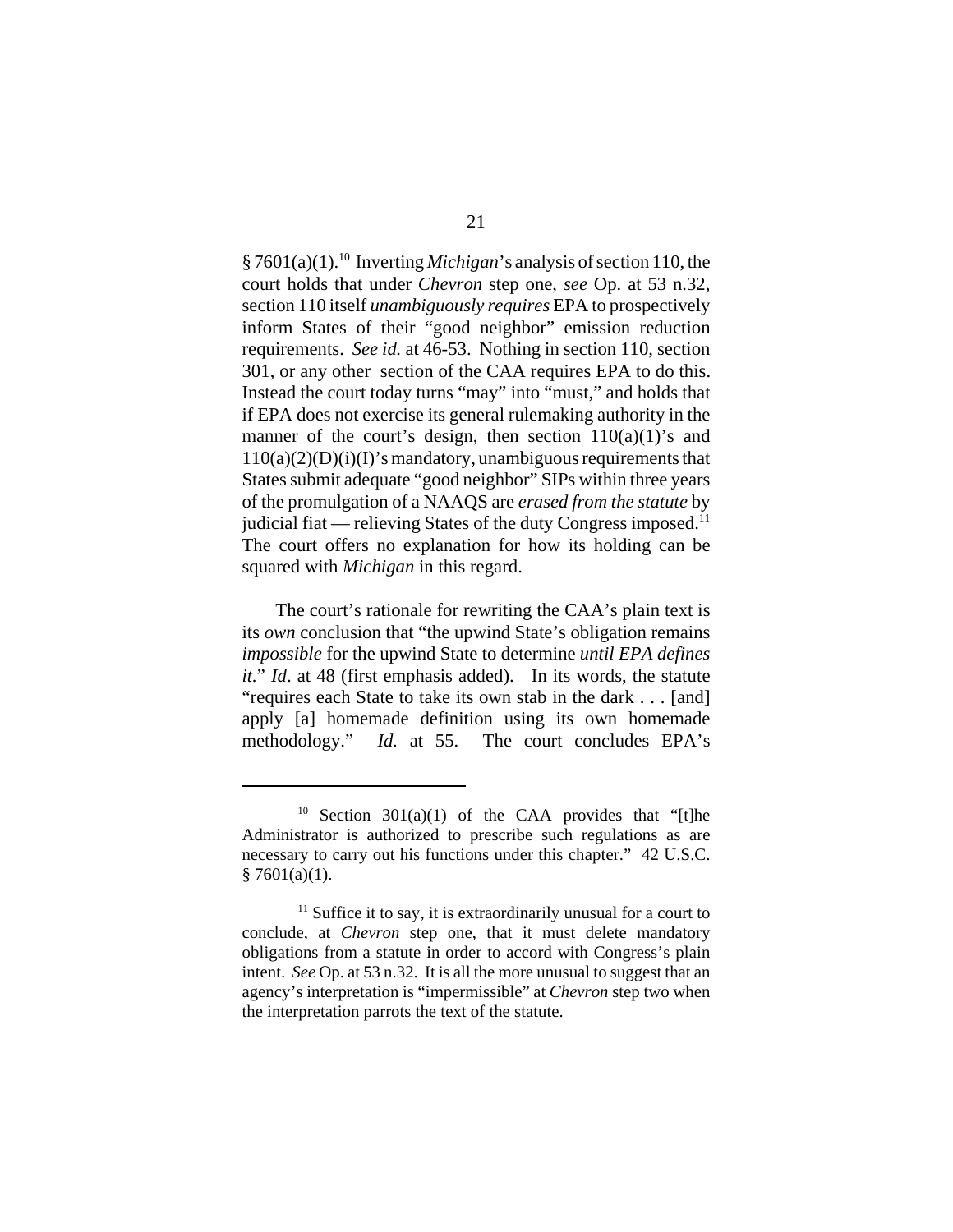§ 7601(a)(1).10 Inverting *Michigan*'s analysis of section 110, the court holds that under *Chevron* step one, *see* Op. at 53 n.32, section 110 itself *unambiguously requires* EPA to prospectively inform States of their "good neighbor" emission reduction requirements. *See id.* at 46-53. Nothing in section 110, section 301, or any other section of the CAA requires EPA to do this. Instead the court today turns "may" into "must," and holds that if EPA does not exercise its general rulemaking authority in the manner of the court's design, then section  $110(a)(1)$ 's and  $110(a)(2)(D)(i)(I)$ 's mandatory, unambiguous requirements that States submit adequate "good neighbor" SIPs within three years of the promulgation of a NAAQS are *erased from the statute* by judicial fiat — relieving States of the duty Congress imposed.<sup>11</sup> The court offers no explanation for how its holding can be squared with *Michigan* in this regard.

The court's rationale for rewriting the CAA's plain text is its *own* conclusion that "the upwind State's obligation remains *impossible* for the upwind State to determine *until EPA defines it.*" *Id*. at 48 (first emphasis added). In its words, the statute "requires each State to take its own stab in the dark . . . [and] apply [a] homemade definition using its own homemade methodology." *Id.* at 55. The court concludes EPA's

<sup>&</sup>lt;sup>10</sup> Section 301(a)(1) of the CAA provides that "[t]he Administrator is authorized to prescribe such regulations as are necessary to carry out his functions under this chapter." 42 U.S.C.  $§ 7601(a)(1).$ 

 $11$  Suffice it to say, it is extraordinarily unusual for a court to conclude, at *Chevron* step one, that it must delete mandatory obligations from a statute in order to accord with Congress's plain intent. *See* Op. at 53 n.32. It is all the more unusual to suggest that an agency's interpretation is "impermissible" at *Chevron* step two when the interpretation parrots the text of the statute.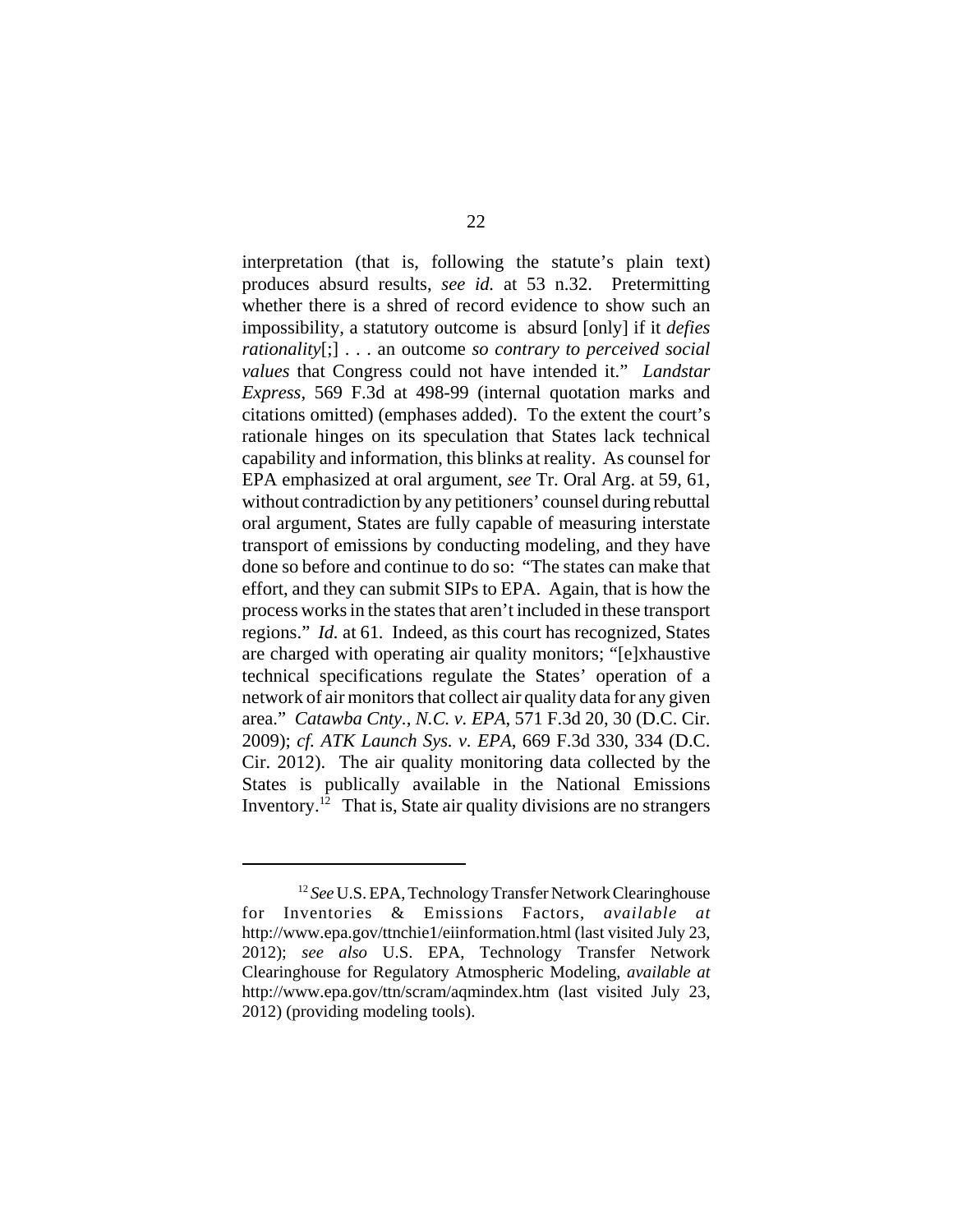interpretation (that is, following the statute's plain text) produces absurd results, *see id.* at 53 n.32. Pretermitting whether there is a shred of record evidence to show such an impossibility, a statutory outcome is absurd [only] if it *defies rationality*[;] . . . an outcome *so contrary to perceived social values* that Congress could not have intended it." *Landstar Express*, 569 F.3d at 498-99 (internal quotation marks and citations omitted) (emphases added). To the extent the court's rationale hinges on its speculation that States lack technical capability and information, this blinks at reality. As counsel for EPA emphasized at oral argument, *see* Tr. Oral Arg. at 59, 61, without contradiction by any petitioners' counsel during rebuttal oral argument, States are fully capable of measuring interstate transport of emissions by conducting modeling, and they have done so before and continue to do so: "The states can make that effort, and they can submit SIPs to EPA. Again, that is how the process works in the states that aren't included in these transport regions." *Id.* at 61*.* Indeed, as this court has recognized, States are charged with operating air quality monitors; "[e]xhaustive technical specifications regulate the States' operation of a network of air monitors that collect air quality data for any given area." *Catawba Cnty., N.C. v. EPA*, 571 F.3d 20, 30 (D.C. Cir. 2009); *cf. ATK Launch Sys. v. EPA*, 669 F.3d 330, 334 (D.C. Cir. 2012). The air quality monitoring data collected by the States is publically available in the National Emissions Inventory.12 That is, State air quality divisions are no strangers

<sup>12</sup> *See* U.S. EPA, Technology Transfer Network Clearinghouse for Inventories & Emissions Factors, *available at* http://www.epa.gov/ttnchie1/eiinformation.html (last visited July 23, 2012); *see also* U.S. EPA, Technology Transfer Network Clearinghouse for Regulatory Atmospheric Modeling, *available at* http://www.epa.gov/ttn/scram/aqmindex.htm (last visited July 23, 2012) (providing modeling tools).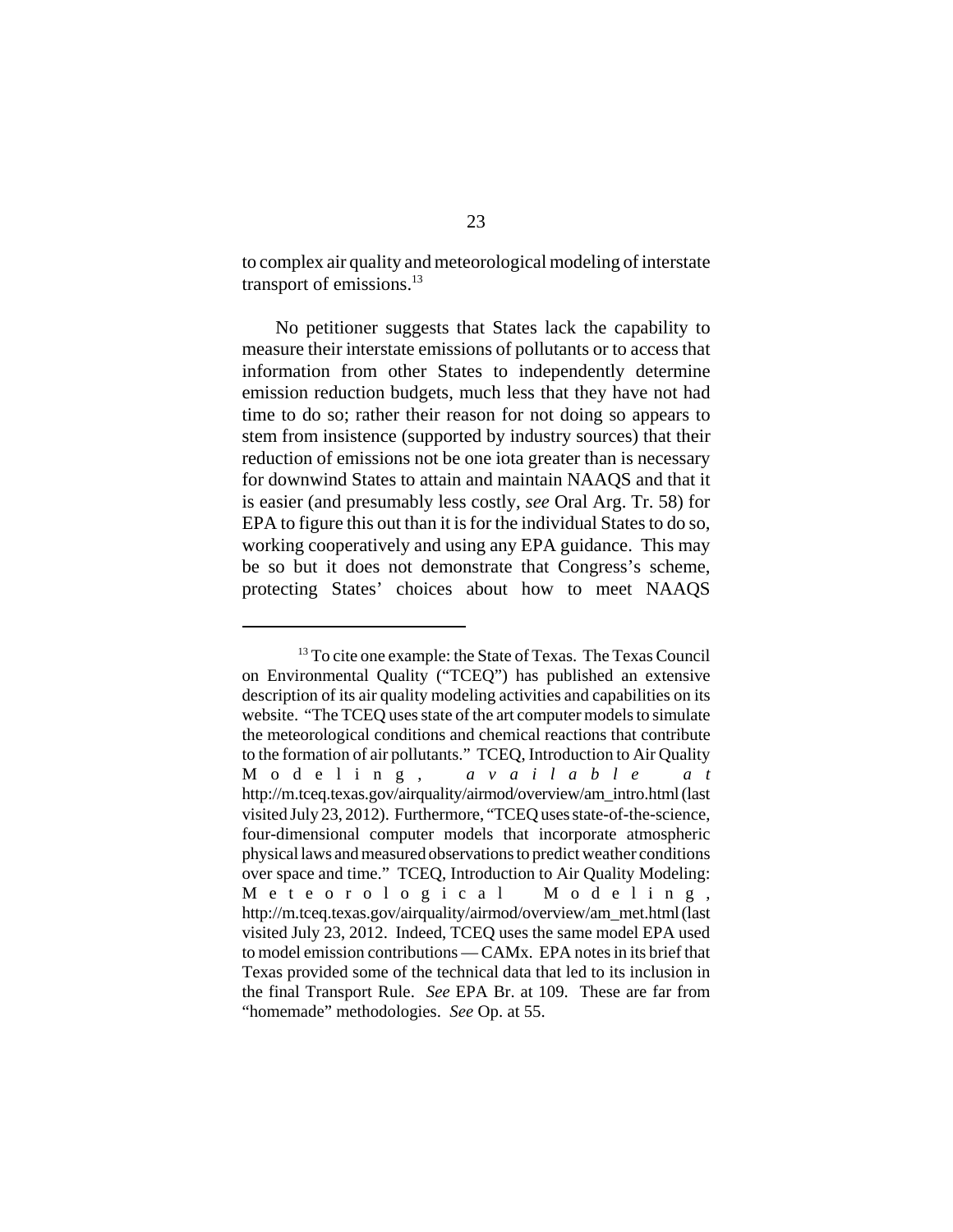to complex air quality and meteorological modeling of interstate transport of emissions.<sup>13</sup>

No petitioner suggests that States lack the capability to measure their interstate emissions of pollutants or to access that information from other States to independently determine emission reduction budgets, much less that they have not had time to do so; rather their reason for not doing so appears to stem from insistence (supported by industry sources) that their reduction of emissions not be one iota greater than is necessary for downwind States to attain and maintain NAAQS and that it is easier (and presumably less costly, *see* Oral Arg. Tr. 58) for EPA to figure this out than it is for the individual States to do so, working cooperatively and using any EPA guidance. This may be so but it does not demonstrate that Congress's scheme, protecting States' choices about how to meet NAAQS

<sup>&</sup>lt;sup>13</sup> To cite one example: the State of Texas. The Texas Council on Environmental Quality ("TCEQ") has published an extensive description of its air quality modeling activities and capabilities on its website. "The TCEQ uses state of the art computer models to simulate the meteorological conditions and chemical reactions that contribute to the formation of air pollutants." TCEQ, Introduction to Air Quality Modeling, *available at* http://m.tceq.texas.gov/airquality/airmod/overview/am\_intro.html (last visited July 23, 2012). Furthermore, "TCEQ uses state-of-the-science, four-dimensional computer models that incorporate atmospheric physical laws and measured observations to predict weather conditions over space and time." TCEQ, Introduction to Air Quality Modeling: M e t e o r o l o g i c a l M o d e l i n g , http://m.tceq.texas.gov/airquality/airmod/overview/am\_met.html (last visited July 23, 2012. Indeed, TCEQ uses the same model EPA used to model emission contributions — CAMx. EPA notes in its brief that Texas provided some of the technical data that led to its inclusion in the final Transport Rule. *See* EPA Br. at 109. These are far from "homemade" methodologies. *See* Op. at 55.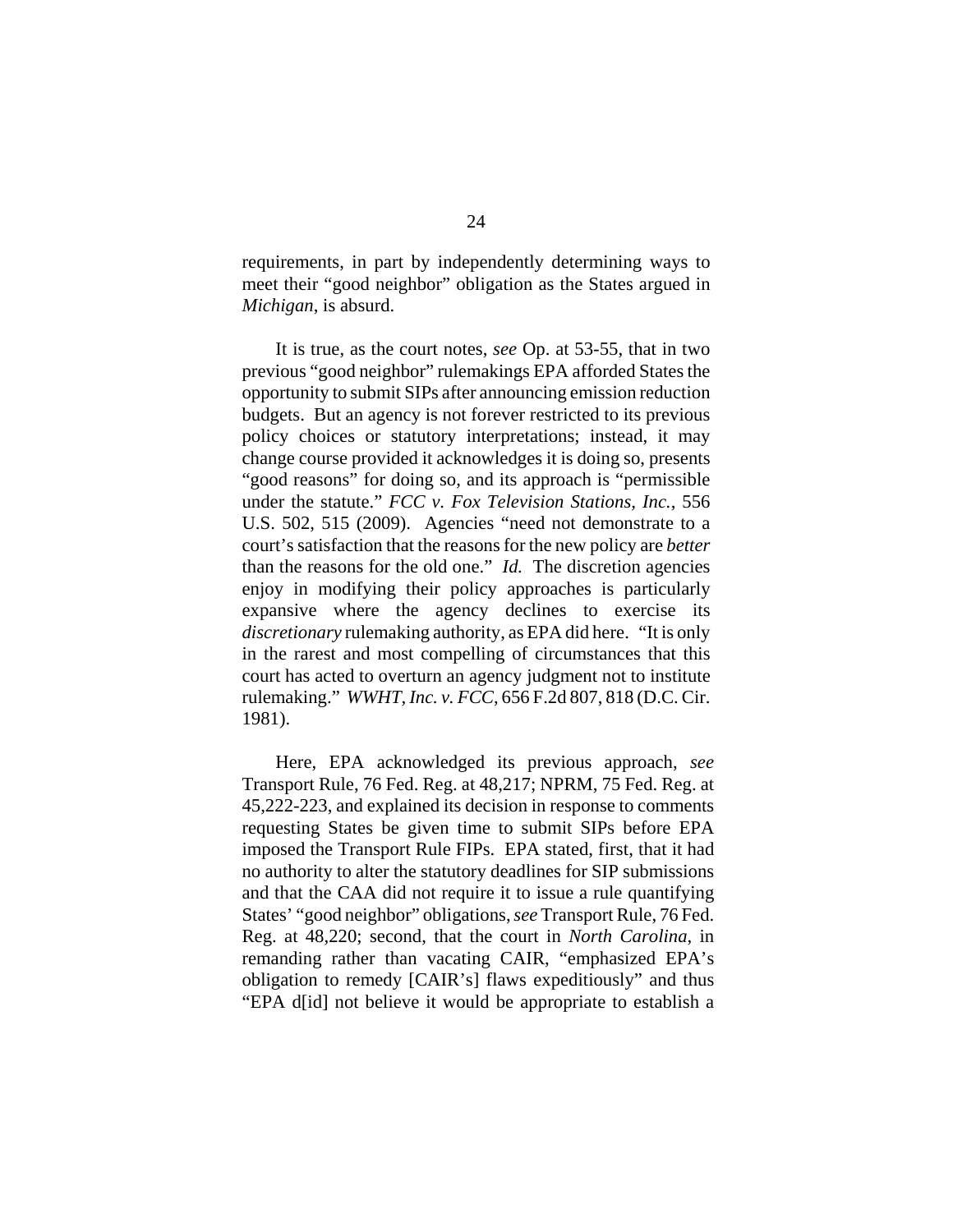requirements, in part by independently determining ways to meet their "good neighbor" obligation as the States argued in *Michigan*, is absurd.

It is true, as the court notes, *see* Op. at 53-55, that in two previous "good neighbor" rulemakings EPA afforded States the opportunity to submit SIPs after announcing emission reduction budgets. But an agency is not forever restricted to its previous policy choices or statutory interpretations; instead, it may change course provided it acknowledges it is doing so, presents "good reasons" for doing so, and its approach is "permissible under the statute." *FCC v. Fox Television Stations, Inc.*, 556 U.S. 502, 515 (2009). Agencies "need not demonstrate to a court's satisfaction that the reasons for the new policy are *better* than the reasons for the old one." *Id.* The discretion agencies enjoy in modifying their policy approaches is particularly expansive where the agency declines to exercise its *discretionary* rulemaking authority, as EPA did here. "It is only in the rarest and most compelling of circumstances that this court has acted to overturn an agency judgment not to institute rulemaking." *WWHT, Inc. v. FCC*, 656 F.2d 807, 818 (D.C. Cir. 1981).

Here, EPA acknowledged its previous approach, *see* Transport Rule, 76 Fed. Reg. at 48,217; NPRM, 75 Fed. Reg. at 45,222-223, and explained its decision in response to comments requesting States be given time to submit SIPs before EPA imposed the Transport Rule FIPs. EPA stated, first, that it had no authority to alter the statutory deadlines for SIP submissions and that the CAA did not require it to issue a rule quantifying States' "good neighbor" obligations, *see* Transport Rule, 76 Fed. Reg. at 48,220; second, that the court in *North Carolina*, in remanding rather than vacating CAIR, "emphasized EPA's obligation to remedy [CAIR's] flaws expeditiously" and thus "EPA d[id] not believe it would be appropriate to establish a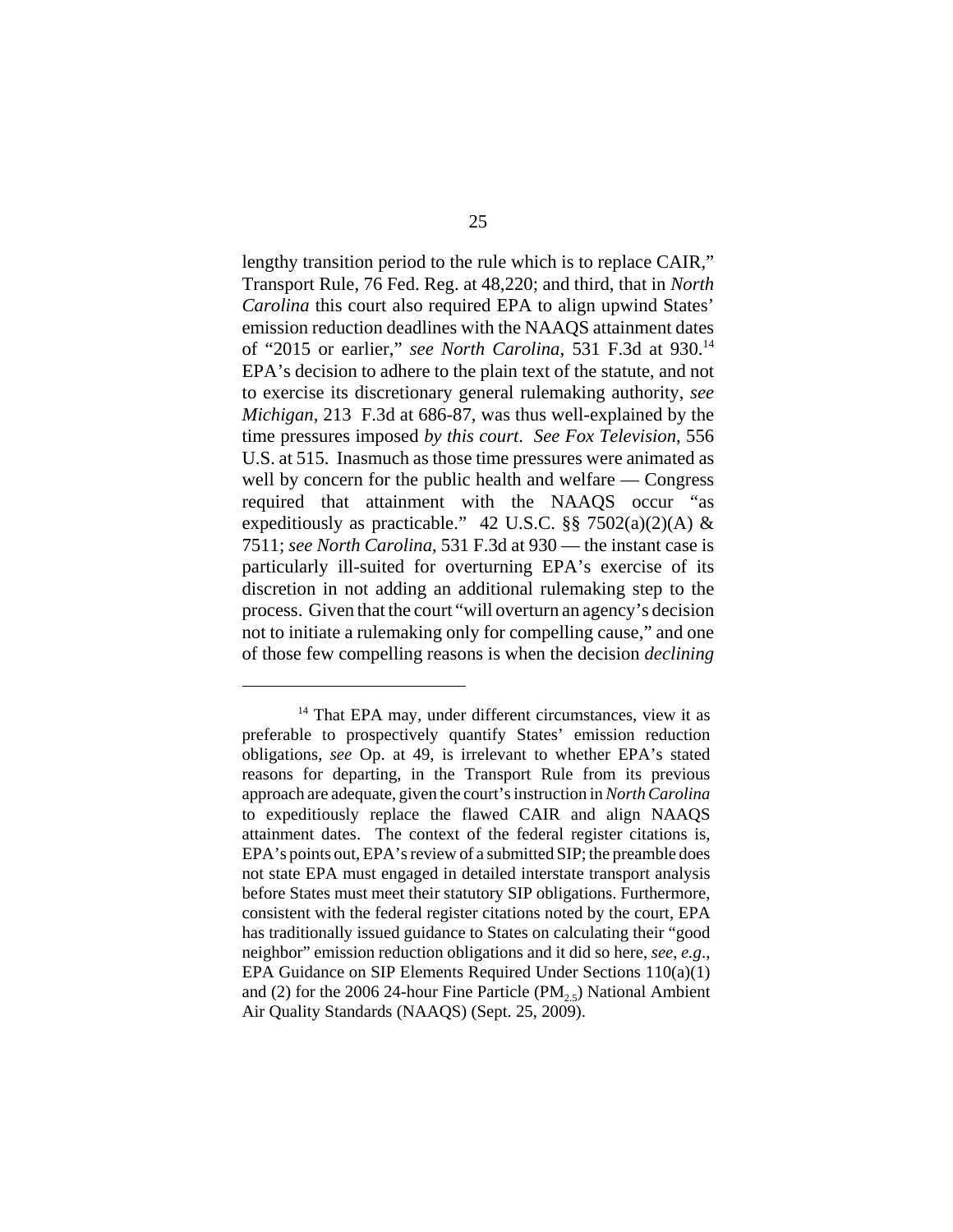lengthy transition period to the rule which is to replace CAIR," Transport Rule, 76 Fed. Reg. at 48,220; and third, that in *North Carolina* this court also required EPA to align upwind States' emission reduction deadlines with the NAAQS attainment dates of "2015 or earlier," *see North Carolina*, 531 F.3d at 930.14 EPA's decision to adhere to the plain text of the statute, and not to exercise its discretionary general rulemaking authority, *see Michigan*, 213 F.3d at 686-87, was thus well-explained by the time pressures imposed *by this court*. *See Fox Television*, 556 U.S. at 515. Inasmuch as those time pressures were animated as well by concern for the public health and welfare — Congress required that attainment with the NAAQS occur "as expeditiously as practicable." 42 U.S.C. §§ 7502(a)(2)(A) & 7511; *see North Carolina*, 531 F.3d at 930 — the instant case is particularly ill-suited for overturning EPA's exercise of its discretion in not adding an additional rulemaking step to the process. Given that the court "will overturn an agency's decision not to initiate a rulemaking only for compelling cause," and one of those few compelling reasons is when the decision *declining*

<sup>&</sup>lt;sup>14</sup> That EPA may, under different circumstances, view it as preferable to prospectively quantify States' emission reduction obligations, *see* Op. at 49, is irrelevant to whether EPA's stated reasons for departing, in the Transport Rule from its previous approach are adequate, given the court's instruction in *North Carolina* to expeditiously replace the flawed CAIR and align NAAQS attainment dates. The context of the federal register citations is, EPA's points out, EPA's review of a submitted SIP; the preamble does not state EPA must engaged in detailed interstate transport analysis before States must meet their statutory SIP obligations. Furthermore, consistent with the federal register citations noted by the court, EPA has traditionally issued guidance to States on calculating their "good neighbor" emission reduction obligations and it did so here, *see*, *e.g*., EPA Guidance on SIP Elements Required Under Sections 110(a)(1) and (2) for the 2006 24-hour Fine Particle (PM<sub>25</sub>) National Ambient Air Quality Standards (NAAQS) (Sept. 25, 2009).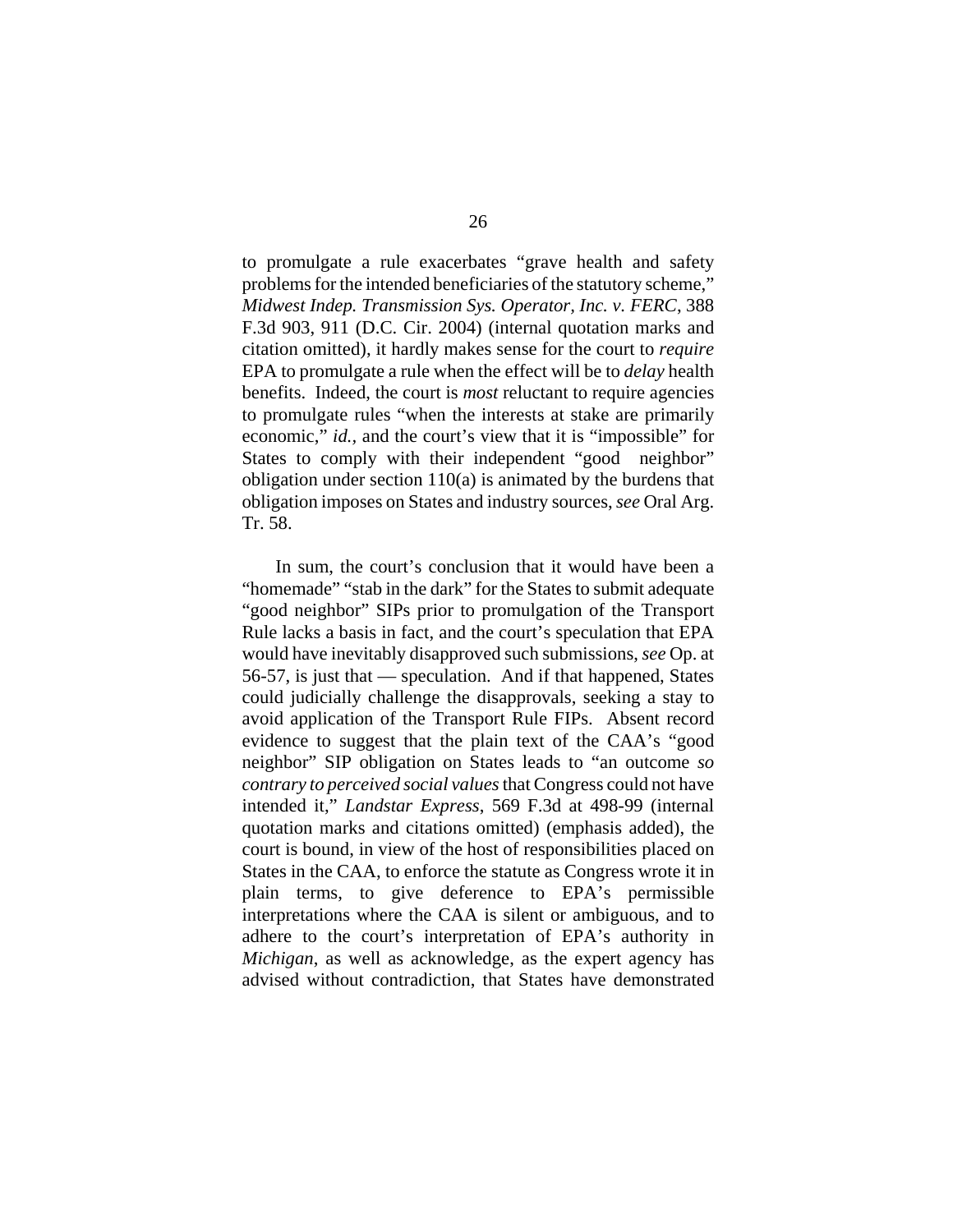to promulgate a rule exacerbates "grave health and safety problems for the intended beneficiaries of the statutory scheme," *Midwest Indep. Transmission Sys. Operator, Inc. v. FERC*, 388 F.3d 903, 911 (D.C. Cir. 2004) (internal quotation marks and citation omitted), it hardly makes sense for the court to *require* EPA to promulgate a rule when the effect will be to *delay* health benefits. Indeed, the court is *most* reluctant to require agencies to promulgate rules "when the interests at stake are primarily economic," *id.,* and the court's view that it is "impossible" for States to comply with their independent "good neighbor" obligation under section 110(a) is animated by the burdens that obligation imposes on States and industry sources, *see* Oral Arg. Tr. 58.

In sum, the court's conclusion that it would have been a "homemade" "stab in the dark" for the States to submit adequate "good neighbor" SIPs prior to promulgation of the Transport Rule lacks a basis in fact, and the court's speculation that EPA would have inevitably disapproved such submissions, *see* Op. at 56-57, is just that — speculation. And if that happened, States could judicially challenge the disapprovals, seeking a stay to avoid application of the Transport Rule FIPs. Absent record evidence to suggest that the plain text of the CAA's "good neighbor" SIP obligation on States leads to "an outcome *so contrary to perceived social values* that Congress could not have intended it," *Landstar Express*, 569 F.3d at 498-99 (internal quotation marks and citations omitted) (emphasis added), the court is bound, in view of the host of responsibilities placed on States in the CAA, to enforce the statute as Congress wrote it in plain terms, to give deference to EPA's permissible interpretations where the CAA is silent or ambiguous, and to adhere to the court's interpretation of EPA's authority in *Michigan*, as well as acknowledge, as the expert agency has advised without contradiction, that States have demonstrated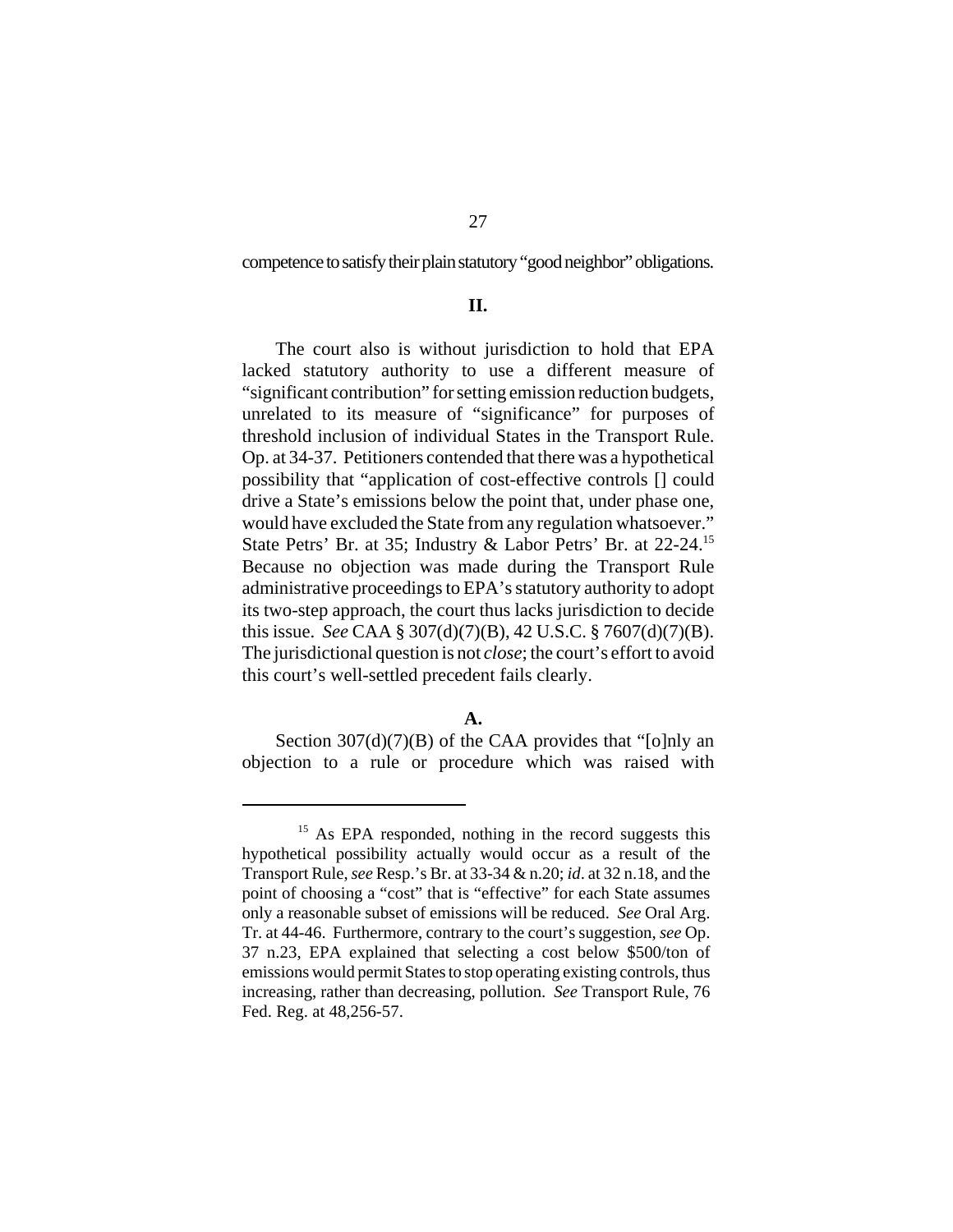competence to satisfy their plain statutory "good neighbor" obligations.

# **II.**

The court also is without jurisdiction to hold that EPA lacked statutory authority to use a different measure of "significant contribution" for setting emission reduction budgets, unrelated to its measure of "significance" for purposes of threshold inclusion of individual States in the Transport Rule. Op. at 34-37. Petitioners contended that there was a hypothetical possibility that "application of cost-effective controls [] could drive a State's emissions below the point that, under phase one, would have excluded the State from any regulation whatsoever." State Petrs' Br. at 35; Industry & Labor Petrs' Br. at 22-24.15 Because no objection was made during the Transport Rule administrative proceedings to EPA's statutory authority to adopt its two-step approach, the court thus lacks jurisdiction to decide this issue. *See* CAA § 307(d)(7)(B), 42 U.S.C. § 7607(d)(7)(B). The jurisdictional question is not *close*; the court's effort to avoid this court's well-settled precedent fails clearly.

#### **A.**

Section  $307(d)(7)(B)$  of the CAA provides that "[o]nly an objection to a rule or procedure which was raised with

<sup>&</sup>lt;sup>15</sup> As EPA responded, nothing in the record suggests this hypothetical possibility actually would occur as a result of the Transport Rule, *see* Resp.'s Br. at 33-34 & n.20; *id*. at 32 n.18, and the point of choosing a "cost" that is "effective" for each State assumes only a reasonable subset of emissions will be reduced. *See* Oral Arg. Tr. at 44-46. Furthermore, contrary to the court's suggestion, *see* Op. 37 n.23, EPA explained that selecting a cost below \$500/ton of emissions would permit States to stop operating existing controls, thus increasing, rather than decreasing, pollution. *See* Transport Rule, 76 Fed. Reg. at 48,256-57.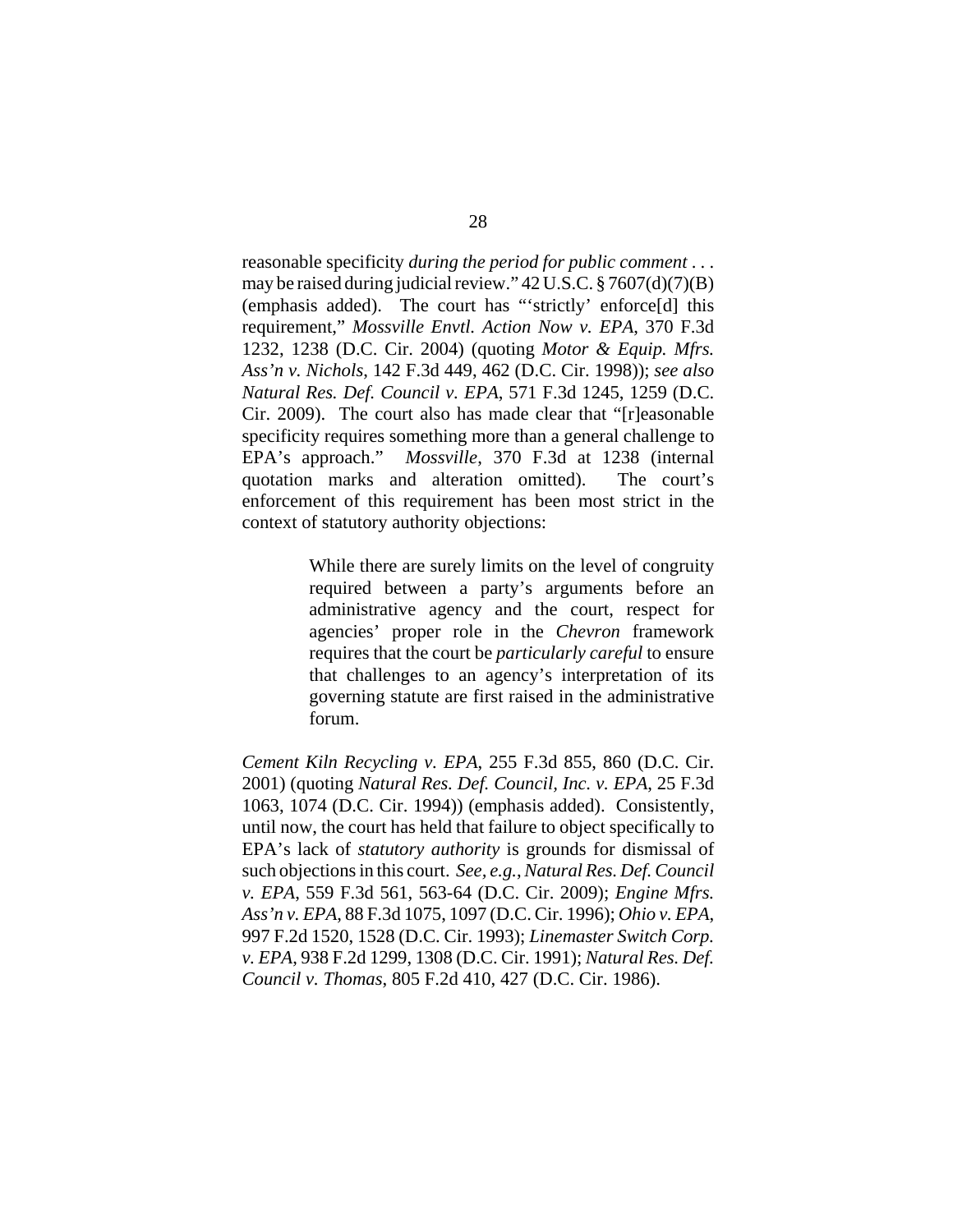reasonable specificity *during the period for public comment* . . . may be raised during judicial review." 42 U.S.C. § 7607(d)(7)(B) (emphasis added). The court has "'strictly' enforce[d] this requirement," *Mossville Envtl. Action Now v. EPA*, 370 F.3d 1232, 1238 (D.C. Cir. 2004) (quoting *Motor & Equip. Mfrs. Ass'n v. Nichols*, 142 F.3d 449, 462 (D.C. Cir. 1998)); *see also Natural Res. Def. Council v. EPA*, 571 F.3d 1245, 1259 (D.C. Cir. 2009). The court also has made clear that "[r]easonable specificity requires something more than a general challenge to EPA's approach." *Mossville*, 370 F.3d at 1238 (internal quotation marks and alteration omitted). The court's enforcement of this requirement has been most strict in the context of statutory authority objections:

> While there are surely limits on the level of congruity required between a party's arguments before an administrative agency and the court, respect for agencies' proper role in the *Chevron* framework requires that the court be *particularly careful* to ensure that challenges to an agency's interpretation of its governing statute are first raised in the administrative forum.

*Cement Kiln Recycling v. EPA*, 255 F.3d 855, 860 (D.C. Cir. 2001) (quoting *Natural Res. Def. Council, Inc. v. EPA*, 25 F.3d 1063, 1074 (D.C. Cir. 1994)) (emphasis added). Consistently, until now, the court has held that failure to object specifically to EPA's lack of *statutory authority* is grounds for dismissal of such objections in this court. *See, e.g.*, *Natural Res. Def. Council v. EPA*, 559 F.3d 561, 563-64 (D.C. Cir. 2009); *Engine Mfrs. Ass'n v. EPA*, 88 F.3d 1075, 1097 (D.C. Cir. 1996); *Ohio v. EPA*, 997 F.2d 1520, 1528 (D.C. Cir. 1993); *Linemaster Switch Corp. v. EPA*, 938 F.2d 1299, 1308 (D.C. Cir. 1991); *Natural Res. Def. Council v. Thomas*, 805 F.2d 410, 427 (D.C. Cir. 1986).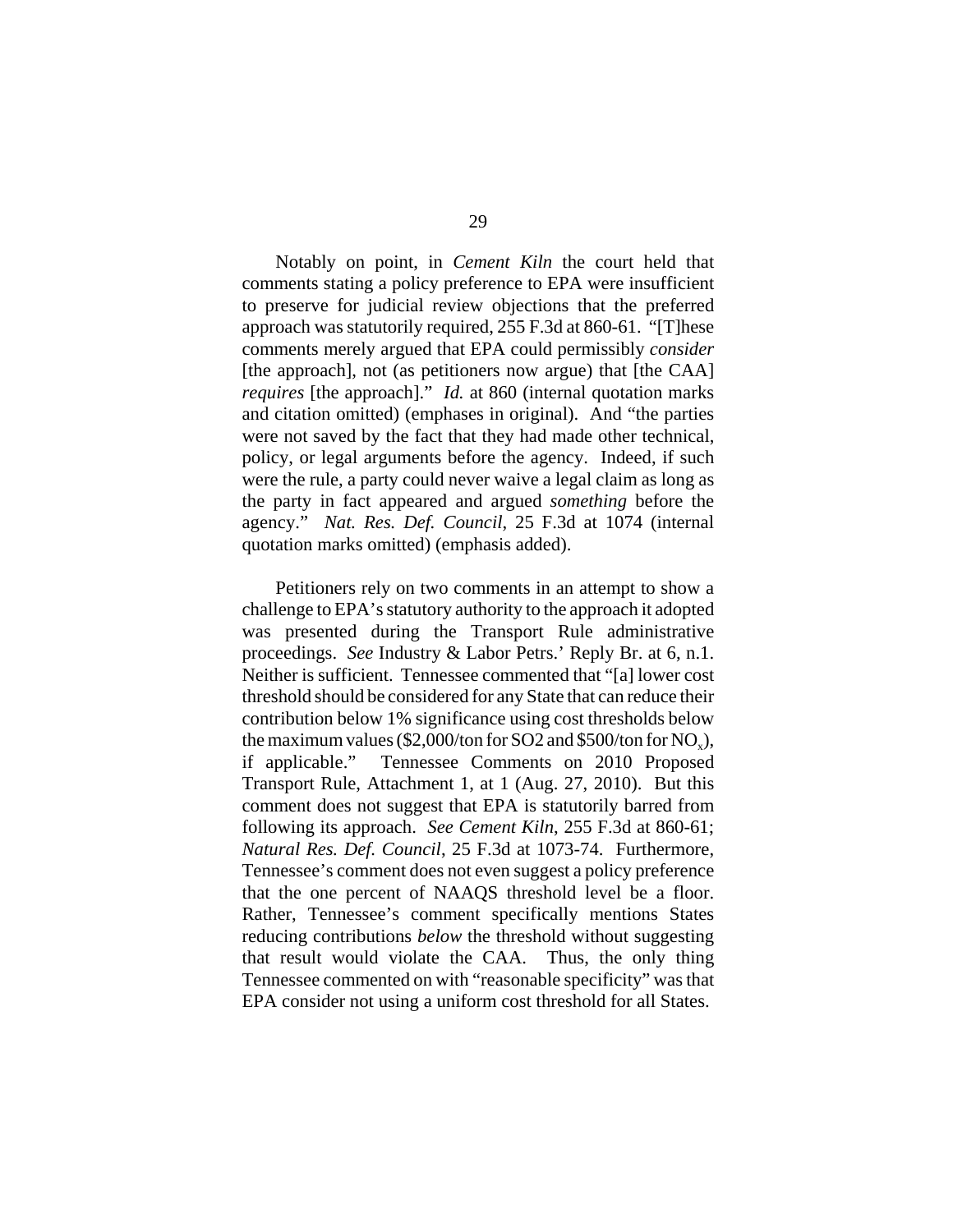Notably on point, in *Cement Kiln* the court held that comments stating a policy preference to EPA were insufficient to preserve for judicial review objections that the preferred approach was statutorily required, 255 F.3d at 860-61. "[T]hese comments merely argued that EPA could permissibly *consider* [the approach], not (as petitioners now argue) that [the CAA] *requires* [the approach]." *Id.* at 860 (internal quotation marks and citation omitted) (emphases in original). And "the parties were not saved by the fact that they had made other technical, policy, or legal arguments before the agency. Indeed, if such were the rule, a party could never waive a legal claim as long as the party in fact appeared and argued *something* before the agency." *Nat. Res. Def. Council*, 25 F.3d at 1074 (internal quotation marks omitted) (emphasis added).

Petitioners rely on two comments in an attempt to show a challenge to EPA's statutory authority to the approach it adopted was presented during the Transport Rule administrative proceedings. *See* Industry & Labor Petrs.' Reply Br. at 6, n.1. Neither is sufficient. Tennessee commented that "[a] lower cost threshold should be considered for any State that can reduce their contribution below 1% significance using cost thresholds below the maximum values (\$2,000/ton for SO2 and \$500/ton for NO<sub>x</sub>),<br>if applicable." Tennessee Comments on 2010 Proposed Tennessee Comments on 2010 Proposed Transport Rule, Attachment 1, at 1 (Aug. 27, 2010). But this comment does not suggest that EPA is statutorily barred from following its approach. *See Cement Kiln*, 255 F.3d at 860-61; *Natural Res. Def. Council*, 25 F.3d at 1073-74. Furthermore, Tennessee's comment does not even suggest a policy preference that the one percent of NAAQS threshold level be a floor. Rather, Tennessee's comment specifically mentions States reducing contributions *below* the threshold without suggesting that result would violate the CAA. Thus, the only thing Tennessee commented on with "reasonable specificity" was that EPA consider not using a uniform cost threshold for all States.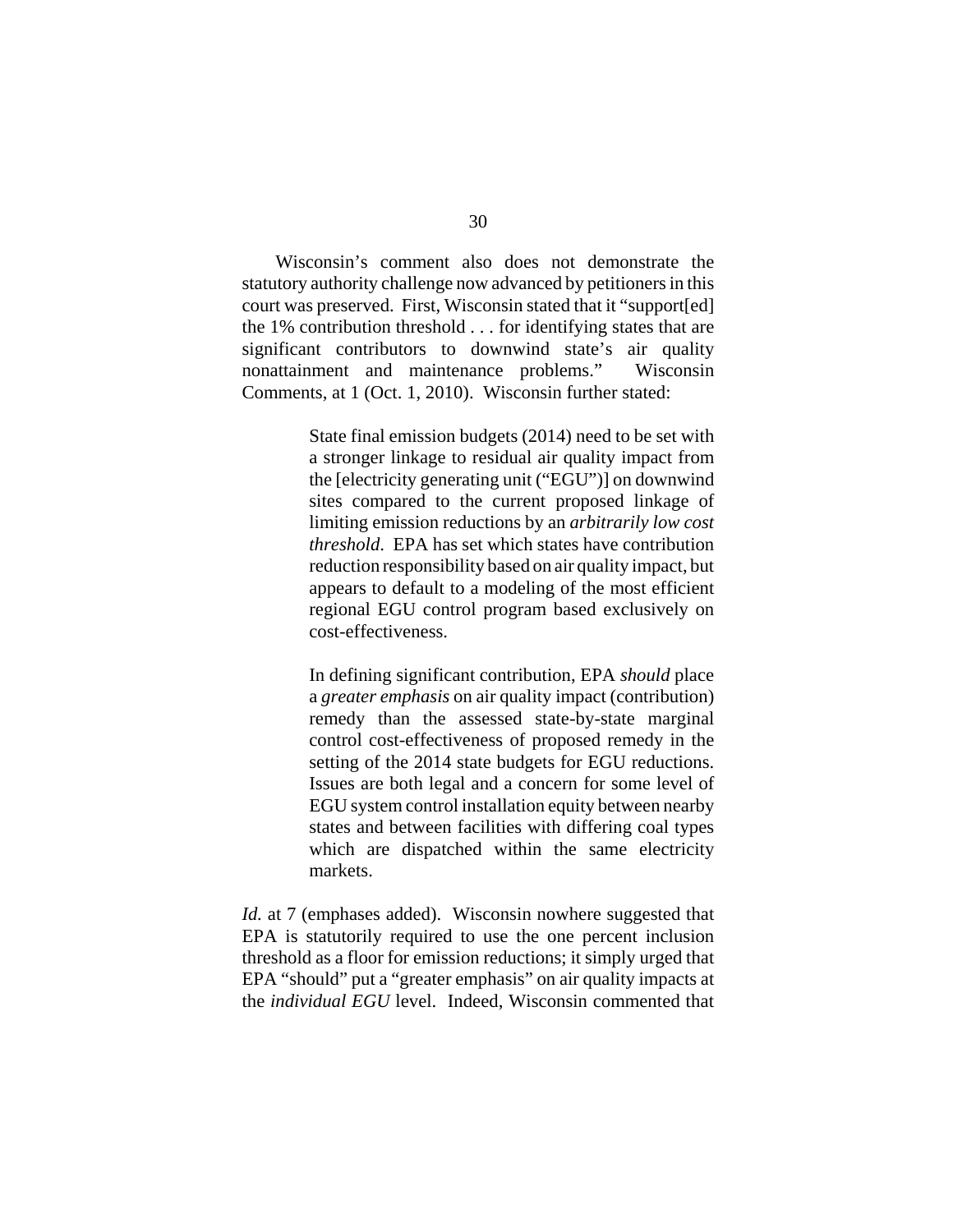Wisconsin's comment also does not demonstrate the statutory authority challenge now advanced by petitioners in this court was preserved. First, Wisconsin stated that it "support[ed] the 1% contribution threshold . . . for identifying states that are significant contributors to downwind state's air quality nonattainment and maintenance problems." Wisconsin Comments, at 1 (Oct. 1, 2010). Wisconsin further stated:

> State final emission budgets (2014) need to be set with a stronger linkage to residual air quality impact from the [electricity generating unit ("EGU")] on downwind sites compared to the current proposed linkage of limiting emission reductions by an *arbitrarily low cost threshold*. EPA has set which states have contribution reduction responsibility based on air quality impact, but appears to default to a modeling of the most efficient regional EGU control program based exclusively on cost-effectiveness.

> In defining significant contribution, EPA *should* place a *greater emphasis* on air quality impact (contribution) remedy than the assessed state-by-state marginal control cost-effectiveness of proposed remedy in the setting of the 2014 state budgets for EGU reductions. Issues are both legal and a concern for some level of EGU system control installation equity between nearby states and between facilities with differing coal types which are dispatched within the same electricity markets.

*Id.* at 7 (emphases added). Wisconsin nowhere suggested that EPA is statutorily required to use the one percent inclusion threshold as a floor for emission reductions; it simply urged that EPA "should" put a "greater emphasis" on air quality impacts at the *individual EGU* level. Indeed, Wisconsin commented that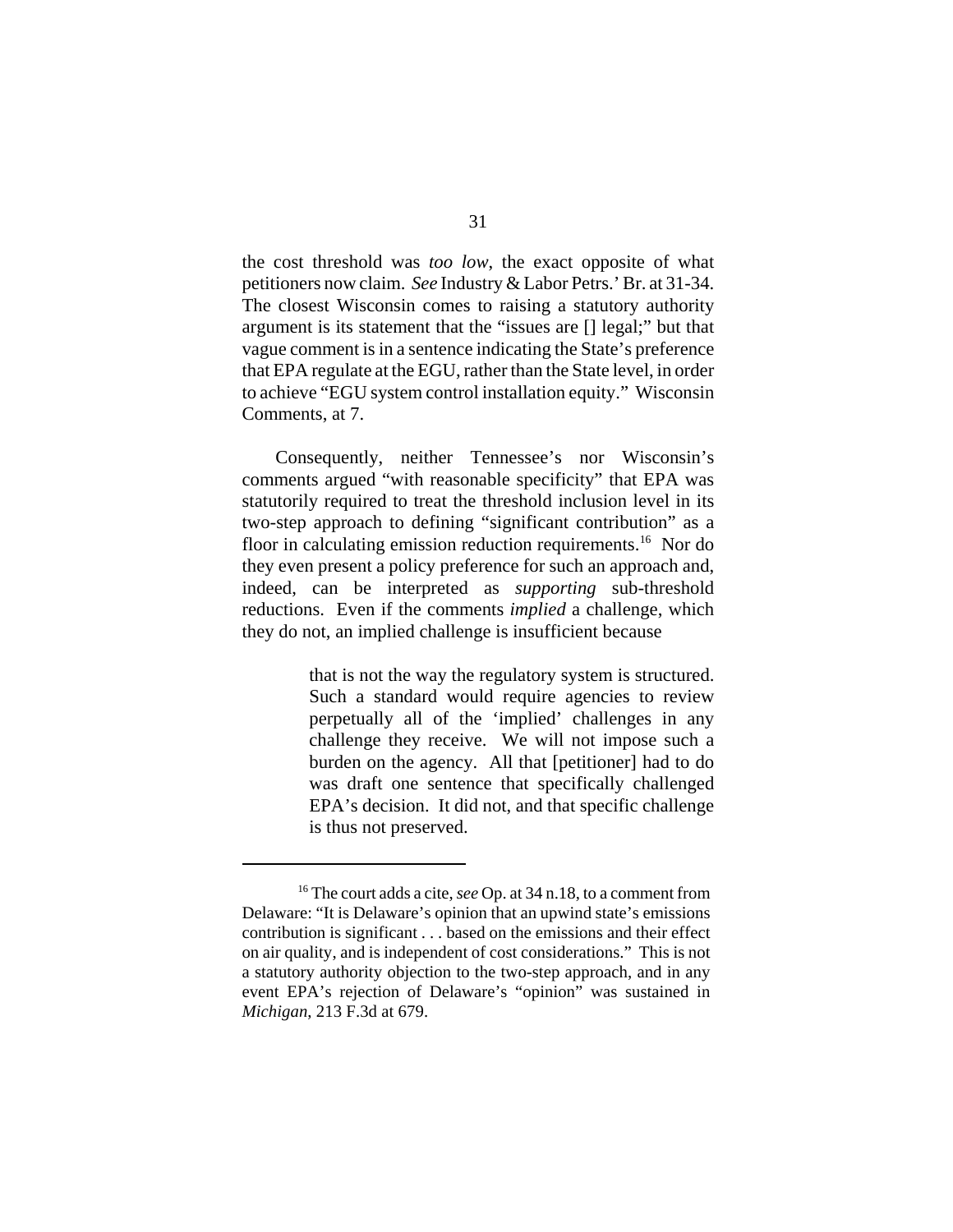the cost threshold was *too low*, the exact opposite of what petitioners now claim. *See* Industry & Labor Petrs.' Br. at 31-34. The closest Wisconsin comes to raising a statutory authority argument is its statement that the "issues are [] legal;" but that vague comment is in a sentence indicating the State's preference that EPA regulate at the EGU, rather than the State level, in order to achieve "EGU system control installation equity." Wisconsin Comments, at 7.

Consequently, neither Tennessee's nor Wisconsin's comments argued "with reasonable specificity" that EPA was statutorily required to treat the threshold inclusion level in its two-step approach to defining "significant contribution" as a floor in calculating emission reduction requirements.<sup>16</sup> Nor do they even present a policy preference for such an approach and, indeed, can be interpreted as *supporting* sub-threshold reductions. Even if the comments *implied* a challenge, which they do not, an implied challenge is insufficient because

> that is not the way the regulatory system is structured. Such a standard would require agencies to review perpetually all of the 'implied' challenges in any challenge they receive. We will not impose such a burden on the agency. All that [petitioner] had to do was draft one sentence that specifically challenged EPA's decision. It did not, and that specific challenge is thus not preserved.

<sup>16</sup> The court adds a cite, *see* Op. at 34 n.18, to a comment from Delaware: "It is Delaware's opinion that an upwind state's emissions contribution is significant . . . based on the emissions and their effect on air quality, and is independent of cost considerations." This is not a statutory authority objection to the two-step approach, and in any event EPA's rejection of Delaware's "opinion" was sustained in *Michigan*, 213 F.3d at 679.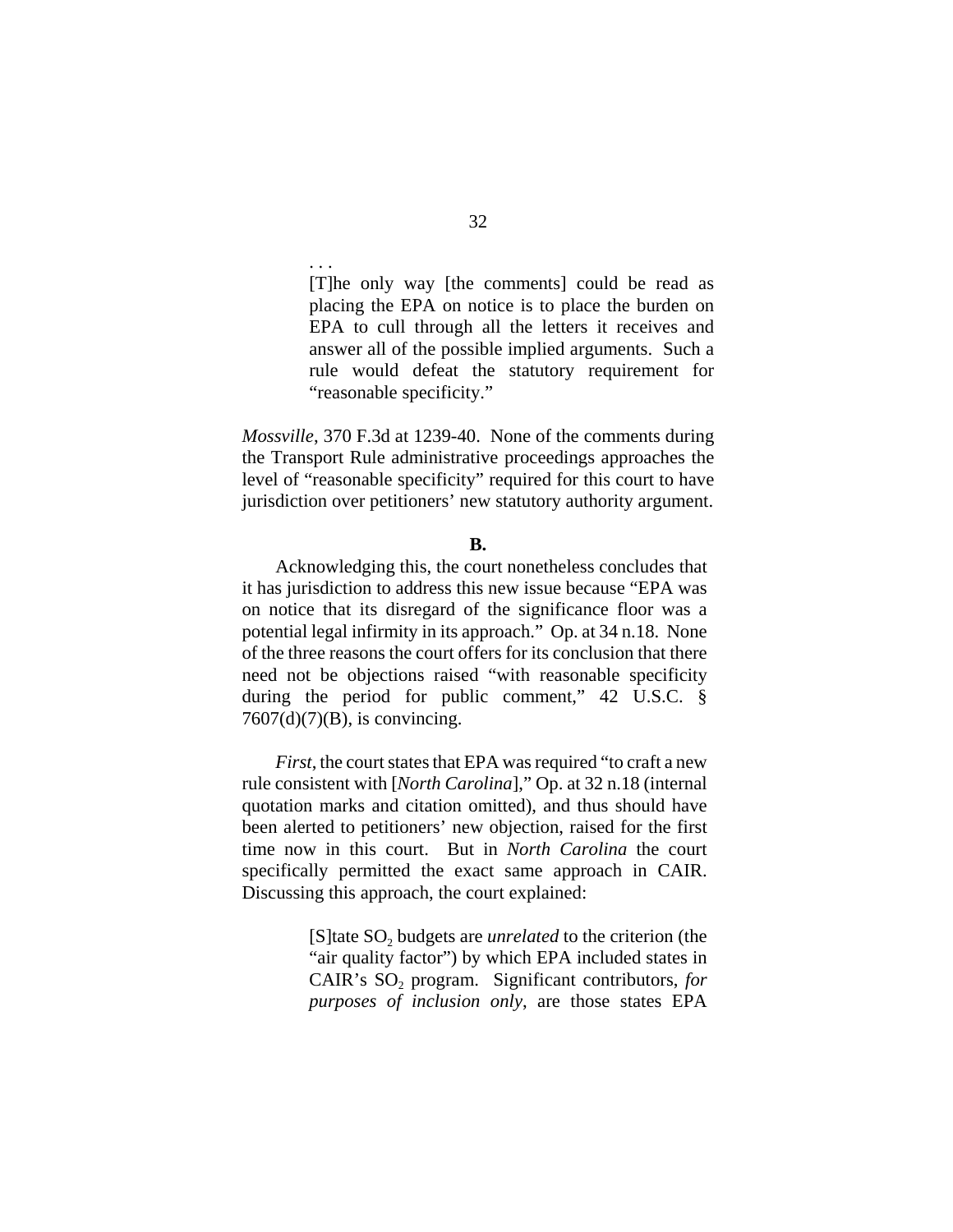. . .

[T]he only way [the comments] could be read as placing the EPA on notice is to place the burden on EPA to cull through all the letters it receives and answer all of the possible implied arguments. Such a rule would defeat the statutory requirement for "reasonable specificity."

*Mossville*, 370 F.3d at 1239-40. None of the comments during the Transport Rule administrative proceedings approaches the level of "reasonable specificity" required for this court to have jurisdiction over petitioners' new statutory authority argument.

#### **B.**

Acknowledging this, the court nonetheless concludes that it has jurisdiction to address this new issue because "EPA was on notice that its disregard of the significance floor was a potential legal infirmity in its approach." Op. at 34 n.18. None of the three reasons the court offers for its conclusion that there need not be objections raised "with reasonable specificity during the period for public comment," 42 U.S.C. §  $7607(d)(7)(B)$ , is convincing.

*First*, the court states that EPA was required "to craft a new rule consistent with [*North Carolina*]," Op. at 32 n.18 (internal quotation marks and citation omitted), and thus should have been alerted to petitioners' new objection, raised for the first time now in this court. But in *North Carolina* the court specifically permitted the exact same approach in CAIR. Discussing this approach, the court explained:

> [S]tate SO<sub>2</sub> budgets are *unrelated* to the criterion (the "air quality factor") by which EPA included states in CAIR's SO<sub>2</sub> program. Significant contributors, *for purposes of inclusion only*, are those states EPA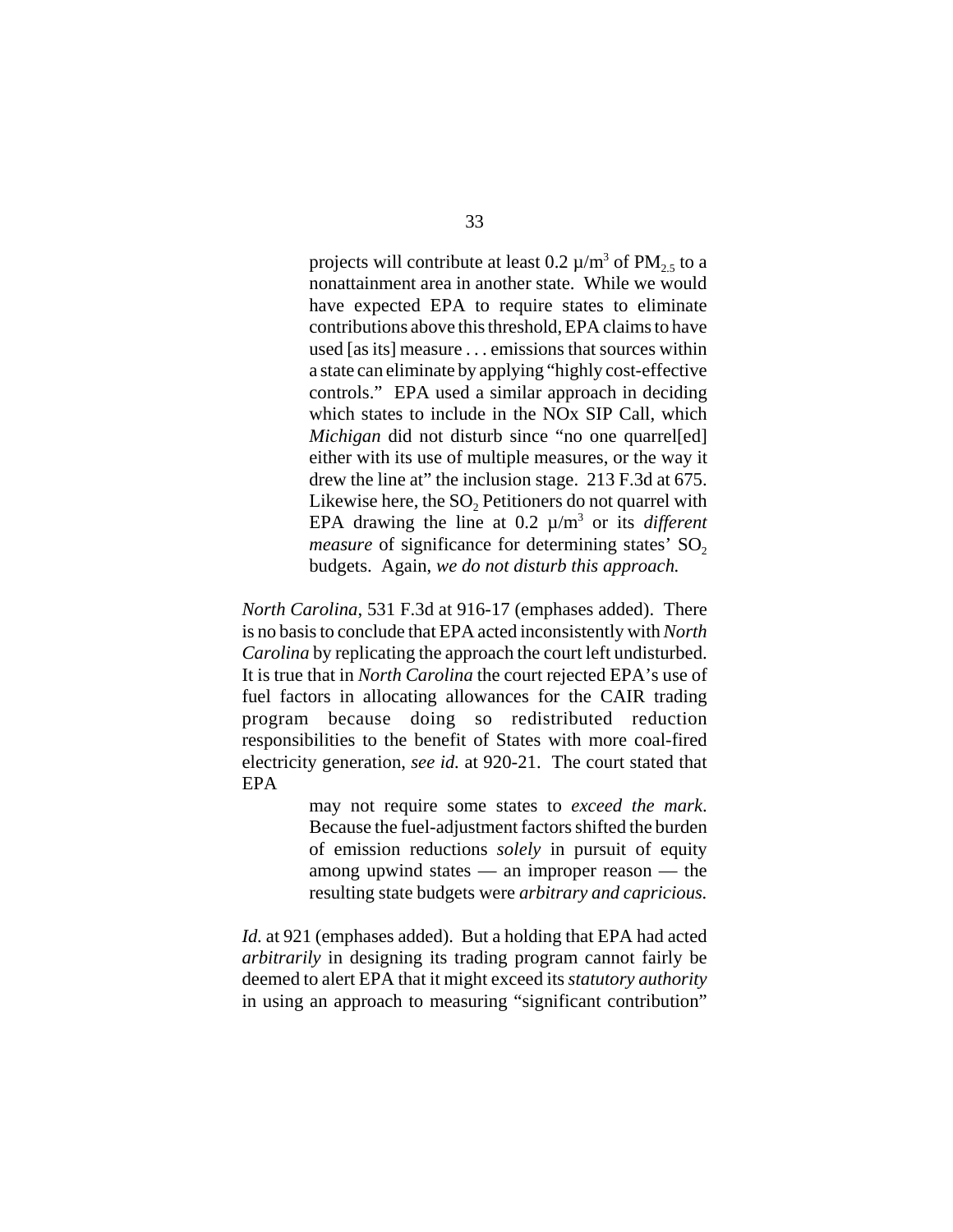projects will contribute at least  $0.2 \mu/m^3$  of  $PM_{2.5}$  to a nonattainment area in another state. While we would have expected EPA to require states to eliminate contributions above this threshold, EPA claims to have used [as its] measure . . . emissions that sources within a state can eliminate by applying "highly cost-effective controls." EPA used a similar approach in deciding which states to include in the NOx SIP Call, which *Michigan* did not disturb since "no one quarrel[ed] either with its use of multiple measures, or the way it drew the line at" the inclusion stage. 213 F.3d at 675. Likewise here, the  $SO<sub>2</sub>$  Petitioners do not quarrel with EPA drawing the line at  $0.2 \mu/m^3$  or its *different measure* of significance for determining states' SO<sub>2</sub> budgets. Again, *we do not disturb this approach.*

*North Carolina*, 531 F.3d at 916-17 (emphases added). There is no basis to conclude that EPA acted inconsistently with *North Carolina* by replicating the approach the court left undisturbed. It is true that in *North Carolina* the court rejected EPA's use of fuel factors in allocating allowances for the CAIR trading program because doing so redistributed reduction responsibilities to the benefit of States with more coal-fired electricity generation, *see id.* at 920-21. The court stated that EPA

> may not require some states to *exceed the mark*. Because the fuel-adjustment factors shifted the burden of emission reductions *solely* in pursuit of equity among upwind states — an improper reason — the resulting state budgets were *arbitrary and capricious.*

*Id.* at 921 (emphases added). But a holding that EPA had acted *arbitrarily* in designing its trading program cannot fairly be deemed to alert EPA that it might exceed its *statutory authority* in using an approach to measuring "significant contribution"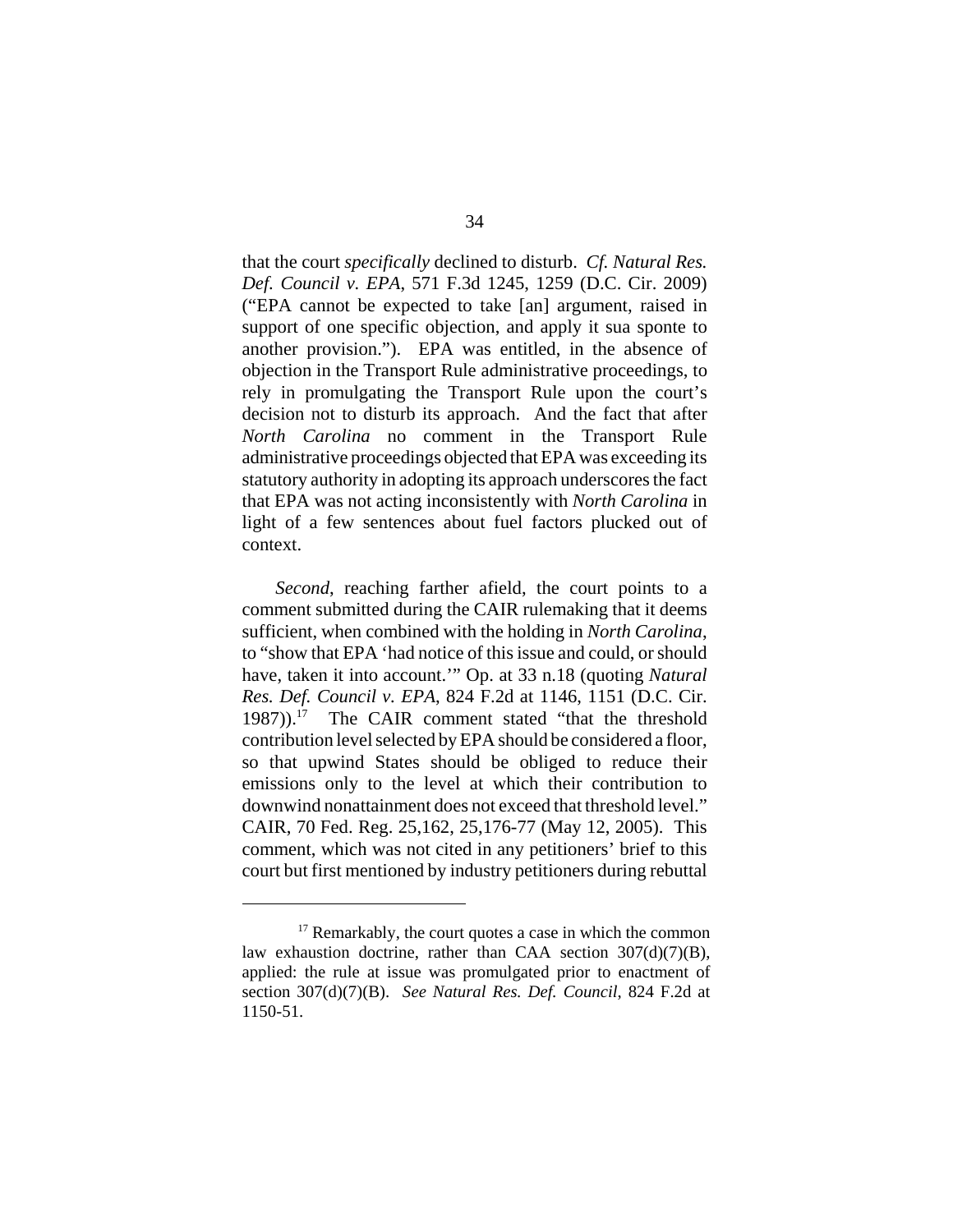that the court *specifically* declined to disturb. *Cf. Natural Res. Def. Council v. EPA*, 571 F.3d 1245, 1259 (D.C. Cir. 2009) ("EPA cannot be expected to take [an] argument, raised in support of one specific objection, and apply it sua sponte to another provision."). EPA was entitled, in the absence of objection in the Transport Rule administrative proceedings, to rely in promulgating the Transport Rule upon the court's decision not to disturb its approach. And the fact that after *North Carolina* no comment in the Transport Rule administrative proceedings objected that EPA was exceeding its statutory authority in adopting its approach underscores the fact that EPA was not acting inconsistently with *North Carolina* in light of a few sentences about fuel factors plucked out of context.

*Second*, reaching farther afield, the court points to a comment submitted during the CAIR rulemaking that it deems sufficient, when combined with the holding in *North Carolina*, to "show that EPA 'had notice of this issue and could, or should have, taken it into account.'" Op. at 33 n.18 (quoting *Natural Res. Def. Council v. EPA*, 824 F.2d at 1146, 1151 (D.C. Cir. 1987)).<sup>17</sup> The CAIR comment stated "that the threshold contribution level selected by EPA should be considered a floor, so that upwind States should be obliged to reduce their emissions only to the level at which their contribution to downwind nonattainment does not exceed that threshold level." CAIR, 70 Fed. Reg. 25,162, 25,176-77 (May 12, 2005). This comment, which was not cited in any petitioners' brief to this court but first mentioned by industry petitioners during rebuttal

 $17$  Remarkably, the court quotes a case in which the common law exhaustion doctrine, rather than CAA section 307(d)(7)(B), applied: the rule at issue was promulgated prior to enactment of section 307(d)(7)(B). *See Natural Res. Def. Council*, 824 F.2d at 1150-51.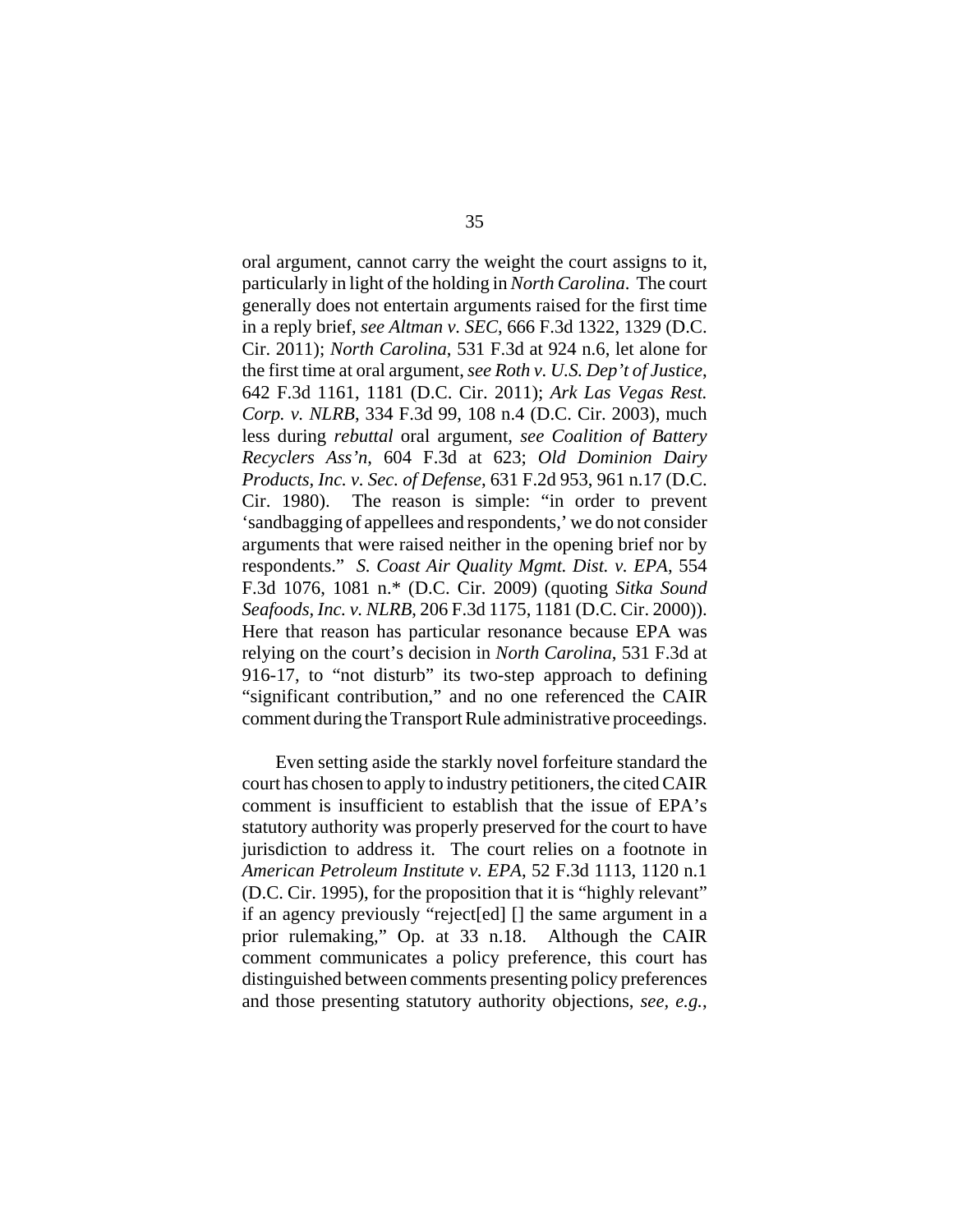oral argument, cannot carry the weight the court assigns to it, particularly in light of the holding in *North Carolina*. The court generally does not entertain arguments raised for the first time in a reply brief, *see Altman v. SEC*, 666 F.3d 1322, 1329 (D.C. Cir. 2011); *North Carolina*, 531 F.3d at 924 n.6, let alone for the first time at oral argument, *see Roth v. U.S. Dep't of Justice*, 642 F.3d 1161, 1181 (D.C. Cir. 2011); *Ark Las Vegas Rest. Corp. v. NLRB*, 334 F.3d 99, 108 n.4 (D.C. Cir. 2003), much less during *rebuttal* oral argument, *see Coalition of Battery Recyclers Ass'n*, 604 F.3d at 623; *Old Dominion Dairy Products, Inc. v. Sec. of Defense*, 631 F.2d 953, 961 n.17 (D.C. Cir. 1980). The reason is simple: "in order to prevent 'sandbagging of appellees and respondents,' we do not consider arguments that were raised neither in the opening brief nor by respondents." *S. Coast Air Quality Mgmt. Dist. v. EPA*, 554 F.3d 1076, 1081 n.\* (D.C. Cir. 2009) (quoting *Sitka Sound Seafoods, Inc. v. NLRB*, 206 F.3d 1175, 1181 (D.C. Cir. 2000)). Here that reason has particular resonance because EPA was relying on the court's decision in *North Carolina*, 531 F.3d at 916-17, to "not disturb" its two-step approach to defining "significant contribution," and no one referenced the CAIR comment during the Transport Rule administrative proceedings.

Even setting aside the starkly novel forfeiture standard the court has chosen to apply to industry petitioners, the cited CAIR comment is insufficient to establish that the issue of EPA's statutory authority was properly preserved for the court to have jurisdiction to address it. The court relies on a footnote in *American Petroleum Institute v. EPA*, 52 F.3d 1113, 1120 n.1 (D.C. Cir. 1995), for the proposition that it is "highly relevant" if an agency previously "reject[ed] [] the same argument in a prior rulemaking," Op. at 33 n.18. Although the CAIR comment communicates a policy preference, this court has distinguished between comments presenting policy preferences and those presenting statutory authority objections, *see, e.g.*,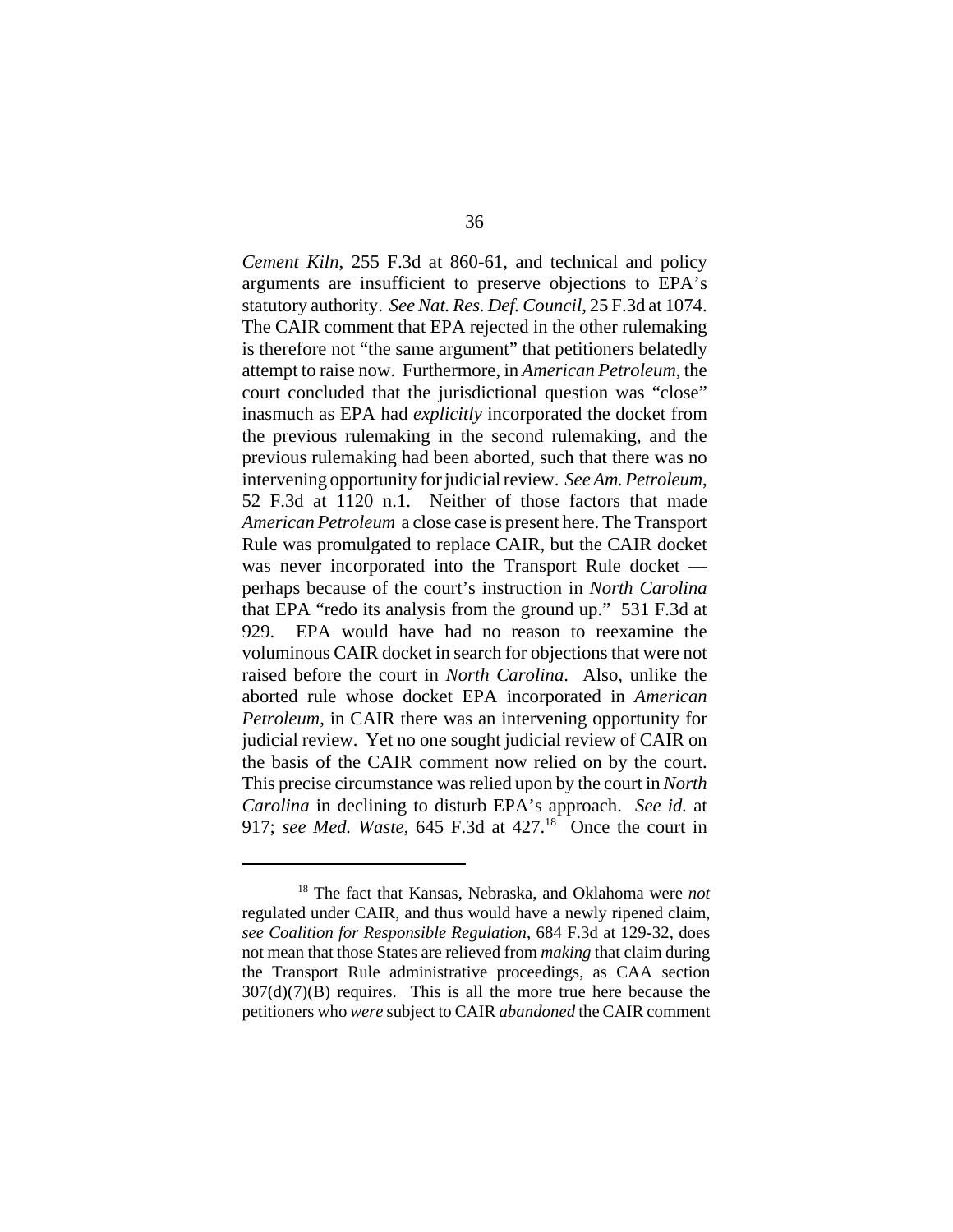*Cement Kiln*, 255 F.3d at 860-61, and technical and policy arguments are insufficient to preserve objections to EPA's statutory authority. *See Nat. Res. Def. Council*, 25 F.3d at 1074. The CAIR comment that EPA rejected in the other rulemaking is therefore not "the same argument" that petitioners belatedly attempt to raise now. Furthermore, in *American Petroleum*, the court concluded that the jurisdictional question was "close" inasmuch as EPA had *explicitly* incorporated the docket from the previous rulemaking in the second rulemaking, and the previous rulemaking had been aborted, such that there was no intervening opportunity for judicial review. *See Am. Petroleum*, 52 F.3d at 1120 n.1. Neither of those factors that made *American Petroleum* a close case is present here. The Transport Rule was promulgated to replace CAIR, but the CAIR docket was never incorporated into the Transport Rule docket perhaps because of the court's instruction in *North Carolina* that EPA "redo its analysis from the ground up." 531 F.3d at 929. EPA would have had no reason to reexamine the voluminous CAIR docket in search for objections that were not raised before the court in *North Carolina*. Also, unlike the aborted rule whose docket EPA incorporated in *American Petroleum*, in CAIR there was an intervening opportunity for judicial review. Yet no one sought judicial review of CAIR on the basis of the CAIR comment now relied on by the court. This precise circumstance was relied upon by the court in *North Carolina* in declining to disturb EPA's approach. *See id.* at 917; *see Med. Waste*, 645 F.3d at 427.<sup>18</sup> Once the court in

<sup>18</sup> The fact that Kansas, Nebraska, and Oklahoma were *not* regulated under CAIR, and thus would have a newly ripened claim, *see Coalition for Responsible Regulation*, 684 F.3d at 129-32, does not mean that those States are relieved from *making* that claim during the Transport Rule administrative proceedings, as CAA section  $307(d)(7)(B)$  requires. This is all the more true here because the petitioners who *were* subject to CAIR *abandoned* the CAIR comment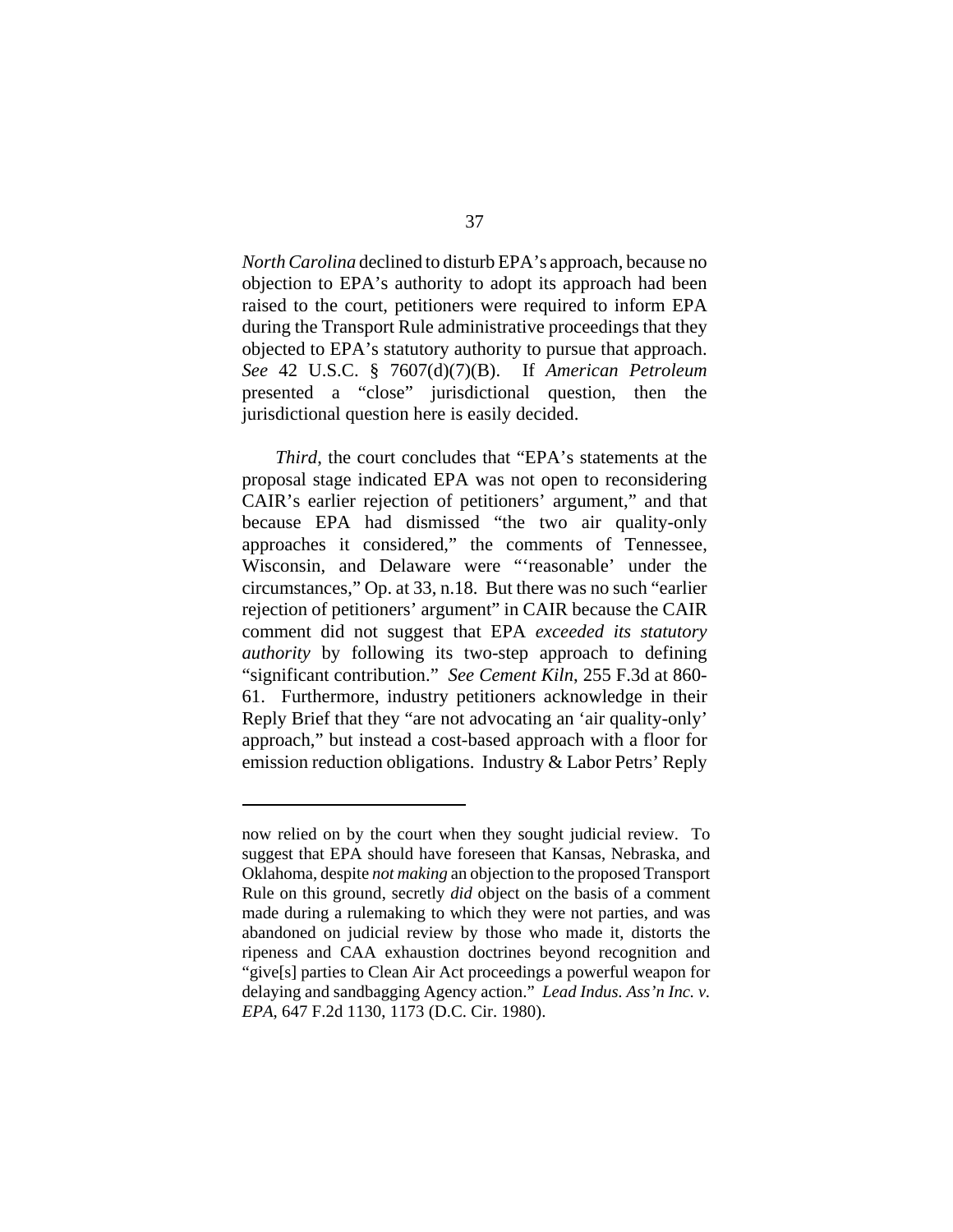*North Carolina* declined to disturb EPA's approach, because no objection to EPA's authority to adopt its approach had been raised to the court, petitioners were required to inform EPA during the Transport Rule administrative proceedings that they objected to EPA's statutory authority to pursue that approach. *See* 42 U.S.C. § 7607(d)(7)(B). If *American Petroleum* presented a "close" jurisdictional question, then the jurisdictional question here is easily decided.

*Third*, the court concludes that "EPA's statements at the proposal stage indicated EPA was not open to reconsidering CAIR's earlier rejection of petitioners' argument," and that because EPA had dismissed "the two air quality-only approaches it considered," the comments of Tennessee, Wisconsin, and Delaware were "'reasonable' under the circumstances," Op. at 33, n.18. But there was no such "earlier rejection of petitioners' argument" in CAIR because the CAIR comment did not suggest that EPA *exceeded its statutory authority* by following its two-step approach to defining "significant contribution." *See Cement Kiln*, 255 F.3d at 860- 61. Furthermore, industry petitioners acknowledge in their Reply Brief that they "are not advocating an 'air quality-only' approach," but instead a cost-based approach with a floor for emission reduction obligations. Industry & Labor Petrs' Reply

now relied on by the court when they sought judicial review. To suggest that EPA should have foreseen that Kansas, Nebraska, and Oklahoma, despite *not making* an objection to the proposed Transport Rule on this ground, secretly *did* object on the basis of a comment made during a rulemaking to which they were not parties, and was abandoned on judicial review by those who made it, distorts the ripeness and CAA exhaustion doctrines beyond recognition and "give[s] parties to Clean Air Act proceedings a powerful weapon for delaying and sandbagging Agency action." *Lead Indus. Ass'n Inc. v. EPA*, 647 F.2d 1130, 1173 (D.C. Cir. 1980).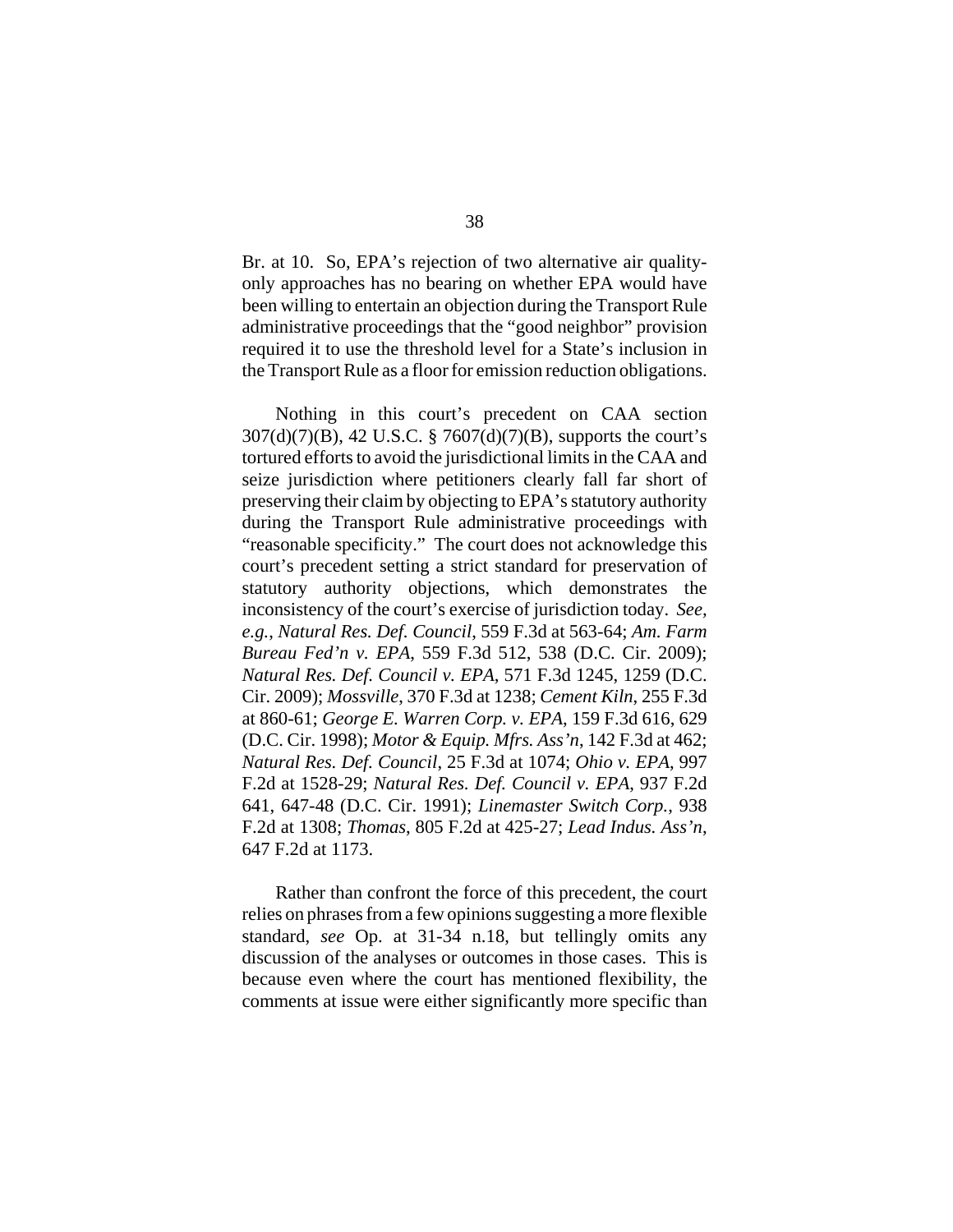Br. at 10. So, EPA's rejection of two alternative air qualityonly approaches has no bearing on whether EPA would have been willing to entertain an objection during the Transport Rule administrative proceedings that the "good neighbor" provision required it to use the threshold level for a State's inclusion in the Transport Rule as a floor for emission reduction obligations.

Nothing in this court's precedent on CAA section 307(d)(7)(B), 42 U.S.C. § 7607(d)(7)(B), supports the court's tortured efforts to avoid the jurisdictional limits in the CAA and seize jurisdiction where petitioners clearly fall far short of preserving their claim by objecting to EPA's statutory authority during the Transport Rule administrative proceedings with "reasonable specificity." The court does not acknowledge this court's precedent setting a strict standard for preservation of statutory authority objections, which demonstrates the inconsistency of the court's exercise of jurisdiction today. *See, e.g.*, *Natural Res. Def. Council*, 559 F.3d at 563-64; *Am. Farm Bureau Fed'n v. EPA*, 559 F.3d 512, 538 (D.C. Cir. 2009); *Natural Res. Def. Council v. EPA*, 571 F.3d 1245, 1259 (D.C. Cir. 2009); *Mossville*, 370 F.3d at 1238; *Cement Kiln*, 255 F.3d at 860-61; *George E. Warren Corp. v. EPA*, 159 F.3d 616, 629 (D.C. Cir. 1998); *Motor & Equip. Mfrs. Ass'n*, 142 F.3d at 462; *Natural Res. Def. Council*, 25 F.3d at 1074; *Ohio v. EPA*, 997 F.2d at 1528-29; *Natural Res. Def. Council v. EPA*, 937 F.2d 641, 647-48 (D.C. Cir. 1991); *Linemaster Switch Corp.*, 938 F.2d at 1308; *Thomas*, 805 F.2d at 425-27; *Lead Indus. Ass'n*, 647 F.2d at 1173.

Rather than confront the force of this precedent, the court relies on phrases from a few opinions suggesting a more flexible standard, *see* Op. at 31-34 n.18, but tellingly omits any discussion of the analyses or outcomes in those cases. This is because even where the court has mentioned flexibility, the comments at issue were either significantly more specific than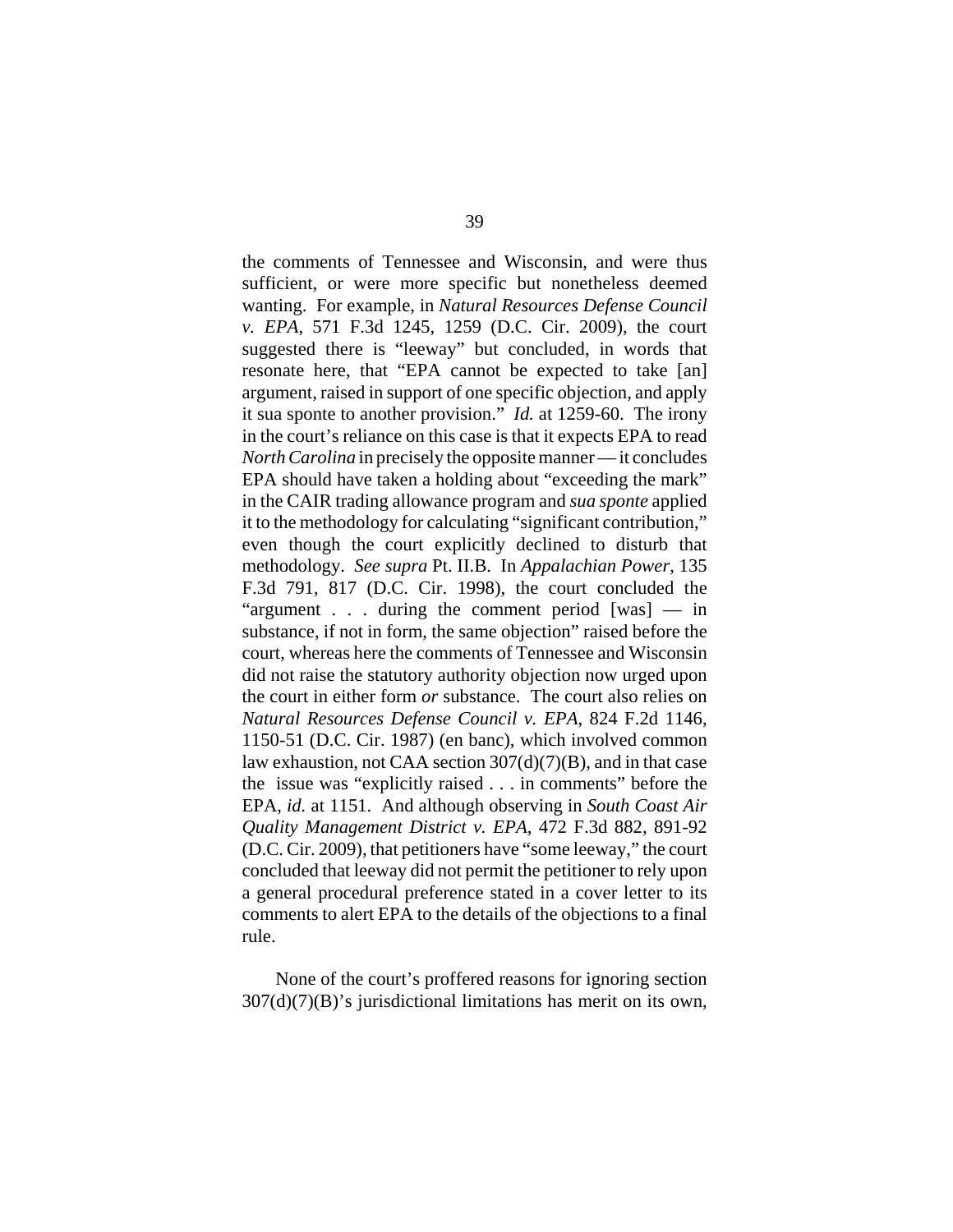the comments of Tennessee and Wisconsin, and were thus sufficient, or were more specific but nonetheless deemed wanting. For example, in *Natural Resources Defense Council v. EPA*, 571 F.3d 1245, 1259 (D.C. Cir. 2009), the court suggested there is "leeway" but concluded, in words that resonate here, that "EPA cannot be expected to take [an] argument, raised in support of one specific objection, and apply it sua sponte to another provision." *Id.* at 1259-60. The irony in the court's reliance on this case is that it expects EPA to read *North Carolina* in precisely the opposite manner — it concludes EPA should have taken a holding about "exceeding the mark" in the CAIR trading allowance program and *sua sponte* applied it to the methodology for calculating "significant contribution," even though the court explicitly declined to disturb that methodology. *See supra* Pt. II.B. In *Appalachian Power*, 135 F.3d 791, 817 (D.C. Cir. 1998), the court concluded the "argument . . . during the comment period [was] — in substance, if not in form, the same objection" raised before the court, whereas here the comments of Tennessee and Wisconsin did not raise the statutory authority objection now urged upon the court in either form *or* substance. The court also relies on *Natural Resources Defense Council v. EPA*, 824 F.2d 1146, 1150-51 (D.C. Cir. 1987) (en banc), which involved common law exhaustion, not CAA section 307(d)(7)(B), and in that case the issue was "explicitly raised . . . in comments" before the EPA, *id.* at 1151. And although observing in *South Coast Air Quality Management District v. EPA*, 472 F.3d 882, 891-92 (D.C. Cir. 2009), that petitioners have "some leeway," the court concluded that leeway did not permit the petitioner to rely upon a general procedural preference stated in a cover letter to its comments to alert EPA to the details of the objections to a final rule.

None of the court's proffered reasons for ignoring section 307(d)(7)(B)'s jurisdictional limitations has merit on its own,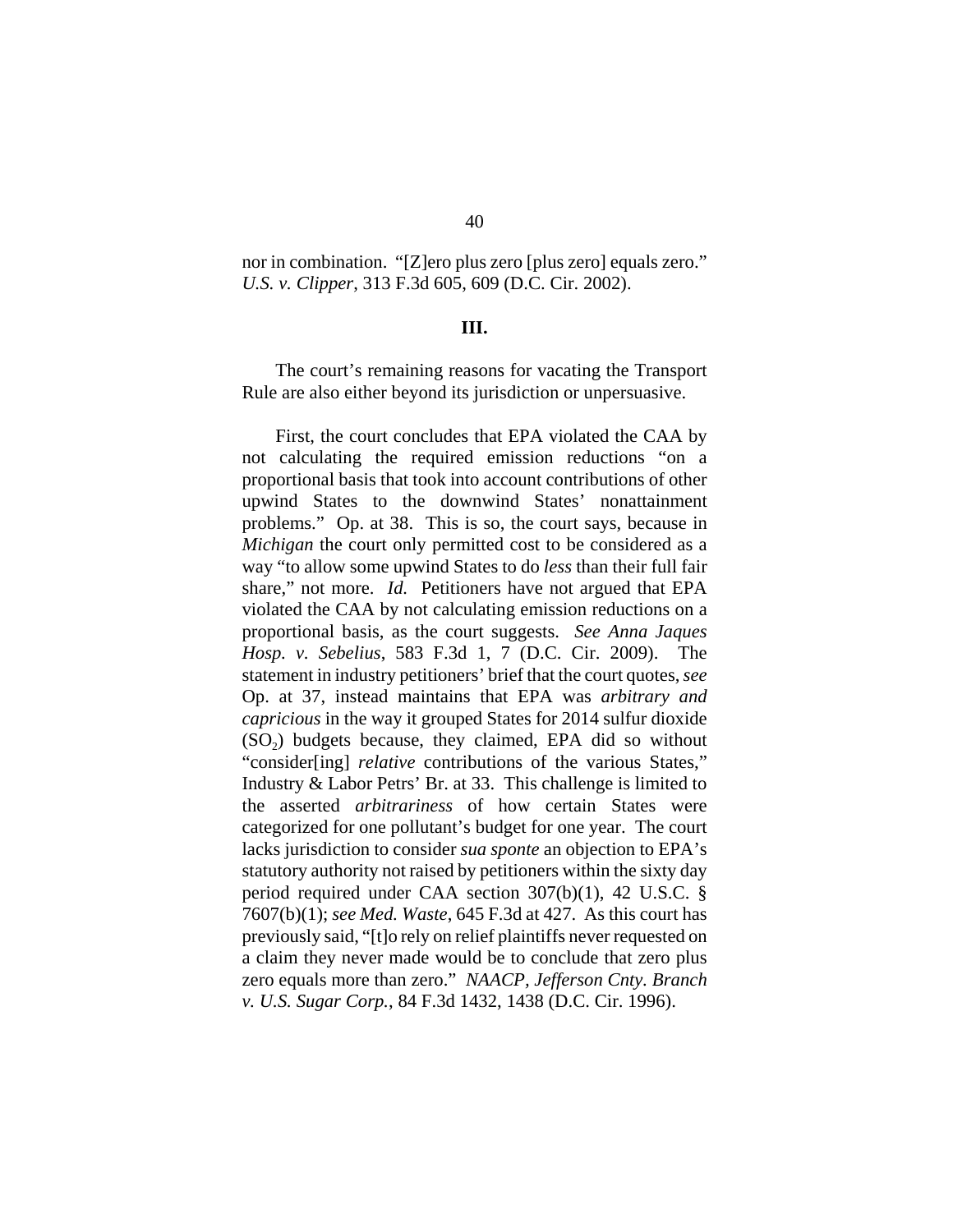nor in combination. "[Z]ero plus zero [plus zero] equals zero." *U.S. v. Clipper*, 313 F.3d 605, 609 (D.C. Cir. 2002).

## **III.**

The court's remaining reasons for vacating the Transport Rule are also either beyond its jurisdiction or unpersuasive.

First, the court concludes that EPA violated the CAA by not calculating the required emission reductions "on a proportional basis that took into account contributions of other upwind States to the downwind States' nonattainment problems." Op. at 38. This is so, the court says, because in *Michigan* the court only permitted cost to be considered as a way "to allow some upwind States to do *less* than their full fair share," not more. *Id.* Petitioners have not argued that EPA violated the CAA by not calculating emission reductions on a proportional basis, as the court suggests. *See Anna Jaques Hosp. v. Sebelius*, 583 F.3d 1, 7 (D.C. Cir. 2009). The statement in industry petitioners' brief that the court quotes, *see* Op. at 37, instead maintains that EPA was *arbitrary and capricious* in the way it grouped States for 2014 sulfur dioxide  $(SO<sub>2</sub>)$  budgets because, they claimed, EPA did so without "consider[ing] *relative* contributions of the various States," Industry & Labor Petrs' Br. at 33. This challenge is limited to the asserted *arbitrariness* of how certain States were categorized for one pollutant's budget for one year. The court lacks jurisdiction to consider *sua sponte* an objection to EPA's statutory authority not raised by petitioners within the sixty day period required under CAA section 307(b)(1), 42 U.S.C. § 7607(b)(1); *see Med. Waste*, 645 F.3d at 427. As this court has previously said, "[t]o rely on relief plaintiffs never requested on a claim they never made would be to conclude that zero plus zero equals more than zero." *NAACP, Jefferson Cnty. Branch v. U.S. Sugar Corp.*, 84 F.3d 1432, 1438 (D.C. Cir. 1996).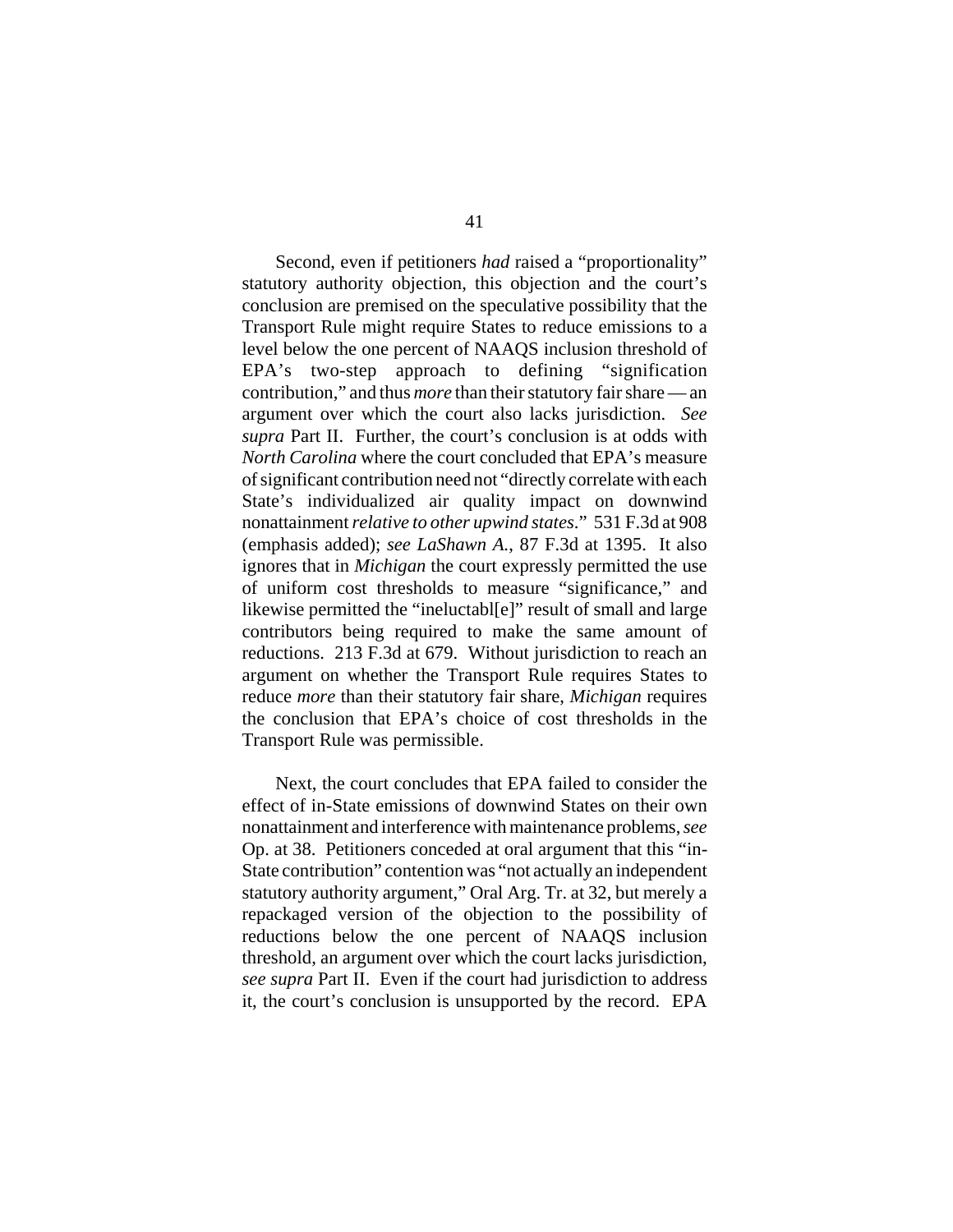Second, even if petitioners *had* raised a "proportionality" statutory authority objection, this objection and the court's conclusion are premised on the speculative possibility that the Transport Rule might require States to reduce emissions to a level below the one percent of NAAQS inclusion threshold of EPA's two-step approach to defining "signification contribution," and thus *more* than their statutory fair share — an argument over which the court also lacks jurisdiction. *See supra* Part II. Further, the court's conclusion is at odds with *North Carolina* where the court concluded that EPA's measure of significant contribution need not "directly correlate with each State's individualized air quality impact on downwind nonattainment *relative to other upwind states*." 531 F.3d at 908 (emphasis added); *see LaShawn A.*, 87 F.3d at 1395. It also ignores that in *Michigan* the court expressly permitted the use of uniform cost thresholds to measure "significance," and likewise permitted the "ineluctabl[e]" result of small and large contributors being required to make the same amount of reductions. 213 F.3d at 679. Without jurisdiction to reach an argument on whether the Transport Rule requires States to reduce *more* than their statutory fair share, *Michigan* requires the conclusion that EPA's choice of cost thresholds in the Transport Rule was permissible.

Next, the court concludes that EPA failed to consider the effect of in-State emissions of downwind States on their own nonattainment and interference with maintenance problems, *see* Op. at 38. Petitioners conceded at oral argument that this "in-State contribution" contention was "not actually an independent statutory authority argument," Oral Arg. Tr. at 32, but merely a repackaged version of the objection to the possibility of reductions below the one percent of NAAQS inclusion threshold, an argument over which the court lacks jurisdiction, *see supra* Part II. Even if the court had jurisdiction to address it, the court's conclusion is unsupported by the record. EPA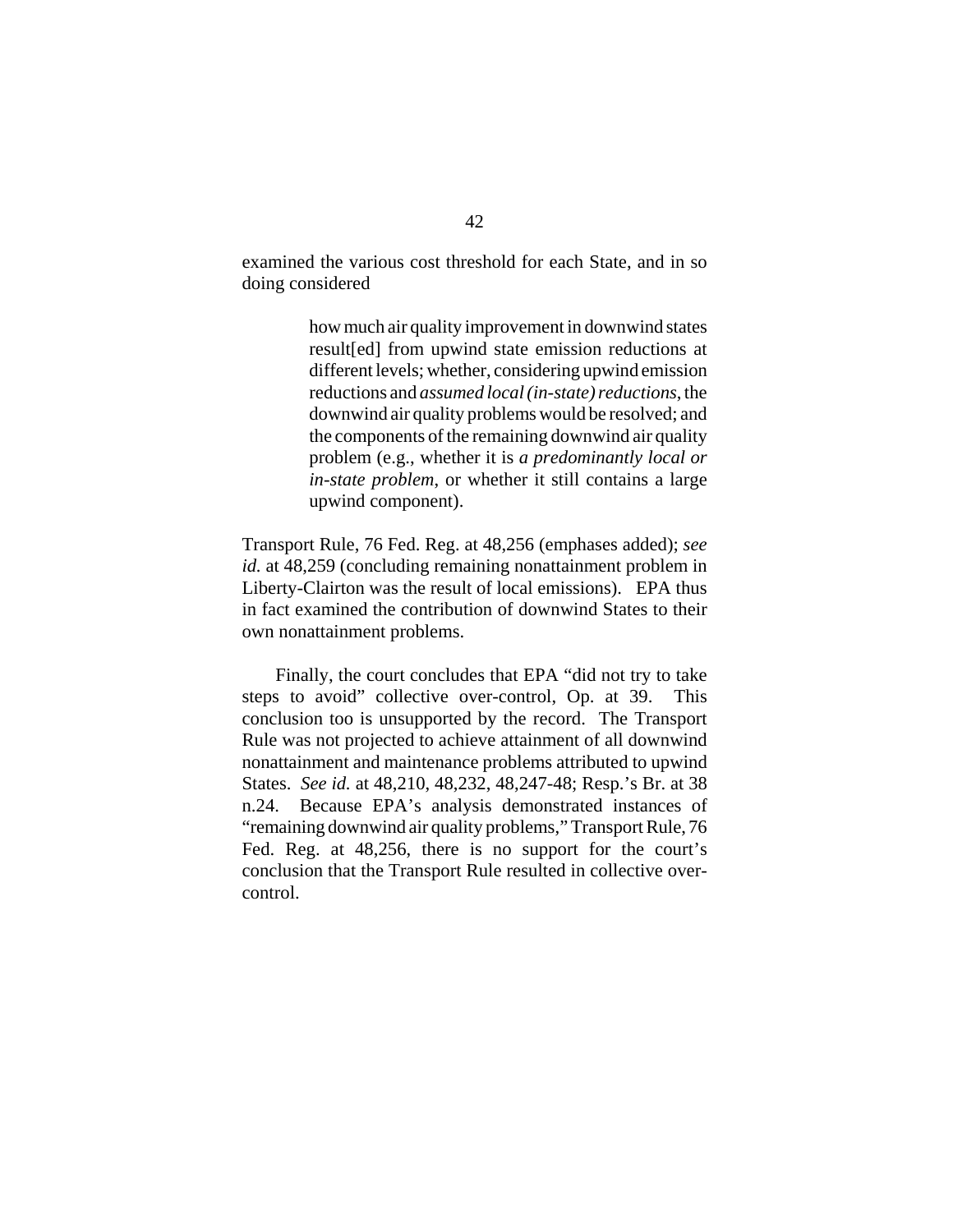examined the various cost threshold for each State, and in so doing considered

> how much air quality improvement in downwind states result[ed] from upwind state emission reductions at different levels; whether, considering upwind emission reductions and *assumed local (in-state) reductions*, the downwind air quality problems would be resolved; and the components of the remaining downwind air quality problem (e.g., whether it is *a predominantly local or in-state problem*, or whether it still contains a large upwind component).

Transport Rule, 76 Fed. Reg. at 48,256 (emphases added); *see id.* at 48,259 (concluding remaining nonattainment problem in Liberty-Clairton was the result of local emissions). EPA thus in fact examined the contribution of downwind States to their own nonattainment problems.

Finally, the court concludes that EPA "did not try to take steps to avoid" collective over-control, Op. at 39. This conclusion too is unsupported by the record. The Transport Rule was not projected to achieve attainment of all downwind nonattainment and maintenance problems attributed to upwind States. *See id.* at 48,210, 48,232, 48,247-48; Resp.'s Br. at 38 n.24. Because EPA's analysis demonstrated instances of "remaining downwind air quality problems," Transport Rule, 76 Fed. Reg. at 48,256, there is no support for the court's conclusion that the Transport Rule resulted in collective overcontrol.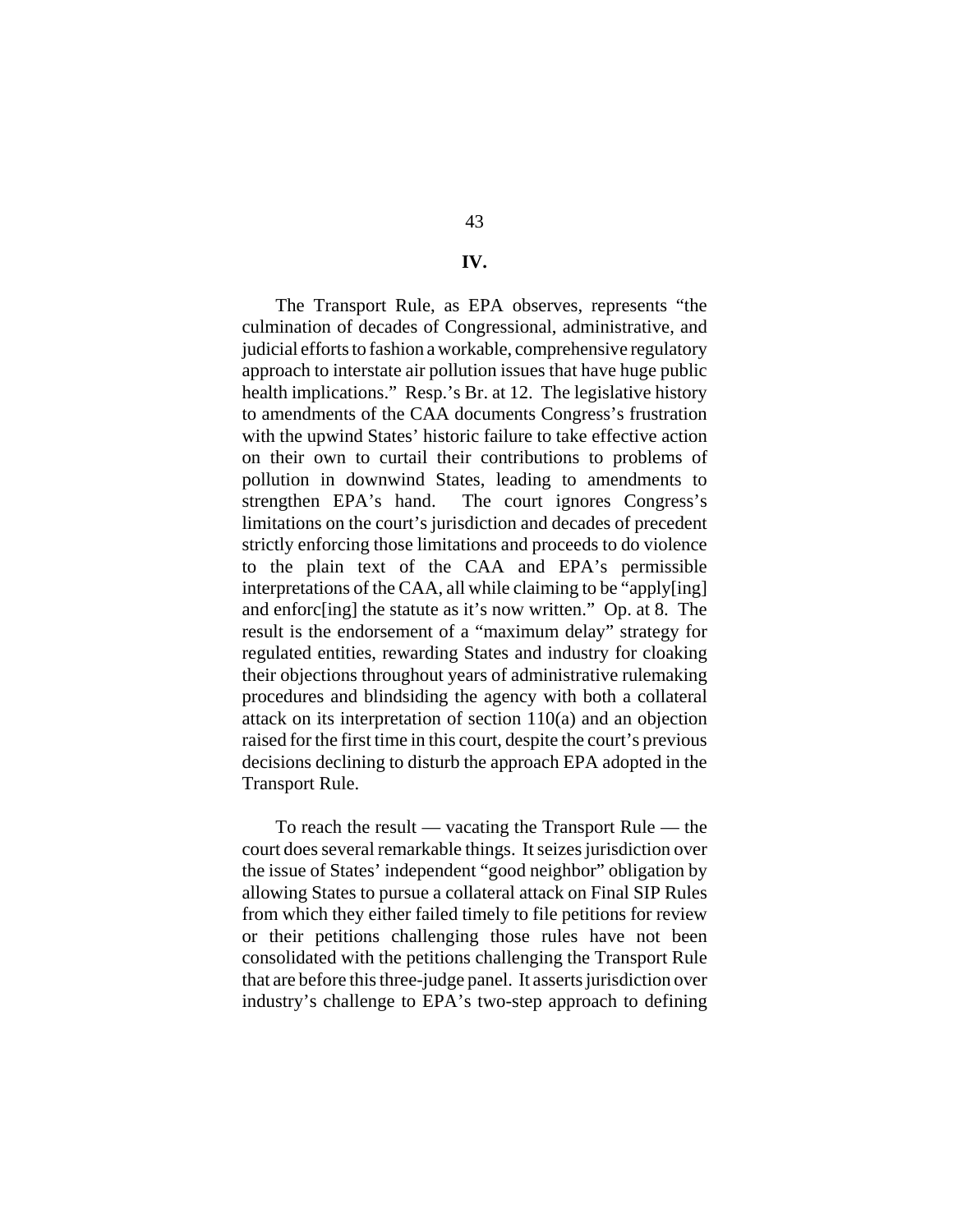# 43

# **IV.**

The Transport Rule, as EPA observes, represents "the culmination of decades of Congressional, administrative, and judicial efforts to fashion a workable, comprehensive regulatory approach to interstate air pollution issues that have huge public health implications." Resp.'s Br. at 12. The legislative history to amendments of the CAA documents Congress's frustration with the upwind States' historic failure to take effective action on their own to curtail their contributions to problems of pollution in downwind States, leading to amendments to strengthen EPA's hand. The court ignores Congress's limitations on the court's jurisdiction and decades of precedent strictly enforcing those limitations and proceeds to do violence to the plain text of the CAA and EPA's permissible interpretations of the CAA, all while claiming to be "apply[ing] and enforc[ing] the statute as it's now written." Op. at 8. The result is the endorsement of a "maximum delay" strategy for regulated entities, rewarding States and industry for cloaking their objections throughout years of administrative rulemaking procedures and blindsiding the agency with both a collateral attack on its interpretation of section 110(a) and an objection raised for the first time in this court, despite the court's previous decisions declining to disturb the approach EPA adopted in the Transport Rule.

To reach the result — vacating the Transport Rule — the court does several remarkable things. It seizes jurisdiction over the issue of States' independent "good neighbor" obligation by allowing States to pursue a collateral attack on Final SIP Rules from which they either failed timely to file petitions for review or their petitions challenging those rules have not been consolidated with the petitions challenging the Transport Rule that are before this three-judge panel. It asserts jurisdiction over industry's challenge to EPA's two-step approach to defining